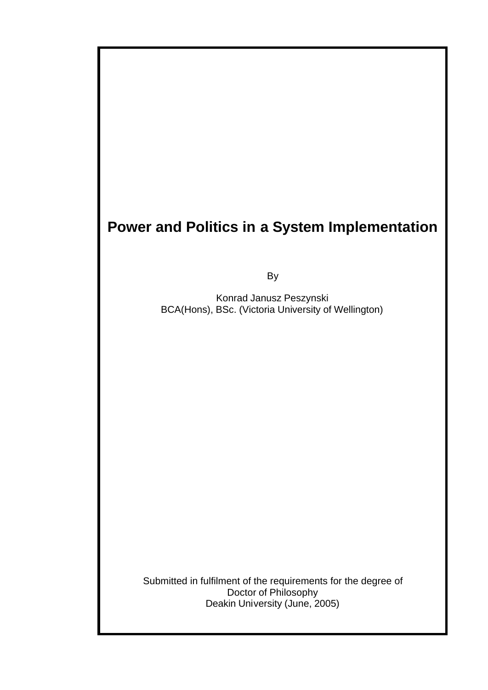# **Power and Politics in a System Implementation**

By

Konrad Janusz Peszynski BCA(Hons), BSc. (Victoria University of Wellington)

Submitted in fulfilment of the requirements for the degree of Doctor of Philosophy Deakin University (June, 2005)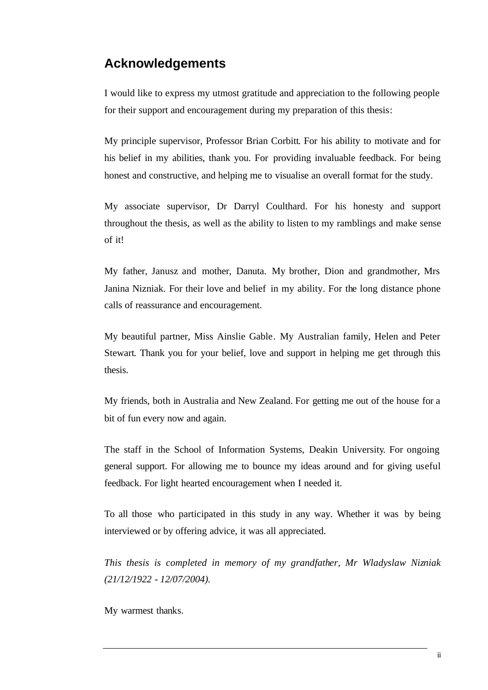# **Acknowledgements**

I would like to express my utmost gratitude and appreciation to the following people for their support and encouragement during my preparation of this thesis:

My principle supervisor, Professor Brian Corbitt. For his ability to motivate and for his belief in my abilities, thank you. For providing invaluable feedback. For being honest and constructive, and helping me to visualise an overall format for the study.

My associate supervisor, Dr Darryl Coulthard. For his honesty and support throughout the thesis, as well as the ability to listen to my ramblings and make sense of it!

My father, Janusz and mother, Danuta. My brother, Dion and grandmother, Mrs Janina Nizniak. For their love and belief in my ability. For the long distance phone calls of reassurance and encouragement.

My beautiful partner, Miss Ainslie Gable. My Australian family, Helen and Peter Stewart. Thank you for your belief, love and support in helping me get through this thesis.

My friends, both in Australia and New Zealand. For getting me out of the house for a bit of fun every now and again.

The staff in the School of Information Systems, Deakin University. For ongoing general support. For allowing me to bounce my ideas around and for giving useful feedback. For light hearted encouragement when I needed it.

To all those who participated in this study in any way. Whether it was by being interviewed or by offering advice, it was all appreciated.

*This thesis is completed in memory of my grandfather, Mr Wladyslaw Nizniak (21/12/1922 - 12/07/2004).*

My warmest thanks.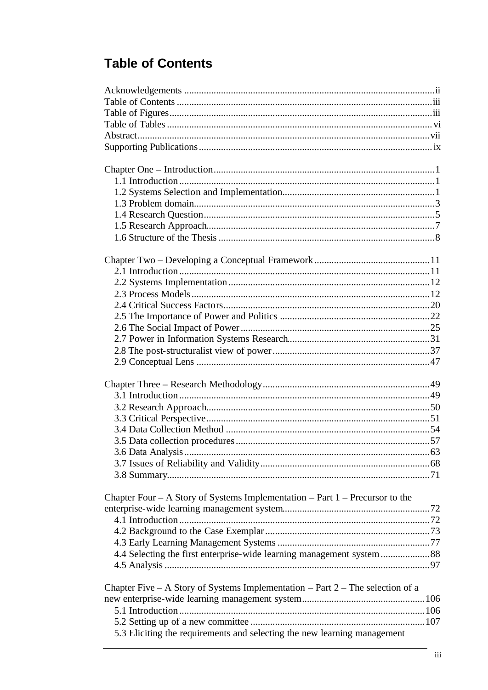# **Table of Contents**

| Chapter Four $- A$ Story of Systems Implementation $- Part 1 - Precursor$ to the |  |
|----------------------------------------------------------------------------------|--|
|                                                                                  |  |
|                                                                                  |  |
|                                                                                  |  |
|                                                                                  |  |
|                                                                                  |  |
|                                                                                  |  |
| Chapter Five – A Story of Systems Implementation – Part $2$ – The selection of a |  |
|                                                                                  |  |
|                                                                                  |  |
|                                                                                  |  |
| 5.3 Eliciting the requirements and selecting the new learning management         |  |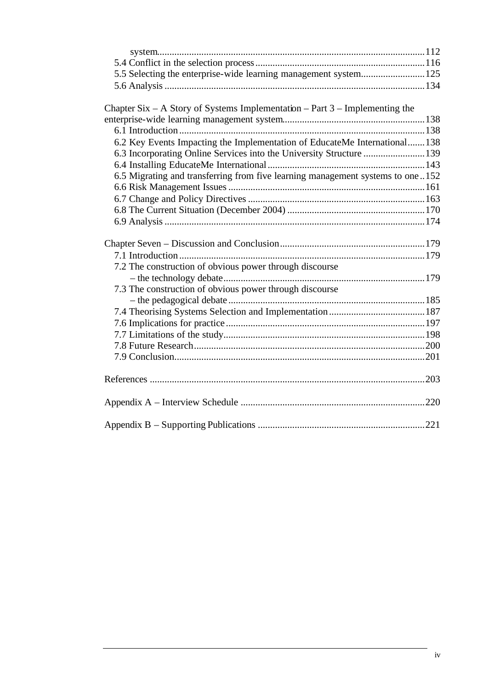| Chapter Six – A Story of Systems Implementation – Part $3$ – Implementing the |  |
|-------------------------------------------------------------------------------|--|
|                                                                               |  |
|                                                                               |  |
| 6.2 Key Events Impacting the Implementation of EducateMe International138     |  |
|                                                                               |  |

6.4 Installing EducateMe International................................................................143 6.5 Migrating and transferring from five learning management systems to one ..152

| 7.2 The construction of obvious power through discourse |  |
|---------------------------------------------------------|--|
|                                                         |  |
| 7.3 The construction of obvious power through discourse |  |
|                                                         |  |
|                                                         |  |
|                                                         |  |
|                                                         |  |
|                                                         |  |
|                                                         |  |
|                                                         |  |
|                                                         |  |
|                                                         |  |
|                                                         |  |
|                                                         |  |
|                                                         |  |
|                                                         |  |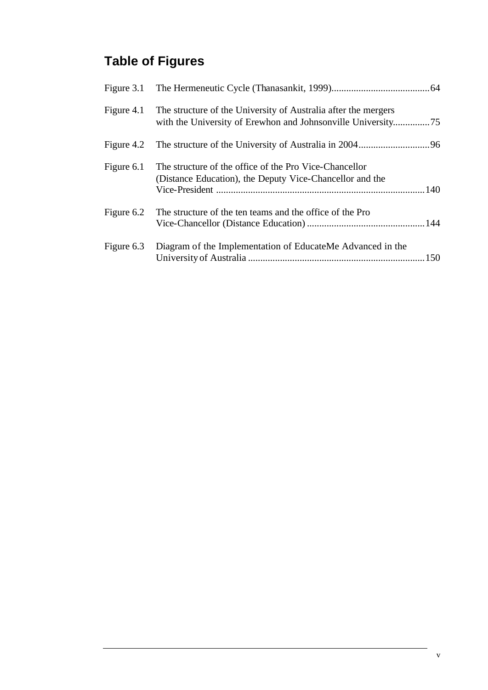# **Table of Figures**

| Figure 4.1 | The structure of the University of Australia after the mergers                                                     |
|------------|--------------------------------------------------------------------------------------------------------------------|
|            |                                                                                                                    |
| Figure 6.1 | The structure of the office of the Pro Vice-Chancellor<br>(Distance Education), the Deputy Vice-Chancellor and the |
| Figure 6.2 | The structure of the ten teams and the office of the Pro                                                           |
|            | Figure 6.3 Diagram of the Implementation of EducateMe Advanced in the                                              |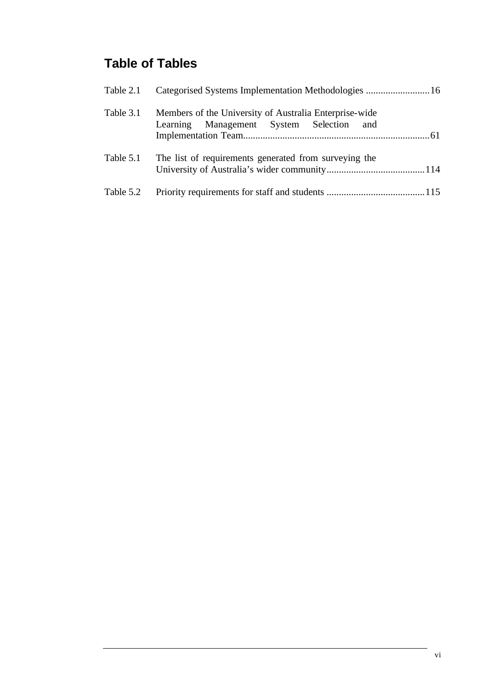# **Table of Tables**

| Table 2.1 |                                                                                                    |
|-----------|----------------------------------------------------------------------------------------------------|
| Table 3.1 | Members of the University of Australia Enterprise-wide<br>Learning Management System Selection and |
| Table 5.1 | The list of requirements generated from surveying the                                              |
| Table 5.2 |                                                                                                    |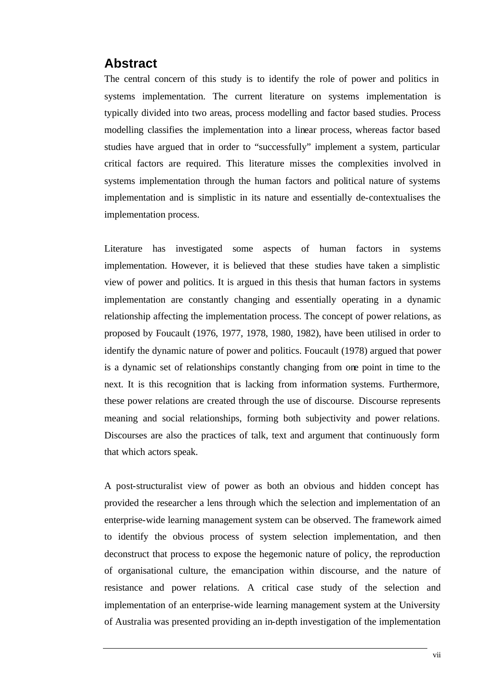## **Abstract**

The central concern of this study is to identify the role of power and politics in systems implementation. The current literature on systems implementation is typically divided into two areas, process modelling and factor based studies. Process modelling classifies the implementation into a linear process, whereas factor based studies have argued that in order to "successfully" implement a system, particular critical factors are required. This literature misses the complexities involved in systems implementation through the human factors and political nature of systems implementation and is simplistic in its nature and essentially de-contextualises the implementation process.

Literature has investigated some aspects of human factors in systems implementation. However, it is believed that these studies have taken a simplistic view of power and politics. It is argued in this thesis that human factors in systems implementation are constantly changing and essentially operating in a dynamic relationship affecting the implementation process. The concept of power relations, as proposed by Foucault (1976, 1977, 1978, 1980, 1982), have been utilised in order to identify the dynamic nature of power and politics. Foucault (1978) argued that power is a dynamic set of relationships constantly changing from one point in time to the next. It is this recognition that is lacking from information systems. Furthermore, these power relations are created through the use of discourse. Discourse represents meaning and social relationships, forming both subjectivity and power relations. Discourses are also the practices of talk, text and argument that continuously form that which actors speak.

A post-structuralist view of power as both an obvious and hidden concept has provided the researcher a lens through which the selection and implementation of an enterprise-wide learning management system can be observed. The framework aimed to identify the obvious process of system selection implementation, and then deconstruct that process to expose the hegemonic nature of policy, the reproduction of organisational culture, the emancipation within discourse, and the nature of resistance and power relations. A critical case study of the selection and implementation of an enterprise-wide learning management system at the University of Australia was presented providing an in-depth investigation of the implementation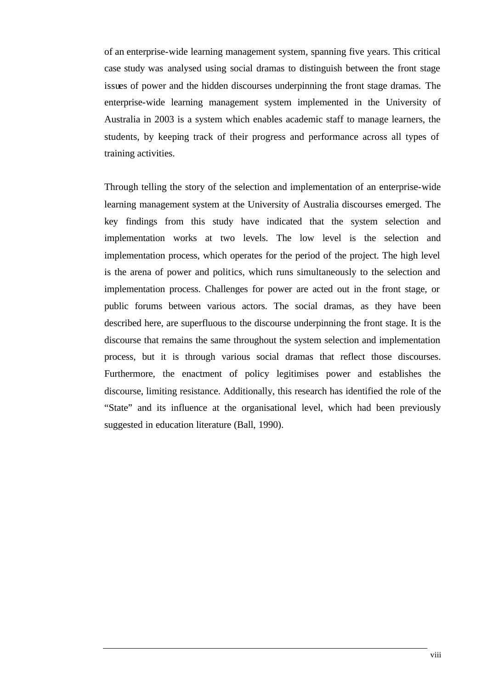of an enterprise-wide learning management system, spanning five years. This critical case study was analysed using social dramas to distinguish between the front stage issues of power and the hidden discourses underpinning the front stage dramas. The enterprise-wide learning management system implemented in the University of Australia in 2003 is a system which enables academic staff to manage learners, the students, by keeping track of their progress and performance across all types of training activities.

Through telling the story of the selection and implementation of an enterprise-wide learning management system at the University of Australia discourses emerged. The key findings from this study have indicated that the system selection and implementation works at two levels. The low level is the selection and implementation process, which operates for the period of the project. The high level is the arena of power and politics, which runs simultaneously to the selection and implementation process. Challenges for power are acted out in the front stage, or public forums between various actors. The social dramas, as they have been described here, are superfluous to the discourse underpinning the front stage. It is the discourse that remains the same throughout the system selection and implementation process, but it is through various social dramas that reflect those discourses. Furthermore, the enactment of policy legitimises power and establishes the discourse, limiting resistance. Additionally, this research has identified the role of the "State" and its influence at the organisational level, which had been previously suggested in education literature (Ball, 1990).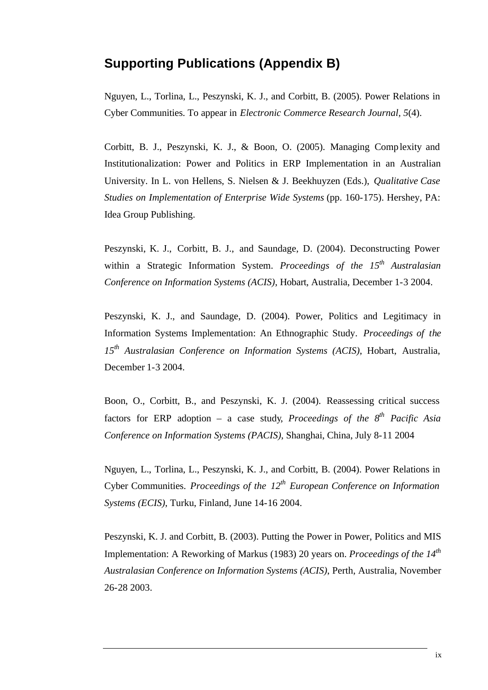## **Supporting Publications (Appendix B)**

Nguyen, L., Torlina, L., Peszynski, K. J., and Corbitt, B. (2005). Power Relations in Cyber Communities. To appear in *Electronic Commerce Research Journal, 5*(4).

Corbitt, B. J., Peszynski, K. J., & Boon, O. (2005). Managing Complexity and Institutionalization: Power and Politics in ERP Implementation in an Australian University. In L. von Hellens, S. Nielsen & J. Beekhuyzen (Eds.), *Qualitative Case Studies on Implementation of Enterprise Wide Systems* (pp. 160-175). Hershey, PA: Idea Group Publishing.

Peszynski, K. J., Corbitt, B. J., and Saundage, D. (2004). Deconstructing Power within a Strategic Information System. *Proceedings of the 15th Australasian Conference on Information Systems (ACIS)*, Hobart, Australia, December 1-3 2004.

Peszynski, K. J., and Saundage, D. (2004). Power, Politics and Legitimacy in Information Systems Implementation: An Ethnographic Study. *Proceedings of the 15th Australasian Conference on Information Systems (ACIS)*, Hobart, Australia, December 1-3 2004.

Boon, O., Corbitt, B., and Peszynski, K. J. (2004). Reassessing critical success factors for ERP adoption – a case study, *Proceedings of the 8 th Pacific Asia Conference on Information Systems (PACIS)*, Shanghai, China, July 8-11 2004

Nguyen, L., Torlina, L., Peszynski, K. J., and Corbitt, B. (2004). Power Relations in Cyber Communities. *Proceedings of the 12th European Conference on Information Systems (ECIS)*, Turku, Finland, June 14-16 2004.

Peszynski, K. J. and Corbitt, B. (2003). Putting the Power in Power, Politics and MIS Implementation: A Reworking of Markus (1983) 20 years on. *Proceedings of the 14th Australasian Conference on Information Systems (ACIS)*, Perth, Australia, November 26-28 2003.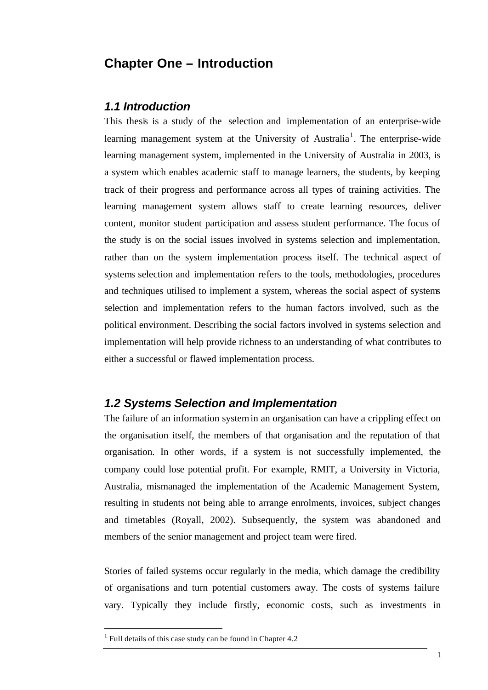## **Chapter One – Introduction**

#### *1.1 Introduction*

This thesis is a study of the selection and implementation of an enterprise-wide learning management system at the University of Australia<sup>1</sup>. The enterprise-wide learning management system, implemented in the University of Australia in 2003, is a system which enables academic staff to manage learners, the students, by keeping track of their progress and performance across all types of training activities. The learning management system allows staff to create learning resources, deliver content, monitor student participation and assess student performance. The focus of the study is on the social issues involved in systems selection and implementation, rather than on the system implementation process itself. The technical aspect of systems selection and implementation refers to the tools, methodologies, procedures and techniques utilised to implement a system, whereas the social aspect of systems selection and implementation refers to the human factors involved, such as the political environment. Describing the social factors involved in systems selection and implementation will help provide richness to an understanding of what contributes to either a successful or flawed implementation process.

### *1.2 Systems Selection and Implementation*

The failure of an information system in an organisation can have a crippling effect on the organisation itself, the members of that organisation and the reputation of that organisation. In other words, if a system is not successfully implemented, the company could lose potential profit. For example, RMIT, a University in Victoria, Australia, mismanaged the implementation of the Academic Management System, resulting in students not being able to arrange enrolments, invoices, subject changes and timetables (Royall, 2002). Subsequently, the system was abandoned and members of the senior management and project team were fired.

Stories of failed systems occur regularly in the media, which damage the credibility of organisations and turn potential customers away. The costs of systems failure vary. Typically they include firstly, economic costs, such as investments in

l

 $<sup>1</sup>$  Full details of this case study can be found in Chapter 4.2</sup>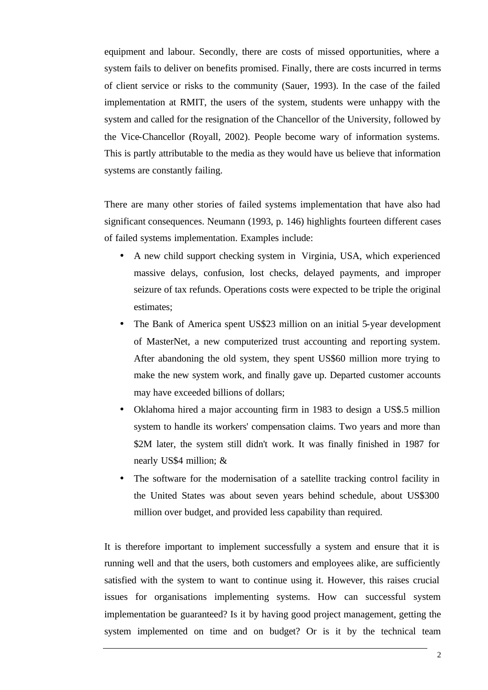equipment and labour. Secondly, there are costs of missed opportunities, where a system fails to deliver on benefits promised. Finally, there are costs incurred in terms of client service or risks to the community (Sauer, 1993). In the case of the failed implementation at RMIT, the users of the system, students were unhappy with the system and called for the resignation of the Chancellor of the University, followed by the Vice-Chancellor (Royall, 2002). People become wary of information systems. This is partly attributable to the media as they would have us believe that information systems are constantly failing.

There are many other stories of failed systems implementation that have also had significant consequences. Neumann (1993, p. 146) highlights fourteen different cases of failed systems implementation. Examples include:

- A new child support checking system in Virginia, USA, which experienced massive delays, confusion, lost checks, delayed payments, and improper seizure of tax refunds. Operations costs were expected to be triple the original estimates;
- The Bank of America spent US\$23 million on an initial 5-year development of MasterNet, a new computerized trust accounting and reporting system. After abandoning the old system, they spent US\$60 million more trying to make the new system work, and finally gave up. Departed customer accounts may have exceeded billions of dollars;
- Oklahoma hired a major accounting firm in 1983 to design a US\$.5 million system to handle its workers' compensation claims. Two years and more than \$2M later, the system still didn't work. It was finally finished in 1987 for nearly US\$4 million; &
- The software for the modernisation of a satellite tracking control facility in the United States was about seven years behind schedule, about US\$300 million over budget, and provided less capability than required.

It is therefore important to implement successfully a system and ensure that it is running well and that the users, both customers and employees alike, are sufficiently satisfied with the system to want to continue using it. However, this raises crucial issues for organisations implementing systems. How can successful system implementation be guaranteed? Is it by having good project management, getting the system implemented on time and on budget? Or is it by the technical team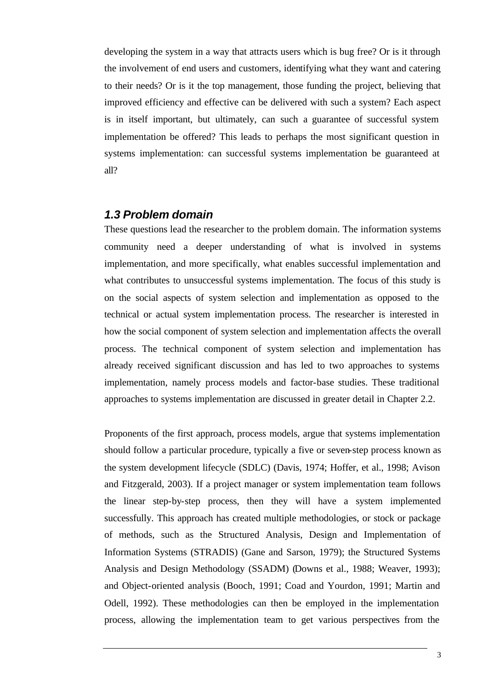developing the system in a way that attracts users which is bug free? Or is it through the involvement of end users and customers, identifying what they want and catering to their needs? Or is it the top management, those funding the project, believing that improved efficiency and effective can be delivered with such a system? Each aspect is in itself important, but ultimately, can such a guarantee of successful system implementation be offered? This leads to perhaps the most significant question in systems implementation: can successful systems implementation be guaranteed at all?

### *1.3 Problem domain*

These questions lead the researcher to the problem domain. The information systems community need a deeper understanding of what is involved in systems implementation, and more specifically, what enables successful implementation and what contributes to unsuccessful systems implementation. The focus of this study is on the social aspects of system selection and implementation as opposed to the technical or actual system implementation process. The researcher is interested in how the social component of system selection and implementation affects the overall process. The technical component of system selection and implementation has already received significant discussion and has led to two approaches to systems implementation, namely process models and factor-base studies. These traditional approaches to systems implementation are discussed in greater detail in Chapter 2.2.

Proponents of the first approach, process models, argue that systems implementation should follow a particular procedure, typically a five or seven-step process known as the system development lifecycle (SDLC) (Davis, 1974; Hoffer, et al., 1998; Avison and Fitzgerald, 2003). If a project manager or system implementation team follows the linear step-by-step process, then they will have a system implemented successfully. This approach has created multiple methodologies, or stock or package of methods, such as the Structured Analysis, Design and Implementation of Information Systems (STRADIS) (Gane and Sarson, 1979); the Structured Systems Analysis and Design Methodology (SSADM) (Downs et al., 1988; Weaver, 1993); and Object-oriented analysis (Booch, 1991; Coad and Yourdon, 1991; Martin and Odell, 1992). These methodologies can then be employed in the implementation process, allowing the implementation team to get various perspectives from the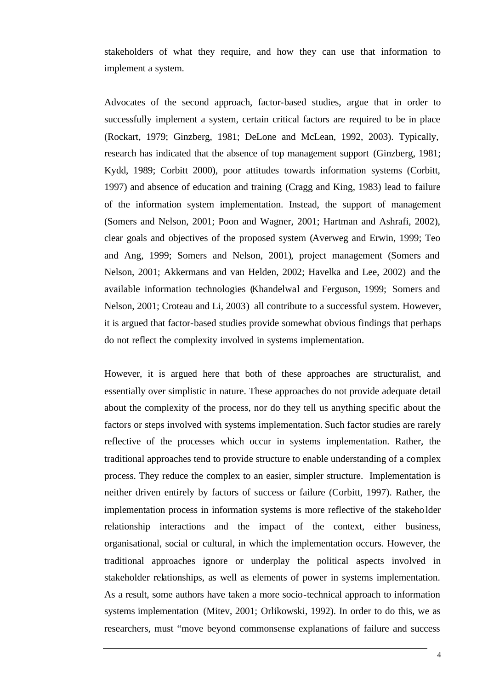stakeholders of what they require, and how they can use that information to implement a system.

Advocates of the second approach, factor-based studies, argue that in order to successfully implement a system, certain critical factors are required to be in place (Rockart, 1979; Ginzberg, 1981; DeLone and McLean, 1992, 2003). Typically, research has indicated that the absence of top management support (Ginzberg, 1981; Kydd, 1989; Corbitt 2000), poor attitudes towards information systems (Corbitt, 1997) and absence of education and training (Cragg and King, 1983) lead to failure of the information system implementation. Instead, the support of management (Somers and Nelson, 2001; Poon and Wagner, 2001; Hartman and Ashrafi, 2002), clear goals and objectives of the proposed system (Averweg and Erwin, 1999; Teo and Ang, 1999; Somers and Nelson, 2001), project management (Somers and Nelson, 2001; Akkermans and van Helden, 2002; Havelka and Lee, 2002) and the available information technologies (Khandelwal and Ferguson, 1999; Somers and Nelson, 2001; Croteau and Li, 2003) all contribute to a successful system. However, it is argued that factor-based studies provide somewhat obvious findings that perhaps do not reflect the complexity involved in systems implementation.

However, it is argued here that both of these approaches are structuralist, and essentially over simplistic in nature. These approaches do not provide adequate detail about the complexity of the process, nor do they tell us anything specific about the factors or steps involved with systems implementation. Such factor studies are rarely reflective of the processes which occur in systems implementation. Rather, the traditional approaches tend to provide structure to enable understanding of a complex process. They reduce the complex to an easier, simpler structure. Implementation is neither driven entirely by factors of success or failure (Corbitt, 1997). Rather, the implementation process in information systems is more reflective of the stakeholder relationship interactions and the impact of the context, either business, organisational, social or cultural, in which the implementation occurs. However, the traditional approaches ignore or underplay the political aspects involved in stakeholder relationships, as well as elements of power in systems implementation. As a result, some authors have taken a more socio-technical approach to information systems implementation (Mitev, 2001; Orlikowski, 1992). In order to do this, we as researchers, must "move beyond commonsense explanations of failure and success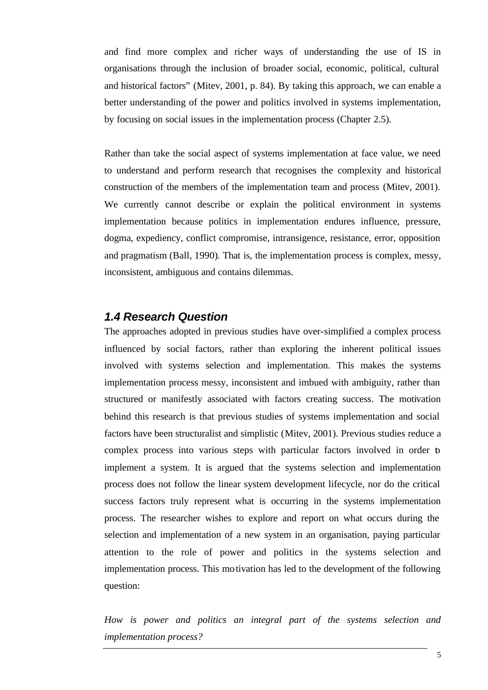and find more complex and richer ways of understanding the use of IS in organisations through the inclusion of broader social, economic, political, cultural and historical factors" (Mitev, 2001, p. 84). By taking this approach, we can enable a better understanding of the power and politics involved in systems implementation, by focusing on social issues in the implementation process (Chapter 2.5).

Rather than take the social aspect of systems implementation at face value, we need to understand and perform research that recognises the complexity and historical construction of the members of the implementation team and process (Mitev, 2001). We currently cannot describe or explain the political environment in systems implementation because politics in implementation endures influence, pressure, dogma, expediency, conflict compromise, intransigence, resistance, error, opposition and pragmatism (Ball, 1990). That is, the implementation process is complex, messy, inconsistent, ambiguous and contains dilemmas.

## *1.4 Research Question*

The approaches adopted in previous studies have over-simplified a complex process influenced by social factors, rather than exploring the inherent political issues involved with systems selection and implementation. This makes the systems implementation process messy, inconsistent and imbued with ambiguity, rather than structured or manifestly associated with factors creating success. The motivation behind this research is that previous studies of systems implementation and social factors have been structuralist and simplistic (Mitev, 2001). Previous studies reduce a complex process into various steps with particular factors involved in order to implement a system. It is argued that the systems selection and implementation process does not follow the linear system development lifecycle, nor do the critical success factors truly represent what is occurring in the systems implementation process. The researcher wishes to explore and report on what occurs during the selection and implementation of a new system in an organisation, paying particular attention to the role of power and politics in the systems selection and implementation process. This motivation has led to the development of the following question:

*How is power and politics an integral part of the systems selection and implementation process?*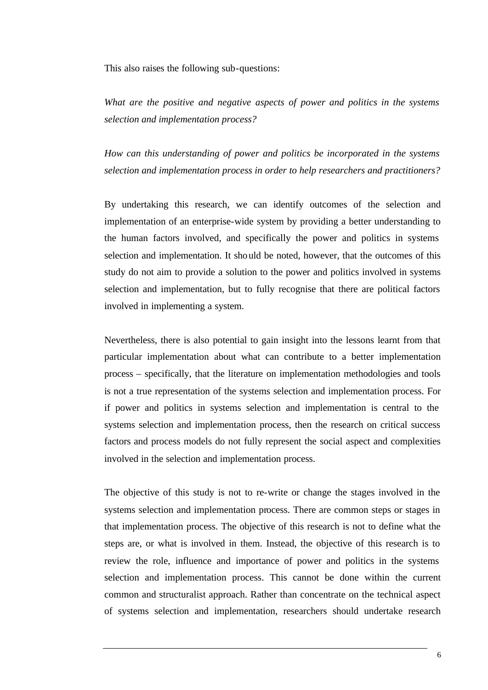This also raises the following sub-questions:

*What are the positive and negative aspects of power and politics in the systems selection and implementation process?* 

*How can this understanding of power and politics be incorporated in the systems selection and implementation process in order to help researchers and practitioners?*

By undertaking this research, we can identify outcomes of the selection and implementation of an enterprise-wide system by providing a better understanding to the human factors involved, and specifically the power and politics in systems selection and implementation. It should be noted, however, that the outcomes of this study do not aim to provide a solution to the power and politics involved in systems selection and implementation, but to fully recognise that there are political factors involved in implementing a system.

Nevertheless, there is also potential to gain insight into the lessons learnt from that particular implementation about what can contribute to a better implementation process – specifically, that the literature on implementation methodologies and tools is not a true representation of the systems selection and implementation process. For if power and politics in systems selection and implementation is central to the systems selection and implementation process, then the research on critical success factors and process models do not fully represent the social aspect and complexities involved in the selection and implementation process.

The objective of this study is not to re-write or change the stages involved in the systems selection and implementation process. There are common steps or stages in that implementation process. The objective of this research is not to define what the steps are, or what is involved in them. Instead, the objective of this research is to review the role, influence and importance of power and politics in the systems selection and implementation process. This cannot be done within the current common and structuralist approach. Rather than concentrate on the technical aspect of systems selection and implementation, researchers should undertake research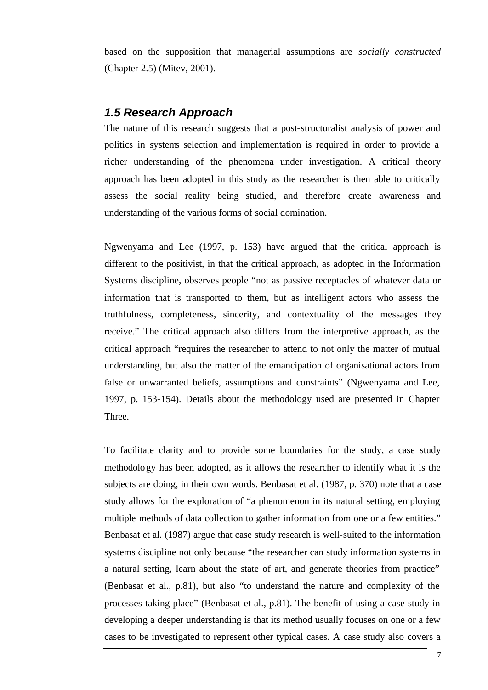based on the supposition that managerial assumptions are *socially constructed* (Chapter 2.5) (Mitev, 2001).

### *1.5 Research Approach*

The nature of this research suggests that a post-structuralist analysis of power and politics in systems selection and implementation is required in order to provide a richer understanding of the phenomena under investigation. A critical theory approach has been adopted in this study as the researcher is then able to critically assess the social reality being studied, and therefore create awareness and understanding of the various forms of social domination.

Ngwenyama and Lee (1997, p. 153) have argued that the critical approach is different to the positivist, in that the critical approach, as adopted in the Information Systems discipline, observes people "not as passive receptacles of whatever data or information that is transported to them, but as intelligent actors who assess the truthfulness, completeness, sincerity, and contextuality of the messages they receive." The critical approach also differs from the interpretive approach, as the critical approach "requires the researcher to attend to not only the matter of mutual understanding, but also the matter of the emancipation of organisational actors from false or unwarranted beliefs, assumptions and constraints" (Ngwenyama and Lee, 1997, p. 153-154). Details about the methodology used are presented in Chapter Three.

To facilitate clarity and to provide some boundaries for the study, a case study methodology has been adopted, as it allows the researcher to identify what it is the subjects are doing, in their own words. Benbasat et al. (1987, p. 370) note that a case study allows for the exploration of "a phenomenon in its natural setting, employing multiple methods of data collection to gather information from one or a few entities." Benbasat et al. (1987) argue that case study research is well-suited to the information systems discipline not only because "the researcher can study information systems in a natural setting, learn about the state of art, and generate theories from practice" (Benbasat et al., p.81), but also "to understand the nature and complexity of the processes taking place" (Benbasat et al., p.81). The benefit of using a case study in developing a deeper understanding is that its method usually focuses on one or a few cases to be investigated to represent other typical cases. A case study also covers a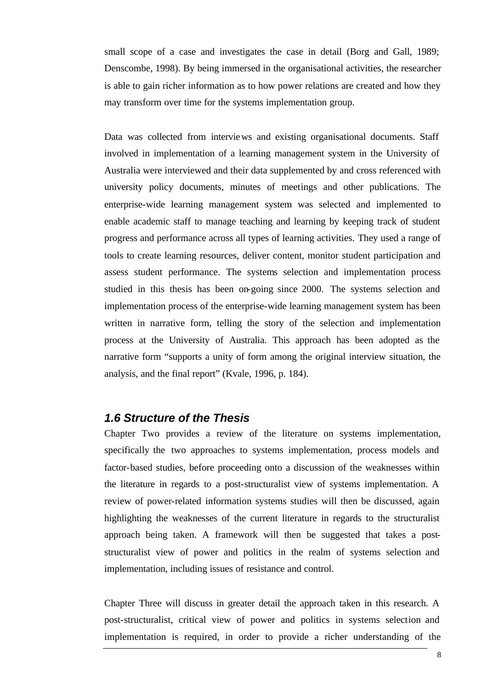small scope of a case and investigates the case in detail (Borg and Gall, 1989; Denscombe, 1998). By being immersed in the organisational activities, the researcher is able to gain richer information as to how power relations are created and how they may transform over time for the systems implementation group.

Data was collected from interviews and existing organisational documents. Staff involved in implementation of a learning management system in the University of Australia were interviewed and their data supplemented by and cross referenced with university policy documents, minutes of meetings and other publications. The enterprise-wide learning management system was selected and implemented to enable academic staff to manage teaching and learning by keeping track of student progress and performance across all types of learning activities. They used a range of tools to create learning resources, deliver content, monitor student participation and assess student performance. The systems selection and implementation process studied in this thesis has been on-going since 2000. The systems selection and implementation process of the enterprise-wide learning management system has been written in narrative form, telling the story of the selection and implementation process at the University of Australia. This approach has been adopted as the narrative form "supports a unity of form among the original interview situation, the analysis, and the final report" (Kvale, 1996, p. 184).

### *1.6 Structure of the Thesis*

Chapter Two provides a review of the literature on systems implementation, specifically the two approaches to systems implementation, process models and factor-based studies, before proceeding onto a discussion of the weaknesses within the literature in regards to a post-structuralist view of systems implementation. A review of power-related information systems studies will then be discussed, again highlighting the weaknesses of the current literature in regards to the structuralist approach being taken. A framework will then be suggested that takes a poststructuralist view of power and politics in the realm of systems selection and implementation, including issues of resistance and control.

Chapter Three will discuss in greater detail the approach taken in this research. A post-structuralist, critical view of power and politics in systems selection and implementation is required, in order to provide a richer understanding of the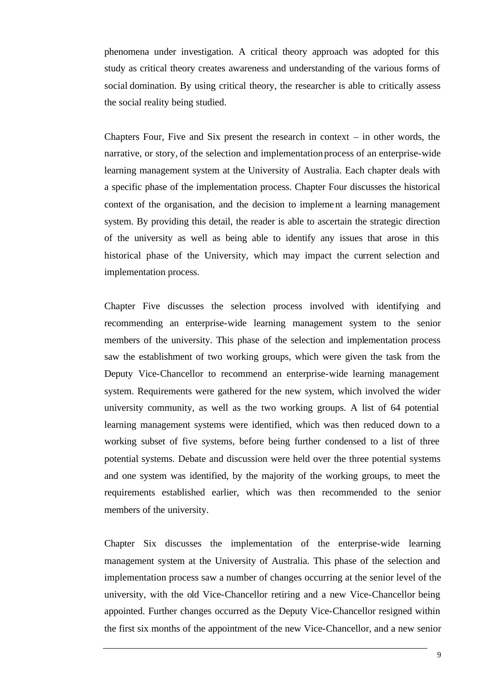phenomena under investigation. A critical theory approach was adopted for this study as critical theory creates awareness and understanding of the various forms of social domination. By using critical theory, the researcher is able to critically assess the social reality being studied.

Chapters Four, Five and Six present the research in context – in other words, the narrative, or story, of the selection and implementation process of an enterprise-wide learning management system at the University of Australia. Each chapter deals with a specific phase of the implementation process. Chapter Four discusses the historical context of the organisation, and the decision to implement a learning management system. By providing this detail, the reader is able to ascertain the strategic direction of the university as well as being able to identify any issues that arose in this historical phase of the University, which may impact the current selection and implementation process.

Chapter Five discusses the selection process involved with identifying and recommending an enterprise-wide learning management system to the senior members of the university. This phase of the selection and implementation process saw the establishment of two working groups, which were given the task from the Deputy Vice-Chancellor to recommend an enterprise-wide learning management system. Requirements were gathered for the new system, which involved the wider university community, as well as the two working groups. A list of 64 potential learning management systems were identified, which was then reduced down to a working subset of five systems, before being further condensed to a list of three potential systems. Debate and discussion were held over the three potential systems and one system was identified, by the majority of the working groups, to meet the requirements established earlier, which was then recommended to the senior members of the university.

Chapter Six discusses the implementation of the enterprise-wide learning management system at the University of Australia. This phase of the selection and implementation process saw a number of changes occurring at the senior level of the university, with the old Vice-Chancellor retiring and a new Vice-Chancellor being appointed. Further changes occurred as the Deputy Vice-Chancellor resigned within the first six months of the appointment of the new Vice-Chancellor, and a new senior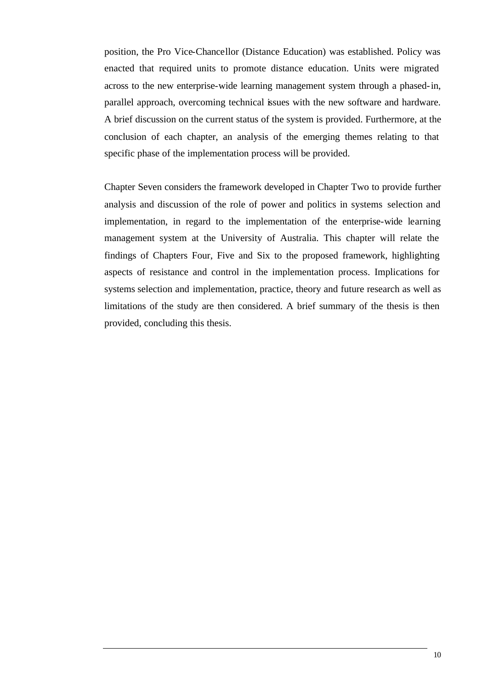position, the Pro Vice-Chancellor (Distance Education) was established. Policy was enacted that required units to promote distance education. Units were migrated across to the new enterprise-wide learning management system through a phased-in, parallel approach, overcoming technical issues with the new software and hardware. A brief discussion on the current status of the system is provided. Furthermore, at the conclusion of each chapter, an analysis of the emerging themes relating to that specific phase of the implementation process will be provided.

Chapter Seven considers the framework developed in Chapter Two to provide further analysis and discussion of the role of power and politics in systems selection and implementation, in regard to the implementation of the enterprise-wide learning management system at the University of Australia. This chapter will relate the findings of Chapters Four, Five and Six to the proposed framework, highlighting aspects of resistance and control in the implementation process. Implications for systems selection and implementation, practice, theory and future research as well as limitations of the study are then considered. A brief summary of the thesis is then provided, concluding this thesis.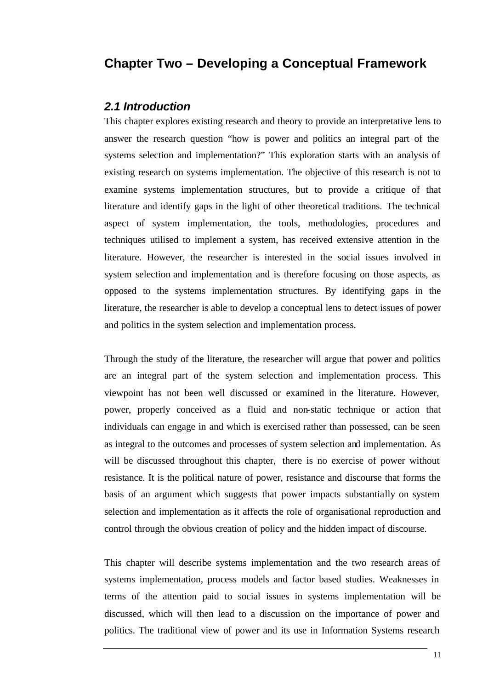## **Chapter Two – Developing a Conceptual Framework**

#### *2.1 Introduction*

This chapter explores existing research and theory to provide an interpretative lens to answer the research question "how is power and politics an integral part of the systems selection and implementation?" This exploration starts with an analysis of existing research on systems implementation. The objective of this research is not to examine systems implementation structures, but to provide a critique of that literature and identify gaps in the light of other theoretical traditions. The technical aspect of system implementation, the tools, methodologies, procedures and techniques utilised to implement a system, has received extensive attention in the literature. However, the researcher is interested in the social issues involved in system selection and implementation and is therefore focusing on those aspects, as opposed to the systems implementation structures. By identifying gaps in the literature, the researcher is able to develop a conceptual lens to detect issues of power and politics in the system selection and implementation process.

Through the study of the literature, the researcher will argue that power and politics are an integral part of the system selection and implementation process. This viewpoint has not been well discussed or examined in the literature. However, power, properly conceived as a fluid and non-static technique or action that individuals can engage in and which is exercised rather than possessed, can be seen as integral to the outcomes and processes of system selection and implementation. As will be discussed throughout this chapter, there is no exercise of power without resistance. It is the political nature of power, resistance and discourse that forms the basis of an argument which suggests that power impacts substantially on system selection and implementation as it affects the role of organisational reproduction and control through the obvious creation of policy and the hidden impact of discourse.

This chapter will describe systems implementation and the two research areas of systems implementation, process models and factor based studies. Weaknesses in terms of the attention paid to social issues in systems implementation will be discussed, which will then lead to a discussion on the importance of power and politics. The traditional view of power and its use in Information Systems research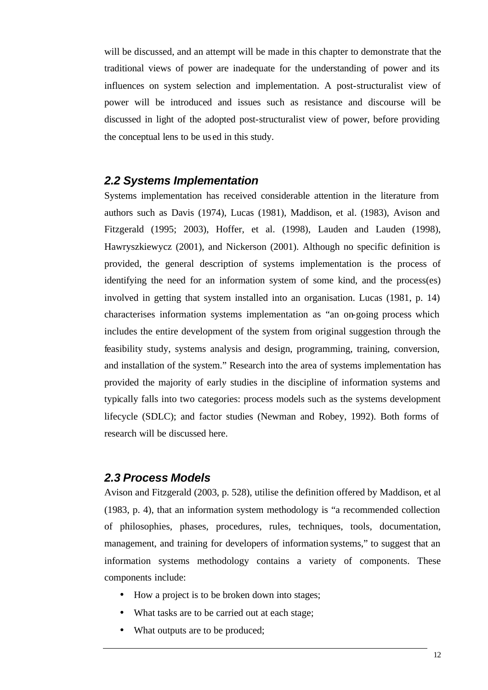will be discussed, and an attempt will be made in this chapter to demonstrate that the traditional views of power are inadequate for the understanding of power and its influences on system selection and implementation. A post-structuralist view of power will be introduced and issues such as resistance and discourse will be discussed in light of the adopted post-structuralist view of power, before providing the conceptual lens to be us ed in this study.

#### *2.2 Systems Implementation*

Systems implementation has received considerable attention in the literature from authors such as Davis (1974), Lucas (1981), Maddison, et al. (1983), Avison and Fitzgerald (1995; 2003), Hoffer, et al. (1998), Lauden and Lauden (1998), Hawryszkiewycz (2001), and Nickerson (2001). Although no specific definition is provided, the general description of systems implementation is the process of identifying the need for an information system of some kind, and the process(es) involved in getting that system installed into an organisation. Lucas (1981, p. 14) characterises information systems implementation as "an on-going process which includes the entire development of the system from original suggestion through the feasibility study, systems analysis and design, programming, training, conversion, and installation of the system." Research into the area of systems implementation has provided the majority of early studies in the discipline of information systems and typically falls into two categories: process models such as the systems development lifecycle (SDLC); and factor studies (Newman and Robey, 1992). Both forms of research will be discussed here.

#### *2.3 Process Models*

Avison and Fitzgerald (2003, p. 528), utilise the definition offered by Maddison, et al (1983, p. 4), that an information system methodology is "a recommended collection of philosophies, phases, procedures, rules, techniques, tools, documentation, management, and training for developers of information systems," to suggest that an information systems methodology contains a variety of components. These components include:

- How a project is to be broken down into stages;
- What tasks are to be carried out at each stage;
- What outputs are to be produced;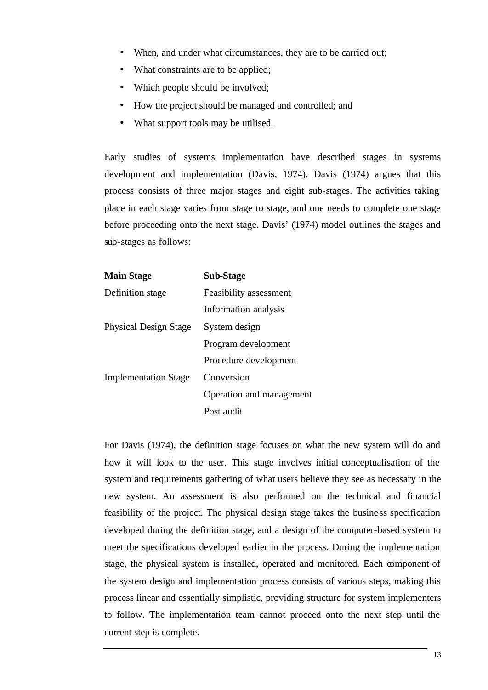- When, and under what circumstances, they are to be carried out;
- What constraints are to be applied;
- Which people should be involved;
- How the project should be managed and controlled; and
- What support tools may be utilised.

Early studies of systems implementation have described stages in systems development and implementation (Davis, 1974). Davis (1974) argues that this process consists of three major stages and eight sub-stages. The activities taking place in each stage varies from stage to stage, and one needs to complete one stage before proceeding onto the next stage. Davis' (1974) model outlines the stages and sub-stages as follows:

| <b>Sub-Stage</b>         |
|--------------------------|
| Feasibility assessment   |
| Information analysis     |
| System design            |
| Program development      |
| Procedure development    |
| Conversion               |
| Operation and management |
| Post audit               |
|                          |

For Davis (1974), the definition stage focuses on what the new system will do and how it will look to the user. This stage involves initial conceptualisation of the system and requirements gathering of what users believe they see as necessary in the new system. An assessment is also performed on the technical and financial feasibility of the project. The physical design stage takes the busine ss specification developed during the definition stage, and a design of the computer-based system to meet the specifications developed earlier in the process. During the implementation stage, the physical system is installed, operated and monitored. Each component of the system design and implementation process consists of various steps, making this process linear and essentially simplistic, providing structure for system implementers to follow. The implementation team cannot proceed onto the next step until the current step is complete.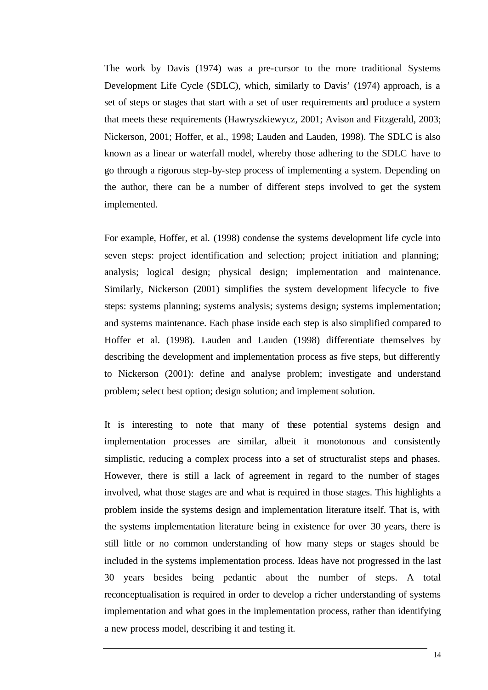The work by Davis (1974) was a pre-cursor to the more traditional Systems Development Life Cycle (SDLC), which, similarly to Davis' (1974) approach, is a set of steps or stages that start with a set of user requirements and produce a system that meets these requirements (Hawryszkiewycz, 2001; Avison and Fitzgerald, 2003; Nickerson, 2001; Hoffer, et al., 1998; Lauden and Lauden, 1998). The SDLC is also known as a linear or waterfall model, whereby those adhering to the SDLC have to go through a rigorous step-by-step process of implementing a system. Depending on the author, there can be a number of different steps involved to get the system implemented.

For example, Hoffer, et al. (1998) condense the systems development life cycle into seven steps: project identification and selection; project initiation and planning; analysis; logical design; physical design; implementation and maintenance. Similarly, Nickerson (2001) simplifies the system development lifecycle to five steps: systems planning; systems analysis; systems design; systems implementation; and systems maintenance. Each phase inside each step is also simplified compared to Hoffer et al. (1998). Lauden and Lauden (1998) differentiate themselves by describing the development and implementation process as five steps, but differently to Nickerson (2001): define and analyse problem; investigate and understand problem; select best option; design solution; and implement solution.

It is interesting to note that many of these potential systems design and implementation processes are similar, albeit it monotonous and consistently simplistic, reducing a complex process into a set of structuralist steps and phases. However, there is still a lack of agreement in regard to the number of stages involved, what those stages are and what is required in those stages. This highlights a problem inside the systems design and implementation literature itself. That is, with the systems implementation literature being in existence for over 30 years, there is still little or no common understanding of how many steps or stages should be included in the systems implementation process. Ideas have not progressed in the last 30 years besides being pedantic about the number of steps. A total reconceptualisation is required in order to develop a richer understanding of systems implementation and what goes in the implementation process, rather than identifying a new process model, describing it and testing it.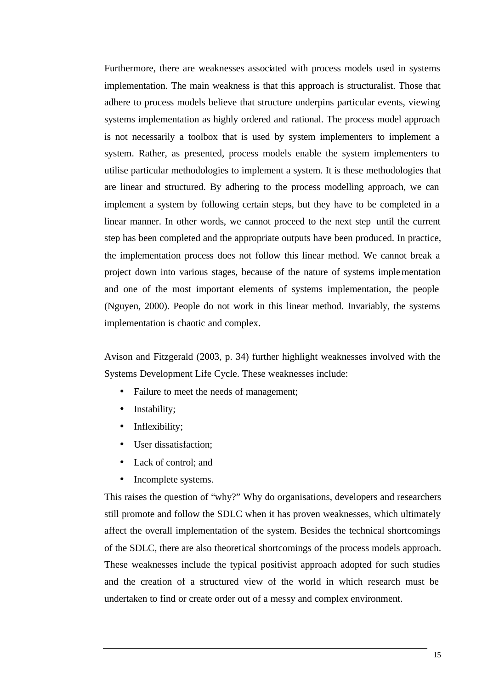Furthermore, there are weaknesses associated with process models used in systems implementation. The main weakness is that this approach is structuralist. Those that adhere to process models believe that structure underpins particular events, viewing systems implementation as highly ordered and rational. The process model approach is not necessarily a toolbox that is used by system implementers to implement a system. Rather, as presented, process models enable the system implementers to utilise particular methodologies to implement a system. It is these methodologies that are linear and structured. By adhering to the process modelling approach, we can implement a system by following certain steps, but they have to be completed in a linear manner. In other words, we cannot proceed to the next step until the current step has been completed and the appropriate outputs have been produced. In practice, the implementation process does not follow this linear method. We cannot break a project down into various stages, because of the nature of systems implementation and one of the most important elements of systems implementation, the people (Nguyen, 2000). People do not work in this linear method. Invariably, the systems implementation is chaotic and complex.

Avison and Fitzgerald (2003, p. 34) further highlight weaknesses involved with the Systems Development Life Cycle. These weaknesses include:

- Failure to meet the needs of management;
- Instability;
- Inflexibility;
- User dissatisfaction;
- Lack of control; and
- Incomplete systems.

This raises the question of "why?" Why do organisations, developers and researchers still promote and follow the SDLC when it has proven weaknesses, which ultimately affect the overall implementation of the system. Besides the technical shortcomings of the SDLC, there are also theoretical shortcomings of the process models approach. These weaknesses include the typical positivist approach adopted for such studies and the creation of a structured view of the world in which research must be undertaken to find or create order out of a messy and complex environment.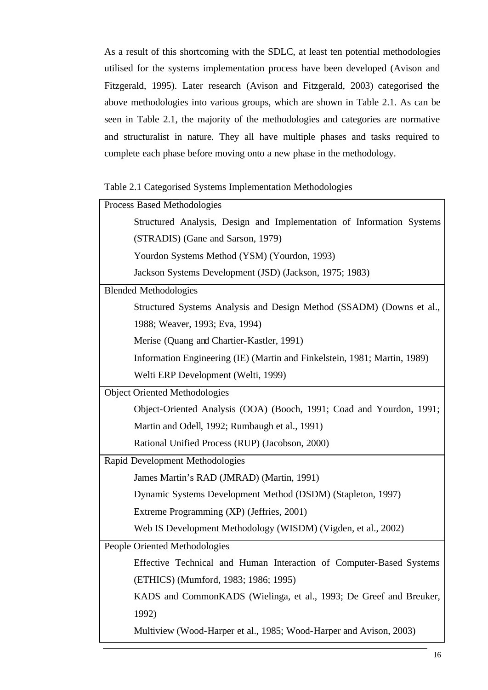As a result of this shortcoming with the SDLC, at least ten potential methodologies utilised for the systems implementation process have been developed (Avison and Fitzgerald, 1995). Later research (Avison and Fitzgerald, 2003) categorised the above methodologies into various groups, which are shown in Table 2.1. As can be seen in Table 2.1, the majority of the methodologies and categories are normative and structuralist in nature. They all have multiple phases and tasks required to complete each phase before moving onto a new phase in the methodology.

|  | Table 2.1 Categorised Systems Implementation Methodologies |  |
|--|------------------------------------------------------------|--|
|  |                                                            |  |

| <b>Process Based Methodologies</b><br>Structured Analysis, Design and Implementation of Information Systems<br>(STRADIS) (Gane and Sarson, 1979)<br>Yourdon Systems Method (YSM) (Yourdon, 1993)<br>Jackson Systems Development (JSD) (Jackson, 1975; 1983)<br><b>Blended Methodologies</b> |
|---------------------------------------------------------------------------------------------------------------------------------------------------------------------------------------------------------------------------------------------------------------------------------------------|
|                                                                                                                                                                                                                                                                                             |
|                                                                                                                                                                                                                                                                                             |
|                                                                                                                                                                                                                                                                                             |
|                                                                                                                                                                                                                                                                                             |
|                                                                                                                                                                                                                                                                                             |
|                                                                                                                                                                                                                                                                                             |
| Structured Systems Analysis and Design Method (SSADM) (Downs et al.,                                                                                                                                                                                                                        |
| 1988; Weaver, 1993; Eva, 1994)                                                                                                                                                                                                                                                              |
| Merise (Quang and Chartier-Kastler, 1991)                                                                                                                                                                                                                                                   |
| Information Engineering (IE) (Martin and Finkelstein, 1981; Martin, 1989)                                                                                                                                                                                                                   |
| Welti ERP Development (Welti, 1999)                                                                                                                                                                                                                                                         |
| Object Oriented Methodologies                                                                                                                                                                                                                                                               |
| Object-Oriented Analysis (OOA) (Booch, 1991; Coad and Yourdon, 1991;                                                                                                                                                                                                                        |
| Martin and Odell, 1992; Rumbaugh et al., 1991)                                                                                                                                                                                                                                              |
| Rational Unified Process (RUP) (Jacobson, 2000)                                                                                                                                                                                                                                             |
| Rapid Development Methodologies                                                                                                                                                                                                                                                             |
| James Martin's RAD (JMRAD) (Martin, 1991)                                                                                                                                                                                                                                                   |
| Dynamic Systems Development Method (DSDM) (Stapleton, 1997)                                                                                                                                                                                                                                 |
| Extreme Programming (XP) (Jeffries, 2001)                                                                                                                                                                                                                                                   |
| Web IS Development Methodology (WISDM) (Vigden, et al., 2002)                                                                                                                                                                                                                               |
| People Oriented Methodologies                                                                                                                                                                                                                                                               |
| Effective Technical and Human Interaction of Computer-Based Systems                                                                                                                                                                                                                         |
|                                                                                                                                                                                                                                                                                             |
| (ETHICS) (Mumford, 1983; 1986; 1995)                                                                                                                                                                                                                                                        |
| KADS and CommonKADS (Wielinga, et al., 1993; De Greef and Breuker,                                                                                                                                                                                                                          |
| 1992)                                                                                                                                                                                                                                                                                       |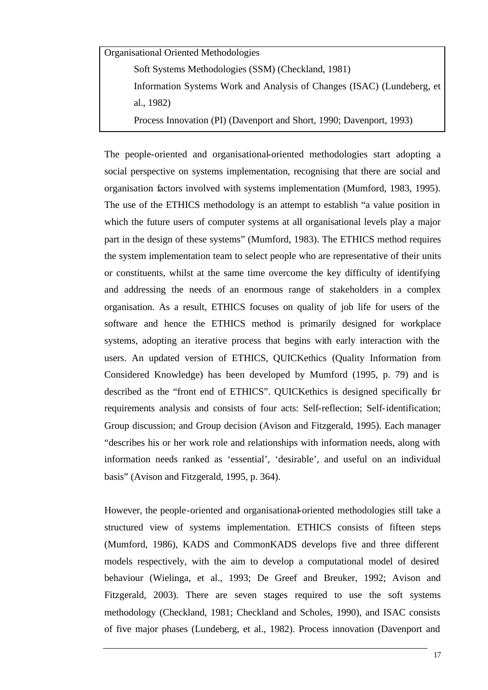Organisational Oriented Methodologies

Soft Systems Methodologies (SSM) (Checkland, 1981)

Information Systems Work and Analysis of Changes (ISAC) (Lundeberg, et al., 1982)

Process Innovation (PI) (Davenport and Short, 1990; Davenport, 1993)

The people-oriented and organisational-oriented methodologies start adopting a social perspective on systems implementation, recognising that there are social and organisation factors involved with systems implementation (Mumford, 1983, 1995). The use of the ETHICS methodology is an attempt to establish "a value position in which the future users of computer systems at all organisational levels play a major part in the design of these systems" (Mumford, 1983). The ETHICS method requires the system implementation team to select people who are representative of their units or constituents, whilst at the same time overcome the key difficulty of identifying and addressing the needs of an enormous range of stakeholders in a complex organisation. As a result, ETHICS focuses on quality of job life for users of the software and hence the ETHICS method is primarily designed for workplace systems, adopting an iterative process that begins with early interaction with the users. An updated version of ETHICS, QUICKethics (Quality Information from Considered Knowledge) has been developed by Mumford (1995, p. 79) and is described as the "front end of ETHICS". QUICKethics is designed specifically for requirements analysis and consists of four acts: Self-reflection; Self-identification; Group discussion; and Group decision (Avison and Fitzgerald, 1995). Each manager "describes his or her work role and relationships with information needs, along with information needs ranked as 'essential', 'desirable', and useful on an individual basis" (Avison and Fitzgerald, 1995, p. 364).

However, the people-oriented and organisational-oriented methodologies still take a structured view of systems implementation. ETHICS consists of fifteen steps (Mumford, 1986), KADS and CommonKADS develops five and three different models respectively, with the aim to develop a computational model of desired behaviour (Wielinga, et al., 1993; De Greef and Breuker, 1992; Avison and Fitzgerald, 2003). There are seven stages required to use the soft systems methodology (Checkland, 1981; Checkland and Scholes, 1990), and ISAC consists of five major phases (Lundeberg, et al., 1982). Process innovation (Davenport and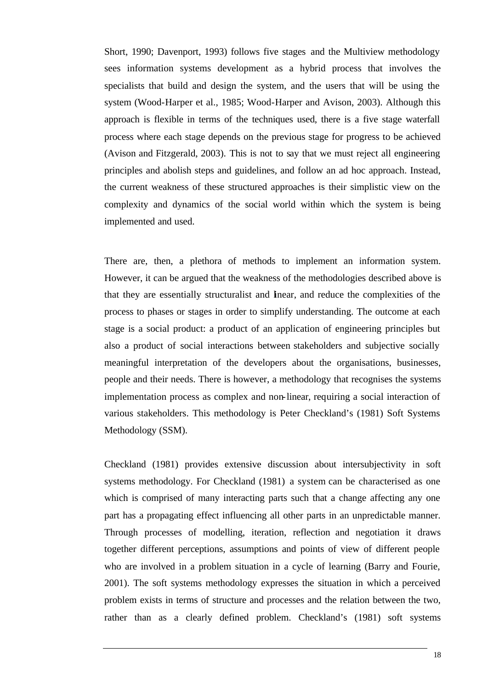Short, 1990; Davenport, 1993) follows five stages and the Multiview methodology sees information systems development as a hybrid process that involves the specialists that build and design the system, and the users that will be using the system (Wood-Harper et al., 1985; Wood-Harper and Avison, 2003). Although this approach is flexible in terms of the techniques used, there is a five stage waterfall process where each stage depends on the previous stage for progress to be achieved (Avison and Fitzgerald, 2003). This is not to say that we must reject all engineering principles and abolish steps and guidelines, and follow an ad hoc approach. Instead, the current weakness of these structured approaches is their simplistic view on the complexity and dynamics of the social world within which the system is being implemented and used.

There are, then, a plethora of methods to implement an information system. However, it can be argued that the weakness of the methodologies described above is that they are essentially structuralist and linear, and reduce the complexities of the process to phases or stages in order to simplify understanding. The outcome at each stage is a social product: a product of an application of engineering principles but also a product of social interactions between stakeholders and subjective socially meaningful interpretation of the developers about the organisations, businesses, people and their needs. There is however, a methodology that recognises the systems implementation process as complex and non-linear, requiring a social interaction of various stakeholders. This methodology is Peter Checkland's (1981) Soft Systems Methodology (SSM).

Checkland (1981) provides extensive discussion about intersubjectivity in soft systems methodology. For Checkland (1981) a system can be characterised as one which is comprised of many interacting parts such that a change affecting any one part has a propagating effect influencing all other parts in an unpredictable manner. Through processes of modelling, iteration, reflection and negotiation it draws together different perceptions, assumptions and points of view of different people who are involved in a problem situation in a cycle of learning (Barry and Fourie, 2001). The soft systems methodology expresses the situation in which a perceived problem exists in terms of structure and processes and the relation between the two, rather than as a clearly defined problem. Checkland's (1981) soft systems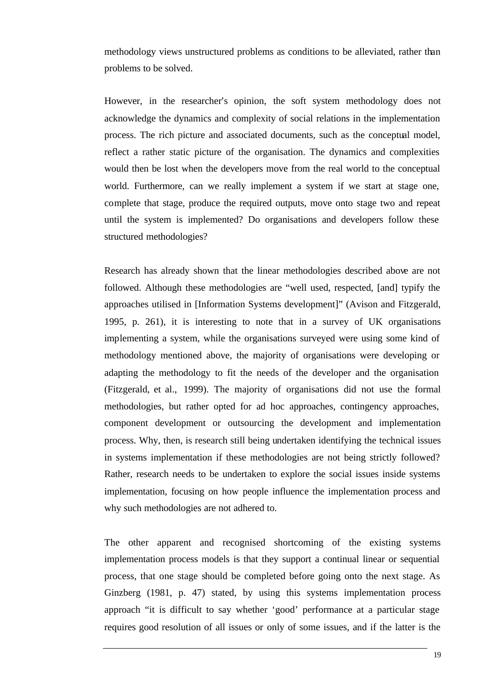methodology views unstructured problems as conditions to be alleviated, rather than problems to be solved.

However, in the researcher's opinion, the soft system methodology does not acknowledge the dynamics and complexity of social relations in the implementation process. The rich picture and associated documents, such as the conceptual model, reflect a rather static picture of the organisation. The dynamics and complexities would then be lost when the developers move from the real world to the conceptual world. Furthermore, can we really implement a system if we start at stage one, complete that stage, produce the required outputs, move onto stage two and repeat until the system is implemented? Do organisations and developers follow these structured methodologies?

Research has already shown that the linear methodologies described above are not followed. Although these methodologies are "well used, respected, [and] typify the approaches utilised in [Information Systems development]" (Avison and Fitzgerald, 1995, p. 261), it is interesting to note that in a survey of UK organisations implementing a system, while the organisations surveyed were using some kind of methodology mentioned above, the majority of organisations were developing or adapting the methodology to fit the needs of the developer and the organisation (Fitzgerald, et al., 1999). The majority of organisations did not use the formal methodologies, but rather opted for ad hoc approaches, contingency approaches, component development or outsourcing the development and implementation process. Why, then, is research still being undertaken identifying the technical issues in systems implementation if these methodologies are not being strictly followed? Rather, research needs to be undertaken to explore the social issues inside systems implementation, focusing on how people influence the implementation process and why such methodologies are not adhered to.

The other apparent and recognised shortcoming of the existing systems implementation process models is that they support a continual linear or sequential process, that one stage should be completed before going onto the next stage. As Ginzberg (1981, p. 47) stated, by using this systems implementation process approach "it is difficult to say whether 'good' performance at a particular stage requires good resolution of all issues or only of some issues, and if the latter is the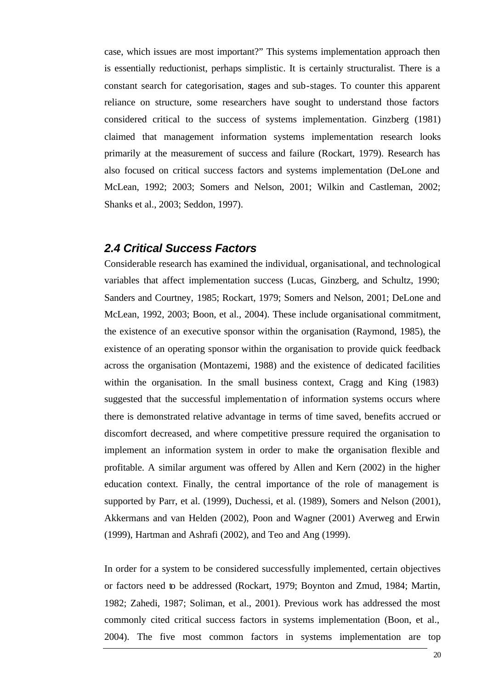case, which issues are most important?" This systems implementation approach then is essentially reductionist, perhaps simplistic. It is certainly structuralist. There is a constant search for categorisation, stages and sub-stages. To counter this apparent reliance on structure, some researchers have sought to understand those factors considered critical to the success of systems implementation. Ginzberg (1981) claimed that management information systems implementation research looks primarily at the measurement of success and failure (Rockart, 1979). Research has also focused on critical success factors and systems implementation (DeLone and McLean, 1992; 2003; Somers and Nelson, 2001; Wilkin and Castleman, 2002; Shanks et al., 2003; Seddon, 1997).

#### *2.4 Critical Success Factors*

Considerable research has examined the individual, organisational, and technological variables that affect implementation success (Lucas, Ginzberg, and Schultz, 1990; Sanders and Courtney, 1985; Rockart, 1979; Somers and Nelson, 2001; DeLone and McLean, 1992, 2003; Boon, et al., 2004). These include organisational commitment, the existence of an executive sponsor within the organisation (Raymond, 1985), the existence of an operating sponsor within the organisation to provide quick feedback across the organisation (Montazemi, 1988) and the existence of dedicated facilities within the organisation. In the small business context, Cragg and King (1983) suggested that the successful implementation of information systems occurs where there is demonstrated relative advantage in terms of time saved, benefits accrued or discomfort decreased, and where competitive pressure required the organisation to implement an information system in order to make the organisation flexible and profitable. A similar argument was offered by Allen and Kern (2002) in the higher education context. Finally, the central importance of the role of management is supported by Parr, et al. (1999), Duchessi, et al. (1989), Somers and Nelson (2001), Akkermans and van Helden (2002), Poon and Wagner (2001) Averweg and Erwin (1999), Hartman and Ashrafi (2002), and Teo and Ang (1999).

In order for a system to be considered successfully implemented, certain objectives or factors need to be addressed (Rockart, 1979; Boynton and Zmud, 1984; Martin, 1982; Zahedi, 1987; Soliman, et al., 2001). Previous work has addressed the most commonly cited critical success factors in systems implementation (Boon, et al., 2004). The five most common factors in systems implementation are top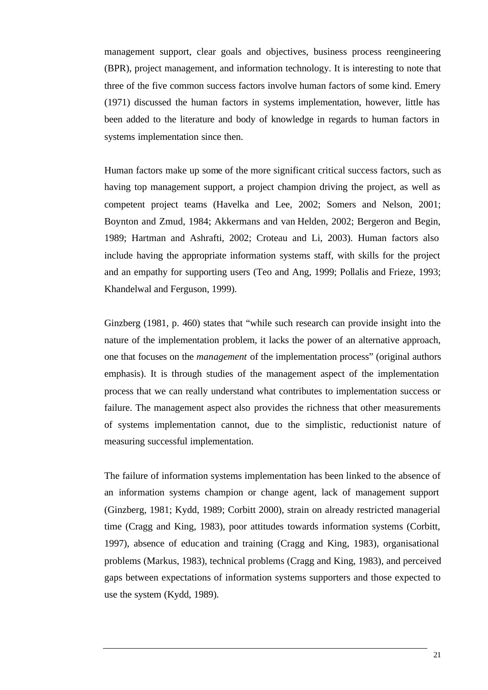management support, clear goals and objectives, business process reengineering (BPR), project management, and information technology. It is interesting to note that three of the five common success factors involve human factors of some kind. Emery (1971) discussed the human factors in systems implementation, however, little has been added to the literature and body of knowledge in regards to human factors in systems implementation since then.

Human factors make up some of the more significant critical success factors, such as having top management support, a project champion driving the project, as well as competent project teams (Havelka and Lee, 2002; Somers and Nelson, 2001; Boynton and Zmud, 1984; Akkermans and van Helden, 2002; Bergeron and Begin, 1989; Hartman and Ashrafti, 2002; Croteau and Li, 2003). Human factors also include having the appropriate information systems staff, with skills for the project and an empathy for supporting users (Teo and Ang, 1999; Pollalis and Frieze, 1993; Khandelwal and Ferguson, 1999).

Ginzberg (1981, p. 460) states that "while such research can provide insight into the nature of the implementation problem, it lacks the power of an alternative approach, one that focuses on the *management* of the implementation process" (original authors emphasis). It is through studies of the management aspect of the implementation process that we can really understand what contributes to implementation success or failure. The management aspect also provides the richness that other measurements of systems implementation cannot, due to the simplistic, reductionist nature of measuring successful implementation.

The failure of information systems implementation has been linked to the absence of an information systems champion or change agent, lack of management support (Ginzberg, 1981; Kydd, 1989; Corbitt 2000), strain on already restricted managerial time (Cragg and King, 1983), poor attitudes towards information systems (Corbitt, 1997), absence of education and training (Cragg and King, 1983), organisational problems (Markus, 1983), technical problems (Cragg and King, 1983), and perceived gaps between expectations of information systems supporters and those expected to use the system (Kydd, 1989).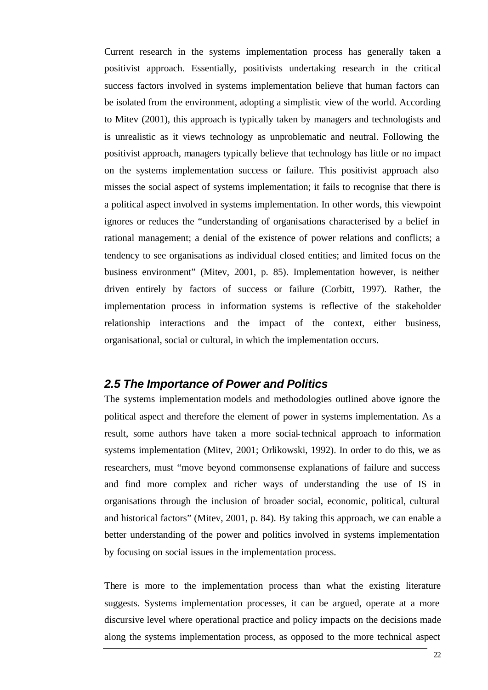Current research in the systems implementation process has generally taken a positivist approach. Essentially, positivists undertaking research in the critical success factors involved in systems implementation believe that human factors can be isolated from the environment, adopting a simplistic view of the world. According to Mitev (2001), this approach is typically taken by managers and technologists and is unrealistic as it views technology as unproblematic and neutral. Following the positivist approach, managers typically believe that technology has little or no impact on the systems implementation success or failure. This positivist approach also misses the social aspect of systems implementation; it fails to recognise that there is a political aspect involved in systems implementation. In other words, this viewpoint ignores or reduces the "understanding of organisations characterised by a belief in rational management; a denial of the existence of power relations and conflicts; a tendency to see organisations as individual closed entities; and limited focus on the business environment" (Mitev, 2001, p. 85). Implementation however, is neither driven entirely by factors of success or failure (Corbitt, 1997). Rather, the implementation process in information systems is reflective of the stakeholder relationship interactions and the impact of the context, either business, organisational, social or cultural, in which the implementation occurs.

### *2.5 The Importance of Power and Politics*

The systems implementation models and methodologies outlined above ignore the political aspect and therefore the element of power in systems implementation. As a result, some authors have taken a more social-technical approach to information systems implementation (Mitev, 2001; Orlikowski, 1992). In order to do this, we as researchers, must "move beyond commonsense explanations of failure and success and find more complex and richer ways of understanding the use of IS in organisations through the inclusion of broader social, economic, political, cultural and historical factors" (Mitev, 2001, p. 84). By taking this approach, we can enable a better understanding of the power and politics involved in systems implementation by focusing on social issues in the implementation process.

There is more to the implementation process than what the existing literature suggests. Systems implementation processes, it can be argued, operate at a more discursive level where operational practice and policy impacts on the decisions made along the systems implementation process, as opposed to the more technical aspect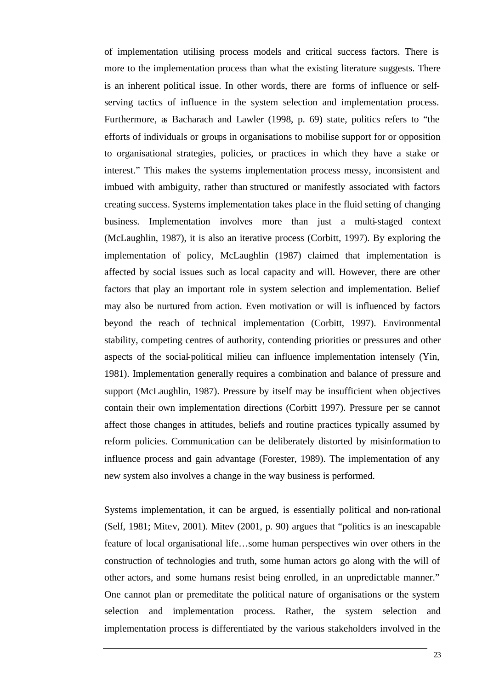of implementation utilising process models and critical success factors. There is more to the implementation process than what the existing literature suggests. There is an inherent political issue. In other words, there are forms of influence or selfserving tactics of influence in the system selection and implementation process. Furthermore, as Bacharach and Lawler (1998, p. 69) state, politics refers to "the efforts of individuals or groups in organisations to mobilise support for or opposition to organisational strategies, policies, or practices in which they have a stake or interest." This makes the systems implementation process messy, inconsistent and imbued with ambiguity, rather than structured or manifestly associated with factors creating success. Systems implementation takes place in the fluid setting of changing business. Implementation involves more than just a multi-staged context (McLaughlin, 1987), it is also an iterative process (Corbitt, 1997). By exploring the implementation of policy, McLaughlin (1987) claimed that implementation is affected by social issues such as local capacity and will. However, there are other factors that play an important role in system selection and implementation. Belief may also be nurtured from action. Even motivation or will is influenced by factors beyond the reach of technical implementation (Corbitt, 1997). Environmental stability, competing centres of authority, contending priorities or pressures and other aspects of the social-political milieu can influence implementation intensely (Yin, 1981). Implementation generally requires a combination and balance of pressure and support (McLaughlin, 1987). Pressure by itself may be insufficient when objectives contain their own implementation directions (Corbitt 1997). Pressure per se cannot affect those changes in attitudes, beliefs and routine practices typically assumed by reform policies. Communication can be deliberately distorted by misinformation to influence process and gain advantage (Forester, 1989). The implementation of any new system also involves a change in the way business is performed.

Systems implementation, it can be argued, is essentially political and non-rational (Self, 1981; Mitev, 2001). Mitev (2001, p. 90) argues that "politics is an inescapable feature of local organisational life…some human perspectives win over others in the construction of technologies and truth, some human actors go along with the will of other actors, and some humans resist being enrolled, in an unpredictable manner." One cannot plan or premeditate the political nature of organisations or the system selection and implementation process. Rather, the system selection and implementation process is differentiated by the various stakeholders involved in the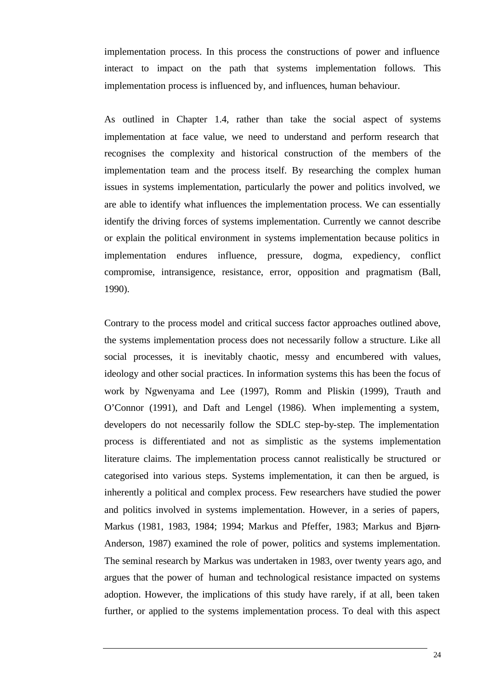implementation process. In this process the constructions of power and influence interact to impact on the path that systems implementation follows. This implementation process is influenced by, and influences, human behaviour.

As outlined in Chapter 1.4, rather than take the social aspect of systems implementation at face value, we need to understand and perform research that recognises the complexity and historical construction of the members of the implementation team and the process itself. By researching the complex human issues in systems implementation, particularly the power and politics involved, we are able to identify what influences the implementation process. We can essentially identify the driving forces of systems implementation. Currently we cannot describe or explain the political environment in systems implementation because politics in implementation endures influence, pressure, dogma, expediency, conflict compromise, intransigence, resistance, error, opposition and pragmatism (Ball, 1990).

Contrary to the process model and critical success factor approaches outlined above, the systems implementation process does not necessarily follow a structure. Like all social processes, it is inevitably chaotic, messy and encumbered with values, ideology and other social practices. In information systems this has been the focus of work by Ngwenyama and Lee (1997), Romm and Pliskin (1999), Trauth and O'Connor (1991), and Daft and Lengel (1986). When implementing a system, developers do not necessarily follow the SDLC step-by-step. The implementation process is differentiated and not as simplistic as the systems implementation literature claims. The implementation process cannot realistically be structured or categorised into various steps. Systems implementation, it can then be argued, is inherently a political and complex process. Few researchers have studied the power and politics involved in systems implementation. However, in a series of papers, Markus (1981, 1983, 1984; 1994; Markus and Pfeffer, 1983; Markus and Bjørn-Anderson, 1987) examined the role of power, politics and systems implementation. The seminal research by Markus was undertaken in 1983, over twenty years ago, and argues that the power of human and technological resistance impacted on systems adoption. However, the implications of this study have rarely, if at all, been taken further, or applied to the systems implementation process. To deal with this aspect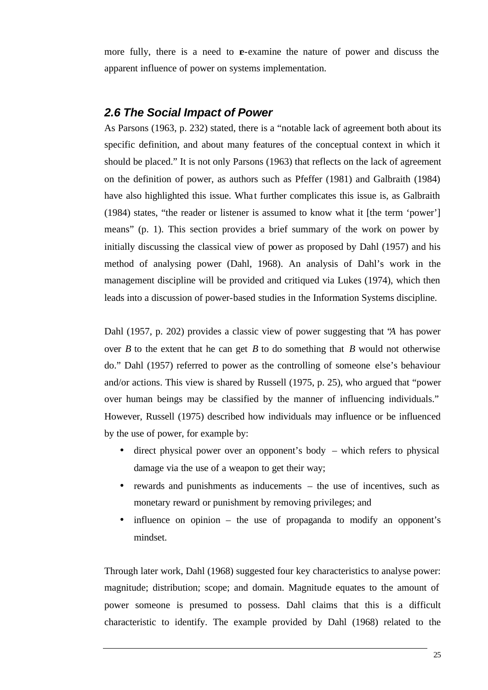more fully, there is a need to  $\mathbf{r}$ -examine the nature of power and discuss the apparent influence of power on systems implementation.

## *2.6 The Social Impact of Power*

As Parsons (1963, p. 232) stated, there is a "notable lack of agreement both about its specific definition, and about many features of the conceptual context in which it should be placed." It is not only Parsons (1963) that reflects on the lack of agreement on the definition of power, as authors such as Pfeffer (1981) and Galbraith (1984) have also highlighted this issue. What further complicates this issue is, as Galbraith (1984) states, "the reader or listener is assumed to know what it [the term 'power'] means" (p. 1). This section provides a brief summary of the work on power by initially discussing the classical view of power as proposed by Dahl (1957) and his method of analysing power (Dahl, 1968). An analysis of Dahl's work in the management discipline will be provided and critiqued via Lukes (1974), which then leads into a discussion of power-based studies in the Information Systems discipline.

Dahl (1957, p. 202) provides a classic view of power suggesting that "*A* has power over *B* to the extent that he can get *B* to do something that *B* would not otherwise do." Dahl (1957) referred to power as the controlling of someone else's behaviour and/or actions. This view is shared by Russell (1975, p. 25), who argued that "power over human beings may be classified by the manner of influencing individuals." However, Russell (1975) described how individuals may influence or be influenced by the use of power, for example by:

- direct physical power over an opponent's body which refers to physical damage via the use of a weapon to get their way;
- rewards and punishments as inducements the use of incentives, such as monetary reward or punishment by removing privileges; and
- influence on opinion the use of propaganda to modify an opponent's mindset.

Through later work, Dahl (1968) suggested four key characteristics to analyse power: magnitude; distribution; scope; and domain. Magnitude equates to the amount of power someone is presumed to possess. Dahl claims that this is a difficult characteristic to identify. The example provided by Dahl (1968) related to the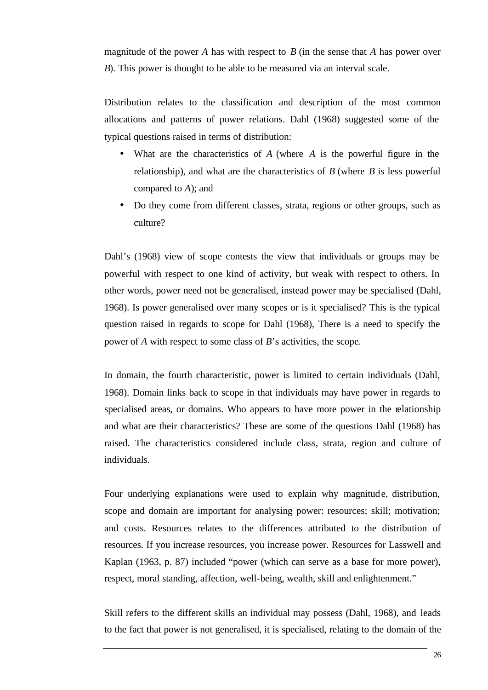magnitude of the power *A* has with respect to *B* (in the sense that *A* has power over *B*). This power is thought to be able to be measured via an interval scale.

Distribution relates to the classification and description of the most common allocations and patterns of power relations. Dahl (1968) suggested some of the typical questions raised in terms of distribution:

- What are the characteristics of *A* (where *A* is the powerful figure in the relationship), and what are the characteristics of *B* (where *B* is less powerful compared to *A*); and
- Do they come from different classes, strata, regions or other groups, such as culture?

Dahl's (1968) view of scope contests the view that individuals or groups may be powerful with respect to one kind of activity, but weak with respect to others. In other words, power need not be generalised, instead power may be specialised (Dahl, 1968). Is power generalised over many scopes or is it specialised? This is the typical question raised in regards to scope for Dahl (1968), There is a need to specify the power of *A* with respect to some class of *B*'s activities, the scope.

In domain, the fourth characteristic, power is limited to certain individuals (Dahl, 1968). Domain links back to scope in that individuals may have power in regards to specialised areas, or domains. Who appears to have more power in the relationship and what are their characteristics? These are some of the questions Dahl (1968) has raised. The characteristics considered include class, strata, region and culture of individuals.

Four underlying explanations were used to explain why magnitude, distribution, scope and domain are important for analysing power: resources; skill; motivation; and costs. Resources relates to the differences attributed to the distribution of resources. If you increase resources, you increase power. Resources for Lasswell and Kaplan (1963, p. 87) included "power (which can serve as a base for more power), respect, moral standing, affection, well-being, wealth, skill and enlightenment."

Skill refers to the different skills an individual may possess (Dahl, 1968), and leads to the fact that power is not generalised, it is specialised, relating to the domain of the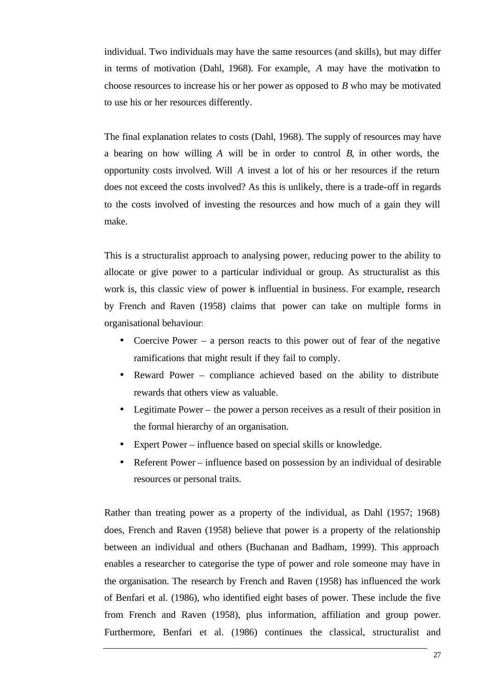individual. Two individuals may have the same resources (and skills), but may differ in terms of motivation (Dahl, 1968). For example, *A* may have the motivation to choose resources to increase his or her power as opposed to *B* who may be motivated to use his or her resources differently.

The final explanation relates to costs (Dahl, 1968). The supply of resources may have a bearing on how willing *A* will be in order to control *B*, in other words, the opportunity costs involved. Will *A* invest a lot of his or her resources if the return does not exceed the costs involved? As this is unlikely, there is a trade-off in regards to the costs involved of investing the resources and how much of a gain they will make.

This is a structuralist approach to analysing power, reducing power to the ability to allocate or give power to a particular individual or group. As structuralist as this work is, this classic view of power is influential in business. For example, research by French and Raven (1958) claims that power can take on multiple forms in organisational behaviour:

- Coercive Power a person reacts to this power out of fear of the negative ramifications that might result if they fail to comply.
- Reward Power compliance achieved based on the ability to distribute rewards that others view as valuable.
- Legitimate Power the power a person receives as a result of their position in the formal hierarchy of an organisation.
- Expert Power influence based on special skills or knowledge.
- Referent Power influence based on possession by an individual of desirable resources or personal traits.

Rather than treating power as a property of the individual, as Dahl (1957; 1968) does, French and Raven (1958) believe that power is a property of the relationship between an individual and others (Buchanan and Badham, 1999). This approach enables a researcher to categorise the type of power and role someone may have in the organisation. The research by French and Raven (1958) has influenced the work of Benfari et al. (1986), who identified eight bases of power. These include the five from French and Raven (1958), plus information, affiliation and group power. Furthermore, Benfari et al. (1986) continues the classical, structuralist and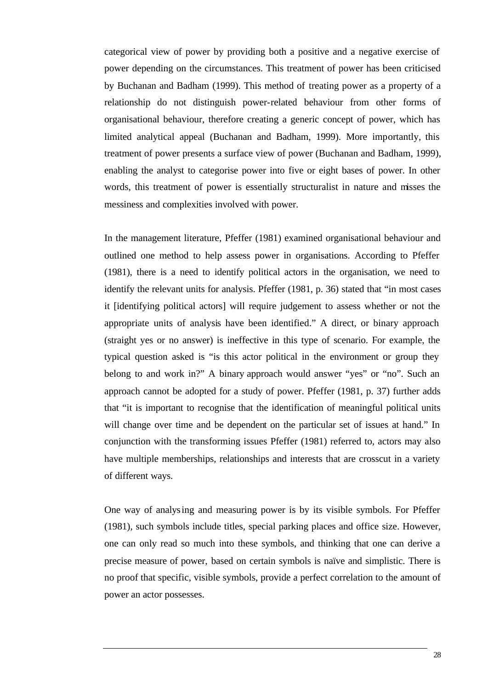categorical view of power by providing both a positive and a negative exercise of power depending on the circumstances. This treatment of power has been criticised by Buchanan and Badham (1999). This method of treating power as a property of a relationship do not distinguish power-related behaviour from other forms of organisational behaviour, therefore creating a generic concept of power, which has limited analytical appeal (Buchanan and Badham, 1999). More importantly, this treatment of power presents a surface view of power (Buchanan and Badham, 1999), enabling the analyst to categorise power into five or eight bases of power. In other words, this treatment of power is essentially structuralist in nature and misses the messiness and complexities involved with power.

In the management literature, Pfeffer (1981) examined organisational behaviour and outlined one method to help assess power in organisations. According to Pfeffer (1981), there is a need to identify political actors in the organisation, we need to identify the relevant units for analysis. Pfeffer (1981, p. 36) stated that "in most cases it [identifying political actors] will require judgement to assess whether or not the appropriate units of analysis have been identified." A direct, or binary approach (straight yes or no answer) is ineffective in this type of scenario. For example, the typical question asked is "is this actor political in the environment or group they belong to and work in?" A binary approach would answer "yes" or "no". Such an approach cannot be adopted for a study of power. Pfeffer (1981, p. 37) further adds that "it is important to recognise that the identification of meaningful political units will change over time and be dependent on the particular set of issues at hand." In conjunction with the transforming issues Pfeffer (1981) referred to, actors may also have multiple memberships, relationships and interests that are crosscut in a variety of different ways.

One way of analysing and measuring power is by its visible symbols. For Pfeffer (1981), such symbols include titles, special parking places and office size. However, one can only read so much into these symbols, and thinking that one can derive a precise measure of power, based on certain symbols is naïve and simplistic. There is no proof that specific, visible symbols, provide a perfect correlation to the amount of power an actor possesses.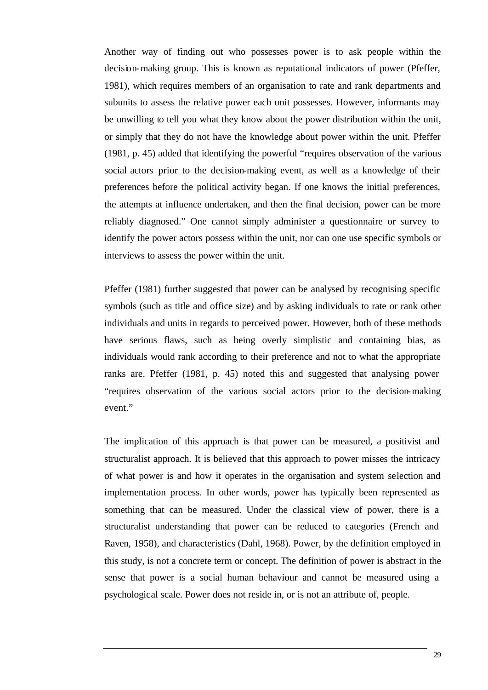Another way of finding out who possesses power is to ask people within the decision-making group. This is known as reputational indicators of power (Pfeffer, 1981), which requires members of an organisation to rate and rank departments and subunits to assess the relative power each unit possesses. However, informants may be unwilling to tell you what they know about the power distribution within the unit, or simply that they do not have the knowledge about power within the unit. Pfeffer (1981, p. 45) added that identifying the powerful "requires observation of the various social actors prior to the decision-making event, as well as a knowledge of their preferences before the political activity began. If one knows the initial preferences, the attempts at influence undertaken, and then the final decision, power can be more reliably diagnosed." One cannot simply administer a questionnaire or survey to identify the power actors possess within the unit, nor can one use specific symbols or interviews to assess the power within the unit.

Pfeffer (1981) further suggested that power can be analysed by recognising specific symbols (such as title and office size) and by asking individuals to rate or rank other individuals and units in regards to perceived power. However, both of these methods have serious flaws, such as being overly simplistic and containing bias, as individuals would rank according to their preference and not to what the appropriate ranks are. Pfeffer (1981, p. 45) noted this and suggested that analysing power "requires observation of the various social actors prior to the decision-making event."

The implication of this approach is that power can be measured, a positivist and structuralist approach. It is believed that this approach to power misses the intricacy of what power is and how it operates in the organisation and system selection and implementation process. In other words, power has typically been represented as something that can be measured. Under the classical view of power, there is a structuralist understanding that power can be reduced to categories (French and Raven, 1958), and characteristics (Dahl, 1968). Power, by the definition employed in this study, is not a concrete term or concept. The definition of power is abstract in the sense that power is a social human behaviour and cannot be measured using a psychological scale. Power does not reside in, or is not an attribute of, people.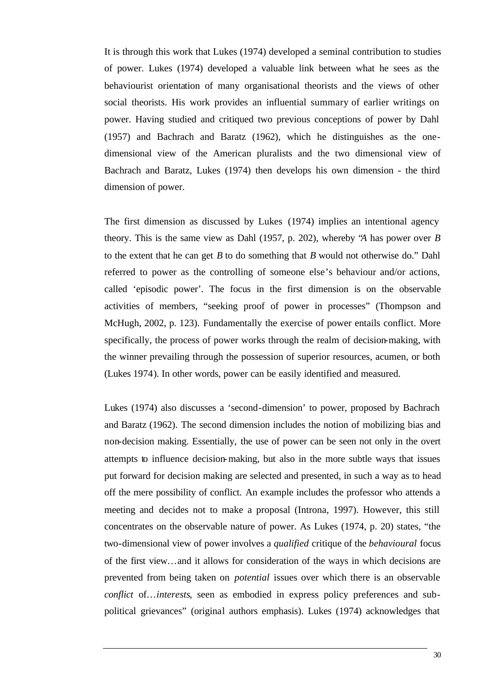It is through this work that Lukes (1974) developed a seminal contribution to studies of power. Lukes (1974) developed a valuable link between what he sees as the behaviourist orientation of many organisational theorists and the views of other social theorists. His work provides an influential summary of earlier writings on power. Having studied and critiqued two previous conceptions of power by Dahl (1957) and Bachrach and Baratz (1962), which he distinguishes as the onedimensional view of the American pluralists and the two dimensional view of Bachrach and Baratz, Lukes (1974) then develops his own dimension - the third dimension of power.

The first dimension as discussed by Lukes (1974) implies an intentional agency theory. This is the same view as Dahl (1957, p. 202), whereby "*A* has power over *B* to the extent that he can get *B* to do something that *B* would not otherwise do." Dahl referred to power as the controlling of someone else's behaviour and/or actions, called 'episodic power'. The focus in the first dimension is on the observable activities of members, "seeking proof of power in processes" (Thompson and McHugh, 2002, p. 123). Fundamentally the exercise of power entails conflict. More specifically, the process of power works through the realm of decision-making, with the winner prevailing through the possession of superior resources, acumen, or both (Lukes 1974). In other words, power can be easily identified and measured.

Lukes (1974) also discusses a 'second-dimension' to power, proposed by Bachrach and Baratz (1962). The second dimension includes the notion of mobilizing bias and non-decision making. Essentially, the use of power can be seen not only in the overt attempts to influence decision-making, but also in the more subtle ways that issues put forward for decision making are selected and presented, in such a way as to head off the mere possibility of conflict. An example includes the professor who attends a meeting and decides not to make a proposal (Introna, 1997). However, this still concentrates on the observable nature of power. As Lukes (1974, p. 20) states, "the two-dimensional view of power involves a *qualified* critique of the *behavioural* focus of the first view…and it allows for consideration of the ways in which decisions are prevented from being taken on *potential* issues over which there is an observable *conflict* of…*interests*, seen as embodied in express policy preferences and subpolitical grievances" (original authors emphasis). Lukes (1974) acknowledges that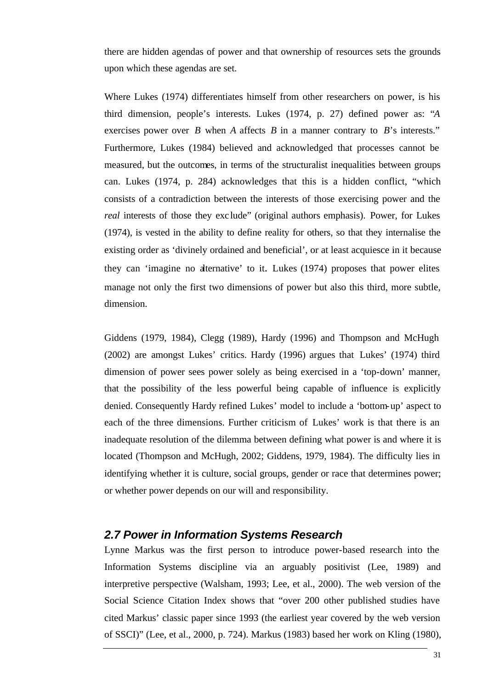there are hidden agendas of power and that ownership of resources sets the grounds upon which these agendas are set.

Where Lukes (1974) differentiates himself from other researchers on power, is his third dimension, people's interests. Lukes (1974, p. 27) defined power as: "*A* exercises power over *B* when *A* affects *B* in a manner contrary to *B*'s interests." Furthermore, Lukes (1984) believed and acknowledged that processes cannot be measured, but the outcomes, in terms of the structuralist inequalities between groups can. Lukes (1974, p. 284) acknowledges that this is a hidden conflict, "which consists of a contradiction between the interests of those exercising power and the *real* interests of those they exc lude" (original authors emphasis). Power, for Lukes (1974), is vested in the ability to define reality for others, so that they internalise the existing order as 'divinely ordained and beneficial', or at least acquiesce in it because they can 'imagine no alternative' to it. Lukes (1974) proposes that power elites manage not only the first two dimensions of power but also this third, more subtle, dimension.

Giddens (1979, 1984), Clegg (1989), Hardy (1996) and Thompson and McHugh (2002) are amongst Lukes' critics. Hardy (1996) argues that Lukes' (1974) third dimension of power sees power solely as being exercised in a 'top-down' manner, that the possibility of the less powerful being capable of influence is explicitly denied. Consequently Hardy refined Lukes' model to include a 'bottom-up' aspect to each of the three dimensions. Further criticism of Lukes' work is that there is an inadequate resolution of the dilemma between defining what power is and where it is located (Thompson and McHugh, 2002; Giddens, 1979, 1984). The difficulty lies in identifying whether it is culture, social groups, gender or race that determines power; or whether power depends on our will and responsibility.

### *2.7 Power in Information Systems Research*

Lynne Markus was the first person to introduce power-based research into the Information Systems discipline via an arguably positivist (Lee, 1989) and interpretive perspective (Walsham, 1993; Lee, et al., 2000). The web version of the Social Science Citation Index shows that "over 200 other published studies have cited Markus' classic paper since 1993 (the earliest year covered by the web version of SSCI)" (Lee, et al., 2000, p. 724). Markus (1983) based her work on Kling (1980),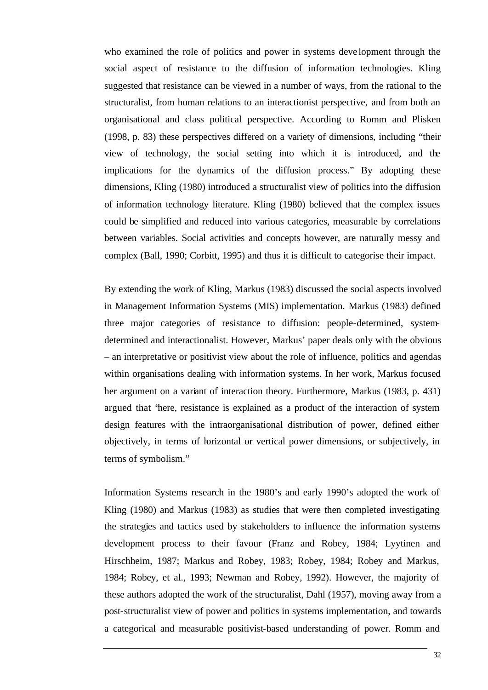who examined the role of politics and power in systems deve lopment through the social aspect of resistance to the diffusion of information technologies. Kling suggested that resistance can be viewed in a number of ways, from the rational to the structuralist, from human relations to an interactionist perspective, and from both an organisational and class political perspective. According to Romm and Plisken (1998, p. 83) these perspectives differed on a variety of dimensions, including "their view of technology, the social setting into which it is introduced, and the implications for the dynamics of the diffusion process." By adopting these dimensions, Kling (1980) introduced a structuralist view of politics into the diffusion of information technology literature. Kling (1980) believed that the complex issues could be simplified and reduced into various categories, measurable by correlations between variables. Social activities and concepts however, are naturally messy and complex (Ball, 1990; Corbitt, 1995) and thus it is difficult to categorise their impact.

By extending the work of Kling, Markus (1983) discussed the social aspects involved in Management Information Systems (MIS) implementation. Markus (1983) defined three major categories of resistance to diffusion: people-determined, systemdetermined and interactionalist. However, Markus' paper deals only with the obvious – an interpretative or positivist view about the role of influence, politics and agendas within organisations dealing with information systems. In her work, Markus focused her argument on a variant of interaction theory. Furthermore, Markus (1983, p. 431) argued that "here, resistance is explained as a product of the interaction of system design features with the intraorganisational distribution of power, defined either objectively, in terms of horizontal or vertical power dimensions, or subjectively, in terms of symbolism."

Information Systems research in the 1980's and early 1990's adopted the work of Kling (1980) and Markus (1983) as studies that were then completed investigating the strategies and tactics used by stakeholders to influence the information systems development process to their favour (Franz and Robey, 1984; Lyytinen and Hirschheim, 1987; Markus and Robey, 1983; Robey, 1984; Robey and Markus, 1984; Robey, et al., 1993; Newman and Robey, 1992). However, the majority of these authors adopted the work of the structuralist, Dahl (1957), moving away from a post-structuralist view of power and politics in systems implementation, and towards a categorical and measurable positivist-based understanding of power. Romm and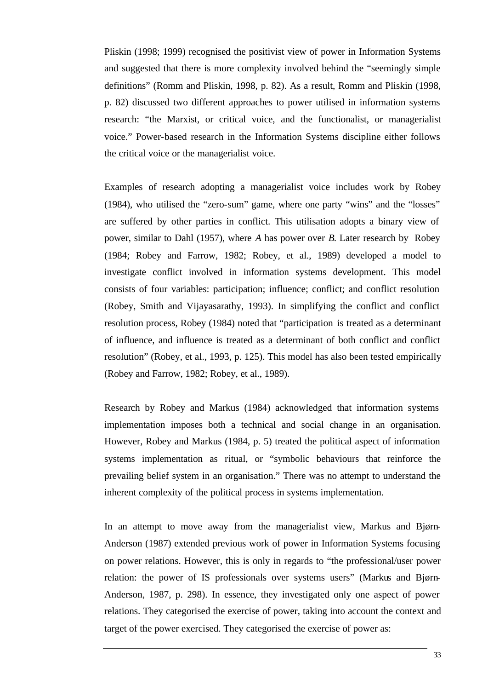Pliskin (1998; 1999) recognised the positivist view of power in Information Systems and suggested that there is more complexity involved behind the "seemingly simple definitions" (Romm and Pliskin, 1998, p. 82). As a result, Romm and Pliskin (1998, p. 82) discussed two different approaches to power utilised in information systems research: "the Marxist, or critical voice, and the functionalist, or managerialist voice." Power-based research in the Information Systems discipline either follows the critical voice or the managerialist voice.

Examples of research adopting a managerialist voice includes work by Robey (1984), who utilised the "zero-sum" game, where one party "wins" and the "losses" are suffered by other parties in conflict. This utilisation adopts a binary view of power, similar to Dahl (1957), where *A* has power over *B*. Later research by Robey (1984; Robey and Farrow, 1982; Robey, et al., 1989) developed a model to investigate conflict involved in information systems development. This model consists of four variables: participation; influence; conflict; and conflict resolution (Robey, Smith and Vijayasarathy, 1993). In simplifying the conflict and conflict resolution process, Robey (1984) noted that "participation is treated as a determinant of influence, and influence is treated as a determinant of both conflict and conflict resolution" (Robey, et al., 1993, p. 125). This model has also been tested empirically (Robey and Farrow, 1982; Robey, et al., 1989).

Research by Robey and Markus (1984) acknowledged that information systems implementation imposes both a technical and social change in an organisation. However, Robey and Markus (1984, p. 5) treated the political aspect of information systems implementation as ritual, or "symbolic behaviours that reinforce the prevailing belief system in an organisation." There was no attempt to understand the inherent complexity of the political process in systems implementation.

In an attempt to move away from the managerialist view, Markus and Bjørn-Anderson (1987) extended previous work of power in Information Systems focusing on power relations. However, this is only in regards to "the professional/user power relation: the power of IS professionals over systems users" (Markus and Bjørn-Anderson, 1987, p. 298). In essence, they investigated only one aspect of power relations. They categorised the exercise of power, taking into account the context and target of the power exercised. They categorised the exercise of power as: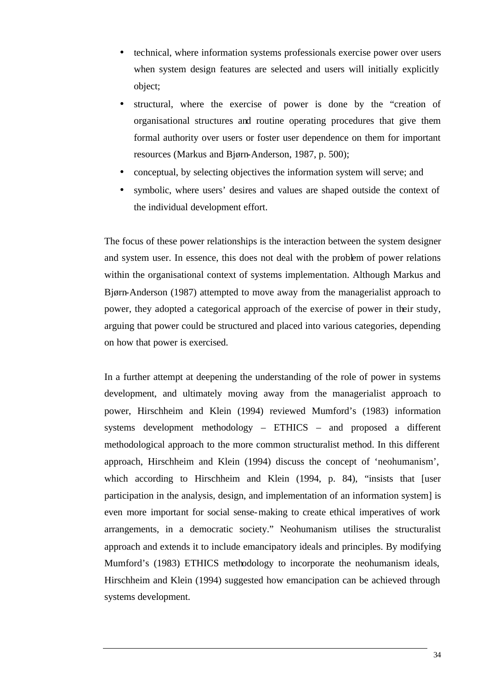- technical, where information systems professionals exercise power over users when system design features are selected and users will initially explicitly object;
- structural, where the exercise of power is done by the "creation of organisational structures and routine operating procedures that give them formal authority over users or foster user dependence on them for important resources (Markus and Bjørn-Anderson, 1987, p. 500);
- conceptual, by selecting objectives the information system will serve; and
- symbolic, where users' desires and values are shaped outside the context of the individual development effort.

The focus of these power relationships is the interaction between the system designer and system user. In essence, this does not deal with the problem of power relations within the organisational context of systems implementation. Although Markus and Bjørn-Anderson (1987) attempted to move away from the managerialist approach to power, they adopted a categorical approach of the exercise of power in their study, arguing that power could be structured and placed into various categories, depending on how that power is exercised.

In a further attempt at deepening the understanding of the role of power in systems development, and ultimately moving away from the managerialist approach to power, Hirschheim and Klein (1994) reviewed Mumford's (1983) information systems development methodology – ETHICS – and proposed a different methodological approach to the more common structuralist method. In this different approach, Hirschheim and Klein (1994) discuss the concept of 'neohumanism', which according to Hirschheim and Klein (1994, p. 84), "insists that [user participation in the analysis, design, and implementation of an information system] is even more important for social sense-making to create ethical imperatives of work arrangements, in a democratic society." Neohumanism utilises the structuralist approach and extends it to include emancipatory ideals and principles. By modifying Mumford's (1983) ETHICS methodology to incorporate the neohumanism ideals, Hirschheim and Klein (1994) suggested how emancipation can be achieved through systems development.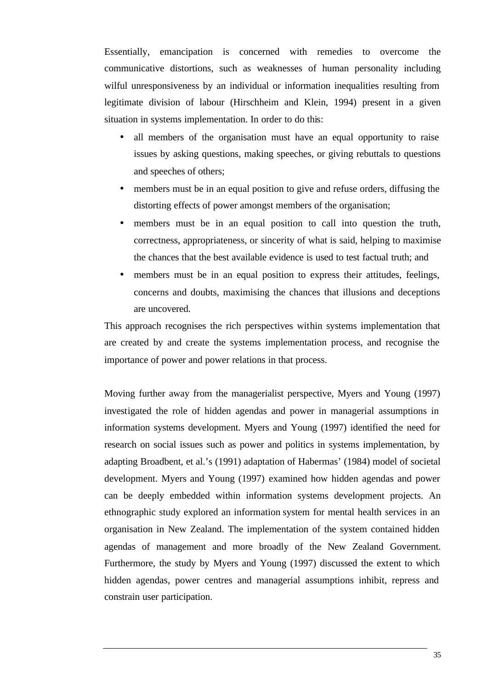Essentially, emancipation is concerned with remedies to overcome the communicative distortions, such as weaknesses of human personality including wilful unresponsiveness by an individual or information inequalities resulting from legitimate division of labour (Hirschheim and Klein, 1994) present in a given situation in systems implementation. In order to do this:

- all members of the organisation must have an equal opportunity to raise issues by asking questions, making speeches, or giving rebuttals to questions and speeches of others;
- members must be in an equal position to give and refuse orders, diffusing the distorting effects of power amongst members of the organisation;
- members must be in an equal position to call into question the truth, correctness, appropriateness, or sincerity of what is said, helping to maximise the chances that the best available evidence is used to test factual truth; and
- members must be in an equal position to express their attitudes, feelings, concerns and doubts, maximising the chances that illusions and deceptions are uncovered.

This approach recognises the rich perspectives within systems implementation that are created by and create the systems implementation process, and recognise the importance of power and power relations in that process.

Moving further away from the managerialist perspective, Myers and Young (1997) investigated the role of hidden agendas and power in managerial assumptions in information systems development. Myers and Young (1997) identified the need for research on social issues such as power and politics in systems implementation, by adapting Broadbent, et al.'s (1991) adaptation of Habermas' (1984) model of societal development. Myers and Young (1997) examined how hidden agendas and power can be deeply embedded within information systems development projects. An ethnographic study explored an information system for mental health services in an organisation in New Zealand. The implementation of the system contained hidden agendas of management and more broadly of the New Zealand Government. Furthermore, the study by Myers and Young (1997) discussed the extent to which hidden agendas, power centres and managerial assumptions inhibit, repress and constrain user participation.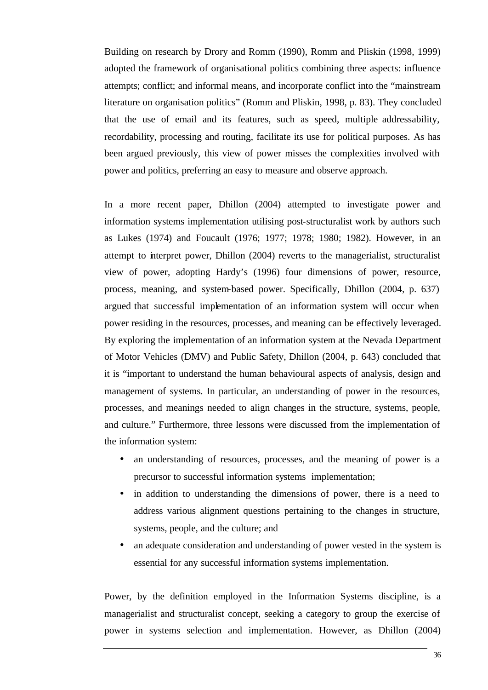Building on research by Drory and Romm (1990), Romm and Pliskin (1998, 1999) adopted the framework of organisational politics combining three aspects: influence attempts; conflict; and informal means, and incorporate conflict into the "mainstream literature on organisation politics" (Romm and Pliskin, 1998, p. 83). They concluded that the use of email and its features, such as speed, multiple addressability, recordability, processing and routing, facilitate its use for political purposes. As has been argued previously, this view of power misses the complexities involved with power and politics, preferring an easy to measure and observe approach.

In a more recent paper, Dhillon (2004) attempted to investigate power and information systems implementation utilising post-structuralist work by authors such as Lukes (1974) and Foucault (1976; 1977; 1978; 1980; 1982). However, in an attempt to interpret power, Dhillon (2004) reverts to the managerialist, structuralist view of power, adopting Hardy's (1996) four dimensions of power, resource, process, meaning, and system-based power. Specifically, Dhillon (2004, p. 637) argued that successful implementation of an information system will occur when power residing in the resources, processes, and meaning can be effectively leveraged. By exploring the implementation of an information system at the Nevada Department of Motor Vehicles (DMV) and Public Safety, Dhillon (2004, p. 643) concluded that it is "important to understand the human behavioural aspects of analysis, design and management of systems. In particular, an understanding of power in the resources, processes, and meanings needed to align changes in the structure, systems, people, and culture." Furthermore, three lessons were discussed from the implementation of the information system:

- an understanding of resources, processes, and the meaning of power is a precursor to successful information systems implementation;
- in addition to understanding the dimensions of power, there is a need to address various alignment questions pertaining to the changes in structure, systems, people, and the culture; and
- an adequate consideration and understanding of power vested in the system is essential for any successful information systems implementation.

Power, by the definition employed in the Information Systems discipline, is a managerialist and structuralist concept, seeking a category to group the exercise of power in systems selection and implementation. However, as Dhillon (2004)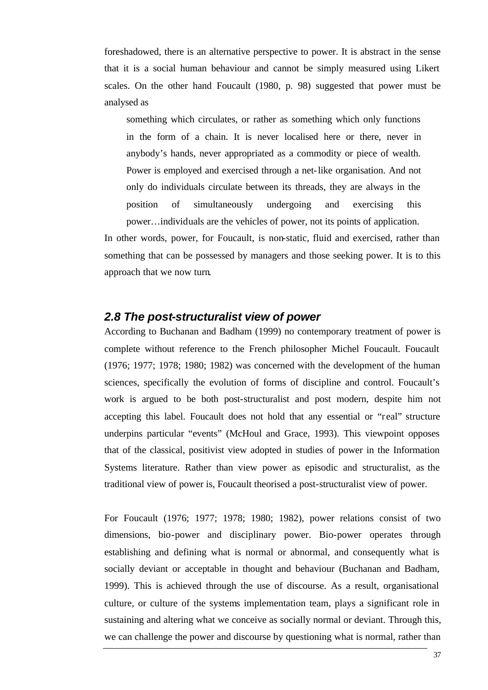foreshadowed, there is an alternative perspective to power. It is abstract in the sense that it is a social human behaviour and cannot be simply measured using Likert scales. On the other hand Foucault (1980, p. 98) suggested that power must be analysed as

something which circulates, or rather as something which only functions in the form of a chain. It is never localised here or there, never in anybody's hands, never appropriated as a commodity or piece of wealth. Power is employed and exercised through a net-like organisation. And not only do individuals circulate between its threads, they are always in the position of simultaneously undergoing and exercising this power…individuals are the vehicles of power, not its points of application.

In other words, power, for Foucault, is non-static, fluid and exercised, rather than something that can be possessed by managers and those seeking power. It is to this approach that we now turn.

#### *2.8 The post-structuralist view of power*

According to Buchanan and Badham (1999) no contemporary treatment of power is complete without reference to the French philosopher Michel Foucault. Foucault (1976; 1977; 1978; 1980; 1982) was concerned with the development of the human sciences, specifically the evolution of forms of discipline and control. Foucault's work is argued to be both post-structuralist and post modern, despite him not accepting this label. Foucault does not hold that any essential or "real" structure underpins particular "events" (McHoul and Grace, 1993). This viewpoint opposes that of the classical, positivist view adopted in studies of power in the Information Systems literature. Rather than view power as episodic and structuralist, as the traditional view of power is, Foucault theorised a post-structuralist view of power.

For Foucault (1976; 1977; 1978; 1980; 1982), power relations consist of two dimensions, bio-power and disciplinary power. Bio-power operates through establishing and defining what is normal or abnormal, and consequently what is socially deviant or acceptable in thought and behaviour (Buchanan and Badham, 1999). This is achieved through the use of discourse. As a result, organisational culture, or culture of the systems implementation team, plays a significant role in sustaining and altering what we conceive as socially normal or deviant. Through this, we can challenge the power and discourse by questioning what is normal, rather than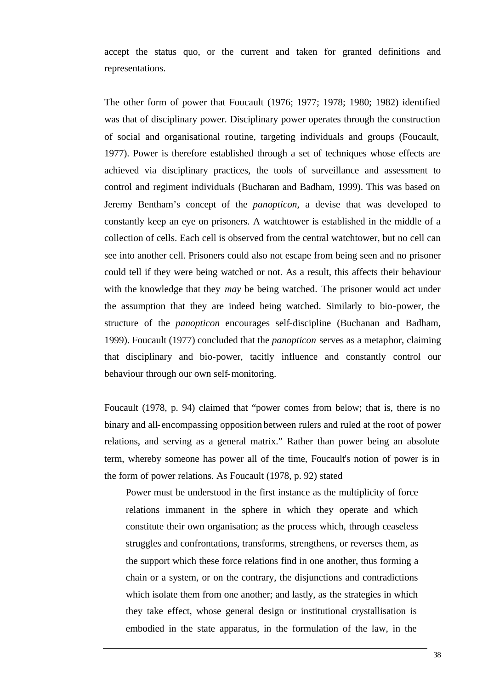accept the status quo, or the current and taken for granted definitions and representations.

The other form of power that Foucault (1976; 1977; 1978; 1980; 1982) identified was that of disciplinary power. Disciplinary power operates through the construction of social and organisational routine, targeting individuals and groups (Foucault, 1977). Power is therefore established through a set of techniques whose effects are achieved via disciplinary practices, the tools of surveillance and assessment to control and regiment individuals (Buchanan and Badham, 1999). This was based on Jeremy Bentham's concept of the *panopticon*, a devise that was developed to constantly keep an eye on prisoners. A watchtower is established in the middle of a collection of cells. Each cell is observed from the central watchtower, but no cell can see into another cell. Prisoners could also not escape from being seen and no prisoner could tell if they were being watched or not. As a result, this affects their behaviour with the knowledge that they *may* be being watched. The prisoner would act under the assumption that they are indeed being watched. Similarly to bio-power, the structure of the *panopticon* encourages self-discipline (Buchanan and Badham, 1999). Foucault (1977) concluded that the *panopticon* serves as a metaphor, claiming that disciplinary and bio-power, tacitly influence and constantly control our behaviour through our own self-monitoring.

Foucault (1978, p. 94) claimed that "power comes from below; that is, there is no binary and all-encompassing opposition between rulers and ruled at the root of power relations, and serving as a general matrix." Rather than power being an absolute term, whereby someone has power all of the time, Foucault's notion of power is in the form of power relations. As Foucault (1978, p. 92) stated

Power must be understood in the first instance as the multiplicity of force relations immanent in the sphere in which they operate and which constitute their own organisation; as the process which, through ceaseless struggles and confrontations, transforms, strengthens, or reverses them, as the support which these force relations find in one another, thus forming a chain or a system, or on the contrary, the disjunctions and contradictions which isolate them from one another; and lastly, as the strategies in which they take effect, whose general design or institutional crystallisation is embodied in the state apparatus, in the formulation of the law, in the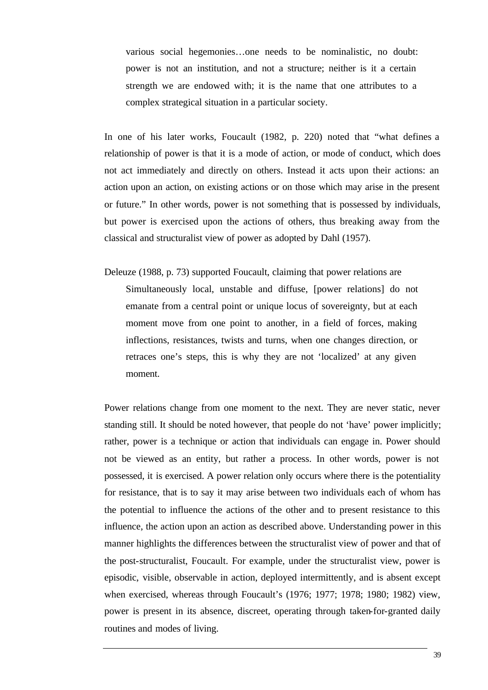various social hegemonies…one needs to be nominalistic, no doubt: power is not an institution, and not a structure; neither is it a certain strength we are endowed with; it is the name that one attributes to a complex strategical situation in a particular society.

In one of his later works, Foucault (1982, p. 220) noted that "what defines a relationship of power is that it is a mode of action, or mode of conduct, which does not act immediately and directly on others. Instead it acts upon their actions: an action upon an action, on existing actions or on those which may arise in the present or future." In other words, power is not something that is possessed by individuals, but power is exercised upon the actions of others, thus breaking away from the classical and structuralist view of power as adopted by Dahl (1957).

Deleuze (1988, p. 73) supported Foucault, claiming that power relations are Simultaneously local, unstable and diffuse, [power relations] do not emanate from a central point or unique locus of sovereignty, but at each moment move from one point to another, in a field of forces, making inflections, resistances, twists and turns, when one changes direction, or retraces one's steps, this is why they are not 'localized' at any given moment.

Power relations change from one moment to the next. They are never static, never standing still. It should be noted however, that people do not 'have' power implicitly; rather, power is a technique or action that individuals can engage in. Power should not be viewed as an entity, but rather a process. In other words, power is not possessed, it is exercised. A power relation only occurs where there is the potentiality for resistance, that is to say it may arise between two individuals each of whom has the potential to influence the actions of the other and to present resistance to this influence, the action upon an action as described above. Understanding power in this manner highlights the differences between the structuralist view of power and that of the post-structuralist, Foucault. For example, under the structuralist view, power is episodic, visible, observable in action, deployed intermittently, and is absent except when exercised, whereas through Foucault's (1976; 1977; 1978; 1980; 1982) view, power is present in its absence, discreet, operating through taken-for-granted daily routines and modes of living.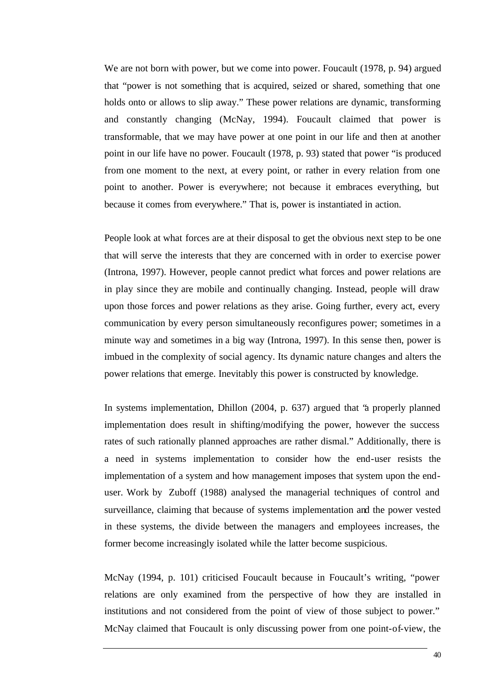We are not born with power, but we come into power. Foucault (1978, p. 94) argued that "power is not something that is acquired, seized or shared, something that one holds onto or allows to slip away." These power relations are dynamic, transforming and constantly changing (McNay, 1994). Foucault claimed that power is transformable, that we may have power at one point in our life and then at another point in our life have no power. Foucault (1978, p. 93) stated that power "is produced from one moment to the next, at every point, or rather in every relation from one point to another. Power is everywhere; not because it embraces everything, but because it comes from everywhere." That is, power is instantiated in action.

People look at what forces are at their disposal to get the obvious next step to be one that will serve the interests that they are concerned with in order to exercise power (Introna, 1997). However, people cannot predict what forces and power relations are in play since they are mobile and continually changing. Instead, people will draw upon those forces and power relations as they arise. Going further, every act, every communication by every person simultaneously reconfigures power; sometimes in a minute way and sometimes in a big way (Introna, 1997). In this sense then, power is imbued in the complexity of social agency. Its dynamic nature changes and alters the power relations that emerge. Inevitably this power is constructed by knowledge.

In systems implementation, Dhillon (2004, p. 637) argued that "a properly planned implementation does result in shifting/modifying the power, however the success rates of such rationally planned approaches are rather dismal." Additionally, there is a need in systems implementation to consider how the end-user resists the implementation of a system and how management imposes that system upon the enduser. Work by Zuboff (1988) analysed the managerial techniques of control and surveillance, claiming that because of systems implementation and the power vested in these systems, the divide between the managers and employees increases, the former become increasingly isolated while the latter become suspicious.

McNay (1994, p. 101) criticised Foucault because in Foucault's writing, "power relations are only examined from the perspective of how they are installed in institutions and not considered from the point of view of those subject to power." McNay claimed that Foucault is only discussing power from one point-of-view, the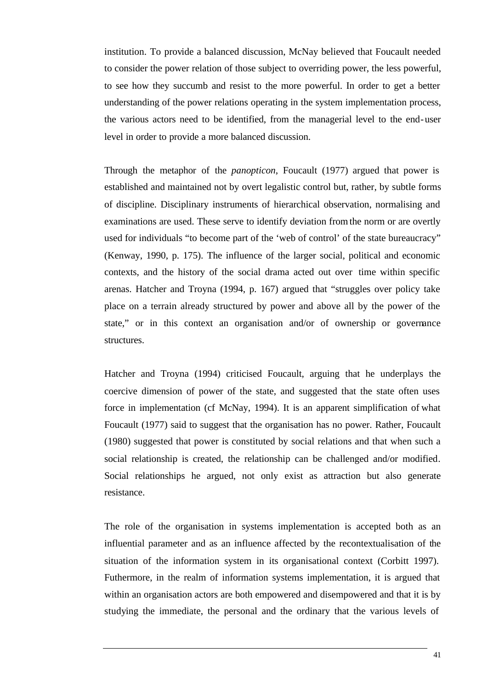institution. To provide a balanced discussion, McNay believed that Foucault needed to consider the power relation of those subject to overriding power, the less powerful, to see how they succumb and resist to the more powerful. In order to get a better understanding of the power relations operating in the system implementation process, the various actors need to be identified, from the managerial level to the end-user level in order to provide a more balanced discussion.

Through the metaphor of the *panopticon*, Foucault (1977) argued that power is established and maintained not by overt legalistic control but, rather, by subtle forms of discipline. Disciplinary instruments of hierarchical observation, normalising and examinations are used. These serve to identify deviation from the norm or are overtly used for individuals "to become part of the 'web of control' of the state bureaucracy" (Kenway, 1990, p. 175). The influence of the larger social, political and economic contexts, and the history of the social drama acted out over time within specific arenas. Hatcher and Troyna (1994, p. 167) argued that "struggles over policy take place on a terrain already structured by power and above all by the power of the state," or in this context an organisation and/or of ownership or governance structures.

Hatcher and Troyna (1994) criticised Foucault, arguing that he underplays the coercive dimension of power of the state, and suggested that the state often uses force in implementation (cf McNay, 1994). It is an apparent simplification of what Foucault (1977) said to suggest that the organisation has no power. Rather, Foucault (1980) suggested that power is constituted by social relations and that when such a social relationship is created, the relationship can be challenged and/or modified. Social relationships he argued, not only exist as attraction but also generate resistance.

The role of the organisation in systems implementation is accepted both as an influential parameter and as an influence affected by the recontextualisation of the situation of the information system in its organisational context (Corbitt 1997). Futhermore, in the realm of information systems implementation, it is argued that within an organisation actors are both empowered and disempowered and that it is by studying the immediate, the personal and the ordinary that the various levels of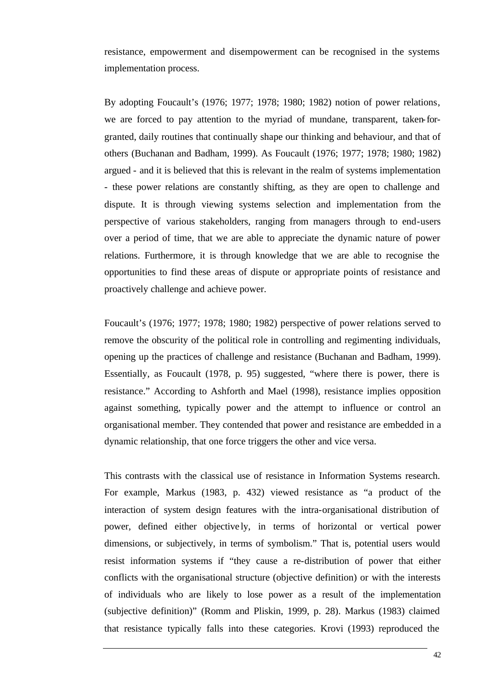resistance, empowerment and disempowerment can be recognised in the systems implementation process.

By adopting Foucault's (1976; 1977; 1978; 1980; 1982) notion of power relations, we are forced to pay attention to the myriad of mundane, transparent, taken-forgranted, daily routines that continually shape our thinking and behaviour, and that of others (Buchanan and Badham, 1999). As Foucault (1976; 1977; 1978; 1980; 1982) argued - and it is believed that this is relevant in the realm of systems implementation - these power relations are constantly shifting, as they are open to challenge and dispute. It is through viewing systems selection and implementation from the perspective of various stakeholders, ranging from managers through to end-users over a period of time, that we are able to appreciate the dynamic nature of power relations. Furthermore, it is through knowledge that we are able to recognise the opportunities to find these areas of dispute or appropriate points of resistance and proactively challenge and achieve power.

Foucault's (1976; 1977; 1978; 1980; 1982) perspective of power relations served to remove the obscurity of the political role in controlling and regimenting individuals, opening up the practices of challenge and resistance (Buchanan and Badham, 1999). Essentially, as Foucault (1978, p. 95) suggested, "where there is power, there is resistance." According to Ashforth and Mael (1998), resistance implies opposition against something, typically power and the attempt to influence or control an organisational member. They contended that power and resistance are embedded in a dynamic relationship, that one force triggers the other and vice versa.

This contrasts with the classical use of resistance in Information Systems research. For example, Markus (1983, p. 432) viewed resistance as "a product of the interaction of system design features with the intra-organisational distribution of power, defined either objective ly, in terms of horizontal or vertical power dimensions, or subjectively, in terms of symbolism." That is, potential users would resist information systems if "they cause a re-distribution of power that either conflicts with the organisational structure (objective definition) or with the interests of individuals who are likely to lose power as a result of the implementation (subjective definition)" (Romm and Pliskin, 1999, p. 28). Markus (1983) claimed that resistance typically falls into these categories. Krovi (1993) reproduced the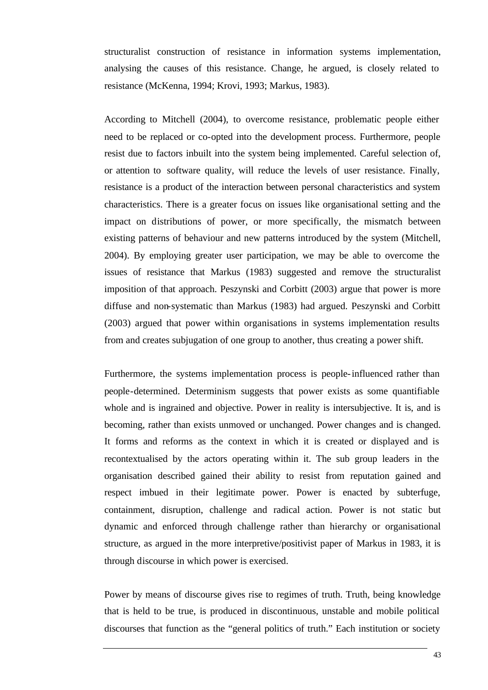structuralist construction of resistance in information systems implementation, analysing the causes of this resistance. Change, he argued, is closely related to resistance (McKenna, 1994; Krovi, 1993; Markus, 1983).

According to Mitchell (2004), to overcome resistance, problematic people either need to be replaced or co-opted into the development process. Furthermore, people resist due to factors inbuilt into the system being implemented. Careful selection of, or attention to software quality, will reduce the levels of user resistance. Finally, resistance is a product of the interaction between personal characteristics and system characteristics. There is a greater focus on issues like organisational setting and the impact on distributions of power, or more specifically, the mismatch between existing patterns of behaviour and new patterns introduced by the system (Mitchell, 2004). By employing greater user participation, we may be able to overcome the issues of resistance that Markus (1983) suggested and remove the structuralist imposition of that approach. Peszynski and Corbitt (2003) argue that power is more diffuse and non-systematic than Markus (1983) had argued. Peszynski and Corbitt (2003) argued that power within organisations in systems implementation results from and creates subjugation of one group to another, thus creating a power shift.

Furthermore, the systems implementation process is people-influenced rather than people-determined. Determinism suggests that power exists as some quantifiable whole and is ingrained and objective. Power in reality is intersubjective. It is, and is becoming, rather than exists unmoved or unchanged. Power changes and is changed. It forms and reforms as the context in which it is created or displayed and is recontextualised by the actors operating within it. The sub group leaders in the organisation described gained their ability to resist from reputation gained and respect imbued in their legitimate power. Power is enacted by subterfuge, containment, disruption, challenge and radical action. Power is not static but dynamic and enforced through challenge rather than hierarchy or organisational structure, as argued in the more interpretive/positivist paper of Markus in 1983, it is through discourse in which power is exercised.

Power by means of discourse gives rise to regimes of truth. Truth, being knowledge that is held to be true, is produced in discontinuous, unstable and mobile political discourses that function as the "general politics of truth." Each institution or society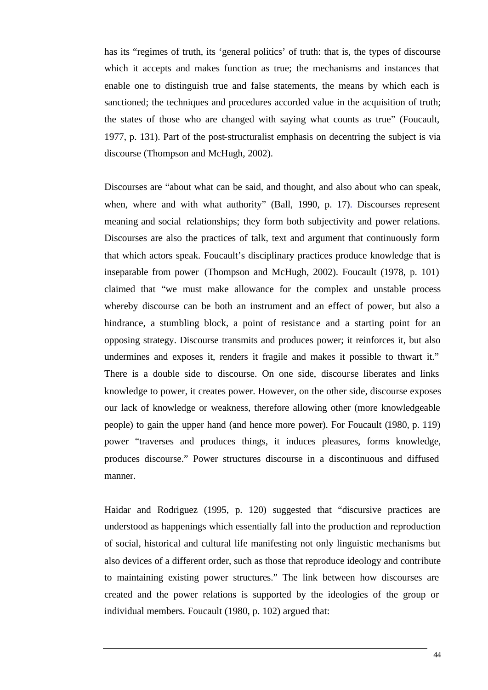has its "regimes of truth, its 'general politics' of truth: that is, the types of discourse which it accepts and makes function as true; the mechanisms and instances that enable one to distinguish true and false statements, the means by which each is sanctioned; the techniques and procedures accorded value in the acquisition of truth; the states of those who are changed with saying what counts as true" (Foucault, 1977, p. 131). Part of the post-structuralist emphasis on decentring the subject is via discourse (Thompson and McHugh, 2002).

Discourses are "about what can be said, and thought, and also about who can speak, when, where and with what authority" (Ball, 1990, p. 17). Discourses represent meaning and social relationships; they form both subjectivity and power relations. Discourses are also the practices of talk, text and argument that continuously form that which actors speak. Foucault's disciplinary practices produce knowledge that is inseparable from power (Thompson and McHugh, 2002). Foucault (1978, p. 101) claimed that "we must make allowance for the complex and unstable process whereby discourse can be both an instrument and an effect of power, but also a hindrance, a stumbling block, a point of resistance and a starting point for an opposing strategy. Discourse transmits and produces power; it reinforces it, but also undermines and exposes it, renders it fragile and makes it possible to thwart it." There is a double side to discourse. On one side, discourse liberates and links knowledge to power, it creates power. However, on the other side, discourse exposes our lack of knowledge or weakness, therefore allowing other (more knowledgeable people) to gain the upper hand (and hence more power). For Foucault (1980, p. 119) power "traverses and produces things, it induces pleasures, forms knowledge, produces discourse." Power structures discourse in a discontinuous and diffused manner.

Haidar and Rodriguez (1995, p. 120) suggested that "discursive practices are understood as happenings which essentially fall into the production and reproduction of social, historical and cultural life manifesting not only linguistic mechanisms but also devices of a different order, such as those that reproduce ideology and contribute to maintaining existing power structures." The link between how discourses are created and the power relations is supported by the ideologies of the group or individual members. Foucault (1980, p. 102) argued that: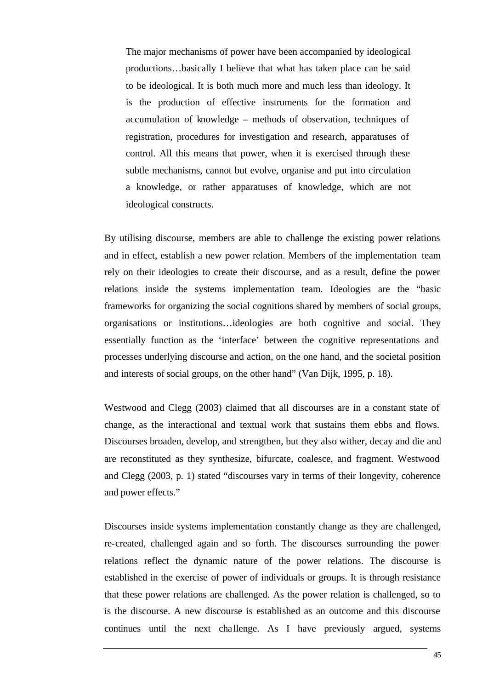The major mechanisms of power have been accompanied by ideological productions…basically I believe that what has taken place can be said to be ideological. It is both much more and much less than ideology. It is the production of effective instruments for the formation and accumulation of knowledge – methods of observation, techniques of registration, procedures for investigation and research, apparatuses of control. All this means that power, when it is exercised through these subtle mechanisms, cannot but evolve, organise and put into circulation a knowledge, or rather apparatuses of knowledge, which are not ideological constructs.

By utilising discourse, members are able to challenge the existing power relations and in effect, establish a new power relation. Members of the implementation team rely on their ideologies to create their discourse, and as a result, define the power relations inside the systems implementation team. Ideologies are the "basic frameworks for organizing the social cognitions shared by members of social groups, organisations or institutions…ideologies are both cognitive and social. They essentially function as the 'interface' between the cognitive representations and processes underlying discourse and action, on the one hand, and the societal position and interests of social groups, on the other hand" (Van Dijk, 1995, p. 18).

Westwood and Clegg (2003) claimed that all discourses are in a constant state of change, as the interactional and textual work that sustains them ebbs and flows. Discourses broaden, develop, and strengthen, but they also wither, decay and die and are reconstituted as they synthesize, bifurcate, coalesce, and fragment. Westwood and Clegg (2003, p. 1) stated "discourses vary in terms of their longevity, coherence and power effects."

Discourses inside systems implementation constantly change as they are challenged, re-created, challenged again and so forth. The discourses surrounding the power relations reflect the dynamic nature of the power relations. The discourse is established in the exercise of power of individuals or groups. It is through resistance that these power relations are challenged. As the power relation is challenged, so to is the discourse. A new discourse is established as an outcome and this discourse continues until the next challenge. As I have previously argued, systems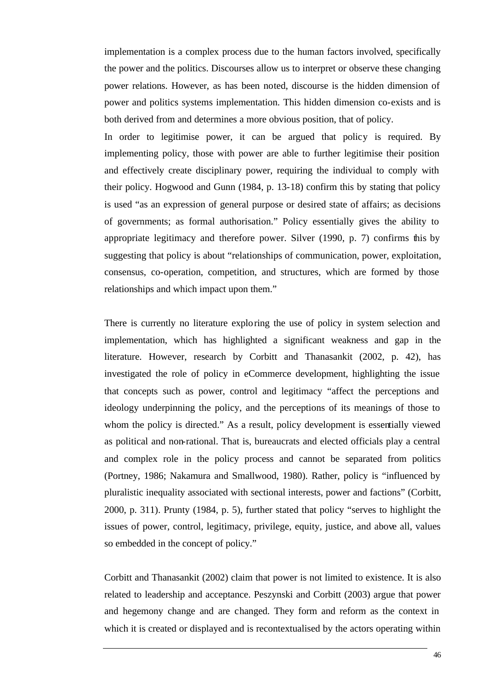implementation is a complex process due to the human factors involved, specifically the power and the politics. Discourses allow us to interpret or observe these changing power relations. However, as has been noted, discourse is the hidden dimension of power and politics systems implementation. This hidden dimension co-exists and is both derived from and determines a more obvious position, that of policy.

In order to legitimise power, it can be argued that policy is required. By implementing policy, those with power are able to further legitimise their position and effectively create disciplinary power, requiring the individual to comply with their policy. Hogwood and Gunn (1984, p. 13-18) confirm this by stating that policy is used "as an expression of general purpose or desired state of affairs; as decisions of governments; as formal authorisation." Policy essentially gives the ability to appropriate legitimacy and therefore power. Silver (1990, p. 7) confirms this by suggesting that policy is about "relationships of communication, power, exploitation, consensus, co-operation, competition, and structures, which are formed by those relationships and which impact upon them."

There is currently no literature exploring the use of policy in system selection and implementation, which has highlighted a significant weakness and gap in the literature. However, research by Corbitt and Thanasankit (2002, p. 42), has investigated the role of policy in eCommerce development, highlighting the issue that concepts such as power, control and legitimacy "affect the perceptions and ideology underpinning the policy, and the perceptions of its meanings of those to whom the policy is directed." As a result, policy development is essentially viewed as political and non-rational. That is, bureaucrats and elected officials play a central and complex role in the policy process and cannot be separated from politics (Portney, 1986; Nakamura and Smallwood, 1980). Rather, policy is "influenced by pluralistic inequality associated with sectional interests, power and factions" (Corbitt, 2000, p. 311). Prunty (1984, p. 5), further stated that policy "serves to highlight the issues of power, control, legitimacy, privilege, equity, justice, and above all, values so embedded in the concept of policy."

Corbitt and Thanasankit (2002) claim that power is not limited to existence. It is also related to leadership and acceptance. Peszynski and Corbitt (2003) argue that power and hegemony change and are changed. They form and reform as the context in which it is created or displayed and is recontextualised by the actors operating within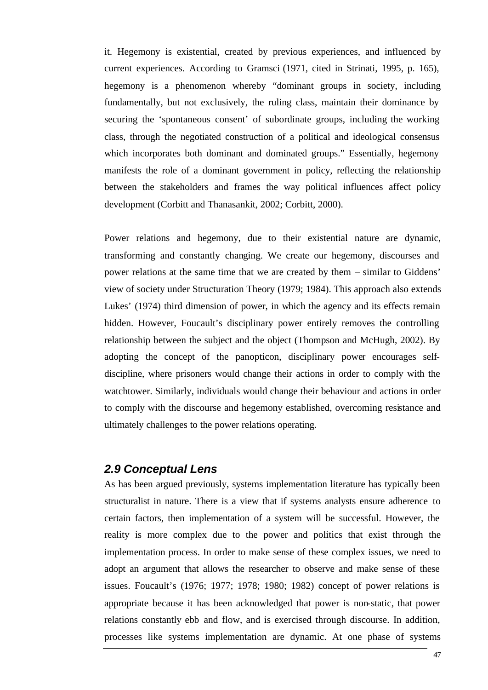it. Hegemony is existential, created by previous experiences, and influenced by current experiences. According to Gramsci (1971, cited in Strinati, 1995, p. 165), hegemony is a phenomenon whereby "dominant groups in society, including fundamentally, but not exclusively, the ruling class, maintain their dominance by securing the 'spontaneous consent' of subordinate groups, including the working class, through the negotiated construction of a political and ideological consensus which incorporates both dominant and dominated groups." Essentially, hegemony manifests the role of a dominant government in policy, reflecting the relationship between the stakeholders and frames the way political influences affect policy development (Corbitt and Thanasankit, 2002; Corbitt, 2000).

Power relations and hegemony, due to their existential nature are dynamic, transforming and constantly changing. We create our hegemony, discourses and power relations at the same time that we are created by them – similar to Giddens' view of society under Structuration Theory (1979; 1984). This approach also extends Lukes' (1974) third dimension of power, in which the agency and its effects remain hidden. However, Foucault's disciplinary power entirely removes the controlling relationship between the subject and the object (Thompson and McHugh, 2002). By adopting the concept of the panopticon, disciplinary power encourages selfdiscipline, where prisoners would change their actions in order to comply with the watchtower. Similarly, individuals would change their behaviour and actions in order to comply with the discourse and hegemony established, overcoming resistance and ultimately challenges to the power relations operating.

## *2.9 Conceptual Lens*

As has been argued previously, systems implementation literature has typically been structuralist in nature. There is a view that if systems analysts ensure adherence to certain factors, then implementation of a system will be successful. However, the reality is more complex due to the power and politics that exist through the implementation process. In order to make sense of these complex issues, we need to adopt an argument that allows the researcher to observe and make sense of these issues. Foucault's (1976; 1977; 1978; 1980; 1982) concept of power relations is appropriate because it has been acknowledged that power is non-static, that power relations constantly ebb and flow, and is exercised through discourse. In addition, processes like systems implementation are dynamic. At one phase of systems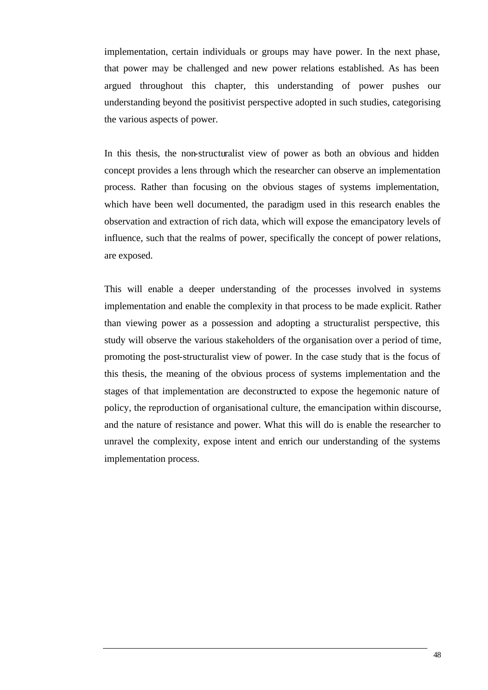implementation, certain individuals or groups may have power. In the next phase, that power may be challenged and new power relations established. As has been argued throughout this chapter, this understanding of power pushes our understanding beyond the positivist perspective adopted in such studies, categorising the various aspects of power.

In this thesis, the non-structuralist view of power as both an obvious and hidden concept provides a lens through which the researcher can observe an implementation process. Rather than focusing on the obvious stages of systems implementation, which have been well documented, the paradigm used in this research enables the observation and extraction of rich data, which will expose the emancipatory levels of influence, such that the realms of power, specifically the concept of power relations, are exposed.

This will enable a deeper understanding of the processes involved in systems implementation and enable the complexity in that process to be made explicit. Rather than viewing power as a possession and adopting a structuralist perspective, this study will observe the various stakeholders of the organisation over a period of time, promoting the post-structuralist view of power. In the case study that is the focus of this thesis, the meaning of the obvious process of systems implementation and the stages of that implementation are deconstructed to expose the hegemonic nature of policy, the reproduction of organisational culture, the emancipation within discourse, and the nature of resistance and power. What this will do is enable the researcher to unravel the complexity, expose intent and enrich our understanding of the systems implementation process.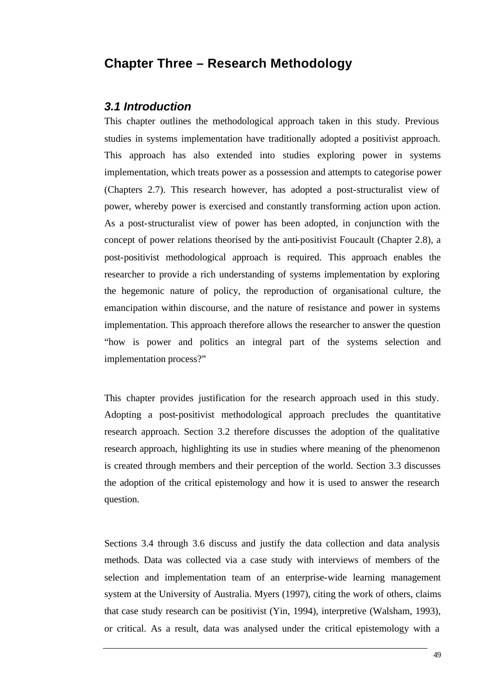# **Chapter Three – Research Methodology**

#### *3.1 Introduction*

This chapter outlines the methodological approach taken in this study. Previous studies in systems implementation have traditionally adopted a positivist approach. This approach has also extended into studies exploring power in systems implementation, which treats power as a possession and attempts to categorise power (Chapters 2.7). This research however, has adopted a post-structuralist view of power, whereby power is exercised and constantly transforming action upon action. As a post-structuralist view of power has been adopted, in conjunction with the concept of power relations theorised by the anti-positivist Foucault (Chapter 2.8), a post-positivist methodological approach is required. This approach enables the researcher to provide a rich understanding of systems implementation by exploring the hegemonic nature of policy, the reproduction of organisational culture, the emancipation within discourse, and the nature of resistance and power in systems implementation. This approach therefore allows the researcher to answer the question "how is power and politics an integral part of the systems selection and implementation process?"

This chapter provides justification for the research approach used in this study. Adopting a post-positivist methodological approach precludes the quantitative research approach. Section 3.2 therefore discusses the adoption of the qualitative research approach, highlighting its use in studies where meaning of the phenomenon is created through members and their perception of the world. Section 3.3 discusses the adoption of the critical epistemology and how it is used to answer the research question.

Sections 3.4 through 3.6 discuss and justify the data collection and data analysis methods. Data was collected via a case study with interviews of members of the selection and implementation team of an enterprise-wide learning management system at the University of Australia. Myers (1997), citing the work of others, claims that case study research can be positivist (Yin, 1994), interpretive (Walsham, 1993), or critical. As a result, data was analysed under the critical epistemology with a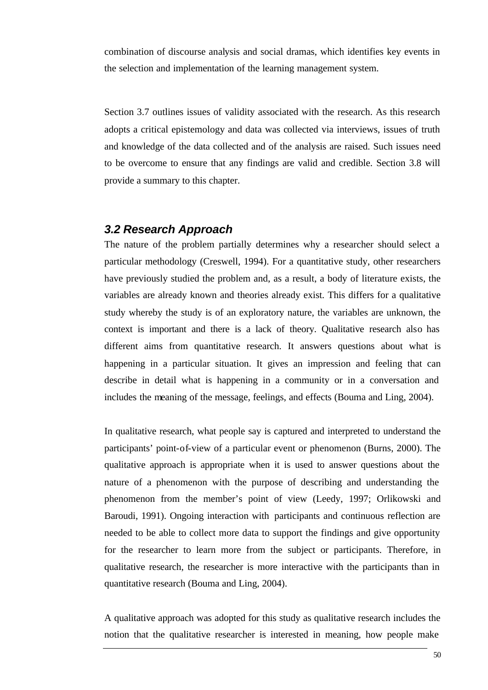combination of discourse analysis and social dramas, which identifies key events in the selection and implementation of the learning management system.

Section 3.7 outlines issues of validity associated with the research. As this research adopts a critical epistemology and data was collected via interviews, issues of truth and knowledge of the data collected and of the analysis are raised. Such issues need to be overcome to ensure that any findings are valid and credible. Section 3.8 will provide a summary to this chapter.

#### *3.2 Research Approach*

The nature of the problem partially determines why a researcher should select a particular methodology (Creswell, 1994). For a quantitative study, other researchers have previously studied the problem and, as a result, a body of literature exists, the variables are already known and theories already exist. This differs for a qualitative study whereby the study is of an exploratory nature, the variables are unknown, the context is important and there is a lack of theory. Qualitative research also has different aims from quantitative research. It answers questions about what is happening in a particular situation. It gives an impression and feeling that can describe in detail what is happening in a community or in a conversation and includes the meaning of the message, feelings, and effects (Bouma and Ling, 2004).

In qualitative research, what people say is captured and interpreted to understand the participants' point-of-view of a particular event or phenomenon (Burns, 2000). The qualitative approach is appropriate when it is used to answer questions about the nature of a phenomenon with the purpose of describing and understanding the phenomenon from the member's point of view (Leedy, 1997; Orlikowski and Baroudi, 1991). Ongoing interaction with participants and continuous reflection are needed to be able to collect more data to support the findings and give opportunity for the researcher to learn more from the subject or participants. Therefore, in qualitative research, the researcher is more interactive with the participants than in quantitative research (Bouma and Ling, 2004).

A qualitative approach was adopted for this study as qualitative research includes the notion that the qualitative researcher is interested in meaning, how people make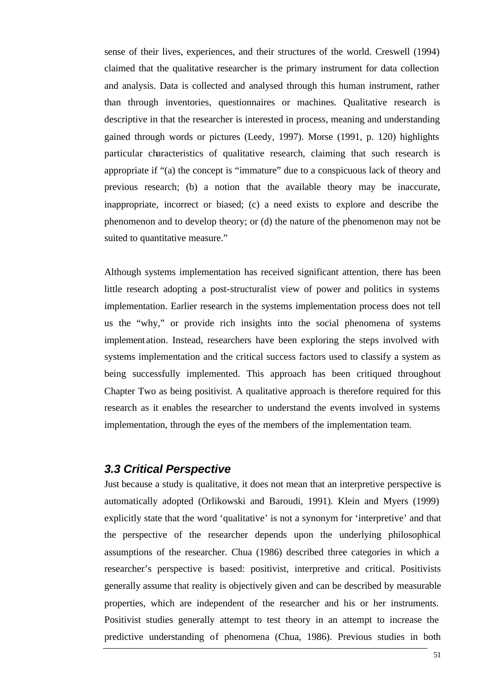sense of their lives, experiences, and their structures of the world. Creswell (1994) claimed that the qualitative researcher is the primary instrument for data collection and analysis. Data is collected and analysed through this human instrument, rather than through inventories, questionnaires or machines. Qualitative research is descriptive in that the researcher is interested in process, meaning and understanding gained through words or pictures (Leedy, 1997). Morse (1991, p. 120) highlights particular characteristics of qualitative research, claiming that such research is appropriate if "(a) the concept is "immature" due to a conspicuous lack of theory and previous research; (b) a notion that the available theory may be inaccurate, inappropriate, incorrect or biased; (c) a need exists to explore and describe the phenomenon and to develop theory; or (d) the nature of the phenomenon may not be suited to quantitative measure."

Although systems implementation has received significant attention, there has been little research adopting a post-structuralist view of power and politics in systems implementation. Earlier research in the systems implementation process does not tell us the "why," or provide rich insights into the social phenomena of systems implementation. Instead, researchers have been exploring the steps involved with systems implementation and the critical success factors used to classify a system as being successfully implemented. This approach has been critiqued throughout Chapter Two as being positivist. A qualitative approach is therefore required for this research as it enables the researcher to understand the events involved in systems implementation, through the eyes of the members of the implementation team.

#### *3.3 Critical Perspective*

Just because a study is qualitative, it does not mean that an interpretive perspective is automatically adopted (Orlikowski and Baroudi, 1991). Klein and Myers (1999) explicitly state that the word 'qualitative' is not a synonym for 'interpretive' and that the perspective of the researcher depends upon the underlying philosophical assumptions of the researcher. Chua (1986) described three categories in which a researcher's perspective is based: positivist, interpretive and critical. Positivists generally assume that reality is objectively given and can be described by measurable properties, which are independent of the researcher and his or her instruments. Positivist studies generally attempt to test theory in an attempt to increase the predictive understanding of phenomena (Chua, 1986). Previous studies in both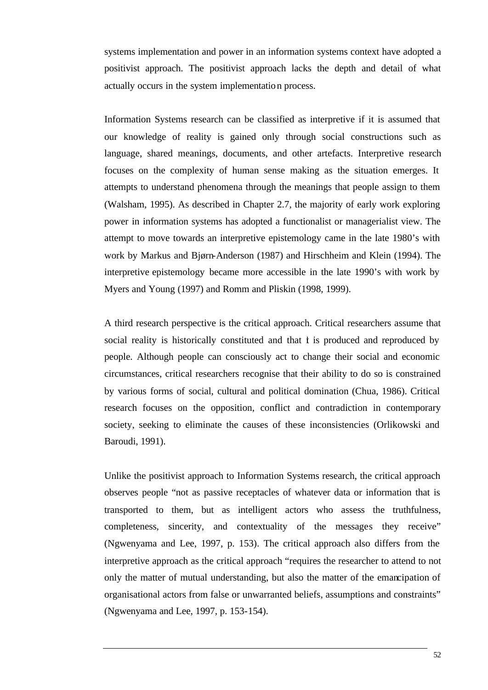systems implementation and power in an information systems context have adopted a positivist approach. The positivist approach lacks the depth and detail of what actually occurs in the system implementation process.

Information Systems research can be classified as interpretive if it is assumed that our knowledge of reality is gained only through social constructions such as language, shared meanings, documents, and other artefacts. Interpretive research focuses on the complexity of human sense making as the situation emerges. It attempts to understand phenomena through the meanings that people assign to them (Walsham, 1995). As described in Chapter 2.7, the majority of early work exploring power in information systems has adopted a functionalist or managerialist view. The attempt to move towards an interpretive epistemology came in the late 1980's with work by Markus and Bjørn-Anderson (1987) and Hirschheim and Klein (1994). The interpretive epistemology became more accessible in the late 1990's with work by Myers and Young (1997) and Romm and Pliskin (1998, 1999).

A third research perspective is the critical approach. Critical researchers assume that social reality is historically constituted and that t is produced and reproduced by people. Although people can consciously act to change their social and economic circumstances, critical researchers recognise that their ability to do so is constrained by various forms of social, cultural and political domination (Chua, 1986). Critical research focuses on the opposition, conflict and contradiction in contemporary society, seeking to eliminate the causes of these inconsistencies (Orlikowski and Baroudi, 1991).

Unlike the positivist approach to Information Systems research, the critical approach observes people "not as passive receptacles of whatever data or information that is transported to them, but as intelligent actors who assess the truthfulness, completeness, sincerity, and contextuality of the messages they receive" (Ngwenyama and Lee, 1997, p. 153). The critical approach also differs from the interpretive approach as the critical approach "requires the researcher to attend to not only the matter of mutual understanding, but also the matter of the emancipation of organisational actors from false or unwarranted beliefs, assumptions and constraints" (Ngwenyama and Lee, 1997, p. 153-154).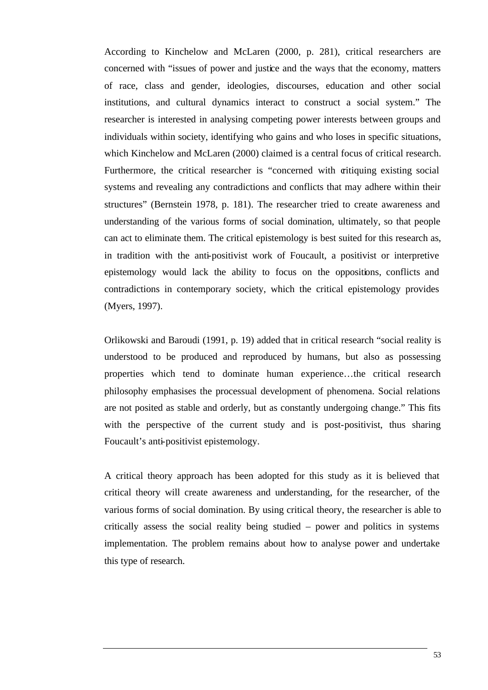According to Kinchelow and McLaren (2000, p. 281), critical researchers are concerned with "issues of power and justice and the ways that the economy, matters of race, class and gender, ideologies, discourses, education and other social institutions, and cultural dynamics interact to construct a social system." The researcher is interested in analysing competing power interests between groups and individuals within society, identifying who gains and who loses in specific situations, which Kinchelow and McLaren (2000) claimed is a central focus of critical research. Furthermore, the critical researcher is "concerned with critiquing existing social systems and revealing any contradictions and conflicts that may adhere within their structures" (Bernstein 1978, p. 181). The researcher tried to create awareness and understanding of the various forms of social domination, ultimately, so that people can act to eliminate them. The critical epistemology is best suited for this research as, in tradition with the anti-positivist work of Foucault, a positivist or interpretive epistemology would lack the ability to focus on the oppositions, conflicts and contradictions in contemporary society, which the critical epistemology provides (Myers, 1997).

Orlikowski and Baroudi (1991, p. 19) added that in critical research "social reality is understood to be produced and reproduced by humans, but also as possessing properties which tend to dominate human experience…the critical research philosophy emphasises the processual development of phenomena. Social relations are not posited as stable and orderly, but as constantly undergoing change." This fits with the perspective of the current study and is post-positivist, thus sharing Foucault's anti-positivist epistemology.

A critical theory approach has been adopted for this study as it is believed that critical theory will create awareness and understanding, for the researcher, of the various forms of social domination. By using critical theory, the researcher is able to critically assess the social reality being studied – power and politics in systems implementation. The problem remains about how to analyse power and undertake this type of research.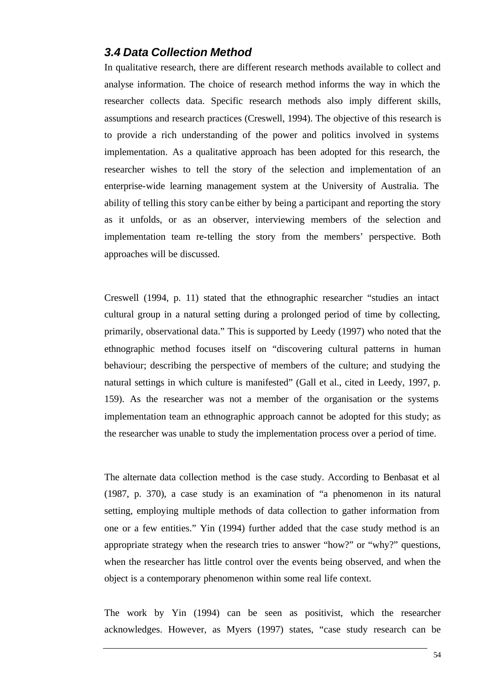#### *3.4 Data Collection Method*

In qualitative research, there are different research methods available to collect and analyse information. The choice of research method informs the way in which the researcher collects data. Specific research methods also imply different skills, assumptions and research practices (Creswell, 1994). The objective of this research is to provide a rich understanding of the power and politics involved in systems implementation. As a qualitative approach has been adopted for this research, the researcher wishes to tell the story of the selection and implementation of an enterprise-wide learning management system at the University of Australia. The ability of telling this story can be either by being a participant and reporting the story as it unfolds, or as an observer, interviewing members of the selection and implementation team re-telling the story from the members' perspective. Both approaches will be discussed.

Creswell (1994, p. 11) stated that the ethnographic researcher "studies an intact cultural group in a natural setting during a prolonged period of time by collecting, primarily, observational data." This is supported by Leedy (1997) who noted that the ethnographic method focuses itself on "discovering cultural patterns in human behaviour; describing the perspective of members of the culture; and studying the natural settings in which culture is manifested" (Gall et al., cited in Leedy, 1997, p. 159). As the researcher was not a member of the organisation or the systems implementation team an ethnographic approach cannot be adopted for this study; as the researcher was unable to study the implementation process over a period of time.

The alternate data collection method is the case study. According to Benbasat et al (1987, p. 370), a case study is an examination of "a phenomenon in its natural setting, employing multiple methods of data collection to gather information from one or a few entities." Yin (1994) further added that the case study method is an appropriate strategy when the research tries to answer "how?" or "why?" questions, when the researcher has little control over the events being observed, and when the object is a contemporary phenomenon within some real life context.

The work by Yin (1994) can be seen as positivist, which the researcher acknowledges. However, as Myers (1997) states, "case study research can be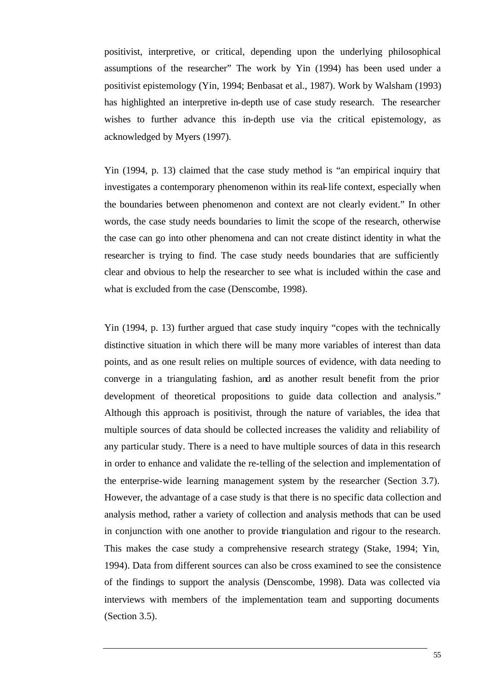positivist, interpretive, or critical, depending upon the underlying philosophical assumptions of the researcher" The work by Yin (1994) has been used under a positivist epistemology (Yin, 1994; Benbasat et al., 1987). Work by Walsham (1993) has highlighted an interpretive in-depth use of case study research. The researcher wishes to further advance this in-depth use via the critical epistemology, as acknowledged by Myers (1997).

Yin (1994, p. 13) claimed that the case study method is "an empirical inquiry that investigates a contemporary phenomenon within its real-life context, especially when the boundaries between phenomenon and context are not clearly evident." In other words, the case study needs boundaries to limit the scope of the research, otherwise the case can go into other phenomena and can not create distinct identity in what the researcher is trying to find. The case study needs boundaries that are sufficiently clear and obvious to help the researcher to see what is included within the case and what is excluded from the case (Denscombe, 1998).

Yin (1994, p. 13) further argued that case study inquiry "copes with the technically distinctive situation in which there will be many more variables of interest than data points, and as one result relies on multiple sources of evidence, with data needing to converge in a triangulating fashion, and as another result benefit from the prior development of theoretical propositions to guide data collection and analysis." Although this approach is positivist, through the nature of variables, the idea that multiple sources of data should be collected increases the validity and reliability of any particular study. There is a need to have multiple sources of data in this research in order to enhance and validate the re-telling of the selection and implementation of the enterprise-wide learning management system by the researcher (Section 3.7). However, the advantage of a case study is that there is no specific data collection and analysis method, rather a variety of collection and analysis methods that can be used in conjunction with one another to provide triangulation and rigour to the research. This makes the case study a comprehensive research strategy (Stake, 1994; Yin, 1994). Data from different sources can also be cross examined to see the consistence of the findings to support the analysis (Denscombe, 1998). Data was collected via interviews with members of the implementation team and supporting documents (Section 3.5).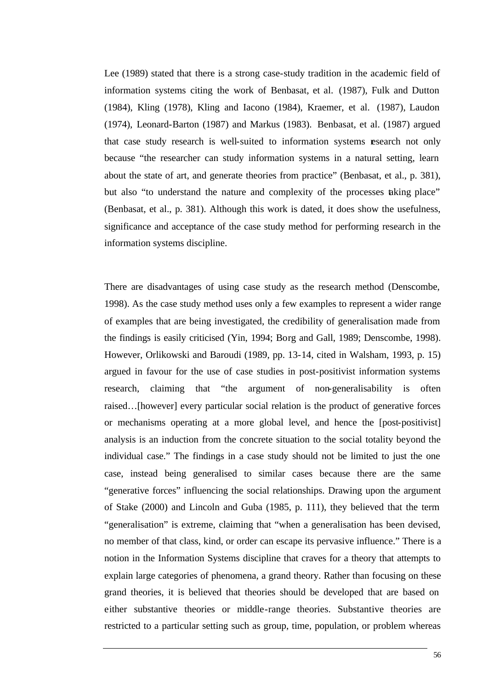Lee (1989) stated that there is a strong case-study tradition in the academic field of information systems citing the work of Benbasat, et al. (1987), Fulk and Dutton (1984), Kling (1978), Kling and Iacono (1984), Kraemer, et al. (1987), Laudon (1974), Leonard-Barton (1987) and Markus (1983). Benbasat, et al. (1987) argued that case study research is well-suited to information systems research not only because "the researcher can study information systems in a natural setting, learn about the state of art, and generate theories from practice" (Benbasat, et al., p. 381), but also "to understand the nature and complexity of the processes taking place" (Benbasat, et al., p. 381). Although this work is dated, it does show the usefulness, significance and acceptance of the case study method for performing research in the information systems discipline.

There are disadvantages of using case study as the research method (Denscombe, 1998). As the case study method uses only a few examples to represent a wider range of examples that are being investigated, the credibility of generalisation made from the findings is easily criticised (Yin, 1994; Borg and Gall, 1989; Denscombe, 1998). However, Orlikowski and Baroudi (1989, pp. 13-14, cited in Walsham, 1993, p. 15) argued in favour for the use of case studies in post-positivist information systems research, claiming that "the argument of non-generalisability is often raised…[however] every particular social relation is the product of generative forces or mechanisms operating at a more global level, and hence the [post-positivist] analysis is an induction from the concrete situation to the social totality beyond the individual case." The findings in a case study should not be limited to just the one case, instead being generalised to similar cases because there are the same "generative forces" influencing the social relationships. Drawing upon the argument of Stake (2000) and Lincoln and Guba (1985, p. 111), they believed that the term "generalisation" is extreme, claiming that "when a generalisation has been devised, no member of that class, kind, or order can escape its pervasive influence." There is a notion in the Information Systems discipline that craves for a theory that attempts to explain large categories of phenomena, a grand theory. Rather than focusing on these grand theories, it is believed that theories should be developed that are based on either substantive theories or middle-range theories. Substantive theories are restricted to a particular setting such as group, time, population, or problem whereas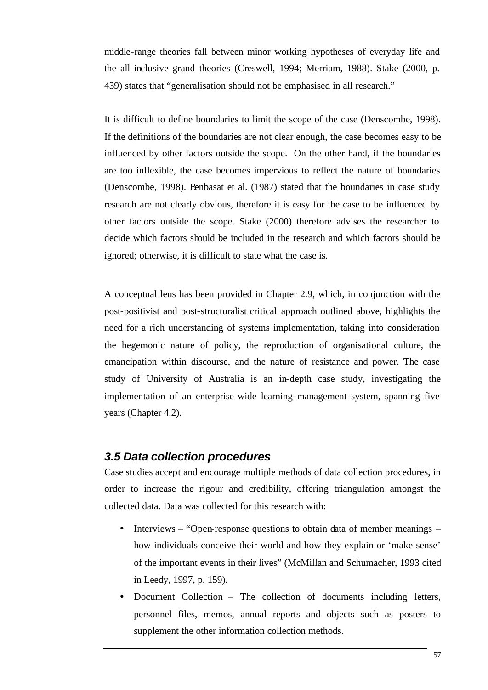middle-range theories fall between minor working hypotheses of everyday life and the all-inclusive grand theories (Creswell, 1994; Merriam, 1988). Stake (2000, p. 439) states that "generalisation should not be emphasised in all research."

It is difficult to define boundaries to limit the scope of the case (Denscombe, 1998). If the definitions of the boundaries are not clear enough, the case becomes easy to be influenced by other factors outside the scope. On the other hand, if the boundaries are too inflexible, the case becomes impervious to reflect the nature of boundaries (Denscombe, 1998). Benbasat et al. (1987) stated that the boundaries in case study research are not clearly obvious, therefore it is easy for the case to be influenced by other factors outside the scope. Stake (2000) therefore advises the researcher to decide which factors should be included in the research and which factors should be ignored; otherwise, it is difficult to state what the case is.

A conceptual lens has been provided in Chapter 2.9, which, in conjunction with the post-positivist and post-structuralist critical approach outlined above, highlights the need for a rich understanding of systems implementation, taking into consideration the hegemonic nature of policy, the reproduction of organisational culture, the emancipation within discourse, and the nature of resistance and power. The case study of University of Australia is an in-depth case study, investigating the implementation of an enterprise-wide learning management system, spanning five years (Chapter 4.2).

## *3.5 Data collection procedures*

Case studies accept and encourage multiple methods of data collection procedures, in order to increase the rigour and credibility, offering triangulation amongst the collected data. Data was collected for this research with:

- Interviews "Open-response questions to obtain data of member meanings how individuals conceive their world and how they explain or 'make sense' of the important events in their lives" (McMillan and Schumacher, 1993 cited in Leedy, 1997, p. 159).
- Document Collection The collection of documents including letters, personnel files, memos, annual reports and objects such as posters to supplement the other information collection methods.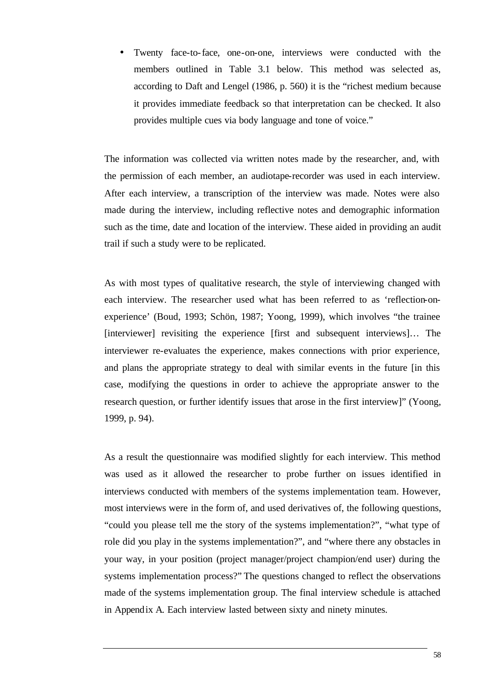• Twenty face-to-face, one-on-one, interviews were conducted with the members outlined in Table 3.1 below. This method was selected as, according to Daft and Lengel (1986, p. 560) it is the "richest medium because it provides immediate feedback so that interpretation can be checked. It also provides multiple cues via body language and tone of voice."

The information was collected via written notes made by the researcher, and, with the permission of each member, an audiotape-recorder was used in each interview. After each interview, a transcription of the interview was made. Notes were also made during the interview, including reflective notes and demographic information such as the time, date and location of the interview. These aided in providing an audit trail if such a study were to be replicated.

As with most types of qualitative research, the style of interviewing changed with each interview. The researcher used what has been referred to as 'reflection-onexperience' (Boud, 1993; Schön, 1987; Yoong, 1999), which involves "the trainee [interviewer] revisiting the experience [first and subsequent interviews]… The interviewer re-evaluates the experience, makes connections with prior experience, and plans the appropriate strategy to deal with similar events in the future [in this case, modifying the questions in order to achieve the appropriate answer to the research question, or further identify issues that arose in the first interview]" (Yoong, 1999, p. 94).

As a result the questionnaire was modified slightly for each interview. This method was used as it allowed the researcher to probe further on issues identified in interviews conducted with members of the systems implementation team. However, most interviews were in the form of, and used derivatives of, the following questions, "could you please tell me the story of the systems implementation?", "what type of role did you play in the systems implementation?", and "where there any obstacles in your way, in your position (project manager/project champion/end user) during the systems implementation process?" The questions changed to reflect the observations made of the systems implementation group. The final interview schedule is attached in Appendix A. Each interview lasted between sixty and ninety minutes.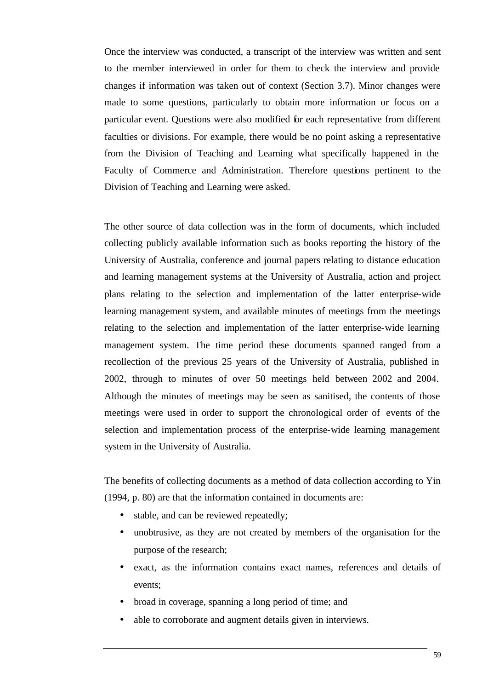Once the interview was conducted, a transcript of the interview was written and sent to the member interviewed in order for them to check the interview and provide changes if information was taken out of context (Section 3.7). Minor changes were made to some questions, particularly to obtain more information or focus on a particular event. Questions were also modified for each representative from different faculties or divisions. For example, there would be no point asking a representative from the Division of Teaching and Learning what specifically happened in the Faculty of Commerce and Administration. Therefore questions pertinent to the Division of Teaching and Learning were asked.

The other source of data collection was in the form of documents, which included collecting publicly available information such as books reporting the history of the University of Australia, conference and journal papers relating to distance education and learning management systems at the University of Australia, action and project plans relating to the selection and implementation of the latter enterprise-wide learning management system, and available minutes of meetings from the meetings relating to the selection and implementation of the latter enterprise-wide learning management system. The time period these documents spanned ranged from a recollection of the previous 25 years of the University of Australia, published in 2002, through to minutes of over 50 meetings held between 2002 and 2004. Although the minutes of meetings may be seen as sanitised, the contents of those meetings were used in order to support the chronological order of events of the selection and implementation process of the enterprise-wide learning management system in the University of Australia.

The benefits of collecting documents as a method of data collection according to Yin (1994, p. 80) are that the information contained in documents are:

- stable, and can be reviewed repeatedly;
- unobtrusive, as they are not created by members of the organisation for the purpose of the research;
- exact, as the information contains exact names, references and details of events;
- broad in coverage, spanning a long period of time; and
- able to corroborate and augment details given in interviews.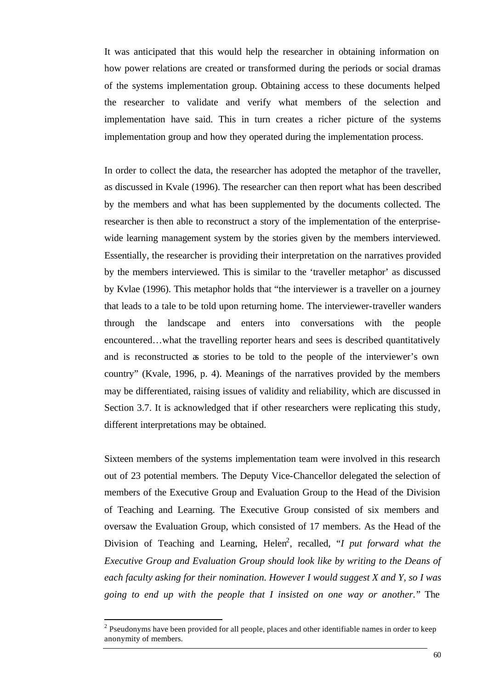It was anticipated that this would help the researcher in obtaining information on how power relations are created or transformed during the periods or social dramas of the systems implementation group. Obtaining access to these documents helped the researcher to validate and verify what members of the selection and implementation have said. This in turn creates a richer picture of the systems implementation group and how they operated during the implementation process.

In order to collect the data, the researcher has adopted the metaphor of the traveller, as discussed in Kvale (1996). The researcher can then report what has been described by the members and what has been supplemented by the documents collected. The researcher is then able to reconstruct a story of the implementation of the enterprisewide learning management system by the stories given by the members interviewed. Essentially, the researcher is providing their interpretation on the narratives provided by the members interviewed. This is similar to the 'traveller metaphor' as discussed by Kvlae (1996). This metaphor holds that "the interviewer is a traveller on a journey that leads to a tale to be told upon returning home. The interviewer-traveller wanders through the landscape and enters into conversations with the people encountered…what the travelling reporter hears and sees is described quantitatively and is reconstructed as stories to be told to the people of the interviewer's own country" (Kvale, 1996, p. 4). Meanings of the narratives provided by the members may be differentiated, raising issues of validity and reliability, which are discussed in Section 3.7. It is acknowledged that if other researchers were replicating this study, different interpretations may be obtained.

Sixteen members of the systems implementation team were involved in this research out of 23 potential members. The Deputy Vice-Chancellor delegated the selection of members of the Executive Group and Evaluation Group to the Head of the Division of Teaching and Learning. The Executive Group consisted of six members and oversaw the Evaluation Group, which consisted of 17 members. As the Head of the Division of Teaching and Learning, Helen<sup>2</sup>, recalled, "*I put forward what the Executive Group and Evaluation Group should look like by writing to the Deans of each faculty asking for their nomination. However I would suggest X and Y, so I was going to end up with the people that I insisted on one way or another.*" The

l

 $2$  Pseudonyms have been provided for all people, places and other identifiable names in order to keep anonymity of members.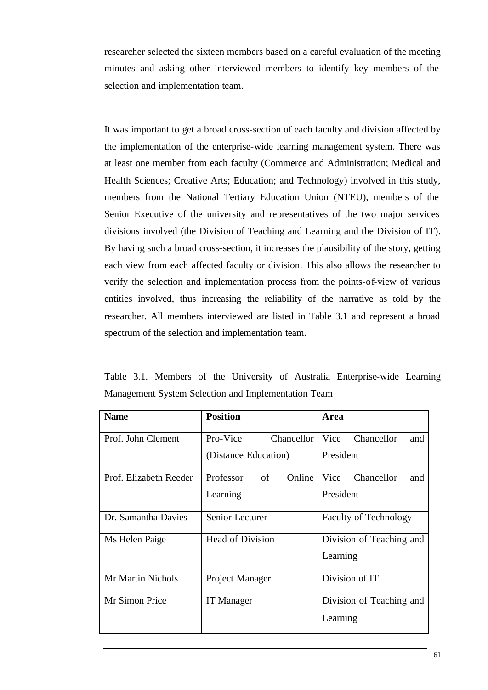researcher selected the sixteen members based on a careful evaluation of the meeting minutes and asking other interviewed members to identify key members of the selection and implementation team.

It was important to get a broad cross-section of each faculty and division affected by the implementation of the enterprise-wide learning management system. There was at least one member from each faculty (Commerce and Administration; Medical and Health Sciences; Creative Arts; Education; and Technology) involved in this study, members from the National Tertiary Education Union (NTEU), members of the Senior Executive of the university and representatives of the two major services divisions involved (the Division of Teaching and Learning and the Division of IT). By having such a broad cross-section, it increases the plausibility of the story, getting each view from each affected faculty or division. This also allows the researcher to verify the selection and implementation process from the points-of-view of various entities involved, thus increasing the reliability of the narrative as told by the researcher. All members interviewed are listed in Table 3.1 and represent a broad spectrum of the selection and implementation team.

Table 3.1. Members of the University of Australia Enterprise-wide Learning Management System Selection and Implementation Team

| <b>Name</b>            | <b>Position</b>           | Area                         |
|------------------------|---------------------------|------------------------------|
| Prof. John Clement     | Pro-Vice<br>Chancellor    | Vice<br>Chancellor<br>and    |
|                        | (Distance Education)      | President                    |
| Prof. Elizabeth Reeder | of<br>Online<br>Professor | Vice<br>Chancellor<br>and    |
|                        | Learning                  | President                    |
| Dr. Samantha Davies    | Senior Lecturer           | <b>Faculty of Technology</b> |
| Ms Helen Paige         | Head of Division          | Division of Teaching and     |
|                        |                           | Learning                     |
| Mr Martin Nichols      | Project Manager           | Division of IT               |
| Mr Simon Price         | <b>IT</b> Manager         | Division of Teaching and     |
|                        |                           | Learning                     |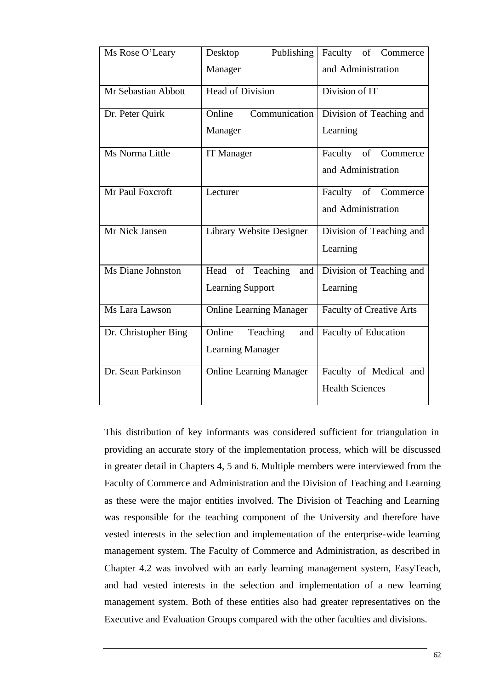| Ms Rose O'Leary      | Publishing<br>Desktop          | Faculty of Commerce             |
|----------------------|--------------------------------|---------------------------------|
|                      | Manager                        | and Administration              |
| Mr Sebastian Abbott  | <b>Head of Division</b>        | Division of IT                  |
| Dr. Peter Quirk      | Communication<br>Online        | Division of Teaching and        |
|                      | Manager                        | Learning                        |
| Ms Norma Little      | IT Manager                     | Faculty of Commerce             |
|                      |                                | and Administration              |
| Mr Paul Foxcroft     | Lecturer                       | Faculty of Commerce             |
|                      |                                | and Administration              |
| Mr Nick Jansen       | Library Website Designer       | Division of Teaching and        |
|                      |                                | Learning                        |
| Ms Diane Johnston    | Head of Teaching<br>and        | Division of Teaching and        |
|                      | <b>Learning Support</b>        | Learning                        |
| Ms Lara Lawson       | <b>Online Learning Manager</b> | <b>Faculty of Creative Arts</b> |
| Dr. Christopher Bing | Online<br>Teaching<br>and      | Faculty of Education            |
|                      | <b>Learning Manager</b>        |                                 |
| Dr. Sean Parkinson   | <b>Online Learning Manager</b> | Faculty of Medical and          |
|                      |                                | <b>Health Sciences</b>          |

This distribution of key informants was considered sufficient for triangulation in providing an accurate story of the implementation process, which will be discussed in greater detail in Chapters 4, 5 and 6. Multiple members were interviewed from the Faculty of Commerce and Administration and the Division of Teaching and Learning as these were the major entities involved. The Division of Teaching and Learning was responsible for the teaching component of the University and therefore have vested interests in the selection and implementation of the enterprise-wide learning management system. The Faculty of Commerce and Administration, as described in Chapter 4.2 was involved with an early learning management system, EasyTeach, and had vested interests in the selection and implementation of a new learning management system. Both of these entities also had greater representatives on the Executive and Evaluation Groups compared with the other faculties and divisions.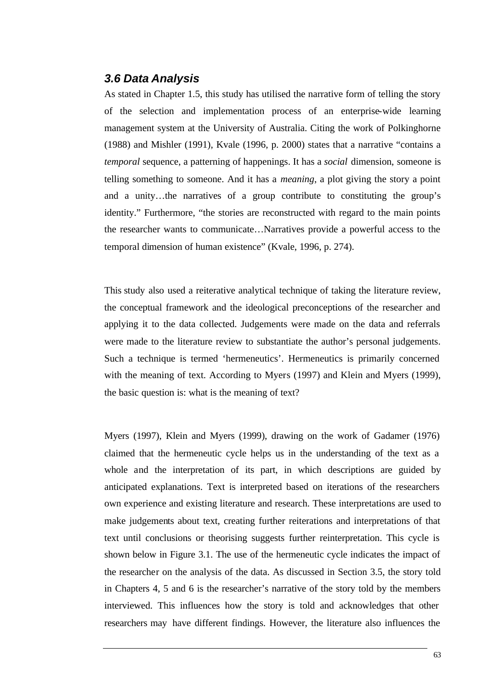### *3.6 Data Analysis*

As stated in Chapter 1.5, this study has utilised the narrative form of telling the story of the selection and implementation process of an enterprise-wide learning management system at the University of Australia. Citing the work of Polkinghorne (1988) and Mishler (1991), Kvale (1996, p. 2000) states that a narrative "contains a *temporal* sequence, a patterning of happenings. It has a *social* dimension, someone is telling something to someone. And it has a *meaning*, a plot giving the story a point and a unity…the narratives of a group contribute to constituting the group's identity." Furthermore, "the stories are reconstructed with regard to the main points the researcher wants to communicate…Narratives provide a powerful access to the temporal dimension of human existence" (Kvale, 1996, p. 274).

This study also used a reiterative analytical technique of taking the literature review, the conceptual framework and the ideological preconceptions of the researcher and applying it to the data collected. Judgements were made on the data and referrals were made to the literature review to substantiate the author's personal judgements. Such a technique is termed 'hermeneutics'. Hermeneutics is primarily concerned with the meaning of text. According to Myers (1997) and Klein and Myers (1999), the basic question is: what is the meaning of text?

Myers (1997), Klein and Myers (1999), drawing on the work of Gadamer (1976) claimed that the hermeneutic cycle helps us in the understanding of the text as a whole and the interpretation of its part, in which descriptions are guided by anticipated explanations. Text is interpreted based on iterations of the researchers own experience and existing literature and research. These interpretations are used to make judgements about text, creating further reiterations and interpretations of that text until conclusions or theorising suggests further reinterpretation. This cycle is shown below in Figure 3.1. The use of the hermeneutic cycle indicates the impact of the researcher on the analysis of the data. As discussed in Section 3.5, the story told in Chapters 4, 5 and 6 is the researcher's narrative of the story told by the members interviewed. This influences how the story is told and acknowledges that other researchers may have different findings. However, the literature also influences the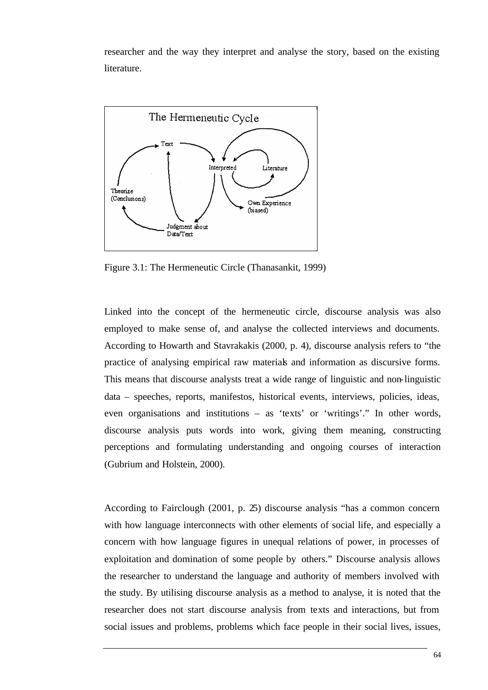researcher and the way they interpret and analyse the story, based on the existing literature.



Figure 3.1: The Hermeneutic Circle (Thanasankit, 1999)

Linked into the concept of the hermeneutic circle, discourse analysis was also employed to make sense of, and analyse the collected interviews and documents. According to Howarth and Stavrakakis (2000, p. 4), discourse analysis refers to "the practice of analysing empirical raw materials and information as discursive forms. This means that discourse analysts treat a wide range of linguistic and non-linguistic data – speeches, reports, manifestos, historical events, interviews, policies, ideas, even organisations and institutions – as 'texts' or 'writings'." In other words, discourse analysis puts words into work, giving them meaning, constructing perceptions and formulating understanding and ongoing courses of interaction (Gubrium and Holstein, 2000).

According to Fairclough (2001, p. 25) discourse analysis "has a common concern with how language interconnects with other elements of social life, and especially a concern with how language figures in unequal relations of power, in processes of exploitation and domination of some people by others." Discourse analysis allows the researcher to understand the language and authority of members involved with the study. By utilising discourse analysis as a method to analyse, it is noted that the researcher does not start discourse analysis from texts and interactions, but from social issues and problems, problems which face people in their social lives, issues,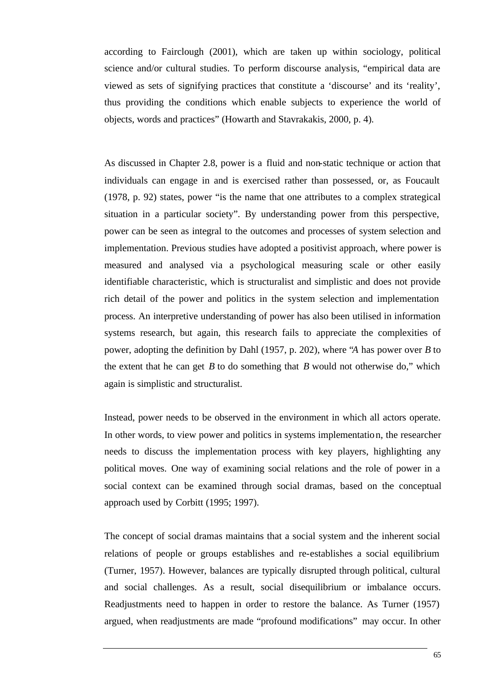according to Fairclough (2001), which are taken up within sociology, political science and/or cultural studies. To perform discourse analysis, "empirical data are viewed as sets of signifying practices that constitute a 'discourse' and its 'reality', thus providing the conditions which enable subjects to experience the world of objects, words and practices" (Howarth and Stavrakakis, 2000, p. 4).

As discussed in Chapter 2.8, power is a fluid and non-static technique or action that individuals can engage in and is exercised rather than possessed, or, as Foucault (1978, p. 92) states, power "is the name that one attributes to a complex strategical situation in a particular society". By understanding power from this perspective, power can be seen as integral to the outcomes and processes of system selection and implementation. Previous studies have adopted a positivist approach, where power is measured and analysed via a psychological measuring scale or other easily identifiable characteristic, which is structuralist and simplistic and does not provide rich detail of the power and politics in the system selection and implementation process. An interpretive understanding of power has also been utilised in information systems research, but again, this research fails to appreciate the complexities of power, adopting the definition by Dahl (1957, p. 202), where "*A* has power over *B* to the extent that he can get *B* to do something that *B* would not otherwise do," which again is simplistic and structuralist.

Instead, power needs to be observed in the environment in which all actors operate. In other words, to view power and politics in systems implementation, the researcher needs to discuss the implementation process with key players, highlighting any political moves. One way of examining social relations and the role of power in a social context can be examined through social dramas, based on the conceptual approach used by Corbitt (1995; 1997).

The concept of social dramas maintains that a social system and the inherent social relations of people or groups establishes and re-establishes a social equilibrium (Turner, 1957). However, balances are typically disrupted through political, cultural and social challenges. As a result, social disequilibrium or imbalance occurs. Readjustments need to happen in order to restore the balance. As Turner (1957) argued, when readjustments are made "profound modifications" may occur. In other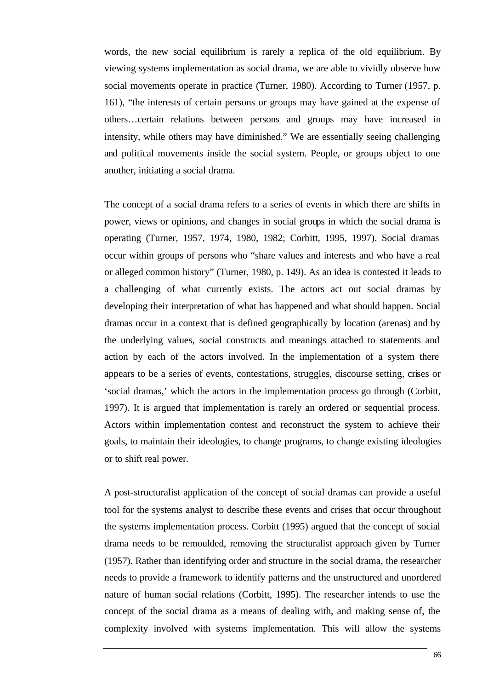words, the new social equilibrium is rarely a replica of the old equilibrium. By viewing systems implementation as social drama, we are able to vividly observe how social movements operate in practice (Turner, 1980). According to Turner (1957, p. 161), "the interests of certain persons or groups may have gained at the expense of others…certain relations between persons and groups may have increased in intensity, while others may have diminished." We are essentially seeing challenging and political movements inside the social system. People, or groups object to one another, initiating a social drama.

The concept of a social drama refers to a series of events in which there are shifts in power, views or opinions, and changes in social groups in which the social drama is operating (Turner, 1957, 1974, 1980, 1982; Corbitt, 1995, 1997). Social dramas occur within groups of persons who "share values and interests and who have a real or alleged common history" (Turner, 1980, p. 149). As an idea is contested it leads to a challenging of what currently exists. The actors act out social dramas by developing their interpretation of what has happened and what should happen. Social dramas occur in a context that is defined geographically by location (arenas) and by the underlying values, social constructs and meanings attached to statements and action by each of the actors involved. In the implementation of a system there appears to be a series of events, contestations, struggles, discourse setting, crises or 'social dramas,' which the actors in the implementation process go through (Corbitt, 1997). It is argued that implementation is rarely an ordered or sequential process. Actors within implementation contest and reconstruct the system to achieve their goals, to maintain their ideologies, to change programs, to change existing ideologies or to shift real power.

A post-structuralist application of the concept of social dramas can provide a useful tool for the systems analyst to describe these events and crises that occur throughout the systems implementation process. Corbitt (1995) argued that the concept of social drama needs to be remoulded, removing the structuralist approach given by Turner (1957). Rather than identifying order and structure in the social drama, the researcher needs to provide a framework to identify patterns and the unstructured and unordered nature of human social relations (Corbitt, 1995). The researcher intends to use the concept of the social drama as a means of dealing with, and making sense of, the complexity involved with systems implementation. This will allow the systems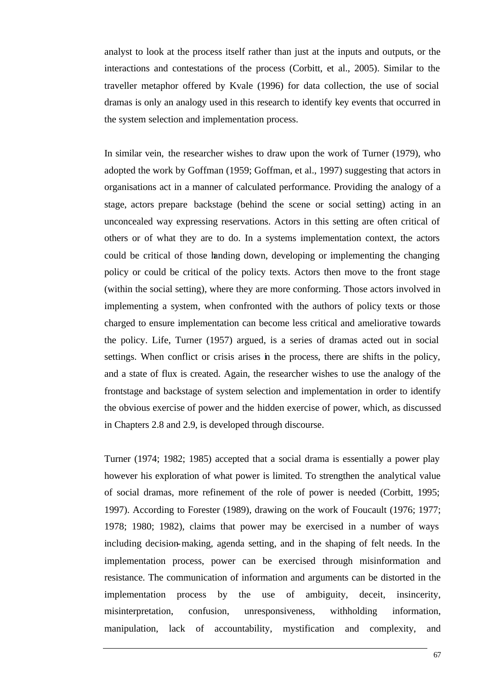analyst to look at the process itself rather than just at the inputs and outputs, or the interactions and contestations of the process (Corbitt, et al., 2005). Similar to the traveller metaphor offered by Kvale (1996) for data collection, the use of social dramas is only an analogy used in this research to identify key events that occurred in the system selection and implementation process.

In similar vein, the researcher wishes to draw upon the work of Turner (1979), who adopted the work by Goffman (1959; Goffman, et al., 1997) suggesting that actors in organisations act in a manner of calculated performance. Providing the analogy of a stage, actors prepare backstage (behind the scene or social setting) acting in an unconcealed way expressing reservations. Actors in this setting are often critical of others or of what they are to do. In a systems implementation context, the actors could be critical of those handing down, developing or implementing the changing policy or could be critical of the policy texts. Actors then move to the front stage (within the social setting), where they are more conforming. Those actors involved in implementing a system, when confronted with the authors of policy texts or those charged to ensure implementation can become less critical and ameliorative towards the policy. Life, Turner (1957) argued, is a series of dramas acted out in social settings. When conflict or crisis arises in the process, there are shifts in the policy, and a state of flux is created. Again, the researcher wishes to use the analogy of the frontstage and backstage of system selection and implementation in order to identify the obvious exercise of power and the hidden exercise of power, which, as discussed in Chapters 2.8 and 2.9, is developed through discourse.

Turner (1974; 1982; 1985) accepted that a social drama is essentially a power play however his exploration of what power is limited. To strengthen the analytical value of social dramas, more refinement of the role of power is needed (Corbitt, 1995; 1997). According to Forester (1989), drawing on the work of Foucault (1976; 1977; 1978; 1980; 1982), claims that power may be exercised in a number of ways including decision-making, agenda setting, and in the shaping of felt needs. In the implementation process, power can be exercised through misinformation and resistance. The communication of information and arguments can be distorted in the implementation process by the use of ambiguity, deceit, insincerity, misinterpretation, confusion, unresponsiveness, withholding information, manipulation, lack of accountability, mystification and complexity, and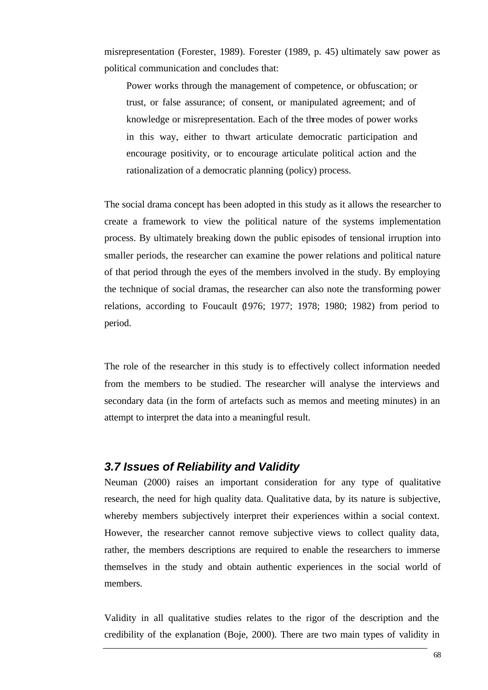misrepresentation (Forester, 1989). Forester (1989, p. 45) ultimately saw power as political communication and concludes that:

Power works through the management of competence, or obfuscation; or trust, or false assurance; of consent, or manipulated agreement; and of knowledge or misrepresentation. Each of the three modes of power works in this way, either to thwart articulate democratic participation and encourage positivity, or to encourage articulate political action and the rationalization of a democratic planning (policy) process.

The social drama concept has been adopted in this study as it allows the researcher to create a framework to view the political nature of the systems implementation process. By ultimately breaking down the public episodes of tensional irruption into smaller periods, the researcher can examine the power relations and political nature of that period through the eyes of the members involved in the study. By employing the technique of social dramas, the researcher can also note the transforming power relations, according to Foucault (1976; 1977; 1978; 1980; 1982) from period to period.

The role of the researcher in this study is to effectively collect information needed from the members to be studied. The researcher will analyse the interviews and secondary data (in the form of artefacts such as memos and meeting minutes) in an attempt to interpret the data into a meaningful result.

#### *3.7 Issues of Reliability and Validity*

Neuman (2000) raises an important consideration for any type of qualitative research, the need for high quality data. Qualitative data, by its nature is subjective, whereby members subjectively interpret their experiences within a social context. However, the researcher cannot remove subjective views to collect quality data, rather, the members descriptions are required to enable the researchers to immerse themselves in the study and obtain authentic experiences in the social world of members.

Validity in all qualitative studies relates to the rigor of the description and the credibility of the explanation (Boje, 2000). There are two main types of validity in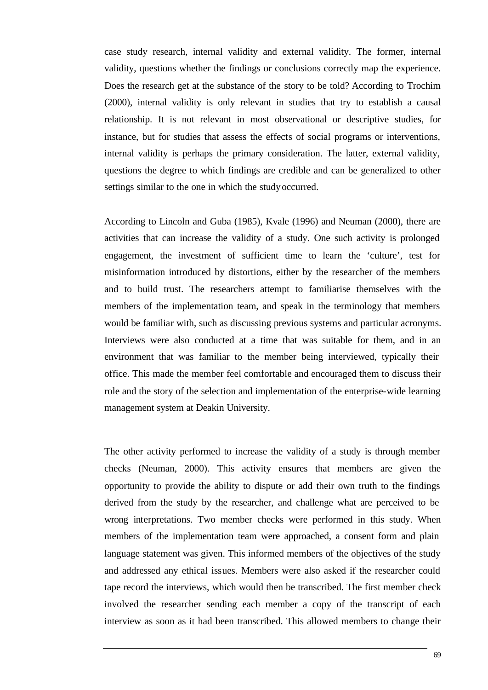case study research, internal validity and external validity. The former, internal validity, questions whether the findings or conclusions correctly map the experience. Does the research get at the substance of the story to be told? According to Trochim (2000), internal validity is only relevant in studies that try to establish a causal relationship. It is not relevant in most observational or descriptive studies, for instance, but for studies that assess the effects of social programs or interventions, internal validity is perhaps the primary consideration. The latter, external validity, questions the degree to which findings are credible and can be generalized to other settings similar to the one in which the study occurred.

According to Lincoln and Guba (1985), Kvale (1996) and Neuman (2000), there are activities that can increase the validity of a study. One such activity is prolonged engagement, the investment of sufficient time to learn the 'culture', test for misinformation introduced by distortions, either by the researcher of the members and to build trust. The researchers attempt to familiarise themselves with the members of the implementation team, and speak in the terminology that members would be familiar with, such as discussing previous systems and particular acronyms. Interviews were also conducted at a time that was suitable for them, and in an environment that was familiar to the member being interviewed, typically their office. This made the member feel comfortable and encouraged them to discuss their role and the story of the selection and implementation of the enterprise-wide learning management system at Deakin University.

The other activity performed to increase the validity of a study is through member checks (Neuman, 2000). This activity ensures that members are given the opportunity to provide the ability to dispute or add their own truth to the findings derived from the study by the researcher, and challenge what are perceived to be wrong interpretations. Two member checks were performed in this study. When members of the implementation team were approached, a consent form and plain language statement was given. This informed members of the objectives of the study and addressed any ethical issues. Members were also asked if the researcher could tape record the interviews, which would then be transcribed. The first member check involved the researcher sending each member a copy of the transcript of each interview as soon as it had been transcribed. This allowed members to change their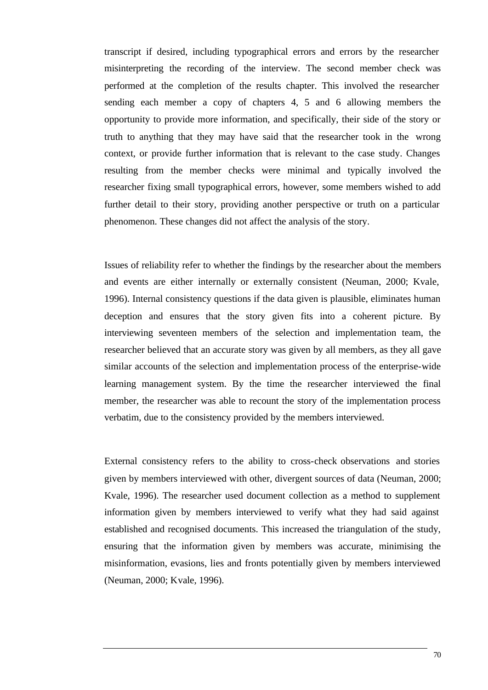transcript if desired, including typographical errors and errors by the researcher misinterpreting the recording of the interview. The second member check was performed at the completion of the results chapter. This involved the researcher sending each member a copy of chapters 4, 5 and 6 allowing members the opportunity to provide more information, and specifically, their side of the story or truth to anything that they may have said that the researcher took in the wrong context, or provide further information that is relevant to the case study. Changes resulting from the member checks were minimal and typically involved the researcher fixing small typographical errors, however, some members wished to add further detail to their story, providing another perspective or truth on a particular phenomenon. These changes did not affect the analysis of the story.

Issues of reliability refer to whether the findings by the researcher about the members and events are either internally or externally consistent (Neuman, 2000; Kvale, 1996). Internal consistency questions if the data given is plausible, eliminates human deception and ensures that the story given fits into a coherent picture. By interviewing seventeen members of the selection and implementation team, the researcher believed that an accurate story was given by all members, as they all gave similar accounts of the selection and implementation process of the enterprise-wide learning management system. By the time the researcher interviewed the final member, the researcher was able to recount the story of the implementation process verbatim, due to the consistency provided by the members interviewed.

External consistency refers to the ability to cross-check observations and stories given by members interviewed with other, divergent sources of data (Neuman, 2000; Kvale, 1996). The researcher used document collection as a method to supplement information given by members interviewed to verify what they had said against established and recognised documents. This increased the triangulation of the study, ensuring that the information given by members was accurate, minimising the misinformation, evasions, lies and fronts potentially given by members interviewed (Neuman, 2000; Kvale, 1996).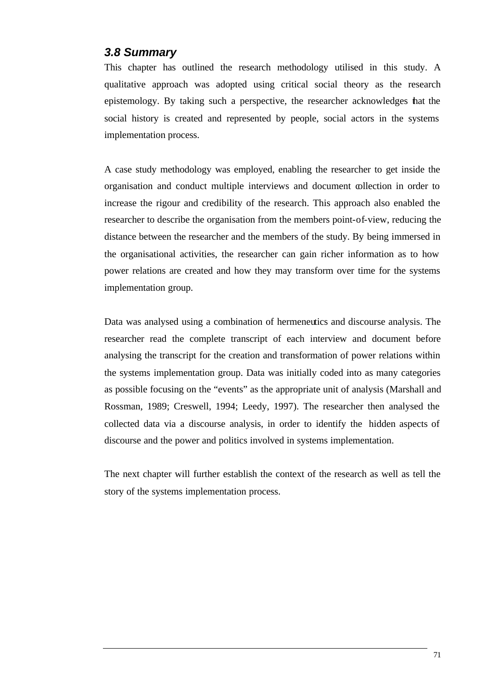#### *3.8 Summary*

This chapter has outlined the research methodology utilised in this study. A qualitative approach was adopted using critical social theory as the research epistemology. By taking such a perspective, the researcher acknowledges that the social history is created and represented by people, social actors in the systems implementation process.

A case study methodology was employed, enabling the researcher to get inside the organisation and conduct multiple interviews and document collection in order to increase the rigour and credibility of the research. This approach also enabled the researcher to describe the organisation from the members point-of-view, reducing the distance between the researcher and the members of the study. By being immersed in the organisational activities, the researcher can gain richer information as to how power relations are created and how they may transform over time for the systems implementation group.

Data was analysed using a combination of hermeneutics and discourse analysis. The researcher read the complete transcript of each interview and document before analysing the transcript for the creation and transformation of power relations within the systems implementation group. Data was initially coded into as many categories as possible focusing on the "events" as the appropriate unit of analysis (Marshall and Rossman, 1989; Creswell, 1994; Leedy, 1997). The researcher then analysed the collected data via a discourse analysis, in order to identify the hidden aspects of discourse and the power and politics involved in systems implementation.

The next chapter will further establish the context of the research as well as tell the story of the systems implementation process.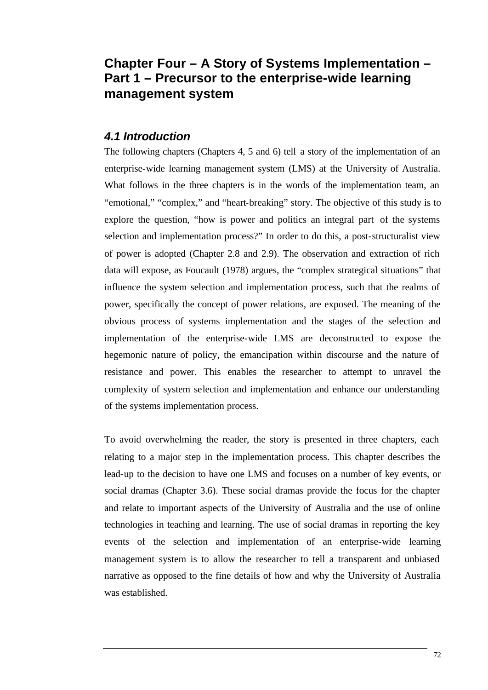# **Chapter Four – A Story of Systems Implementation – Part 1 – Precursor to the enterprise-wide learning management system**

## *4.1 Introduction*

The following chapters (Chapters 4, 5 and 6) tell a story of the implementation of an enterprise-wide learning management system (LMS) at the University of Australia. What follows in the three chapters is in the words of the implementation team, an "emotional," "complex," and "heart-breaking" story. The objective of this study is to explore the question, "how is power and politics an integral part of the systems selection and implementation process?" In order to do this, a post-structuralist view of power is adopted (Chapter 2.8 and 2.9). The observation and extraction of rich data will expose, as Foucault (1978) argues, the "complex strategical situations" that influence the system selection and implementation process, such that the realms of power, specifically the concept of power relations, are exposed. The meaning of the obvious process of systems implementation and the stages of the selection and implementation of the enterprise-wide LMS are deconstructed to expose the hegemonic nature of policy, the emancipation within discourse and the nature of resistance and power. This enables the researcher to attempt to unravel the complexity of system selection and implementation and enhance our understanding of the systems implementation process.

To avoid overwhelming the reader, the story is presented in three chapters, each relating to a major step in the implementation process. This chapter describes the lead-up to the decision to have one LMS and focuses on a number of key events, or social dramas (Chapter 3.6). These social dramas provide the focus for the chapter and relate to important aspects of the University of Australia and the use of online technologies in teaching and learning. The use of social dramas in reporting the key events of the selection and implementation of an enterprise-wide learning management system is to allow the researcher to tell a transparent and unbiased narrative as opposed to the fine details of how and why the University of Australia was established.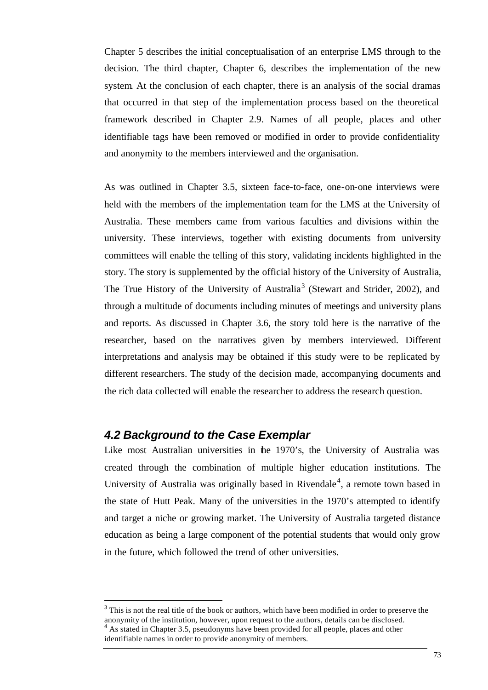Chapter 5 describes the initial conceptualisation of an enterprise LMS through to the decision. The third chapter, Chapter 6, describes the implementation of the new system. At the conclusion of each chapter, there is an analysis of the social dramas that occurred in that step of the implementation process based on the theoretical framework described in Chapter 2.9. Names of all people, places and other identifiable tags have been removed or modified in order to provide confidentiality and anonymity to the members interviewed and the organisation.

As was outlined in Chapter 3.5, sixteen face-to-face, one-on-one interviews were held with the members of the implementation team for the LMS at the University of Australia. These members came from various faculties and divisions within the university. These interviews, together with existing documents from university committees will enable the telling of this story, validating incidents highlighted in the story. The story is supplemented by the official history of the University of Australia, The True History of the University of Australia<sup>3</sup> (Stewart and Strider, 2002), and through a multitude of documents including minutes of meetings and university plans and reports. As discussed in Chapter 3.6, the story told here is the narrative of the researcher, based on the narratives given by members interviewed. Different interpretations and analysis may be obtained if this study were to be replicated by different researchers. The study of the decision made, accompanying documents and the rich data collected will enable the researcher to address the research question.

## *4.2 Background to the Case Exemplar*

l

Like most Australian universities in the 1970's, the University of Australia was created through the combination of multiple higher education institutions. The University of Australia was originally based in Rivendale<sup>4</sup>, a remote town based in the state of Hutt Peak. Many of the universities in the 1970's attempted to identify and target a niche or growing market. The University of Australia targeted distance education as being a large component of the potential students that would only grow in the future, which followed the trend of other universities.

 $3$  This is not the real title of the book or authors, which have been modified in order to preserve the anonymity of the institution, however, upon request to the authors, details can be disclosed. <sup>4</sup> As stated in Chapter 3.5, pseudonyms have been provided for all people, places and other identifiable names in order to provide anonymity of members.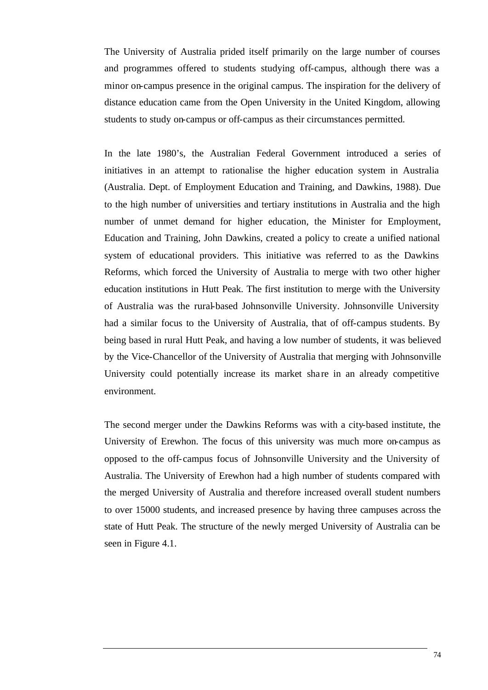The University of Australia prided itself primarily on the large number of courses and programmes offered to students studying off-campus, although there was a minor on-campus presence in the original campus. The inspiration for the delivery of distance education came from the Open University in the United Kingdom, allowing students to study on-campus or off-campus as their circumstances permitted.

In the late 1980's, the Australian Federal Government introduced a series of initiatives in an attempt to rationalise the higher education system in Australia (Australia. Dept. of Employment Education and Training, and Dawkins, 1988). Due to the high number of universities and tertiary institutions in Australia and the high number of unmet demand for higher education, the Minister for Employment, Education and Training, John Dawkins, created a policy to create a unified national system of educational providers. This initiative was referred to as the Dawkins Reforms, which forced the University of Australia to merge with two other higher education institutions in Hutt Peak. The first institution to merge with the University of Australia was the rural-based Johnsonville University. Johnsonville University had a similar focus to the University of Australia, that of off-campus students. By being based in rural Hutt Peak, and having a low number of students, it was believed by the Vice-Chancellor of the University of Australia that merging with Johnsonville University could potentially increase its market share in an already competitive environment.

The second merger under the Dawkins Reforms was with a city-based institute, the University of Erewhon. The focus of this university was much more on-campus as opposed to the off-campus focus of Johnsonville University and the University of Australia. The University of Erewhon had a high number of students compared with the merged University of Australia and therefore increased overall student numbers to over 15000 students, and increased presence by having three campuses across the state of Hutt Peak. The structure of the newly merged University of Australia can be seen in Figure 4.1.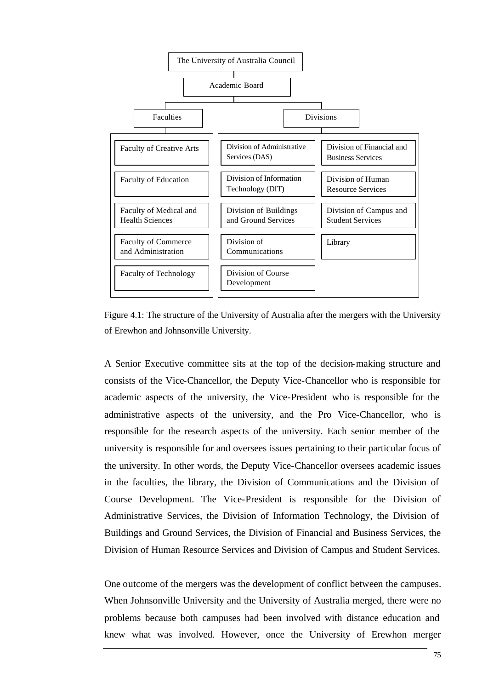

Figure 4.1: The structure of the University of Australia after the mergers with the University of Erewhon and Johnsonville University.

A Senior Executive committee sits at the top of the decision-making structure and consists of the Vice-Chancellor, the Deputy Vice-Chancellor who is responsible for academic aspects of the university, the Vice-President who is responsible for the administrative aspects of the university, and the Pro Vice-Chancellor, who is responsible for the research aspects of the university. Each senior member of the university is responsible for and oversees issues pertaining to their particular focus of the university. In other words, the Deputy Vice-Chancellor oversees academic issues in the faculties, the library, the Division of Communications and the Division of Course Development. The Vice-President is responsible for the Division of Administrative Services, the Division of Information Technology, the Division of Buildings and Ground Services, the Division of Financial and Business Services, the Division of Human Resource Services and Division of Campus and Student Services.

One outcome of the mergers was the development of conflict between the campuses. When Johnsonville University and the University of Australia merged, there were no problems because both campuses had been involved with distance education and knew what was involved. However, once the University of Erewhon merger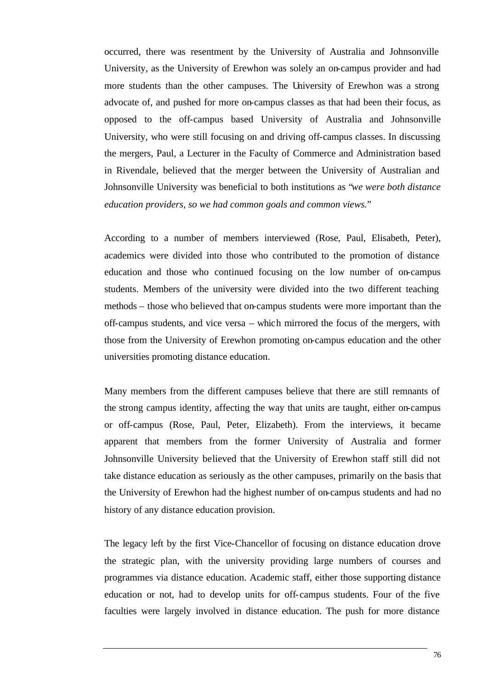occurred, there was resentment by the University of Australia and Johnsonville University, as the University of Erewhon was solely an on-campus provider and had more students than the other campuses. The University of Erewhon was a strong advocate of, and pushed for more on-campus classes as that had been their focus, as opposed to the off-campus based University of Australia and Johnsonville University, who were still focusing on and driving off-campus classes. In discussing the mergers, Paul, a Lecturer in the Faculty of Commerce and Administration based in Rivendale, believed that the merger between the University of Australian and Johnsonville University was beneficial to both institutions as "*we were both distance education providers, so we had common goals and common views.*"

According to a number of members interviewed (Rose, Paul, Elisabeth, Peter), academics were divided into those who contributed to the promotion of distance education and those who continued focusing on the low number of on-campus students. Members of the university were divided into the two different teaching methods – those who believed that on-campus students were more important than the off-campus students, and vice versa – which mirrored the focus of the mergers, with those from the University of Erewhon promoting on-campus education and the other universities promoting distance education.

Many members from the different campuses believe that there are still remnants of the strong campus identity, affecting the way that units are taught, either on-campus or off-campus (Rose, Paul, Peter, Elizabeth). From the interviews, it became apparent that members from the former University of Australia and former Johnsonville University believed that the University of Erewhon staff still did not take distance education as seriously as the other campuses, primarily on the basis that the University of Erewhon had the highest number of on-campus students and had no history of any distance education provision.

The legacy left by the first Vice-Chancellor of focusing on distance education drove the strategic plan, with the university providing large numbers of courses and programmes via distance education. Academic staff, either those supporting distance education or not, had to develop units for off-campus students. Four of the five faculties were largely involved in distance education. The push for more distance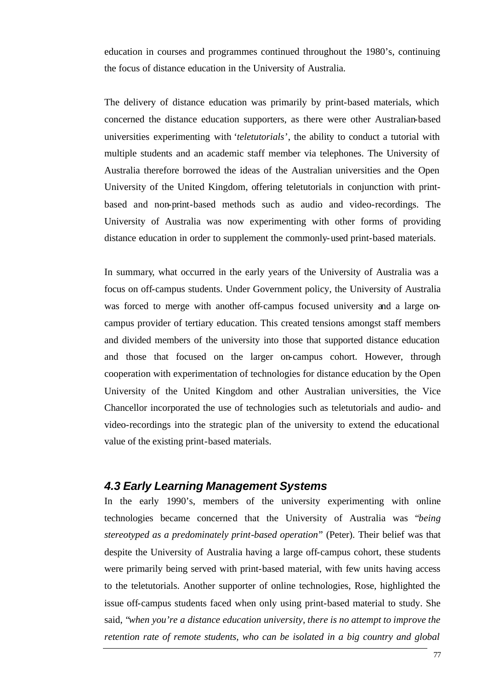education in courses and programmes continued throughout the 1980's, continuing the focus of distance education in the University of Australia.

The delivery of distance education was primarily by print-based materials, which concerned the distance education supporters, as there were other Australian-based universities experimenting with '*teletutorials*', the ability to conduct a tutorial with multiple students and an academic staff member via telephones. The University of Australia therefore borrowed the ideas of the Australian universities and the Open University of the United Kingdom, offering teletutorials in conjunction with printbased and non-print-based methods such as audio and video-recordings. The University of Australia was now experimenting with other forms of providing distance education in order to supplement the commonly-used print-based materials.

In summary, what occurred in the early years of the University of Australia was a focus on off-campus students. Under Government policy, the University of Australia was forced to merge with another off-campus focused university and a large oncampus provider of tertiary education. This created tensions amongst staff members and divided members of the university into those that supported distance education and those that focused on the larger on-campus cohort. However, through cooperation with experimentation of technologies for distance education by the Open University of the United Kingdom and other Australian universities, the Vice Chancellor incorporated the use of technologies such as teletutorials and audio- and video-recordings into the strategic plan of the university to extend the educational value of the existing print-based materials.

## *4.3 Early Learning Management Systems*

In the early 1990's, members of the university experimenting with online technologies became concerned that the University of Australia was "*being stereotyped as a predominately print-based operation*" (Peter). Their belief was that despite the University of Australia having a large off-campus cohort, these students were primarily being served with print-based material, with few units having access to the teletutorials. Another supporter of online technologies, Rose, highlighted the issue off-campus students faced when only using print-based material to study. She said, "*when you're a distance education university, there is no attempt to improve the retention rate of remote students, who can be isolated in a big country and global*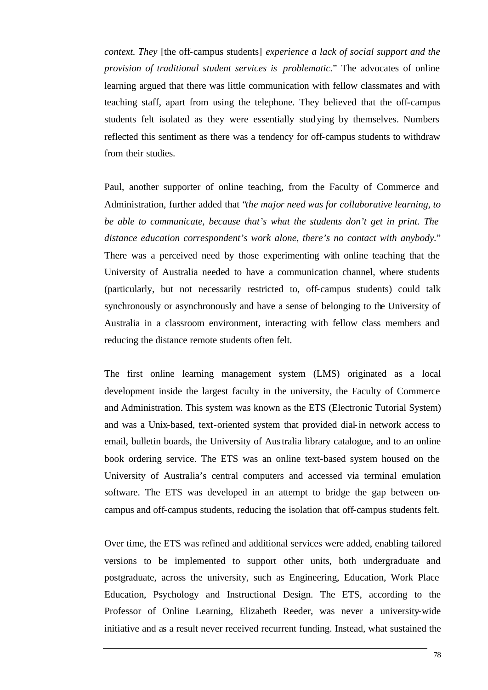*context. They* [the off-campus students] *experience a lack of social support and the provision of traditional student services is problematic.*" The advocates of online learning argued that there was little communication with fellow classmates and with teaching staff, apart from using the telephone. They believed that the off-campus students felt isolated as they were essentially studying by themselves. Numbers reflected this sentiment as there was a tendency for off-campus students to withdraw from their studies.

Paul, another supporter of online teaching, from the Faculty of Commerce and Administration, further added that "*the major need was for collaborative learning, to be able to communicate, because that's what the students don't get in print. The distance education correspondent's work alone, there's no contact with anybody.*" There was a perceived need by those experimenting with online teaching that the University of Australia needed to have a communication channel, where students (particularly, but not necessarily restricted to, off-campus students) could talk synchronously or asynchronously and have a sense of belonging to the University of Australia in a classroom environment, interacting with fellow class members and reducing the distance remote students often felt.

The first online learning management system (LMS) originated as a local development inside the largest faculty in the university, the Faculty of Commerce and Administration. This system was known as the ETS (Electronic Tutorial System) and was a Unix-based, text-oriented system that provided dial-in network access to email, bulletin boards, the University of Australia library catalogue, and to an online book ordering service. The ETS was an online text-based system housed on the University of Australia's central computers and accessed via terminal emulation software. The ETS was developed in an attempt to bridge the gap between oncampus and off-campus students, reducing the isolation that off-campus students felt.

Over time, the ETS was refined and additional services were added, enabling tailored versions to be implemented to support other units, both undergraduate and postgraduate, across the university, such as Engineering, Education, Work Place Education, Psychology and Instructional Design. The ETS, according to the Professor of Online Learning, Elizabeth Reeder, was never a university-wide initiative and as a result never received recurrent funding. Instead, what sustained the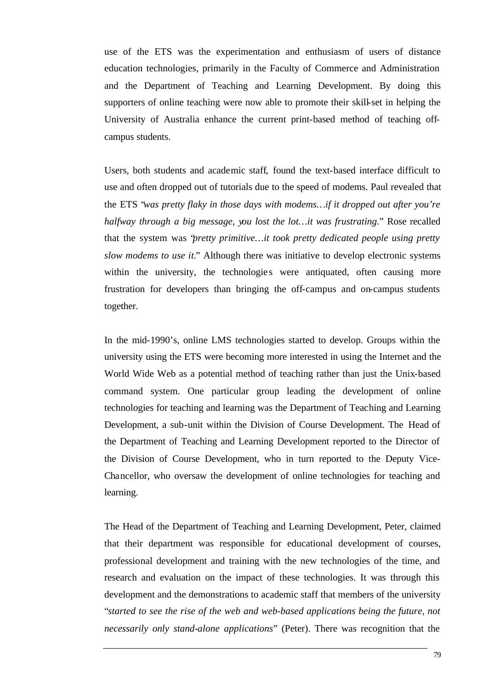use of the ETS was the experimentation and enthusiasm of users of distance education technologies, primarily in the Faculty of Commerce and Administration and the Department of Teaching and Learning Development. By doing this supporters of online teaching were now able to promote their skill-set in helping the University of Australia enhance the current print-based method of teaching offcampus students.

Users, both students and academic staff, found the text-based interface difficult to use and often dropped out of tutorials due to the speed of modems. Paul revealed that the ETS "*was pretty flaky in those days with modems…if it dropped out after you're halfway through a big message, you lost the lot…it was frustrating.*" Rose recalled that the system was "*pretty primitive…it took pretty dedicated people using pretty slow modems to use it.*" Although there was initiative to develop electronic systems within the university, the technologies were antiquated, often causing more frustration for developers than bringing the off-campus and on-campus students together.

In the mid-1990's, online LMS technologies started to develop. Groups within the university using the ETS were becoming more interested in using the Internet and the World Wide Web as a potential method of teaching rather than just the Unix-based command system. One particular group leading the development of online technologies for teaching and learning was the Department of Teaching and Learning Development, a sub-unit within the Division of Course Development. The Head of the Department of Teaching and Learning Development reported to the Director of the Division of Course Development, who in turn reported to the Deputy Vice-Chancellor, who oversaw the development of online technologies for teaching and learning.

The Head of the Department of Teaching and Learning Development, Peter, claimed that their department was responsible for educational development of courses, professional development and training with the new technologies of the time, and research and evaluation on the impact of these technologies. It was through this development and the demonstrations to academic staff that members of the university "*started to see the rise of the web and web-based applications being the future, not necessarily only stand-alone applications*" (Peter). There was recognition that the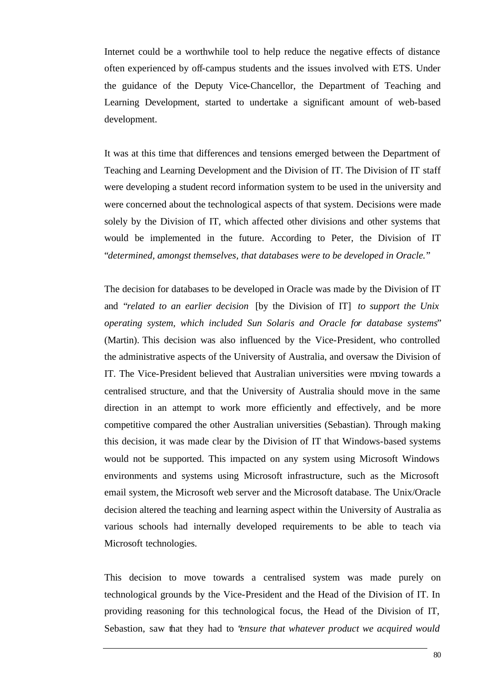Internet could be a worthwhile tool to help reduce the negative effects of distance often experienced by off-campus students and the issues involved with ETS. Under the guidance of the Deputy Vice-Chancellor, the Department of Teaching and Learning Development, started to undertake a significant amount of web-based development.

It was at this time that differences and tensions emerged between the Department of Teaching and Learning Development and the Division of IT. The Division of IT staff were developing a student record information system to be used in the university and were concerned about the technological aspects of that system. Decisions were made solely by the Division of IT, which affected other divisions and other systems that would be implemented in the future. According to Peter, the Division of IT "*determined, amongst themselves, that databases were to be developed in Oracle.*"

The decision for databases to be developed in Oracle was made by the Division of IT and "*related to an earlier decision* [by the Division of IT] *to support the Unix operating system, which included Sun Solaris and Oracle for database systems*" (Martin). This decision was also influenced by the Vice-President, who controlled the administrative aspects of the University of Australia, and oversaw the Division of IT. The Vice-President believed that Australian universities were moving towards a centralised structure, and that the University of Australia should move in the same direction in an attempt to work more efficiently and effectively, and be more competitive compared the other Australian universities (Sebastian). Through making this decision, it was made clear by the Division of IT that Windows-based systems would not be supported. This impacted on any system using Microsoft Windows environments and systems using Microsoft infrastructure, such as the Microsoft email system, the Microsoft web server and the Microsoft database. The Unix/Oracle decision altered the teaching and learning aspect within the University of Australia as various schools had internally developed requirements to be able to teach via Microsoft technologies.

This decision to move towards a centralised system was made purely on technological grounds by the Vice-President and the Head of the Division of IT. In providing reasoning for this technological focus, the Head of the Division of IT, Sebastion, saw that they had to "*ensure that whatever product we acquired would*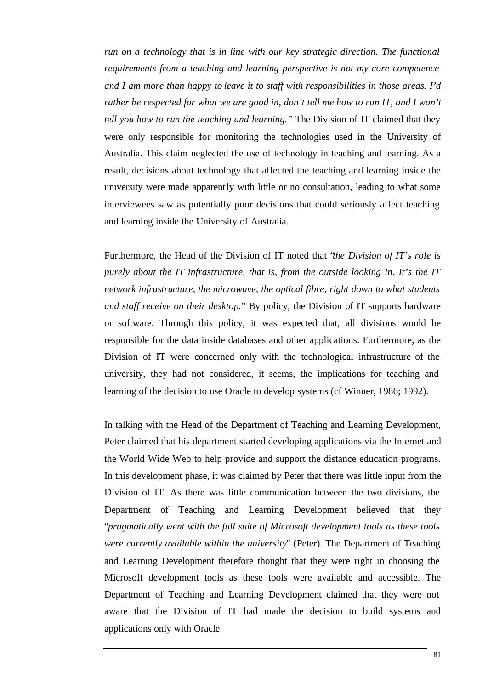*run on a technology that is in line with our key strategic direction. The functional requirements from a teaching and learning perspective is not my core competence and I am more than happy to leave it to staff with responsibilities in those areas. I'd rather be respected for what we are good in, don't tell me how to run IT, and I won't tell you how to run the teaching and learning.*" The Division of IT claimed that they were only responsible for monitoring the technologies used in the University of Australia. This claim neglected the use of technology in teaching and learning. As a result, decisions about technology that affected the teaching and learning inside the university were made apparently with little or no consultation, leading to what some interviewees saw as potentially poor decisions that could seriously affect teaching and learning inside the University of Australia.

Furthermore, the Head of the Division of IT noted that "*the Division of IT's role is purely about the IT infrastructure, that is, from the outside looking in. It's the IT network infrastructure, the microwave, the optical fibre, right down to what students and staff receive on their desktop.*" By policy, the Division of IT supports hardware or software. Through this policy, it was expected that, all divisions would be responsible for the data inside databases and other applications. Furthermore, as the Division of IT were concerned only with the technological infrastructure of the university, they had not considered, it seems, the implications for teaching and learning of the decision to use Oracle to develop systems (cf Winner, 1986; 1992).

In talking with the Head of the Department of Teaching and Learning Development, Peter claimed that his department started developing applications via the Internet and the World Wide Web to help provide and support the distance education programs. In this development phase, it was claimed by Peter that there was little input from the Division of IT. As there was little communication between the two divisions, the Department of Teaching and Learning Development believed that they "*pragmatically went with the full suite of Microsoft development tools as these tools were currently available within the university*" (Peter). The Department of Teaching and Learning Development therefore thought that they were right in choosing the Microsoft development tools as these tools were available and accessible. The Department of Teaching and Learning Development claimed that they were not aware that the Division of IT had made the decision to build systems and applications only with Oracle.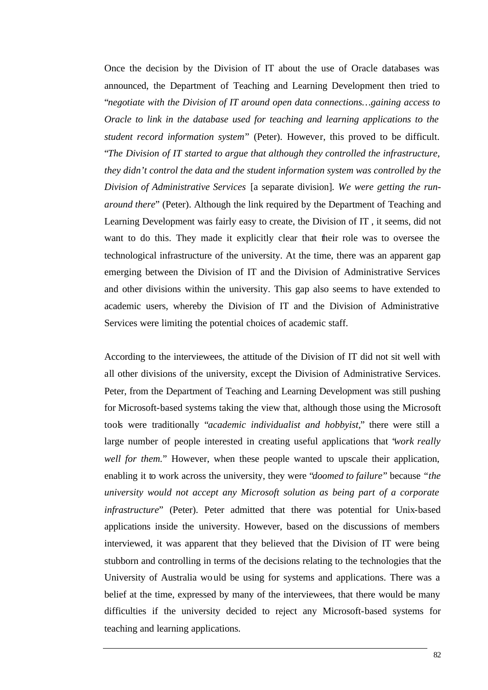Once the decision by the Division of IT about the use of Oracle databases was announced, the Department of Teaching and Learning Development then tried to "*negotiate with the Division of IT around open data connections…gaining access to Oracle to link in the database used for teaching and learning applications to the student record information system*" (Peter). However, this proved to be difficult. "*The Division of IT started to argue that although they controlled the infrastructure, they didn't control the data and the student information system was controlled by the Division of Administrative Services* [a separate division]*. We were getting the runaround there*" (Peter). Although the link required by the Department of Teaching and Learning Development was fairly easy to create, the Division of IT , it seems, did not want to do this. They made it explicitly clear that their role was to oversee the technological infrastructure of the university. At the time, there was an apparent gap emerging between the Division of IT and the Division of Administrative Services and other divisions within the university. This gap also seems to have extended to academic users, whereby the Division of IT and the Division of Administrative Services were limiting the potential choices of academic staff.

According to the interviewees, the attitude of the Division of IT did not sit well with all other divisions of the university, except the Division of Administrative Services. Peter, from the Department of Teaching and Learning Development was still pushing for Microsoft-based systems taking the view that, although those using the Microsoft tools were traditionally "*academic individualist and hobbyist,*" there were still a large number of people interested in creating useful applications that "*work really well for them.*" However, when these people wanted to upscale their application, enabling it to work across the university, they were "*doomed to failure*" because *"the university would not accept any Microsoft solution as being part of a corporate infrastructure*" (Peter). Peter admitted that there was potential for Unix-based applications inside the university. However, based on the discussions of members interviewed, it was apparent that they believed that the Division of IT were being stubborn and controlling in terms of the decisions relating to the technologies that the University of Australia would be using for systems and applications. There was a belief at the time, expressed by many of the interviewees, that there would be many difficulties if the university decided to reject any Microsoft-based systems for teaching and learning applications.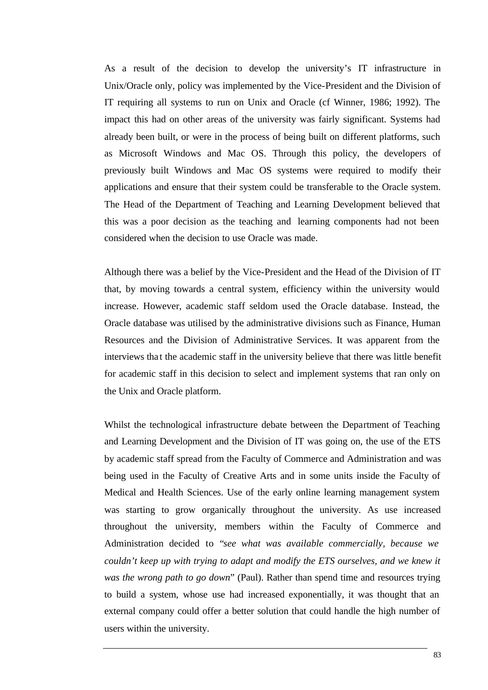As a result of the decision to develop the university's IT infrastructure in Unix/Oracle only, policy was implemented by the Vice-President and the Division of IT requiring all systems to run on Unix and Oracle (cf Winner, 1986; 1992). The impact this had on other areas of the university was fairly significant. Systems had already been built, or were in the process of being built on different platforms, such as Microsoft Windows and Mac OS. Through this policy, the developers of previously built Windows and Mac OS systems were required to modify their applications and ensure that their system could be transferable to the Oracle system. The Head of the Department of Teaching and Learning Development believed that this was a poor decision as the teaching and learning components had not been considered when the decision to use Oracle was made.

Although there was a belief by the Vice-President and the Head of the Division of IT that, by moving towards a central system, efficiency within the university would increase. However, academic staff seldom used the Oracle database. Instead, the Oracle database was utilised by the administrative divisions such as Finance, Human Resources and the Division of Administrative Services. It was apparent from the interviews that the academic staff in the university believe that there was little benefit for academic staff in this decision to select and implement systems that ran only on the Unix and Oracle platform.

Whilst the technological infrastructure debate between the Department of Teaching and Learning Development and the Division of IT was going on, the use of the ETS by academic staff spread from the Faculty of Commerce and Administration and was being used in the Faculty of Creative Arts and in some units inside the Faculty of Medical and Health Sciences. Use of the early online learning management system was starting to grow organically throughout the university. As use increased throughout the university, members within the Faculty of Commerce and Administration decided to "*see what was available commercially, because we couldn't keep up with trying to adapt and modify the ETS ourselves, and we knew it was the wrong path to go down*" (Paul). Rather than spend time and resources trying to build a system, whose use had increased exponentially, it was thought that an external company could offer a better solution that could handle the high number of users within the university.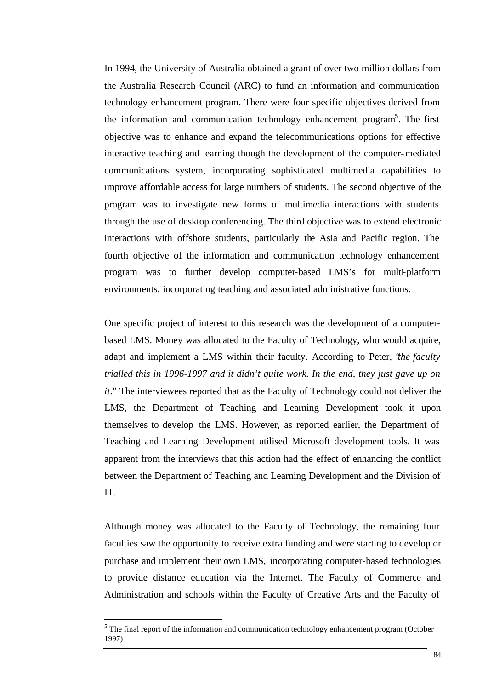In 1994, the University of Australia obtained a grant of over two million dollars from the Australia Research Council (ARC) to fund an information and communication technology enhancement program. There were four specific objectives derived from the information and communication technology enhancement program<sup>5</sup>. The first objective was to enhance and expand the telecommunications options for effective interactive teaching and learning though the development of the computer-mediated communications system, incorporating sophisticated multimedia capabilities to improve affordable access for large numbers of students. The second objective of the program was to investigate new forms of multimedia interactions with students through the use of desktop conferencing. The third objective was to extend electronic interactions with offshore students, particularly the Asia and Pacific region. The fourth objective of the information and communication technology enhancement program was to further develop computer-based LMS's for multi-platform environments, incorporating teaching and associated administrative functions.

One specific project of interest to this research was the development of a computerbased LMS. Money was allocated to the Faculty of Technology, who would acquire, adapt and implement a LMS within their faculty. According to Peter, "*the faculty trialled this in 1996-1997 and it didn't quite work. In the end, they just gave up on it.*" The interviewees reported that as the Faculty of Technology could not deliver the LMS, the Department of Teaching and Learning Development took it upon themselves to develop the LMS. However, as reported earlier, the Department of Teaching and Learning Development utilised Microsoft development tools. It was apparent from the interviews that this action had the effect of enhancing the conflict between the Department of Teaching and Learning Development and the Division of IT.

Although money was allocated to the Faculty of Technology, the remaining four faculties saw the opportunity to receive extra funding and were starting to develop or purchase and implement their own LMS, incorporating computer-based technologies to provide distance education via the Internet. The Faculty of Commerce and Administration and schools within the Faculty of Creative Arts and the Faculty of

l

 $<sup>5</sup>$  The final report of the information and communication technology enhancement program (October</sup> 1997)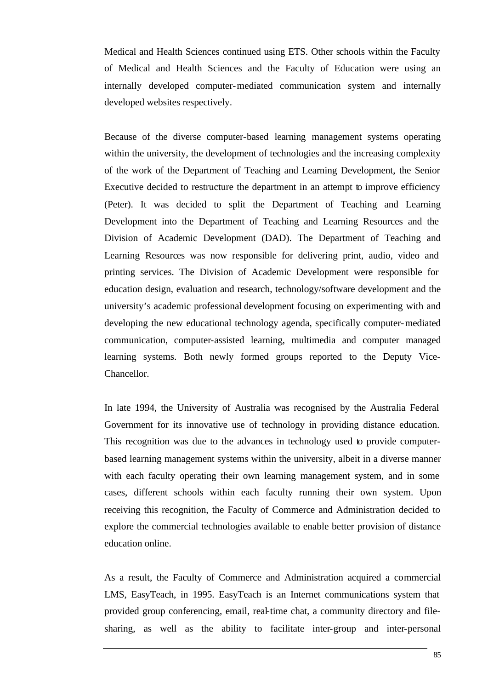Medical and Health Sciences continued using ETS. Other schools within the Faculty of Medical and Health Sciences and the Faculty of Education were using an internally developed computer-mediated communication system and internally developed websites respectively.

Because of the diverse computer-based learning management systems operating within the university, the development of technologies and the increasing complexity of the work of the Department of Teaching and Learning Development, the Senior Executive decided to restructure the department in an attempt to improve efficiency (Peter). It was decided to split the Department of Teaching and Learning Development into the Department of Teaching and Learning Resources and the Division of Academic Development (DAD). The Department of Teaching and Learning Resources was now responsible for delivering print, audio, video and printing services. The Division of Academic Development were responsible for education design, evaluation and research, technology/software development and the university's academic professional development focusing on experimenting with and developing the new educational technology agenda, specifically computer-mediated communication, computer-assisted learning, multimedia and computer managed learning systems. Both newly formed groups reported to the Deputy Vice-Chancellor.

In late 1994, the University of Australia was recognised by the Australia Federal Government for its innovative use of technology in providing distance education. This recognition was due to the advances in technology used to provide computerbased learning management systems within the university, albeit in a diverse manner with each faculty operating their own learning management system, and in some cases, different schools within each faculty running their own system. Upon receiving this recognition, the Faculty of Commerce and Administration decided to explore the commercial technologies available to enable better provision of distance education online.

As a result, the Faculty of Commerce and Administration acquired a commercial LMS, EasyTeach, in 1995. EasyTeach is an Internet communications system that provided group conferencing, email, real-time chat, a community directory and filesharing, as well as the ability to facilitate inter-group and inter-personal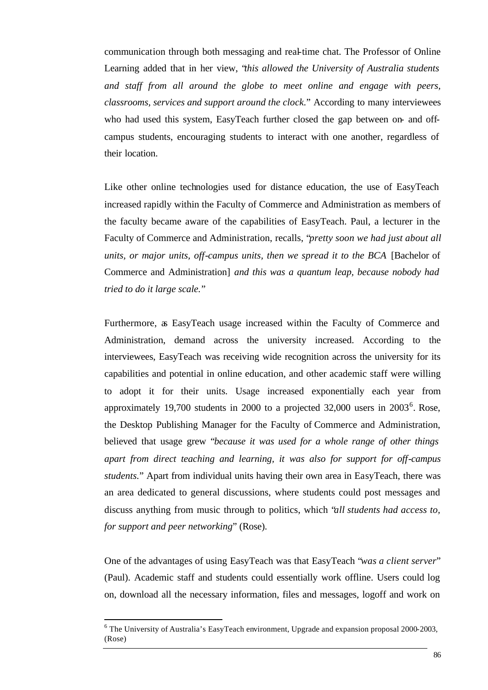communication through both messaging and real-time chat. The Professor of Online Learning added that in her view, "*this allowed the University of Australia students and staff from all around the globe to meet online and engage with peers, classrooms, services and support around the clock.*" According to many interviewees who had used this system, EasyTeach further closed the gap between on- and offcampus students, encouraging students to interact with one another, regardless of their location.

Like other online technologies used for distance education, the use of EasyTeach increased rapidly within the Faculty of Commerce and Administration as members of the faculty became aware of the capabilities of EasyTeach. Paul, a lecturer in the Faculty of Commerce and Administration, recalls, "*pretty soon we had just about all units, or major units, off-campus units, then we spread it to the BCA* [Bachelor of Commerce and Administration] *and this was a quantum leap, because nobody had tried to do it large scale.*"

Furthermore, as EasyTeach usage increased within the Faculty of Commerce and Administration, demand across the university increased. According to the interviewees, EasyTeach was receiving wide recognition across the university for its capabilities and potential in online education, and other academic staff were willing to adopt it for their units. Usage increased exponentially each year from approximately 19,700 students in 2000 to a projected  $32,000$  users in  $2003^6$ . Rose, the Desktop Publishing Manager for the Faculty of Commerce and Administration, believed that usage grew "*because it was used for a whole range of other things apart from direct teaching and learning, it was also for support for off-campus students.*" Apart from individual units having their own area in EasyTeach, there was an area dedicated to general discussions, where students could post messages and discuss anything from music through to politics, which "*all students had access to, for support and peer networking*" (Rose).

One of the advantages of using EasyTeach was that EasyTeach "*was a client server*" (Paul). Academic staff and students could essentially work offline. Users could log on, download all the necessary information, files and messages, logoff and work on

l

 $6$  The University of Australia's EasyTeach environment, Upgrade and expansion proposal 2000-2003, (Rose)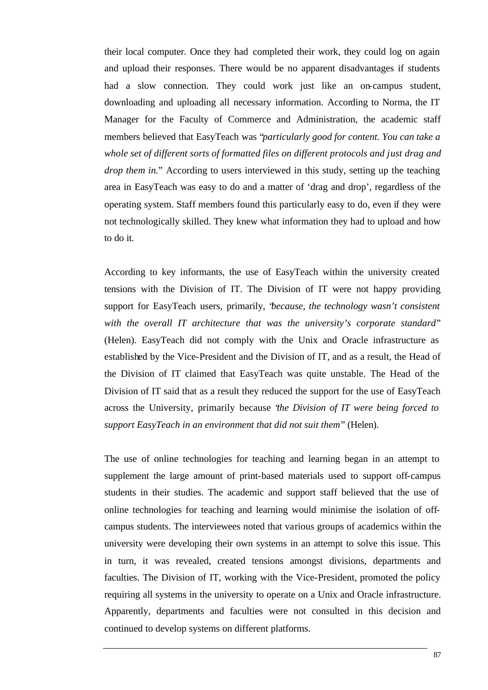their local computer. Once they had completed their work, they could log on again and upload their responses. There would be no apparent disadvantages if students had a slow connection. They could work just like an on-campus student, downloading and uploading all necessary information. According to Norma, the IT Manager for the Faculty of Commerce and Administration, the academic staff members believed that EasyTeach was "*particularly good for content. You can take a whole set of different sorts of formatted files on different protocols and just drag and drop them in.*" According to users interviewed in this study, setting up the teaching area in EasyTeach was easy to do and a matter of 'drag and drop', regardless of the operating system. Staff members found this particularly easy to do, even if they were not technologically skilled. They knew what information they had to upload and how to do it.

According to key informants, the use of EasyTeach within the university created tensions with the Division of IT. The Division of IT were not happy providing support for EasyTeach users, primarily, "*because, the technology wasn't consistent with the overall IT architecture that was the university's corporate standard*" (Helen). EasyTeach did not comply with the Unix and Oracle infrastructure as established by the Vice-President and the Division of IT, and as a result, the Head of the Division of IT claimed that EasyTeach was quite unstable. The Head of the Division of IT said that as a result they reduced the support for the use of EasyTeach across the University, primarily because "*the Division of IT were being forced to support EasyTeach in an environment that did not suit them*" (Helen).

The use of online technologies for teaching and learning began in an attempt to supplement the large amount of print-based materials used to support off-campus students in their studies. The academic and support staff believed that the use of online technologies for teaching and learning would minimise the isolation of offcampus students. The interviewees noted that various groups of academics within the university were developing their own systems in an attempt to solve this issue. This in turn, it was revealed, created tensions amongst divisions, departments and faculties. The Division of IT, working with the Vice-President, promoted the policy requiring all systems in the university to operate on a Unix and Oracle infrastructure. Apparently, departments and faculties were not consulted in this decision and continued to develop systems on different platforms.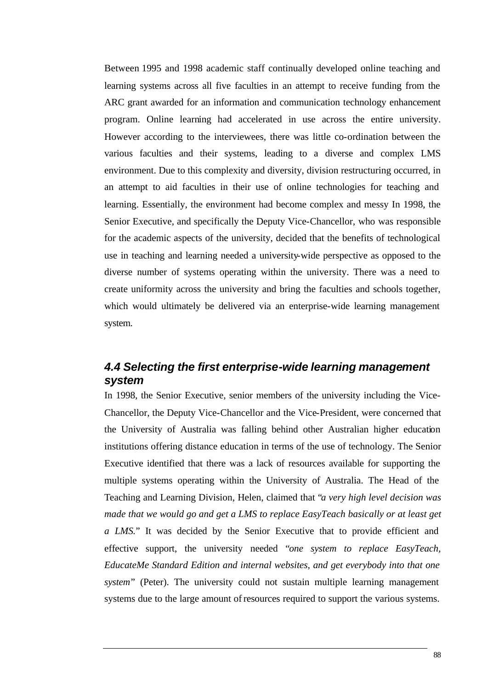Between 1995 and 1998 academic staff continually developed online teaching and learning systems across all five faculties in an attempt to receive funding from the ARC grant awarded for an information and communication technology enhancement program. Online learning had accelerated in use across the entire university. However according to the interviewees, there was little co-ordination between the various faculties and their systems, leading to a diverse and complex LMS environment. Due to this complexity and diversity, division restructuring occurred, in an attempt to aid faculties in their use of online technologies for teaching and learning. Essentially, the environment had become complex and messy In 1998, the Senior Executive, and specifically the Deputy Vice-Chancellor, who was responsible for the academic aspects of the university, decided that the benefits of technological use in teaching and learning needed a university-wide perspective as opposed to the diverse number of systems operating within the university. There was a need to create uniformity across the university and bring the faculties and schools together, which would ultimately be delivered via an enterprise-wide learning management system.

## *4.4 Selecting the first enterprise-wide learning management system*

In 1998, the Senior Executive, senior members of the university including the Vice-Chancellor, the Deputy Vice-Chancellor and the Vice-President, were concerned that the University of Australia was falling behind other Australian higher education institutions offering distance education in terms of the use of technology. The Senior Executive identified that there was a lack of resources available for supporting the multiple systems operating within the University of Australia. The Head of the Teaching and Learning Division, Helen, claimed that "*a very high level decision was made that we would go and get a LMS to replace EasyTeach basically or at least get a LMS.*" It was decided by the Senior Executive that to provide efficient and effective support, the university needed "*one system to replace EasyTeach, EducateMe Standard Edition and internal websites, and get everybody into that one system*" (Peter). The university could not sustain multiple learning management systems due to the large amount of resources required to support the various systems.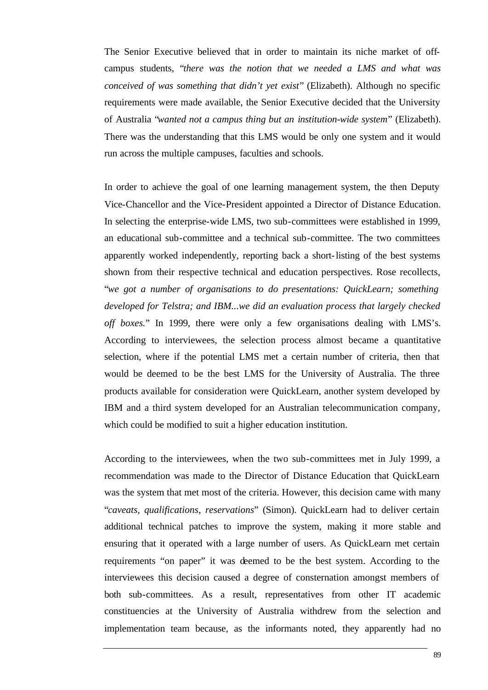The Senior Executive believed that in order to maintain its niche market of offcampus students, "*there was the notion that we needed a LMS and what was conceived of was something that didn't yet exist*" (Elizabeth). Although no specific requirements were made available, the Senior Executive decided that the University of Australia "*wanted not a campus thing but an institution-wide system*" (Elizabeth). There was the understanding that this LMS would be only one system and it would run across the multiple campuses, faculties and schools.

In order to achieve the goal of one learning management system, the then Deputy Vice-Chancellor and the Vice-President appointed a Director of Distance Education. In selecting the enterprise-wide LMS, two sub-committees were established in 1999, an educational sub-committee and a technical sub-committee. The two committees apparently worked independently, reporting back a short-listing of the best systems shown from their respective technical and education perspectives. Rose recollects, "*we got a number of organisations to do presentations: QuickLearn; something developed for Telstra; and IBM...we did an evaluation process that largely checked off boxes.*" In 1999, there were only a few organisations dealing with LMS's. According to interviewees, the selection process almost became a quantitative selection, where if the potential LMS met a certain number of criteria, then that would be deemed to be the best LMS for the University of Australia. The three products available for consideration were QuickLearn, another system developed by IBM and a third system developed for an Australian telecommunication company, which could be modified to suit a higher education institution.

According to the interviewees, when the two sub-committees met in July 1999, a recommendation was made to the Director of Distance Education that QuickLearn was the system that met most of the criteria. However, this decision came with many "*caveats, qualifications, reservations*" (Simon). QuickLearn had to deliver certain additional technical patches to improve the system, making it more stable and ensuring that it operated with a large number of users. As QuickLearn met certain requirements "on paper" it was deemed to be the best system. According to the interviewees this decision caused a degree of consternation amongst members of both sub-committees. As a result, representatives from other IT academic constituencies at the University of Australia withdrew from the selection and implementation team because, as the informants noted, they apparently had no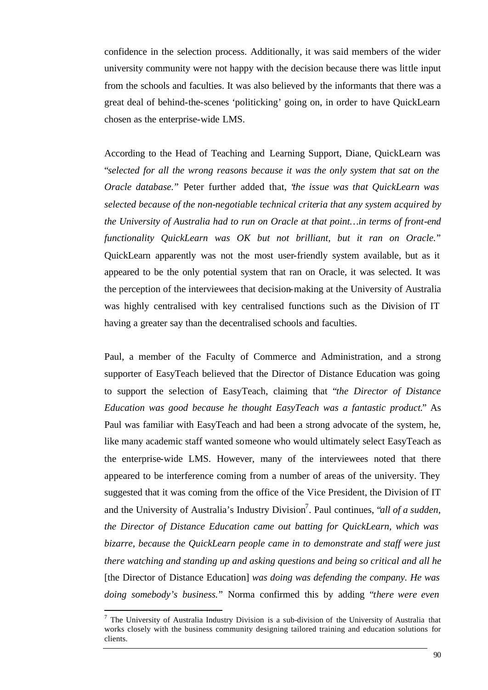confidence in the selection process. Additionally, it was said members of the wider university community were not happy with the decision because there was little input from the schools and faculties. It was also believed by the informants that there was a great deal of behind-the-scenes 'politicking' going on, in order to have QuickLearn chosen as the enterprise-wide LMS.

According to the Head of Teaching and Learning Support, Diane, QuickLearn was "*selected for all the wrong reasons because it was the only system that sat on the Oracle database.*" Peter further added that, "*the issue was that QuickLearn was selected because of the non-negotiable technical criteria that any system acquired by the University of Australia had to run on Oracle at that point…in terms of front-end functionality QuickLearn was OK but not brilliant, but it ran on Oracle.*" QuickLearn apparently was not the most user-friendly system available, but as it appeared to be the only potential system that ran on Oracle, it was selected. It was the perception of the interviewees that decision-making at the University of Australia was highly centralised with key centralised functions such as the Division of IT having a greater say than the decentralised schools and faculties.

Paul, a member of the Faculty of Commerce and Administration, and a strong supporter of EasyTeach believed that the Director of Distance Education was going to support the selection of EasyTeach, claiming that "*the Director of Distance Education was good because he thought EasyTeach was a fantastic product.*" As Paul was familiar with EasyTeach and had been a strong advocate of the system, he, like many academic staff wanted someone who would ultimately select EasyTeach as the enterprise-wide LMS. However, many of the interviewees noted that there appeared to be interference coming from a number of areas of the university. They suggested that it was coming from the office of the Vice President, the Division of IT and the University of Australia's Industry Division<sup>7</sup>. Paul continues, "*all of a sudden*, *the Director of Distance Education came out batting for QuickLearn, which was bizarre, because the QuickLearn people came in to demonstrate and staff were just there watching and standing up and asking questions and being so critical and all he*  [the Director of Distance Education] *was doing was defending the company. He was doing somebody's business.*" Norma confirmed this by adding "*there were even* 

l

 $<sup>7</sup>$  The University of Australia Industry Division is a sub-division of the University of Australia that</sup> works closely with the business community designing tailored training and education solutions for clients.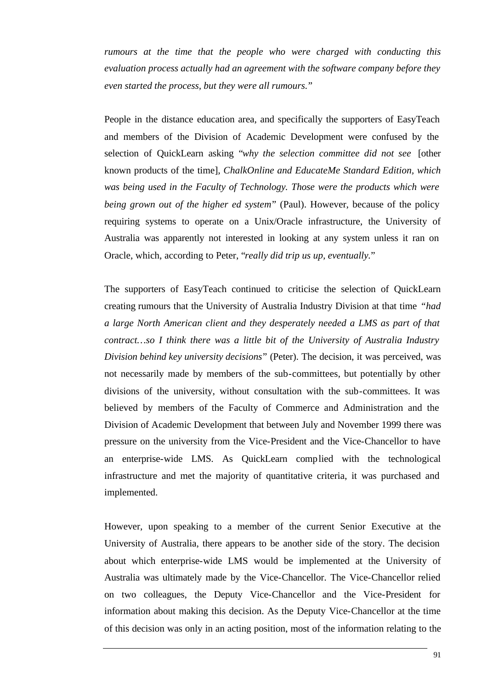*rumours at the time that the people who were charged with conducting this evaluation process actually had an agreement with the software company before they even started the process, but they were all rumours.*"

People in the distance education area, and specifically the supporters of EasyTeach and members of the Division of Academic Development were confused by the selection of QuickLearn asking "*why the selection committee did not see* [other known products of the time]*, ChalkOnline and EducateMe Standard Edition, which was being used in the Faculty of Technology. Those were the products which were being grown out of the higher ed system*" (Paul). However, because of the policy requiring systems to operate on a Unix/Oracle infrastructure, the University of Australia was apparently not interested in looking at any system unless it ran on Oracle, which, according to Peter, "*really did trip us up, eventually.*"

The supporters of EasyTeach continued to criticise the selection of QuickLearn creating rumours that the University of Australia Industry Division at that time *"had a large North American client and they desperately needed a LMS as part of that contract…so I think there was a little bit of the University of Australia Industry Division behind key university decisions*" (Peter). The decision, it was perceived, was not necessarily made by members of the sub-committees, but potentially by other divisions of the university, without consultation with the sub-committees. It was believed by members of the Faculty of Commerce and Administration and the Division of Academic Development that between July and November 1999 there was pressure on the university from the Vice-President and the Vice-Chancellor to have an enterprise-wide LMS. As QuickLearn complied with the technological infrastructure and met the majority of quantitative criteria, it was purchased and implemented.

However, upon speaking to a member of the current Senior Executive at the University of Australia, there appears to be another side of the story. The decision about which enterprise-wide LMS would be implemented at the University of Australia was ultimately made by the Vice-Chancellor. The Vice-Chancellor relied on two colleagues, the Deputy Vice-Chancellor and the Vice-President for information about making this decision. As the Deputy Vice-Chancellor at the time of this decision was only in an acting position, most of the information relating to the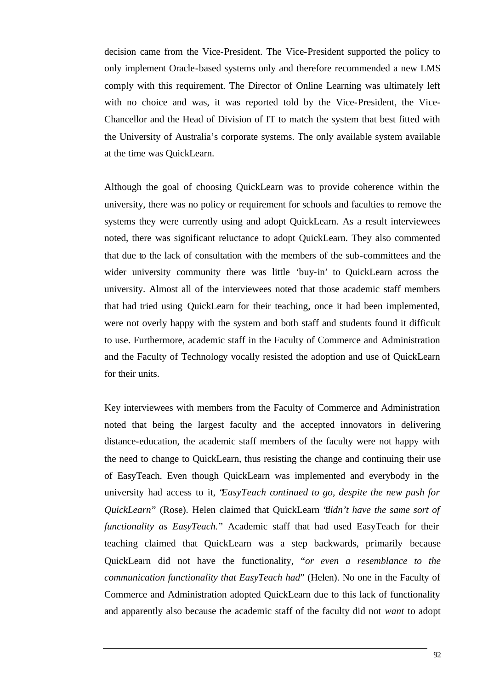decision came from the Vice-President. The Vice-President supported the policy to only implement Oracle-based systems only and therefore recommended a new LMS comply with this requirement. The Director of Online Learning was ultimately left with no choice and was, it was reported told by the Vice-President, the Vice-Chancellor and the Head of Division of IT to match the system that best fitted with the University of Australia's corporate systems. The only available system available at the time was QuickLearn.

Although the goal of choosing QuickLearn was to provide coherence within the university, there was no policy or requirement for schools and faculties to remove the systems they were currently using and adopt QuickLearn. As a result interviewees noted, there was significant reluctance to adopt QuickLearn. They also commented that due to the lack of consultation with the members of the sub-committees and the wider university community there was little 'buy-in' to QuickLearn across the university. Almost all of the interviewees noted that those academic staff members that had tried using QuickLearn for their teaching, once it had been implemented, were not overly happy with the system and both staff and students found it difficult to use. Furthermore, academic staff in the Faculty of Commerce and Administration and the Faculty of Technology vocally resisted the adoption and use of QuickLearn for their units.

Key interviewees with members from the Faculty of Commerce and Administration noted that being the largest faculty and the accepted innovators in delivering distance-education, the academic staff members of the faculty were not happy with the need to change to QuickLearn, thus resisting the change and continuing their use of EasyTeach. Even though QuickLearn was implemented and everybody in the university had access to it, "*EasyTeach continued to go, despite the new push for QuickLearn*" (Rose). Helen claimed that QuickLearn "*didn't have the same sort of functionality as EasyTeach.*" Academic staff that had used EasyTeach for their teaching claimed that QuickLearn was a step backwards, primarily because QuickLearn did not have the functionality, "*or even a resemblance to the communication functionality that EasyTeach had*" (Helen). No one in the Faculty of Commerce and Administration adopted QuickLearn due to this lack of functionality and apparently also because the academic staff of the faculty did not *want* to adopt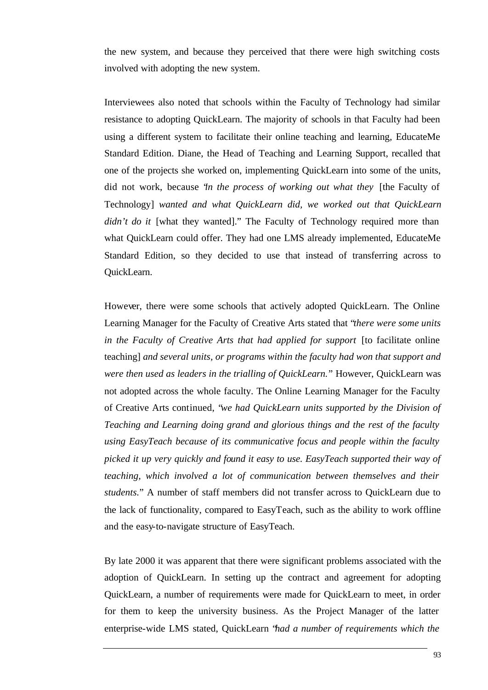the new system, and because they perceived that there were high switching costs involved with adopting the new system.

Interviewees also noted that schools within the Faculty of Technology had similar resistance to adopting QuickLearn. The majority of schools in that Faculty had been using a different system to facilitate their online teaching and learning, EducateMe Standard Edition. Diane, the Head of Teaching and Learning Support, recalled that one of the projects she worked on, implementing QuickLearn into some of the units, did not work, because "*in the process of working out what they* [the Faculty of Technology] *wanted and what QuickLearn did, we worked out that QuickLearn didn't do it* [what they wanted]." The Faculty of Technology required more than what QuickLearn could offer. They had one LMS already implemented, EducateMe Standard Edition, so they decided to use that instead of transferring across to QuickLearn.

However, there were some schools that actively adopted QuickLearn. The Online Learning Manager for the Faculty of Creative Arts stated that "*there were some units in the Faculty of Creative Arts that had applied for support* [to facilitate online teaching] *and several units, or programs within the faculty had won that support and were then used as leaders in the trialling of QuickLearn.*" However, QuickLearn was not adopted across the whole faculty. The Online Learning Manager for the Faculty of Creative Arts continued, "*we had QuickLearn units supported by the Division of Teaching and Learning doing grand and glorious things and the rest of the faculty using EasyTeach because of its communicative focus and people within the faculty picked it up very quickly and found it easy to use. EasyTeach supported their way of teaching, which involved a lot of communication between themselves and their students.*" A number of staff members did not transfer across to QuickLearn due to the lack of functionality, compared to EasyTeach, such as the ability to work offline and the easy-to-navigate structure of EasyTeach.

By late 2000 it was apparent that there were significant problems associated with the adoption of QuickLearn. In setting up the contract and agreement for adopting QuickLearn, a number of requirements were made for QuickLearn to meet, in order for them to keep the university business. As the Project Manager of the latter enterprise-wide LMS stated, QuickLearn "*had a number of requirements which the*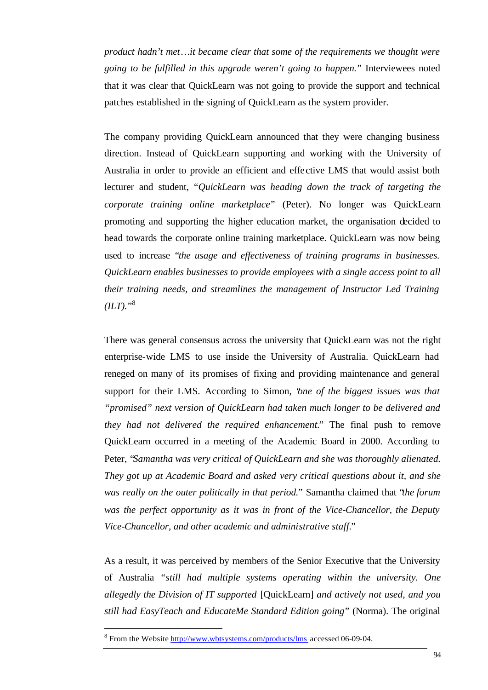*product hadn't met…it became clear that some of the requirements we thought were going to be fulfilled in this upgrade weren't going to happen.*" Interviewees noted that it was clear that QuickLearn was not going to provide the support and technical patches established in the signing of QuickLearn as the system provider.

The company providing QuickLearn announced that they were changing business direction. Instead of QuickLearn supporting and working with the University of Australia in order to provide an efficient and effe ctive LMS that would assist both lecturer and student, "*QuickLearn was heading down the track of targeting the corporate training online marketplace*" (Peter). No longer was QuickLearn promoting and supporting the higher education market, the organisation decided to head towards the corporate online training marketplace. QuickLearn was now being used to increase "*the usage and effectiveness of training programs in businesses. QuickLearn enables businesses to provide employees with a single access point to all their training needs, and streamlines the management of Instructor Led Training*   $(ILT).$ <sup>38</sup>

There was general consensus across the university that QuickLearn was not the right enterprise-wide LMS to use inside the University of Australia. QuickLearn had reneged on many of its promises of fixing and providing maintenance and general support for their LMS. According to Simon, "*one of the biggest issues was that "promised" next version of QuickLearn had taken much longer to be delivered and they had not delivered the required enhancement.*" The final push to remove QuickLearn occurred in a meeting of the Academic Board in 2000. According to Peter, "*Samantha was very critical of QuickLearn and she was thoroughly alienated. They got up at Academic Board and asked very critical questions about it, and she was really on the outer politically in that period.*" Samantha claimed that "*the forum was the perfect opportunity as it was in front of the Vice-Chancellor, the Deputy Vice-Chancellor, and other academic and administrative staff.*"

As a result, it was perceived by members of the Senior Executive that the University of Australia *"still had multiple systems operating within the university. One allegedly the Division of IT supported* [QuickLearn] *and actively not used, and you still had EasyTeach and EducateMe Standard Edition going*" (Norma). The original

l

<sup>&</sup>lt;sup>8</sup> From the Website http://www.wbtsystems.com/products/lms accessed 06-09-04.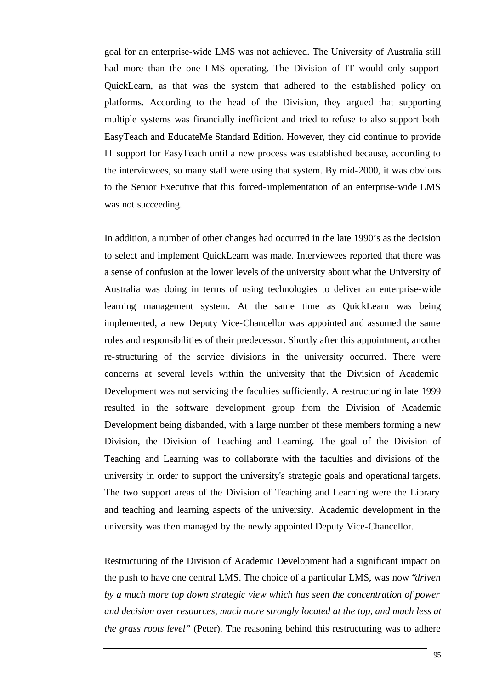goal for an enterprise-wide LMS was not achieved. The University of Australia still had more than the one LMS operating. The Division of IT would only support QuickLearn, as that was the system that adhered to the established policy on platforms. According to the head of the Division, they argued that supporting multiple systems was financially inefficient and tried to refuse to also support both EasyTeach and EducateMe Standard Edition. However, they did continue to provide IT support for EasyTeach until a new process was established because, according to the interviewees, so many staff were using that system. By mid-2000, it was obvious to the Senior Executive that this forced-implementation of an enterprise-wide LMS was not succeeding.

In addition, a number of other changes had occurred in the late 1990's as the decision to select and implement QuickLearn was made. Interviewees reported that there was a sense of confusion at the lower levels of the university about what the University of Australia was doing in terms of using technologies to deliver an enterprise-wide learning management system. At the same time as QuickLearn was being implemented, a new Deputy Vice-Chancellor was appointed and assumed the same roles and responsibilities of their predecessor. Shortly after this appointment, another re-structuring of the service divisions in the university occurred. There were concerns at several levels within the university that the Division of Academic Development was not servicing the faculties sufficiently. A restructuring in late 1999 resulted in the software development group from the Division of Academic Development being disbanded, with a large number of these members forming a new Division, the Division of Teaching and Learning. The goal of the Division of Teaching and Learning was to collaborate with the faculties and divisions of the university in order to support the university's strategic goals and operational targets. The two support areas of the Division of Teaching and Learning were the Library and teaching and learning aspects of the university. Academic development in the university was then managed by the newly appointed Deputy Vice-Chancellor.

Restructuring of the Division of Academic Development had a significant impact on the push to have one central LMS. The choice of a particular LMS, was now "*driven by a much more top down strategic view which has seen the concentration of power and decision over resources, much more strongly located at the top, and much less at the grass roots level*" (Peter). The reasoning behind this restructuring was to adhere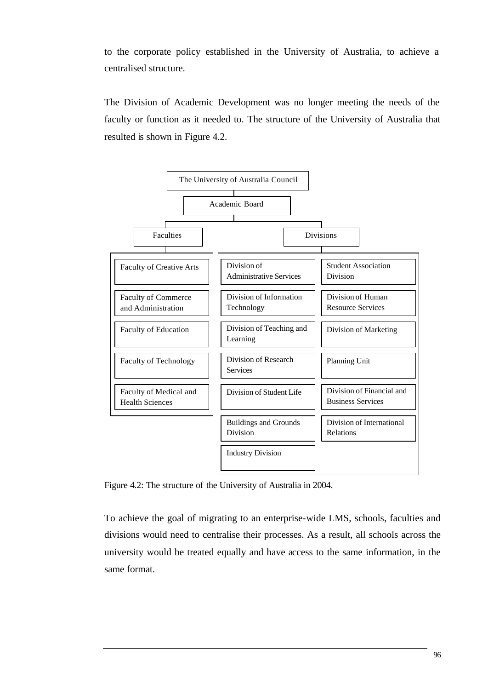to the corporate policy established in the University of Australia, to achieve a centralised structure.

The Division of Academic Development was no longer meeting the needs of the faculty or function as it needed to. The structure of the University of Australia that resulted is shown in Figure 4.2.



Figure 4.2: The structure of the University of Australia in 2004.

To achieve the goal of migrating to an enterprise-wide LMS, schools, faculties and divisions would need to centralise their processes. As a result, all schools across the university would be treated equally and have access to the same information, in the same format.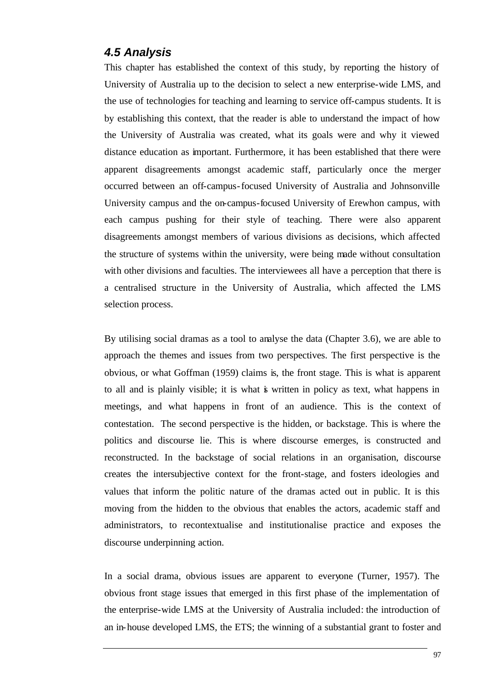#### *4.5 Analysis*

This chapter has established the context of this study, by reporting the history of University of Australia up to the decision to select a new enterprise-wide LMS, and the use of technologies for teaching and learning to service off-campus students. It is by establishing this context, that the reader is able to understand the impact of how the University of Australia was created, what its goals were and why it viewed distance education as important. Furthermore, it has been established that there were apparent disagreements amongst academic staff, particularly once the merger occurred between an off-campus-focused University of Australia and Johnsonville University campus and the on-campus-focused University of Erewhon campus, with each campus pushing for their style of teaching. There were also apparent disagreements amongst members of various divisions as decisions, which affected the structure of systems within the university, were being made without consultation with other divisions and faculties. The interviewees all have a perception that there is a centralised structure in the University of Australia, which affected the LMS selection process.

By utilising social dramas as a tool to analyse the data (Chapter 3.6), we are able to approach the themes and issues from two perspectives. The first perspective is the obvious, or what Goffman (1959) claims is, the front stage. This is what is apparent to all and is plainly visible; it is what is written in policy as text, what happens in meetings, and what happens in front of an audience. This is the context of contestation. The second perspective is the hidden, or backstage. This is where the politics and discourse lie. This is where discourse emerges, is constructed and reconstructed. In the backstage of social relations in an organisation, discourse creates the intersubjective context for the front-stage, and fosters ideologies and values that inform the politic nature of the dramas acted out in public. It is this moving from the hidden to the obvious that enables the actors, academic staff and administrators, to recontextualise and institutionalise practice and exposes the discourse underpinning action.

In a social drama, obvious issues are apparent to everyone (Turner, 1957). The obvious front stage issues that emerged in this first phase of the implementation of the enterprise-wide LMS at the University of Australia included: the introduction of an in-house developed LMS, the ETS; the winning of a substantial grant to foster and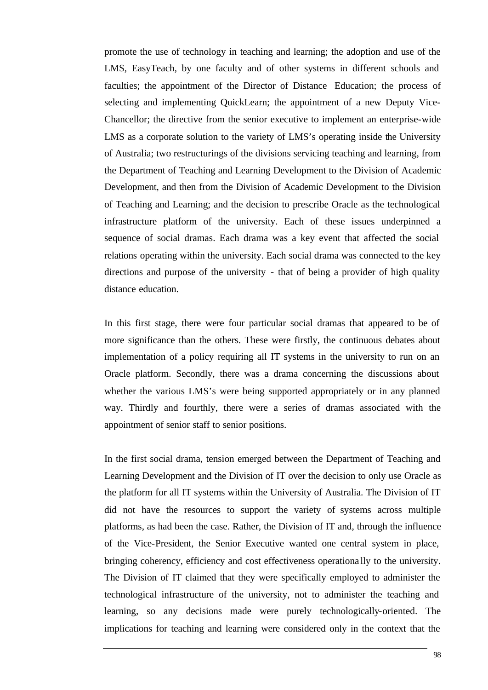promote the use of technology in teaching and learning; the adoption and use of the LMS, EasyTeach, by one faculty and of other systems in different schools and faculties; the appointment of the Director of Distance Education; the process of selecting and implementing QuickLearn; the appointment of a new Deputy Vice-Chancellor; the directive from the senior executive to implement an enterprise-wide LMS as a corporate solution to the variety of LMS's operating inside the University of Australia; two restructurings of the divisions servicing teaching and learning, from the Department of Teaching and Learning Development to the Division of Academic Development, and then from the Division of Academic Development to the Division of Teaching and Learning; and the decision to prescribe Oracle as the technological infrastructure platform of the university. Each of these issues underpinned a sequence of social dramas. Each drama was a key event that affected the social relations operating within the university. Each social drama was connected to the key directions and purpose of the university - that of being a provider of high quality distance education.

In this first stage, there were four particular social dramas that appeared to be of more significance than the others. These were firstly, the continuous debates about implementation of a policy requiring all IT systems in the university to run on an Oracle platform. Secondly, there was a drama concerning the discussions about whether the various LMS's were being supported appropriately or in any planned way. Thirdly and fourthly, there were a series of dramas associated with the appointment of senior staff to senior positions.

In the first social drama, tension emerged between the Department of Teaching and Learning Development and the Division of IT over the decision to only use Oracle as the platform for all IT systems within the University of Australia. The Division of IT did not have the resources to support the variety of systems across multiple platforms, as had been the case. Rather, the Division of IT and, through the influence of the Vice-President, the Senior Executive wanted one central system in place, bringing coherency, efficiency and cost effectiveness operationa lly to the university. The Division of IT claimed that they were specifically employed to administer the technological infrastructure of the university, not to administer the teaching and learning, so any decisions made were purely technologically-oriented. The implications for teaching and learning were considered only in the context that the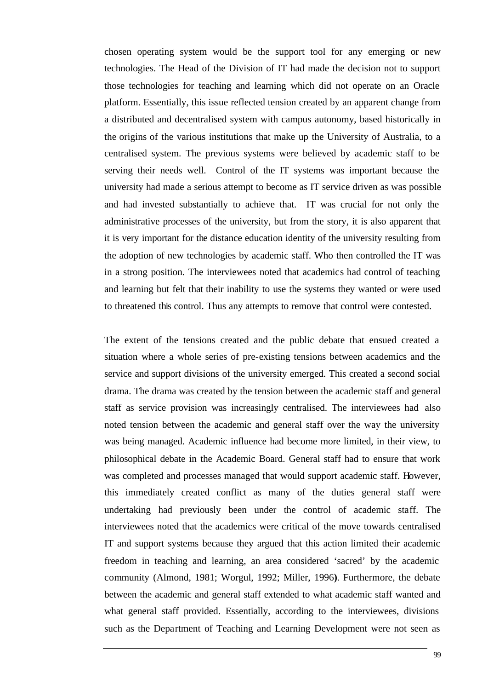chosen operating system would be the support tool for any emerging or new technologies. The Head of the Division of IT had made the decision not to support those technologies for teaching and learning which did not operate on an Oracle platform. Essentially, this issue reflected tension created by an apparent change from a distributed and decentralised system with campus autonomy, based historically in the origins of the various institutions that make up the University of Australia, to a centralised system. The previous systems were believed by academic staff to be serving their needs well. Control of the IT systems was important because the university had made a serious attempt to become as IT service driven as was possible and had invested substantially to achieve that. IT was crucial for not only the administrative processes of the university, but from the story, it is also apparent that it is very important for the distance education identity of the university resulting from the adoption of new technologies by academic staff. Who then controlled the IT was in a strong position. The interviewees noted that academics had control of teaching and learning but felt that their inability to use the systems they wanted or were used to threatened this control. Thus any attempts to remove that control were contested.

The extent of the tensions created and the public debate that ensued created a situation where a whole series of pre-existing tensions between academics and the service and support divisions of the university emerged. This created a second social drama. The drama was created by the tension between the academic staff and general staff as service provision was increasingly centralised. The interviewees had also noted tension between the academic and general staff over the way the university was being managed. Academic influence had become more limited, in their view, to philosophical debate in the Academic Board. General staff had to ensure that work was completed and processes managed that would support academic staff. However, this immediately created conflict as many of the duties general staff were undertaking had previously been under the control of academic staff. The interviewees noted that the academics were critical of the move towards centralised IT and support systems because they argued that this action limited their academic freedom in teaching and learning, an area considered 'sacred' by the academic community (Almond, 1981; Worgul, 1992; Miller, 1996**)**. Furthermore, the debate between the academic and general staff extended to what academic staff wanted and what general staff provided. Essentially, according to the interviewees, divisions such as the Department of Teaching and Learning Development were not seen as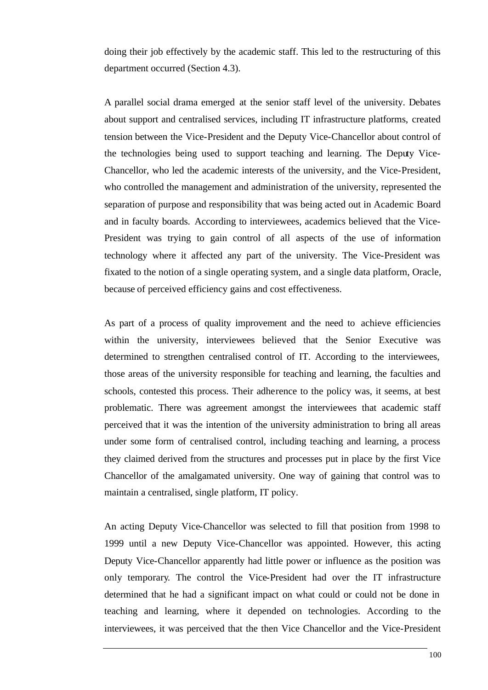doing their job effectively by the academic staff. This led to the restructuring of this department occurred (Section 4.3).

A parallel social drama emerged at the senior staff level of the university. Debates about support and centralised services, including IT infrastructure platforms, created tension between the Vice-President and the Deputy Vice-Chancellor about control of the technologies being used to support teaching and learning. The Deputy Vice-Chancellor, who led the academic interests of the university, and the Vice-President, who controlled the management and administration of the university, represented the separation of purpose and responsibility that was being acted out in Academic Board and in faculty boards. According to interviewees, academics believed that the Vice-President was trying to gain control of all aspects of the use of information technology where it affected any part of the university. The Vice-President was fixated to the notion of a single operating system, and a single data platform, Oracle, because of perceived efficiency gains and cost effectiveness.

As part of a process of quality improvement and the need to achieve efficiencies within the university, interviewees believed that the Senior Executive was determined to strengthen centralised control of IT. According to the interviewees, those areas of the university responsible for teaching and learning, the faculties and schools, contested this process. Their adherence to the policy was, it seems, at best problematic. There was agreement amongst the interviewees that academic staff perceived that it was the intention of the university administration to bring all areas under some form of centralised control, including teaching and learning, a process they claimed derived from the structures and processes put in place by the first Vice Chancellor of the amalgamated university. One way of gaining that control was to maintain a centralised, single platform, IT policy.

An acting Deputy Vice-Chancellor was selected to fill that position from 1998 to 1999 until a new Deputy Vice-Chancellor was appointed. However, this acting Deputy Vice-Chancellor apparently had little power or influence as the position was only temporary. The control the Vice-President had over the IT infrastructure determined that he had a significant impact on what could or could not be done in teaching and learning, where it depended on technologies. According to the interviewees, it was perceived that the then Vice Chancellor and the Vice-President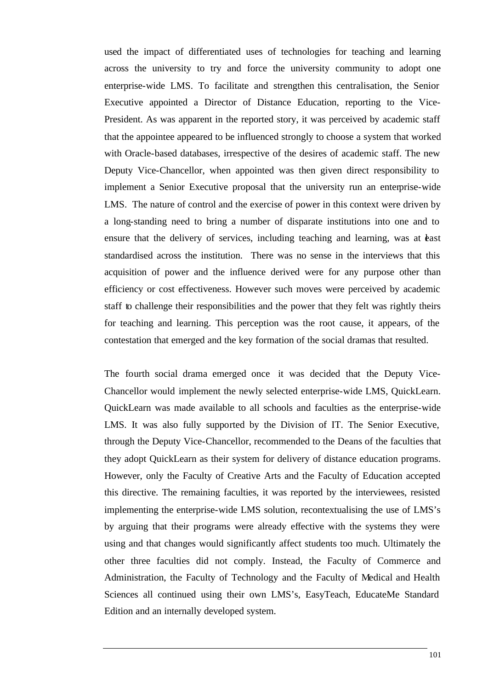used the impact of differentiated uses of technologies for teaching and learning across the university to try and force the university community to adopt one enterprise-wide LMS. To facilitate and strengthen this centralisation, the Senior Executive appointed a Director of Distance Education, reporting to the Vice-President. As was apparent in the reported story, it was perceived by academic staff that the appointee appeared to be influenced strongly to choose a system that worked with Oracle-based databases, irrespective of the desires of academic staff. The new Deputy Vice-Chancellor, when appointed was then given direct responsibility to implement a Senior Executive proposal that the university run an enterprise-wide LMS. The nature of control and the exercise of power in this context were driven by a long-standing need to bring a number of disparate institutions into one and to ensure that the delivery of services, including teaching and learning, was at *the teast* standardised across the institution. There was no sense in the interviews that this acquisition of power and the influence derived were for any purpose other than efficiency or cost effectiveness. However such moves were perceived by academic staff to challenge their responsibilities and the power that they felt was rightly theirs for teaching and learning. This perception was the root cause, it appears, of the contestation that emerged and the key formation of the social dramas that resulted.

The fourth social drama emerged once it was decided that the Deputy Vice-Chancellor would implement the newly selected enterprise-wide LMS, QuickLearn. QuickLearn was made available to all schools and faculties as the enterprise-wide LMS. It was also fully supported by the Division of IT. The Senior Executive, through the Deputy Vice-Chancellor, recommended to the Deans of the faculties that they adopt QuickLearn as their system for delivery of distance education programs. However, only the Faculty of Creative Arts and the Faculty of Education accepted this directive. The remaining faculties, it was reported by the interviewees, resisted implementing the enterprise-wide LMS solution, recontextualising the use of LMS's by arguing that their programs were already effective with the systems they were using and that changes would significantly affect students too much. Ultimately the other three faculties did not comply. Instead, the Faculty of Commerce and Administration, the Faculty of Technology and the Faculty of Medical and Health Sciences all continued using their own LMS's, EasyTeach, EducateMe Standard Edition and an internally developed system.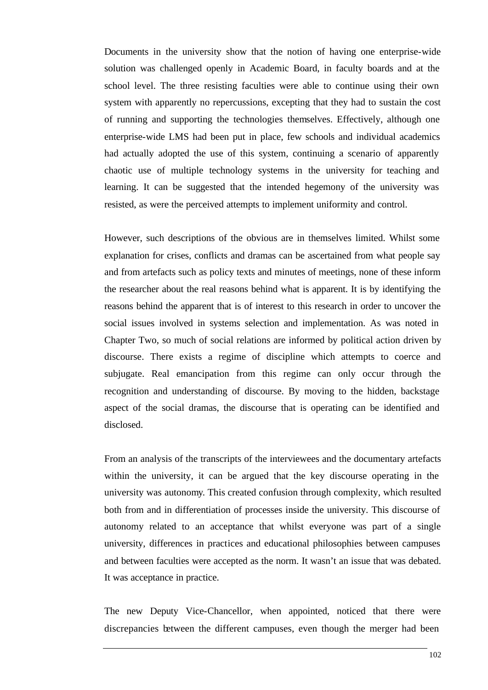Documents in the university show that the notion of having one enterprise-wide solution was challenged openly in Academic Board, in faculty boards and at the school level. The three resisting faculties were able to continue using their own system with apparently no repercussions, excepting that they had to sustain the cost of running and supporting the technologies themselves. Effectively, although one enterprise-wide LMS had been put in place, few schools and individual academics had actually adopted the use of this system, continuing a scenario of apparently chaotic use of multiple technology systems in the university for teaching and learning. It can be suggested that the intended hegemony of the university was resisted, as were the perceived attempts to implement uniformity and control.

However, such descriptions of the obvious are in themselves limited. Whilst some explanation for crises, conflicts and dramas can be ascertained from what people say and from artefacts such as policy texts and minutes of meetings, none of these inform the researcher about the real reasons behind what is apparent. It is by identifying the reasons behind the apparent that is of interest to this research in order to uncover the social issues involved in systems selection and implementation. As was noted in Chapter Two, so much of social relations are informed by political action driven by discourse. There exists a regime of discipline which attempts to coerce and subjugate. Real emancipation from this regime can only occur through the recognition and understanding of discourse. By moving to the hidden, backstage aspect of the social dramas, the discourse that is operating can be identified and disclosed.

From an analysis of the transcripts of the interviewees and the documentary artefacts within the university, it can be argued that the key discourse operating in the university was autonomy. This created confusion through complexity, which resulted both from and in differentiation of processes inside the university. This discourse of autonomy related to an acceptance that whilst everyone was part of a single university, differences in practices and educational philosophies between campuses and between faculties were accepted as the norm. It wasn't an issue that was debated. It was acceptance in practice.

The new Deputy Vice-Chancellor, when appointed, noticed that there were discrepancies between the different campuses, even though the merger had been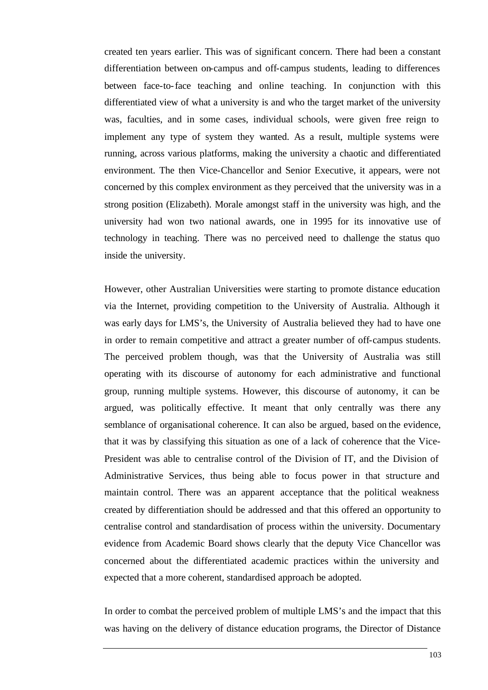created ten years earlier. This was of significant concern. There had been a constant differentiation between on-campus and off-campus students, leading to differences between face-to-face teaching and online teaching. In conjunction with this differentiated view of what a university is and who the target market of the university was, faculties, and in some cases, individual schools, were given free reign to implement any type of system they wanted. As a result, multiple systems were running, across various platforms, making the university a chaotic and differentiated environment. The then Vice-Chancellor and Senior Executive, it appears, were not concerned by this complex environment as they perceived that the university was in a strong position (Elizabeth). Morale amongst staff in the university was high, and the university had won two national awards, one in 1995 for its innovative use of technology in teaching. There was no perceived need to challenge the status quo inside the university.

However, other Australian Universities were starting to promote distance education via the Internet, providing competition to the University of Australia. Although it was early days for LMS's, the University of Australia believed they had to have one in order to remain competitive and attract a greater number of off-campus students. The perceived problem though, was that the University of Australia was still operating with its discourse of autonomy for each administrative and functional group, running multiple systems. However, this discourse of autonomy, it can be argued, was politically effective. It meant that only centrally was there any semblance of organisational coherence. It can also be argued, based on the evidence, that it was by classifying this situation as one of a lack of coherence that the Vice-President was able to centralise control of the Division of IT, and the Division of Administrative Services, thus being able to focus power in that structure and maintain control. There was an apparent acceptance that the political weakness created by differentiation should be addressed and that this offered an opportunity to centralise control and standardisation of process within the university. Documentary evidence from Academic Board shows clearly that the deputy Vice Chancellor was concerned about the differentiated academic practices within the university and expected that a more coherent, standardised approach be adopted.

In order to combat the perceived problem of multiple LMS's and the impact that this was having on the delivery of distance education programs, the Director of Distance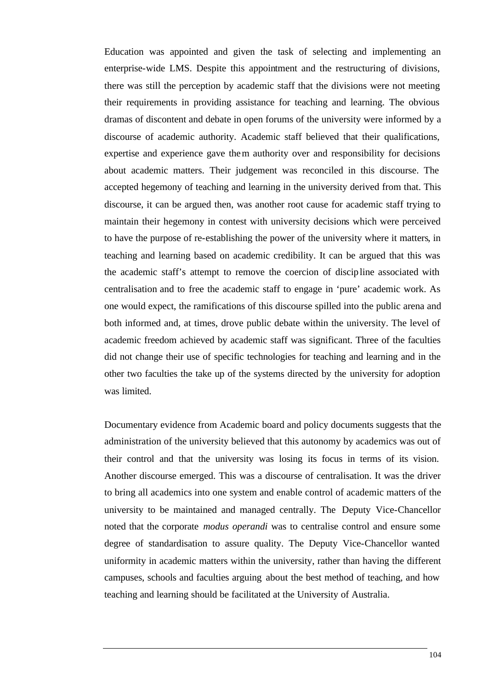Education was appointed and given the task of selecting and implementing an enterprise-wide LMS. Despite this appointment and the restructuring of divisions, there was still the perception by academic staff that the divisions were not meeting their requirements in providing assistance for teaching and learning. The obvious dramas of discontent and debate in open forums of the university were informed by a discourse of academic authority. Academic staff believed that their qualifications, expertise and experience gave them authority over and responsibility for decisions about academic matters. Their judgement was reconciled in this discourse. The accepted hegemony of teaching and learning in the university derived from that. This discourse, it can be argued then, was another root cause for academic staff trying to maintain their hegemony in contest with university decisions which were perceived to have the purpose of re-establishing the power of the university where it matters, in teaching and learning based on academic credibility. It can be argued that this was the academic staff's attempt to remove the coercion of discipline associated with centralisation and to free the academic staff to engage in 'pure' academic work. As one would expect, the ramifications of this discourse spilled into the public arena and both informed and, at times, drove public debate within the university. The level of academic freedom achieved by academic staff was significant. Three of the faculties did not change their use of specific technologies for teaching and learning and in the other two faculties the take up of the systems directed by the university for adoption was limited.

Documentary evidence from Academic board and policy documents suggests that the administration of the university believed that this autonomy by academics was out of their control and that the university was losing its focus in terms of its vision. Another discourse emerged. This was a discourse of centralisation. It was the driver to bring all academics into one system and enable control of academic matters of the university to be maintained and managed centrally. The Deputy Vice-Chancellor noted that the corporate *modus operandi* was to centralise control and ensure some degree of standardisation to assure quality. The Deputy Vice-Chancellor wanted uniformity in academic matters within the university, rather than having the different campuses, schools and faculties arguing about the best method of teaching, and how teaching and learning should be facilitated at the University of Australia.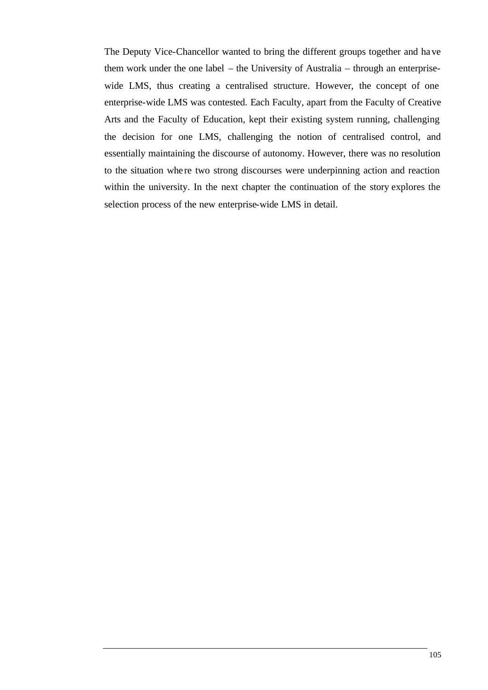The Deputy Vice-Chancellor wanted to bring the different groups together and have them work under the one label – the University of Australia – through an enterprisewide LMS, thus creating a centralised structure. However, the concept of one enterprise-wide LMS was contested. Each Faculty, apart from the Faculty of Creative Arts and the Faculty of Education, kept their existing system running, challenging the decision for one LMS, challenging the notion of centralised control, and essentially maintaining the discourse of autonomy. However, there was no resolution to the situation whe re two strong discourses were underpinning action and reaction within the university. In the next chapter the continuation of the story explores the selection process of the new enterprise-wide LMS in detail.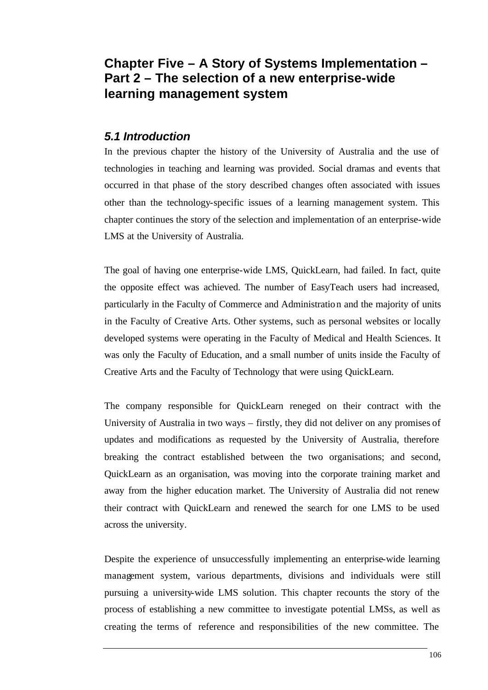# **Chapter Five – A Story of Systems Implementation – Part 2 – The selection of a new enterprise-wide learning management system**

# *5.1 Introduction*

In the previous chapter the history of the University of Australia and the use of technologies in teaching and learning was provided. Social dramas and events that occurred in that phase of the story described changes often associated with issues other than the technology-specific issues of a learning management system. This chapter continues the story of the selection and implementation of an enterprise-wide LMS at the University of Australia.

The goal of having one enterprise-wide LMS, QuickLearn, had failed. In fact, quite the opposite effect was achieved. The number of EasyTeach users had increased, particularly in the Faculty of Commerce and Administration and the majority of units in the Faculty of Creative Arts. Other systems, such as personal websites or locally developed systems were operating in the Faculty of Medical and Health Sciences. It was only the Faculty of Education, and a small number of units inside the Faculty of Creative Arts and the Faculty of Technology that were using QuickLearn.

The company responsible for QuickLearn reneged on their contract with the University of Australia in two ways – firstly, they did not deliver on any promises of updates and modifications as requested by the University of Australia, therefore breaking the contract established between the two organisations; and second, QuickLearn as an organisation, was moving into the corporate training market and away from the higher education market. The University of Australia did not renew their contract with QuickLearn and renewed the search for one LMS to be used across the university.

Despite the experience of unsuccessfully implementing an enterprise-wide learning management system, various departments, divisions and individuals were still pursuing a university-wide LMS solution. This chapter recounts the story of the process of establishing a new committee to investigate potential LMSs, as well as creating the terms of reference and responsibilities of the new committee. The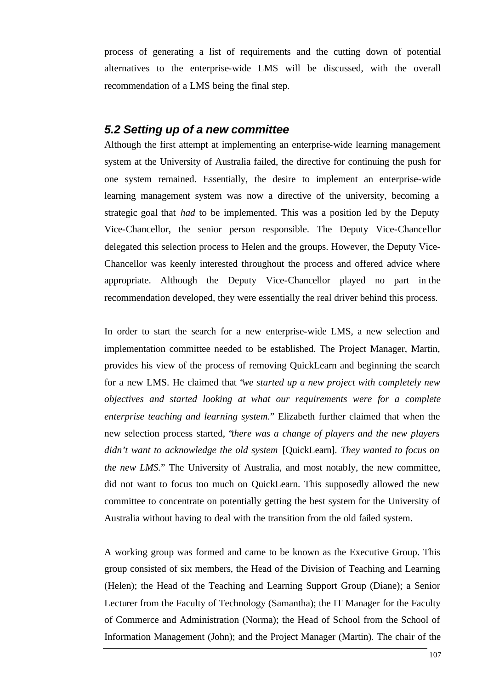process of generating a list of requirements and the cutting down of potential alternatives to the enterprise-wide LMS will be discussed, with the overall recommendation of a LMS being the final step.

#### *5.2 Setting up of a new committee*

Although the first attempt at implementing an enterprise-wide learning management system at the University of Australia failed, the directive for continuing the push for one system remained. Essentially, the desire to implement an enterprise-wide learning management system was now a directive of the university, becoming a strategic goal that *had* to be implemented. This was a position led by the Deputy Vice-Chancellor, the senior person responsible. The Deputy Vice-Chancellor delegated this selection process to Helen and the groups. However, the Deputy Vice-Chancellor was keenly interested throughout the process and offered advice where appropriate. Although the Deputy Vice-Chancellor played no part in the recommendation developed, they were essentially the real driver behind this process.

In order to start the search for a new enterprise-wide LMS, a new selection and implementation committee needed to be established. The Project Manager, Martin, provides his view of the process of removing QuickLearn and beginning the search for a new LMS. He claimed that "*we started up a new project with completely new objectives and started looking at what our requirements were for a complete enterprise teaching and learning system.*" Elizabeth further claimed that when the new selection process started, "*there was a change of players and the new players didn't want to acknowledge the old system* [QuickLearn]. *They wanted to focus on the new LMS.*" The University of Australia, and most notably, the new committee, did not want to focus too much on QuickLearn. This supposedly allowed the new committee to concentrate on potentially getting the best system for the University of Australia without having to deal with the transition from the old failed system.

A working group was formed and came to be known as the Executive Group. This group consisted of six members, the Head of the Division of Teaching and Learning (Helen); the Head of the Teaching and Learning Support Group (Diane); a Senior Lecturer from the Faculty of Technology (Samantha); the IT Manager for the Faculty of Commerce and Administration (Norma); the Head of School from the School of Information Management (John); and the Project Manager (Martin). The chair of the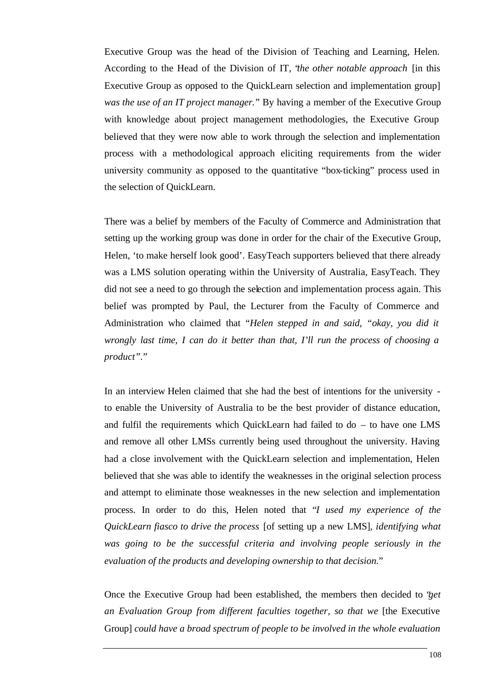Executive Group was the head of the Division of Teaching and Learning, Helen. According to the Head of the Division of IT, "*the other notable approach* [in this Executive Group as opposed to the QuickLearn selection and implementation group] *was the use of an IT project manager.*" By having a member of the Executive Group with knowledge about project management methodologies, the Executive Group believed that they were now able to work through the selection and implementation process with a methodological approach eliciting requirements from the wider university community as opposed to the quantitative "box-ticking" process used in the selection of QuickLearn.

There was a belief by members of the Faculty of Commerce and Administration that setting up the working group was done in order for the chair of the Executive Group, Helen, 'to make herself look good'. EasyTeach supporters believed that there already was a LMS solution operating within the University of Australia, EasyTeach. They did not see a need to go through the selection and implementation process again. This belief was prompted by Paul, the Lecturer from the Faculty of Commerce and Administration who claimed that "*Helen stepped in and said, "okay, you did it wrongly last time, I can do it better than that, I'll run the process of choosing a product".*"

In an interview Helen claimed that she had the best of intentions for the university to enable the University of Australia to be the best provider of distance education, and fulfil the requirements which QuickLearn had failed to do – to have one LMS and remove all other LMSs currently being used throughout the university. Having had a close involvement with the QuickLearn selection and implementation, Helen believed that she was able to identify the weaknesses in the original selection process and attempt to eliminate those weaknesses in the new selection and implementation process. In order to do this, Helen noted that "*I used my experience of the QuickLearn fiasco to drive the process* [of setting up a new LMS]*, identifying what was going to be the successful criteria and involving people seriously in the evaluation of the products and developing ownership to that decision.*"

Once the Executive Group had been established, the members then decided to "*get an Evaluation Group from different faculties together, so that we* [the Executive Group] *could have a broad spectrum of people to be involved in the whole evaluation*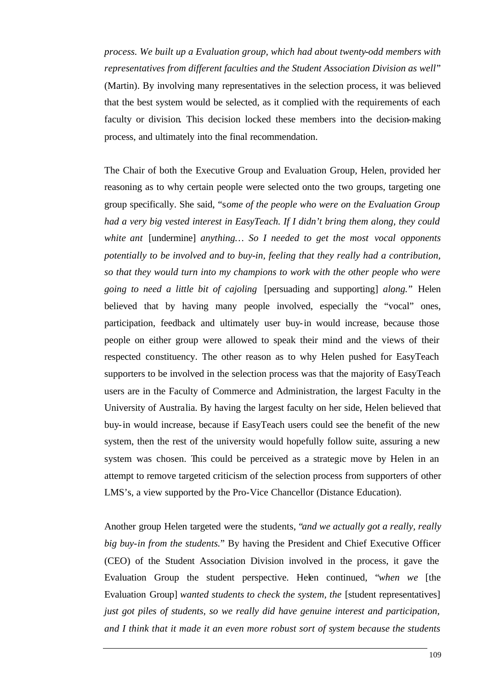*process. We built up a Evaluation group, which had about twenty-odd members with representatives from different faculties and the Student Association Division as well*" (Martin). By involving many representatives in the selection process, it was believed that the best system would be selected, as it complied with the requirements of each faculty or division. This decision locked these members into the decision-making process, and ultimately into the final recommendation.

The Chair of both the Executive Group and Evaluation Group, Helen, provided her reasoning as to why certain people were selected onto the two groups, targeting one group specifically. She said, "s*ome of the people who were on the Evaluation Group had a very big vested interest in EasyTeach. If I didn't bring them along, they could white ant* [undermine] *anything… So I needed to get the most vocal opponents potentially to be involved and to buy-in, feeling that they really had a contribution, so that they would turn into my champions to work with the other people who were going to need a little bit of cajoling* [persuading and supporting] *along.*" Helen believed that by having many people involved, especially the "vocal" ones, participation, feedback and ultimately user buy-in would increase, because those people on either group were allowed to speak their mind and the views of their respected constituency. The other reason as to why Helen pushed for EasyTeach supporters to be involved in the selection process was that the majority of EasyTeach users are in the Faculty of Commerce and Administration, the largest Faculty in the University of Australia. By having the largest faculty on her side, Helen believed that buy-in would increase, because if EasyTeach users could see the benefit of the new system, then the rest of the university would hopefully follow suite, assuring a new system was chosen. This could be perceived as a strategic move by Helen in an attempt to remove targeted criticism of the selection process from supporters of other LMS's, a view supported by the Pro-Vice Chancellor (Distance Education).

Another group Helen targeted were the students, "*and we actually got a really, really big buy-in from the students.*" By having the President and Chief Executive Officer (CEO) of the Student Association Division involved in the process, it gave the Evaluation Group the student perspective. Helen continued, "*when we* [the Evaluation Group] *wanted students to check the system, the* [student representatives] *just got piles of students, so we really did have genuine interest and participation, and I think that it made it an even more robust sort of system because the students*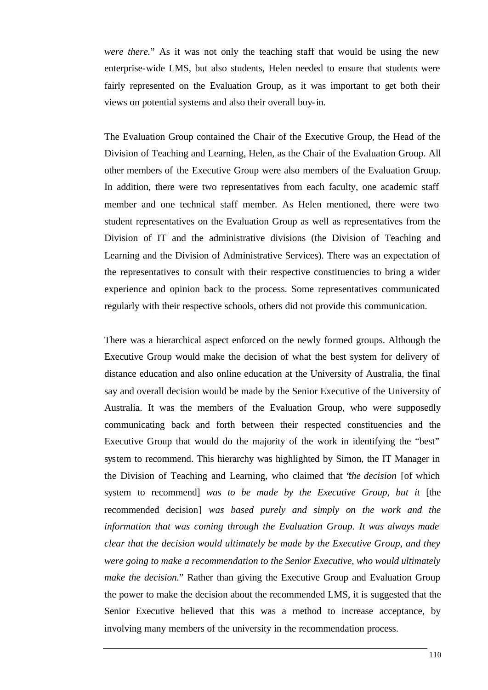*were there.*" As it was not only the teaching staff that would be using the new enterprise-wide LMS, but also students, Helen needed to ensure that students were fairly represented on the Evaluation Group, as it was important to get both their views on potential systems and also their overall buy-in.

The Evaluation Group contained the Chair of the Executive Group, the Head of the Division of Teaching and Learning, Helen, as the Chair of the Evaluation Group. All other members of the Executive Group were also members of the Evaluation Group. In addition, there were two representatives from each faculty, one academic staff member and one technical staff member. As Helen mentioned, there were two student representatives on the Evaluation Group as well as representatives from the Division of IT and the administrative divisions (the Division of Teaching and Learning and the Division of Administrative Services). There was an expectation of the representatives to consult with their respective constituencies to bring a wider experience and opinion back to the process. Some representatives communicated regularly with their respective schools, others did not provide this communication.

There was a hierarchical aspect enforced on the newly formed groups. Although the Executive Group would make the decision of what the best system for delivery of distance education and also online education at the University of Australia, the final say and overall decision would be made by the Senior Executive of the University of Australia. It was the members of the Evaluation Group, who were supposedly communicating back and forth between their respected constituencies and the Executive Group that would do the majority of the work in identifying the "best" system to recommend. This hierarchy was highlighted by Simon, the IT Manager in the Division of Teaching and Learning, who claimed that "*the decision* [of which system to recommend] *was to be made by the Executive Group, but it* [the recommended decision] *was based purely and simply on the work and the information that was coming through the Evaluation Group. It was always made clear that the decision would ultimately be made by the Executive Group, and they were going to make a recommendation to the Senior Executive, who would ultimately make the decision.*" Rather than giving the Executive Group and Evaluation Group the power to make the decision about the recommended LMS, it is suggested that the Senior Executive believed that this was a method to increase acceptance, by involving many members of the university in the recommendation process.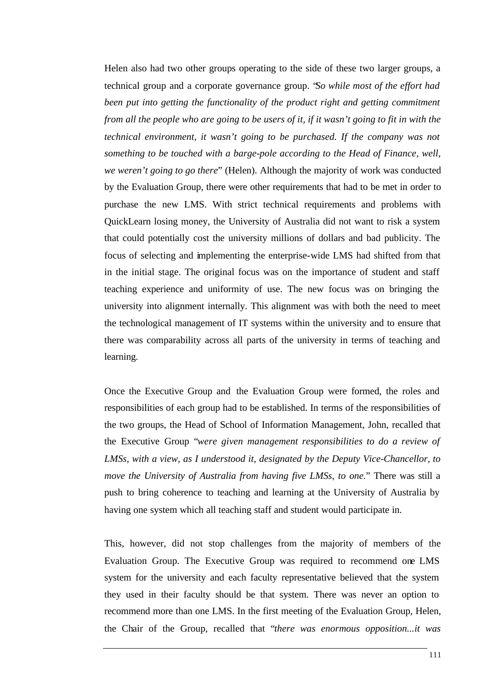Helen also had two other groups operating to the side of these two larger groups, a technical group and a corporate governance group. "*So while most of the effort had been put into getting the functionality of the product right and getting commitment from all the people who are going to be users of it, if it wasn't going to fit in with the technical environment, it wasn't going to be purchased. If the company was not something to be touched with a barge-pole according to the Head of Finance, well, we weren't going to go there*" (Helen). Although the majority of work was conducted by the Evaluation Group, there were other requirements that had to be met in order to purchase the new LMS. With strict technical requirements and problems with QuickLearn losing money, the University of Australia did not want to risk a system that could potentially cost the university millions of dollars and bad publicity. The focus of selecting and implementing the enterprise-wide LMS had shifted from that in the initial stage. The original focus was on the importance of student and staff teaching experience and uniformity of use. The new focus was on bringing the university into alignment internally. This alignment was with both the need to meet the technological management of IT systems within the university and to ensure that there was comparability across all parts of the university in terms of teaching and learning.

Once the Executive Group and the Evaluation Group were formed, the roles and responsibilities of each group had to be established. In terms of the responsibilities of the two groups, the Head of School of Information Management, John, recalled that the Executive Group "*were given management responsibilities to do a review of LMSs, with a view, as I understood it, designated by the Deputy Vice-Chancellor, to move the University of Australia from having five LMSs, to one.*" There was still a push to bring coherence to teaching and learning at the University of Australia by having one system which all teaching staff and student would participate in.

This, however, did not stop challenges from the majority of members of the Evaluation Group. The Executive Group was required to recommend one LMS system for the university and each faculty representative believed that the system they used in their faculty should be that system. There was never an option to recommend more than one LMS. In the first meeting of the Evaluation Group, Helen, the Chair of the Group, recalled that "*there was enormous opposition...it was*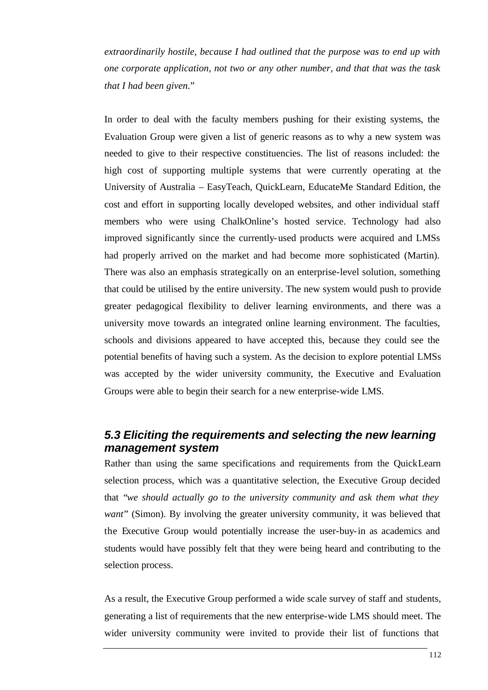*extraordinarily hostile, because I had outlined that the purpose was to end up with one corporate application, not two or any other number, and that that was the task that I had been given.*"

In order to deal with the faculty members pushing for their existing systems, the Evaluation Group were given a list of generic reasons as to why a new system was needed to give to their respective constituencies. The list of reasons included: the high cost of supporting multiple systems that were currently operating at the University of Australia – EasyTeach, QuickLearn, EducateMe Standard Edition, the cost and effort in supporting locally developed websites, and other individual staff members who were using ChalkOnline's hosted service. Technology had also improved significantly since the currently-used products were acquired and LMSs had properly arrived on the market and had become more sophisticated (Martin). There was also an emphasis strategically on an enterprise-level solution, something that could be utilised by the entire university. The new system would push to provide greater pedagogical flexibility to deliver learning environments, and there was a university move towards an integrated online learning environment. The faculties, schools and divisions appeared to have accepted this, because they could see the potential benefits of having such a system. As the decision to explore potential LMSs was accepted by the wider university community, the Executive and Evaluation Groups were able to begin their search for a new enterprise-wide LMS.

## *5.3 Eliciting the requirements and selecting the new learning management system*

Rather than using the same specifications and requirements from the QuickLearn selection process, which was a quantitative selection, the Executive Group decided that "*we should actually go to the university community and ask them what they want*" (Simon). By involving the greater university community, it was believed that the Executive Group would potentially increase the user-buy-in as academics and students would have possibly felt that they were being heard and contributing to the selection process.

As a result, the Executive Group performed a wide scale survey of staff and students, generating a list of requirements that the new enterprise-wide LMS should meet. The wider university community were invited to provide their list of functions that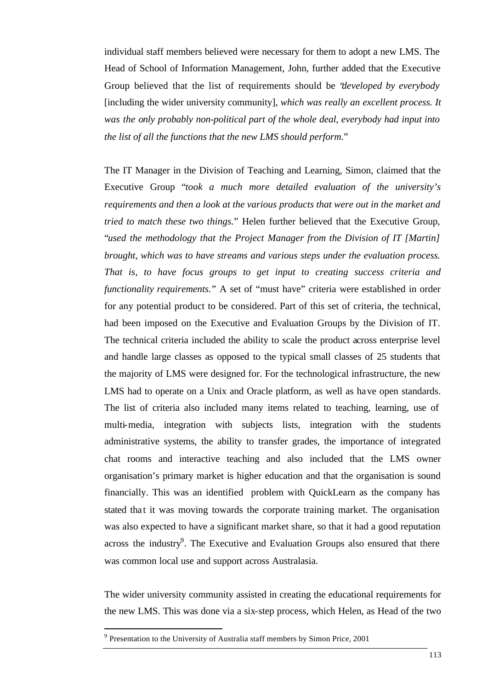individual staff members believed were necessary for them to adopt a new LMS. The Head of School of Information Management, John, further added that the Executive Group believed that the list of requirements should be "*developed by everybody*  [including the wider university community], *which was really an excellent process. It was the only probably non-political part of the whole deal, everybody had input into the list of all the functions that the new LMS should perform.*"

The IT Manager in the Division of Teaching and Learning, Simon, claimed that the Executive Group "*took a much more detailed evaluation of the university's requirements and then a look at the various products that were out in the market and tried to match these two things.*" Helen further believed that the Executive Group, "*used the methodology that the Project Manager from the Division of IT [Martin] brought, which was to have streams and various steps under the evaluation process. That is, to have focus groups to get input to creating success criteria and functionality requirements.*" A set of "must have" criteria were established in order for any potential product to be considered. Part of this set of criteria, the technical, had been imposed on the Executive and Evaluation Groups by the Division of IT. The technical criteria included the ability to scale the product across enterprise level and handle large classes as opposed to the typical small classes of 25 students that the majority of LMS were designed for. For the technological infrastructure, the new LMS had to operate on a Unix and Oracle platform, as well as have open standards. The list of criteria also included many items related to teaching, learning, use of multi-media, integration with subjects lists, integration with the students administrative systems, the ability to transfer grades, the importance of integrated chat rooms and interactive teaching and also included that the LMS owner organisation's primary market is higher education and that the organisation is sound financially. This was an identified problem with QuickLearn as the company has stated that it was moving towards the corporate training market. The organisation was also expected to have a significant market share, so that it had a good reputation across the industry $9$ . The Executive and Evaluation Groups also ensured that there was common local use and support across Australasia.

The wider university community assisted in creating the educational requirements for the new LMS. This was done via a six-step process, which Helen, as Head of the two

l

<sup>&</sup>lt;sup>9</sup> Presentation to the University of Australia staff members by Simon Price, 2001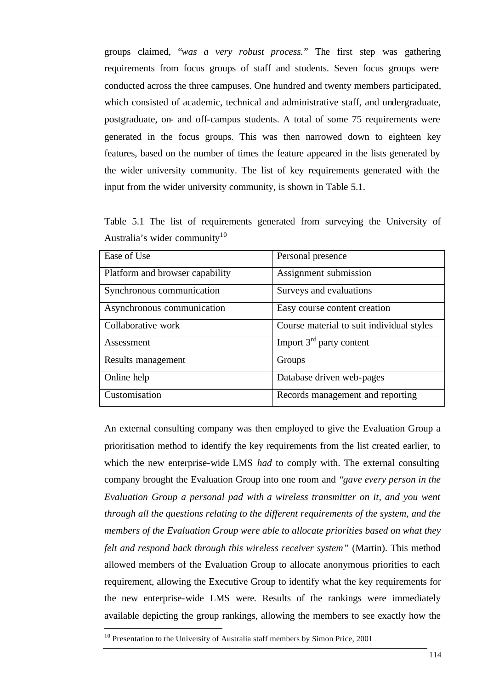groups claimed, "*was a very robust process.*" The first step was gathering requirements from focus groups of staff and students. Seven focus groups were conducted across the three campuses. One hundred and twenty members participated, which consisted of academic, technical and administrative staff, and undergraduate, postgraduate, on- and off-campus students. A total of some 75 requirements were generated in the focus groups. This was then narrowed down to eighteen key features, based on the number of times the feature appeared in the lists generated by the wider university community. The list of key requirements generated with the input from the wider university community, is shown in Table 5.1.

Table 5.1 The list of requirements generated from surveying the University of Australia's wider community<sup>10</sup>

| Ease of Use                     | Personal presence                         |
|---------------------------------|-------------------------------------------|
| Platform and browser capability | Assignment submission                     |
| Synchronous communication       | Surveys and evaluations                   |
| Asynchronous communication      | Easy course content creation              |
| Collaborative work              | Course material to suit individual styles |
| Assessment                      | Import $3rd$ party content                |
| Results management              | Groups                                    |
| Online help                     | Database driven web-pages                 |
| Customisation                   | Records management and reporting          |

An external consulting company was then employed to give the Evaluation Group a prioritisation method to identify the key requirements from the list created earlier, to which the new enterprise-wide LMS *had* to comply with. The external consulting company brought the Evaluation Group into one room and "*gave every person in the Evaluation Group a personal pad with a wireless transmitter on it, and you went through all the questions relating to the different requirements of the system, and the members of the Evaluation Group were able to allocate priorities based on what they felt and respond back through this wireless receiver system*" (Martin). This method allowed members of the Evaluation Group to allocate anonymous priorities to each requirement, allowing the Executive Group to identify what the key requirements for the new enterprise-wide LMS were*.* Results of the rankings were immediately available depicting the group rankings, allowing the members to see exactly how the l

 $10$  Presentation to the University of Australia staff members by Simon Price, 2001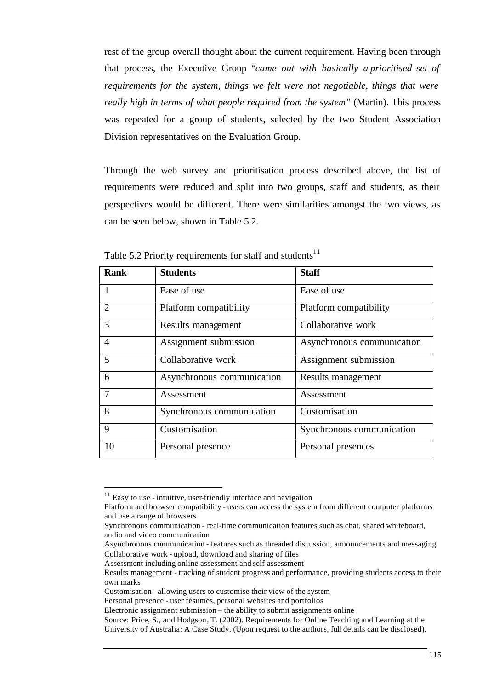rest of the group overall thought about the current requirement. Having been through that process, the Executive Group "*came out with basically a prioritised set of requirements for the system, things we felt were not negotiable, things that were really high in terms of what people required from the system*" (Martin). This process was repeated for a group of students, selected by the two Student Association Division representatives on the Evaluation Group.

Through the web survey and prioritisation process described above, the list of requirements were reduced and split into two groups, staff and students, as their perspectives would be different. There were similarities amongst the two views, as can be seen below, shown in Table 5.2.

| <b>Rank</b>    | <b>Students</b>            | <b>Staff</b>               |
|----------------|----------------------------|----------------------------|
| $\mathbf{1}$   | Ease of use                | Ease of use                |
| $\overline{2}$ | Platform compatibility     | Platform compatibility     |
| 3              | Results management         | Collaborative work         |
| $\overline{4}$ | Assignment submission      | Asynchronous communication |
| $\overline{5}$ | Collaborative work         | Assignment submission      |
| 6              | Asynchronous communication | Results management         |
| $\overline{7}$ | Assessment                 | Assessment                 |
| 8              | Synchronous communication  | Customisation              |
| 9              | Customisation              | Synchronous communication  |
| 10             | Personal presence          | Personal presences         |

Table 5.2 Priority requirements for staff and students<sup>11</sup>

l

 $11$  Easy to use - intuitive, user-friendly interface and navigation

Platform and browser compatibility - users can access the system from different computer platforms and use a range of browsers

Synchronous communication - real-time communication features such as chat, shared whiteboard, audio and video communication

Asynchronous communication - features such as threaded discussion, announcements and messaging Collaborative work - upload, download and sharing of files

Assessment including online assessment and self-assessment

Results management - tracking of student progress and performance, providing students access to their own marks

Customisation - allowing users to customise their view of the system

Personal presence - user résumés, personal websites and portfolios

Electronic assignment submission – the ability to submit assignments online

Source: Price, S., and Hodgson, T. (2002). Requirements for Online Teaching and Learning at the University of Australia: A Case Study. (Upon request to the authors, full details can be disclosed).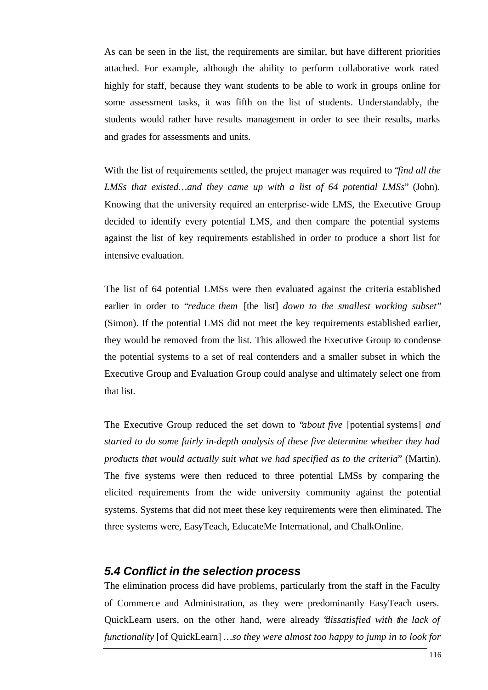As can be seen in the list, the requirements are similar, but have different priorities attached. For example, although the ability to perform collaborative work rated highly for staff, because they want students to be able to work in groups online for some assessment tasks, it was fifth on the list of students. Understandably, the students would rather have results management in order to see their results, marks and grades for assessments and units.

With the list of requirements settled, the project manager was required to "*find all the LMSs that existed…and they came up with a list of 64 potential LMSs*" (John). Knowing that the university required an enterprise-wide LMS, the Executive Group decided to identify every potential LMS, and then compare the potential systems against the list of key requirements established in order to produce a short list for intensive evaluation.

The list of 64 potential LMSs were then evaluated against the criteria established earlier in order to "*reduce them* [the list] *down to the smallest working subset*" (Simon). If the potential LMS did not meet the key requirements established earlier, they would be removed from the list. This allowed the Executive Group to condense the potential systems to a set of real contenders and a smaller subset in which the Executive Group and Evaluation Group could analyse and ultimately select one from that list.

The Executive Group reduced the set down to "*about five* [potential systems] *and started to do some fairly in-depth analysis of these five determine whether they had products that would actually suit what we had specified as to the criteria*" (Martin). The five systems were then reduced to three potential LMSs by comparing the elicited requirements from the wide university community against the potential systems. Systems that did not meet these key requirements were then eliminated. The three systems were, EasyTeach, EducateMe International, and ChalkOnline.

#### *5.4 Conflict in the selection process*

The elimination process did have problems, particularly from the staff in the Faculty of Commerce and Administration, as they were predominantly EasyTeach users. QuickLearn users, on the other hand, were already "*dissatisfied with the lack of functionality* [of QuickLearn] *…so they were almost too happy to jump in to look for*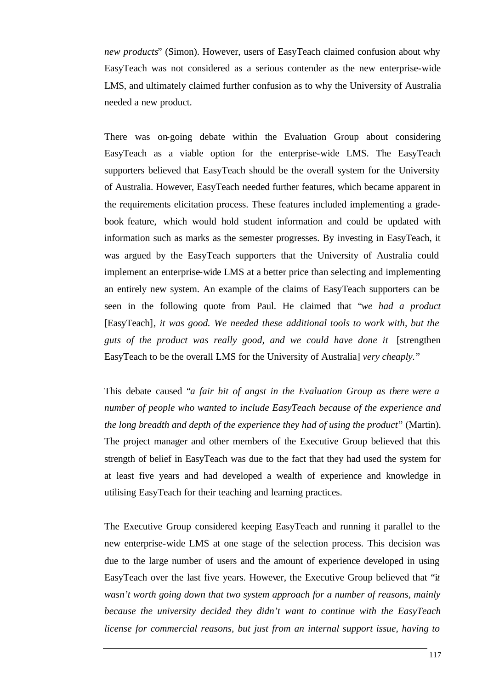*new products*" (Simon). However, users of EasyTeach claimed confusion about why EasyTeach was not considered as a serious contender as the new enterprise-wide LMS, and ultimately claimed further confusion as to why the University of Australia needed a new product.

There was on-going debate within the Evaluation Group about considering EasyTeach as a viable option for the enterprise-wide LMS. The EasyTeach supporters believed that EasyTeach should be the overall system for the University of Australia. However, EasyTeach needed further features, which became apparent in the requirements elicitation process. These features included implementing a gradebook feature, which would hold student information and could be updated with information such as marks as the semester progresses. By investing in EasyTeach, it was argued by the EasyTeach supporters that the University of Australia could implement an enterprise-wide LMS at a better price than selecting and implementing an entirely new system. An example of the claims of EasyTeach supporters can be seen in the following quote from Paul. He claimed that "*we had a product* [EasyTeach]*, it was good. We needed these additional tools to work with, but the guts of the product was really good, and we could have done it* [strengthen EasyTeach to be the overall LMS for the University of Australia] *very cheaply.*"

This debate caused "*a fair bit of angst in the Evaluation Group as there were a number of people who wanted to include EasyTeach because of the experience and the long breadth and depth of the experience they had of using the product*" (Martin). The project manager and other members of the Executive Group believed that this strength of belief in EasyTeach was due to the fact that they had used the system for at least five years and had developed a wealth of experience and knowledge in utilising EasyTeach for their teaching and learning practices.

The Executive Group considered keeping EasyTeach and running it parallel to the new enterprise-wide LMS at one stage of the selection process. This decision was due to the large number of users and the amount of experience developed in using EasyTeach over the last five years. However, the Executive Group believed that "i*t wasn't worth going down that two system approach for a number of reasons, mainly because the university decided they didn't want to continue with the EasyTeach license for commercial reasons, but just from an internal support issue, having to*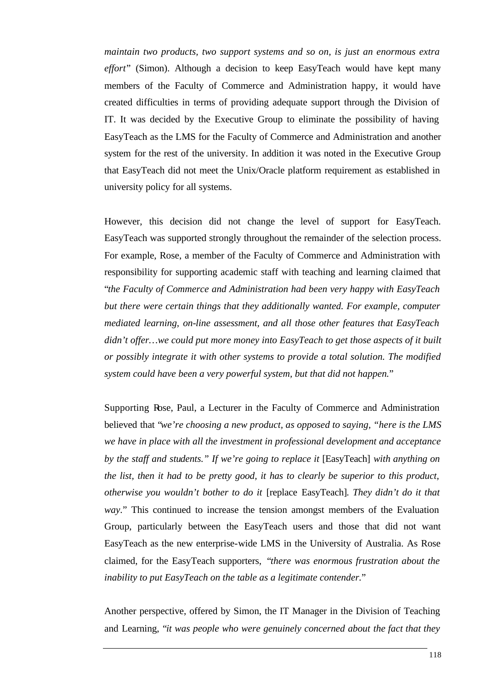*maintain two products, two support systems and so on, is just an enormous extra effort*" (Simon). Although a decision to keep EasyTeach would have kept many members of the Faculty of Commerce and Administration happy, it would have created difficulties in terms of providing adequate support through the Division of IT. It was decided by the Executive Group to eliminate the possibility of having EasyTeach as the LMS for the Faculty of Commerce and Administration and another system for the rest of the university. In addition it was noted in the Executive Group that EasyTeach did not meet the Unix/Oracle platform requirement as established in university policy for all systems.

However, this decision did not change the level of support for EasyTeach. EasyTeach was supported strongly throughout the remainder of the selection process. For example, Rose, a member of the Faculty of Commerce and Administration with responsibility for supporting academic staff with teaching and learning claimed that "*the Faculty of Commerce and Administration had been very happy with EasyTeach but there were certain things that they additionally wanted. For example, computer mediated learning, on-line assessment, and all those other features that EasyTeach didn't offer…we could put more money into EasyTeach to get those aspects of it built or possibly integrate it with other systems to provide a total solution. The modified system could have been a very powerful system, but that did not happen.*"

Supporting Rose, Paul, a Lecturer in the Faculty of Commerce and Administration believed that "*we're choosing a new product, as opposed to saying, "here is the LMS we have in place with all the investment in professional development and acceptance by the staff and students." If we're going to replace it* [EasyTeach] *with anything on the list, then it had to be pretty good, it has to clearly be superior to this product, otherwise you wouldn't bother to do it* [replace EasyTeach]*. They didn't do it that way.*" This continued to increase the tension amongst members of the Evaluation Group, particularly between the EasyTeach users and those that did not want EasyTeach as the new enterprise-wide LMS in the University of Australia. As Rose claimed, for the EasyTeach supporters, "*there was enormous frustration about the inability to put EasyTeach on the table as a legitimate contender.*"

Another perspective, offered by Simon, the IT Manager in the Division of Teaching and Learning, "*it was people who were genuinely concerned about the fact that they*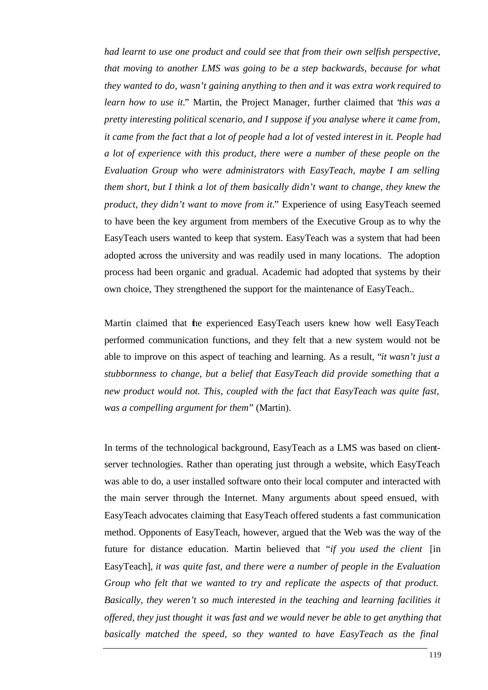*had learnt to use one product and could see that from their own selfish perspective, that moving to another LMS was going to be a step backwards, because for what they wanted to do, wasn't gaining anything to then and it was extra work required to learn how to use it.*" Martin, the Project Manager, further claimed that "*this was a pretty interesting political scenario, and I suppose if you analyse where it came from, it came from the fact that a lot of people had a lot of vested interest in it. People had a lot of experience with this product, there were a number of these people on the Evaluation Group who were administrators with EasyTeach, maybe I am selling them short, but I think a lot of them basically didn't want to change, they knew the product, they didn't want to move from it.*" Experience of using EasyTeach seemed to have been the key argument from members of the Executive Group as to why the EasyTeach users wanted to keep that system. EasyTeach was a system that had been adopted across the university and was readily used in many locations. The adoption process had been organic and gradual. Academic had adopted that systems by their own choice, They strengthened the support for the maintenance of EasyTeach..

Martin claimed that the experienced EasyTeach users knew how well EasyTeach performed communication functions, and they felt that a new system would not be able to improve on this aspect of teaching and learning. As a result, "*it wasn't just a stubbornness to change, but a belief that EasyTeach did provide something that a new product would not. This, coupled with the fact that EasyTeach was quite fast, was a compelling argument for them*" (Martin).

In terms of the technological background, EasyTeach as a LMS was based on clientserver technologies. Rather than operating just through a website, which EasyTeach was able to do, a user installed software onto their local computer and interacted with the main server through the Internet. Many arguments about speed ensued, with EasyTeach advocates claiming that EasyTeach offered students a fast communication method. Opponents of EasyTeach, however, argued that the Web was the way of the future for distance education. Martin believed that "*if you used the client* [in EasyTeach]*, it was quite fast, and there were a number of people in the Evaluation Group who felt that we wanted to try and replicate the aspects of that product. Basically, they weren't so much interested in the teaching and learning facilities it offered, they just thought it was fast and we would never be able to get anything that basically matched the speed, so they wanted to have EasyTeach as the final*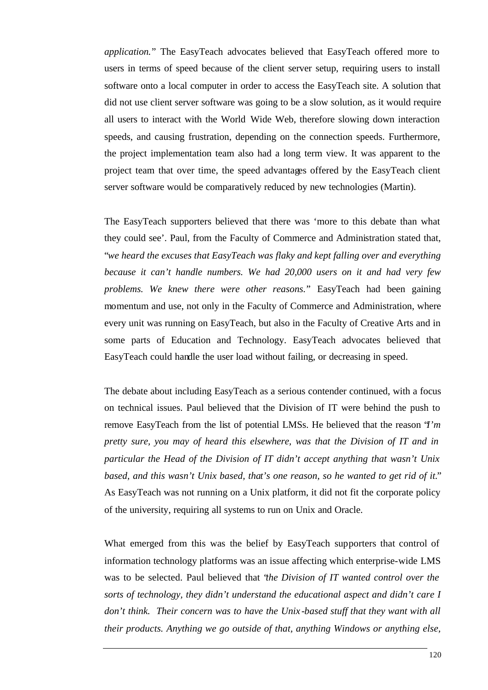*application.*" The EasyTeach advocates believed that EasyTeach offered more to users in terms of speed because of the client server setup, requiring users to install software onto a local computer in order to access the EasyTeach site. A solution that did not use client server software was going to be a slow solution, as it would require all users to interact with the World Wide Web, therefore slowing down interaction speeds, and causing frustration, depending on the connection speeds. Furthermore, the project implementation team also had a long term view. It was apparent to the project team that over time, the speed advantages offered by the EasyTeach client server software would be comparatively reduced by new technologies (Martin).

The EasyTeach supporters believed that there was 'more to this debate than what they could see'. Paul, from the Faculty of Commerce and Administration stated that, "*we heard the excuses that EasyTeach was flaky and kept falling over and everything because it can't handle numbers. We had 20,000 users on it and had very few problems. We knew there were other reasons.*" EasyTeach had been gaining momentum and use, not only in the Faculty of Commerce and Administration, where every unit was running on EasyTeach, but also in the Faculty of Creative Arts and in some parts of Education and Technology. EasyTeach advocates believed that EasyTeach could handle the user load without failing, or decreasing in speed.

The debate about including EasyTeach as a serious contender continued, with a focus on technical issues. Paul believed that the Division of IT were behind the push to remove EasyTeach from the list of potential LMSs. He believed that the reason "*I'm pretty sure, you may of heard this elsewhere, was that the Division of IT and in particular the Head of the Division of IT didn't accept anything that wasn't Unix based, and this wasn't Unix based, that's one reason, so he wanted to get rid of it.*" As EasyTeach was not running on a Unix platform, it did not fit the corporate policy of the university, requiring all systems to run on Unix and Oracle.

What emerged from this was the belief by EasyTeach supporters that control of information technology platforms was an issue affecting which enterprise-wide LMS was to be selected. Paul believed that "*the Division of IT wanted control over the sorts of technology, they didn't understand the educational aspect and didn't care I don't think. Their concern was to have the Unix -based stuff that they want with all their products. Anything we go outside of that, anything Windows or anything else,*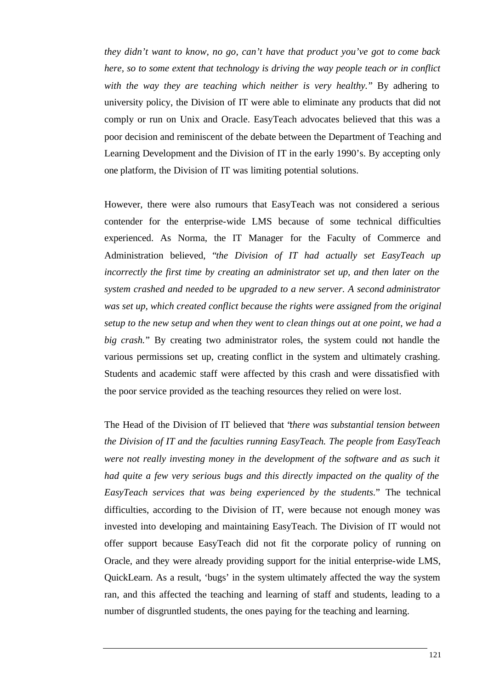*they didn't want to know, no go, can't have that product you've got to come back here, so to some extent that technology is driving the way people teach or in conflict with the way they are teaching which neither is very healthy.*" By adhering to university policy, the Division of IT were able to eliminate any products that did not comply or run on Unix and Oracle. EasyTeach advocates believed that this was a poor decision and reminiscent of the debate between the Department of Teaching and Learning Development and the Division of IT in the early 1990's. By accepting only one platform, the Division of IT was limiting potential solutions.

However, there were also rumours that EasyTeach was not considered a serious contender for the enterprise-wide LMS because of some technical difficulties experienced. As Norma, the IT Manager for the Faculty of Commerce and Administration believed, "*the Division of IT had actually set EasyTeach up incorrectly the first time by creating an administrator set up, and then later on the system crashed and needed to be upgraded to a new server. A second administrator was set up, which created conflict because the rights were assigned from the original setup to the new setup and when they went to clean things out at one point, we had a big crash.*" By creating two administrator roles, the system could not handle the various permissions set up, creating conflict in the system and ultimately crashing. Students and academic staff were affected by this crash and were dissatisfied with the poor service provided as the teaching resources they relied on were lost.

The Head of the Division of IT believed that "*there was substantial tension between the Division of IT and the faculties running EasyTeach. The people from EasyTeach were not really investing money in the development of the software and as such it had quite a few very serious bugs and this directly impacted on the quality of the EasyTeach services that was being experienced by the students.*" The technical difficulties, according to the Division of IT, were because not enough money was invested into developing and maintaining EasyTeach. The Division of IT would not offer support because EasyTeach did not fit the corporate policy of running on Oracle, and they were already providing support for the initial enterprise-wide LMS, QuickLearn. As a result, 'bugs' in the system ultimately affected the way the system ran, and this affected the teaching and learning of staff and students, leading to a number of disgruntled students, the ones paying for the teaching and learning.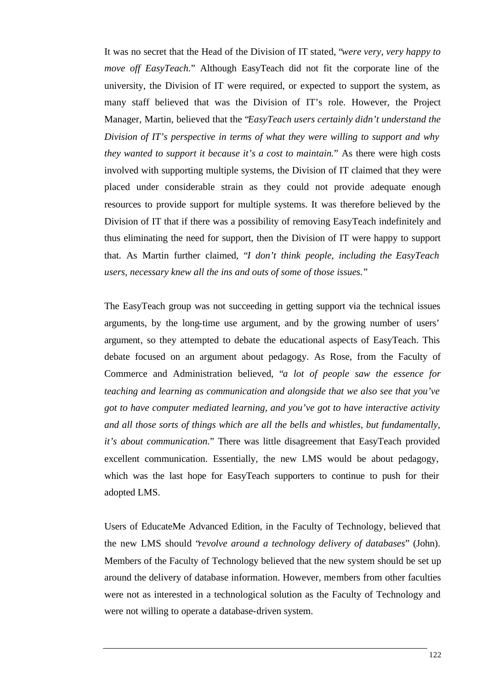It was no secret that the Head of the Division of IT stated, "*were very, very happy to move off EasyTeach.*" Although EasyTeach did not fit the corporate line of the university, the Division of IT were required, or expected to support the system, as many staff believed that was the Division of IT's role. However, the Project Manager, Martin, believed that the "*EasyTeach users certainly didn't understand the Division of IT's perspective in terms of what they were willing to support and why they wanted to support it because it's a cost to maintain.*" As there were high costs involved with supporting multiple systems, the Division of IT claimed that they were placed under considerable strain as they could not provide adequate enough resources to provide support for multiple systems. It was therefore believed by the Division of IT that if there was a possibility of removing EasyTeach indefinitely and thus eliminating the need for support, then the Division of IT were happy to support that. As Martin further claimed, "*I don't think people, including the EasyTeach users, necessary knew all the ins and outs of some of those issues.*"

The EasyTeach group was not succeeding in getting support via the technical issues arguments, by the long-time use argument, and by the growing number of users' argument, so they attempted to debate the educational aspects of EasyTeach. This debate focused on an argument about pedagogy. As Rose, from the Faculty of Commerce and Administration believed, "*a lot of people saw the essence for teaching and learning as communication and alongside that we also see that you've got to have computer mediated learning, and you've got to have interactive activity and all those sorts of things which are all the bells and whistles, but fundamentally, it's about communication.*" There was little disagreement that EasyTeach provided excellent communication. Essentially, the new LMS would be about pedagogy, which was the last hope for EasyTeach supporters to continue to push for their adopted LMS.

Users of EducateMe Advanced Edition, in the Faculty of Technology, believed that the new LMS should "*revolve around a technology delivery of databases*" (John). Members of the Faculty of Technology believed that the new system should be set up around the delivery of database information. However, members from other faculties were not as interested in a technological solution as the Faculty of Technology and were not willing to operate a database-driven system.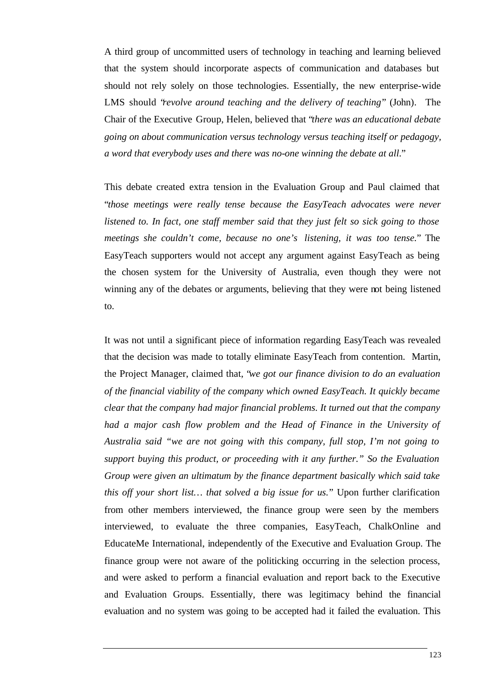A third group of uncommitted users of technology in teaching and learning believed that the system should incorporate aspects of communication and databases but should not rely solely on those technologies. Essentially, the new enterprise-wide LMS should "*revolve around teaching and the delivery of teaching*" (John)*.* The Chair of the Executive Group, Helen, believed that "*there was an educational debate going on about communication versus technology versus teaching itself or pedagogy, a word that everybody uses and there was no-one winning the debate at all*."

This debate created extra tension in the Evaluation Group and Paul claimed that "*those meetings were really tense because the EasyTeach advocates were never listened to. In fact, one staff member said that they just felt so sick going to those meetings she couldn't come, because no one's listening, it was too tense.*" The EasyTeach supporters would not accept any argument against EasyTeach as being the chosen system for the University of Australia, even though they were not winning any of the debates or arguments, believing that they were not being listened to.

It was not until a significant piece of information regarding EasyTeach was revealed that the decision was made to totally eliminate EasyTeach from contention. Martin, the Project Manager, claimed that, "*we got our finance division to do an evaluation of the financial viability of the company which owned EasyTeach. It quickly became clear that the company had major financial problems. It turned out that the company had a major cash flow problem and the Head of Finance in the University of Australia said "we are not going with this company, full stop, I'm not going to support buying this product, or proceeding with it any further." So the Evaluation Group were given an ultimatum by the finance department basically which said take this off your short list… that solved a big issue for us.*" Upon further clarification from other members interviewed, the finance group were seen by the members interviewed, to evaluate the three companies, EasyTeach, ChalkOnline and EducateMe International, independently of the Executive and Evaluation Group. The finance group were not aware of the politicking occurring in the selection process, and were asked to perform a financial evaluation and report back to the Executive and Evaluation Groups. Essentially, there was legitimacy behind the financial evaluation and no system was going to be accepted had it failed the evaluation. This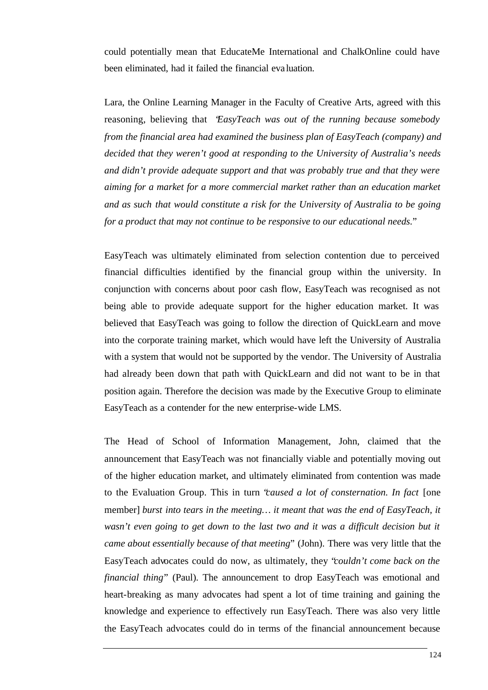could potentially mean that EducateMe International and ChalkOnline could have been eliminated, had it failed the financial eva luation.

Lara, the Online Learning Manager in the Faculty of Creative Arts, agreed with this reasoning, believing that "*EasyTeach was out of the running because somebody from the financial area had examined the business plan of EasyTeach (company) and decided that they weren't good at responding to the University of Australia's needs and didn't provide adequate support and that was probably true and that they were aiming for a market for a more commercial market rather than an education market and as such that would constitute a risk for the University of Australia to be going for a product that may not continue to be responsive to our educational needs.*"

EasyTeach was ultimately eliminated from selection contention due to perceived financial difficulties identified by the financial group within the university. In conjunction with concerns about poor cash flow, EasyTeach was recognised as not being able to provide adequate support for the higher education market. It was believed that EasyTeach was going to follow the direction of QuickLearn and move into the corporate training market, which would have left the University of Australia with a system that would not be supported by the vendor. The University of Australia had already been down that path with QuickLearn and did not want to be in that position again. Therefore the decision was made by the Executive Group to eliminate EasyTeach as a contender for the new enterprise-wide LMS.

The Head of School of Information Management, John, claimed that the announcement that EasyTeach was not financially viable and potentially moving out of the higher education market, and ultimately eliminated from contention was made to the Evaluation Group. This in turn "*caused a lot of consternation. In fact* [one member] *burst into tears in the meeting… it meant that was the end of EasyTeach, it wasn't even going to get down to the last two and it was a difficult decision but it came about essentially because of that meeting*" (John). There was very little that the EasyTeach advocates could do now, as ultimately, they "*couldn't come back on the financial thing*" (Paul). The announcement to drop EasyTeach was emotional and heart-breaking as many advocates had spent a lot of time training and gaining the knowledge and experience to effectively run EasyTeach. There was also very little the EasyTeach advocates could do in terms of the financial announcement because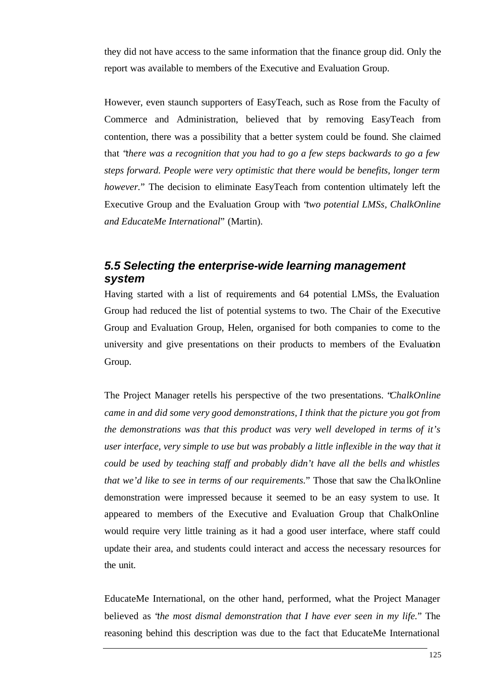they did not have access to the same information that the finance group did. Only the report was available to members of the Executive and Evaluation Group.

However, even staunch supporters of EasyTeach, such as Rose from the Faculty of Commerce and Administration, believed that by removing EasyTeach from contention, there was a possibility that a better system could be found. She claimed that "*there was a recognition that you had to go a few steps backwards to go a few steps forward. People were very optimistic that there would be benefits, longer term however.*" The decision to eliminate EasyTeach from contention ultimately left the Executive Group and the Evaluation Group with "*two potential LMSs, ChalkOnline and EducateMe International*" (Martin).

## *5.5 Selecting the enterprise-wide learning management system*

Having started with a list of requirements and 64 potential LMSs, the Evaluation Group had reduced the list of potential systems to two. The Chair of the Executive Group and Evaluation Group, Helen, organised for both companies to come to the university and give presentations on their products to members of the Evaluation Group.

The Project Manager retells his perspective of the two presentations. "*ChalkOnline came in and did some very good demonstrations, I think that the picture you got from the demonstrations was that this product was very well developed in terms of it's user interface, very simple to use but was probably a little inflexible in the way that it could be used by teaching staff and probably didn't have all the bells and whistles that we'd like to see in terms of our requirements.*" Those that saw the ChalkOnline demonstration were impressed because it seemed to be an easy system to use. It appeared to members of the Executive and Evaluation Group that ChalkOnline would require very little training as it had a good user interface, where staff could update their area, and students could interact and access the necessary resources for the unit.

EducateMe International, on the other hand, performed, what the Project Manager believed as "*the most dismal demonstration that I have ever seen in my life.*" The reasoning behind this description was due to the fact that EducateMe International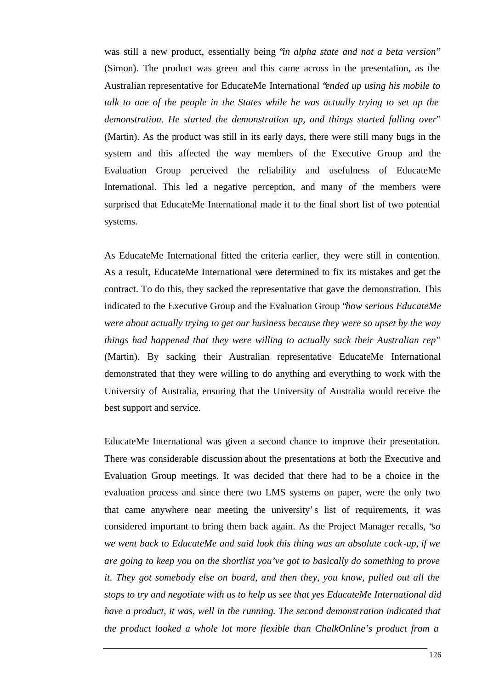was still a new product, essentially being "*in alpha state and not a beta version*" (Simon). The product was green and this came across in the presentation, as the Australian representative for EducateMe International "*ended up using his mobile to talk to one of the people in the States while he was actually trying to set up the demonstration. He started the demonstration up, and things started falling over*" (Martin). As the product was still in its early days, there were still many bugs in the system and this affected the way members of the Executive Group and the Evaluation Group perceived the reliability and usefulness of EducateMe International. This led a negative perception, and many of the members were surprised that EducateMe International made it to the final short list of two potential systems.

As EducateMe International fitted the criteria earlier, they were still in contention. As a result, EducateMe International were determined to fix its mistakes and get the contract. To do this, they sacked the representative that gave the demonstration. This indicated to the Executive Group and the Evaluation Group "*how serious EducateMe were about actually trying to get our business because they were so upset by the way things had happened that they were willing to actually sack their Australian rep*" (Martin). By sacking their Australian representative EducateMe International demonstrated that they were willing to do anything and everything to work with the University of Australia, ensuring that the University of Australia would receive the best support and service.

EducateMe International was given a second chance to improve their presentation. There was considerable discussion about the presentations at both the Executive and Evaluation Group meetings. It was decided that there had to be a choice in the evaluation process and since there two LMS systems on paper, were the only two that came anywhere near meeting the university's list of requirements, it was considered important to bring them back again. As the Project Manager recalls, "*so we went back to EducateMe and said look this thing was an absolute cock -up, if we are going to keep you on the shortlist you've got to basically do something to prove it. They got somebody else on board, and then they, you know, pulled out all the stops to try and negotiate with us to help us see that yes EducateMe International did have a product, it was, well in the running. The second demonst ration indicated that the product looked a whole lot more flexible than ChalkOnline's product from a*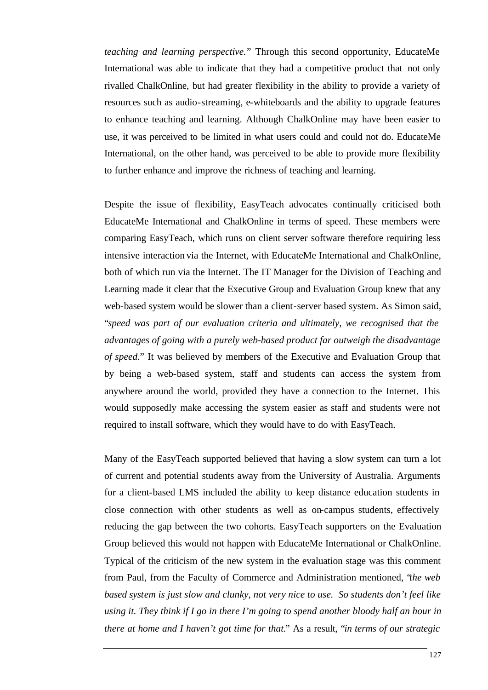*teaching and learning perspective.*" Through this second opportunity, EducateMe International was able to indicate that they had a competitive product that not only rivalled ChalkOnline, but had greater flexibility in the ability to provide a variety of resources such as audio-streaming, e-whiteboards and the ability to upgrade features to enhance teaching and learning. Although ChalkOnline may have been easier to use, it was perceived to be limited in what users could and could not do. EducateMe International, on the other hand, was perceived to be able to provide more flexibility to further enhance and improve the richness of teaching and learning.

Despite the issue of flexibility, EasyTeach advocates continually criticised both EducateMe International and ChalkOnline in terms of speed. These members were comparing EasyTeach, which runs on client server software therefore requiring less intensive interaction via the Internet, with EducateMe International and ChalkOnline, both of which run via the Internet. The IT Manager for the Division of Teaching and Learning made it clear that the Executive Group and Evaluation Group knew that any web-based system would be slower than a client-server based system. As Simon said, "*speed was part of our evaluation criteria and ultimately, we recognised that the advantages of going with a purely web-based product far outweigh the disadvantage of speed.*" It was believed by members of the Executive and Evaluation Group that by being a web-based system, staff and students can access the system from anywhere around the world, provided they have a connection to the Internet. This would supposedly make accessing the system easier as staff and students were not required to install software, which they would have to do with EasyTeach.

Many of the EasyTeach supported believed that having a slow system can turn a lot of current and potential students away from the University of Australia. Arguments for a client-based LMS included the ability to keep distance education students in close connection with other students as well as on-campus students, effectively reducing the gap between the two cohorts. EasyTeach supporters on the Evaluation Group believed this would not happen with EducateMe International or ChalkOnline. Typical of the criticism of the new system in the evaluation stage was this comment from Paul, from the Faculty of Commerce and Administration mentioned, "*the web based system is just slow and clunky, not very nice to use. So students don't feel like using it. They think if I go in there I'm going to spend another bloody half an hour in there at home and I haven't got time for that.*" As a result, "*in terms of our strategic*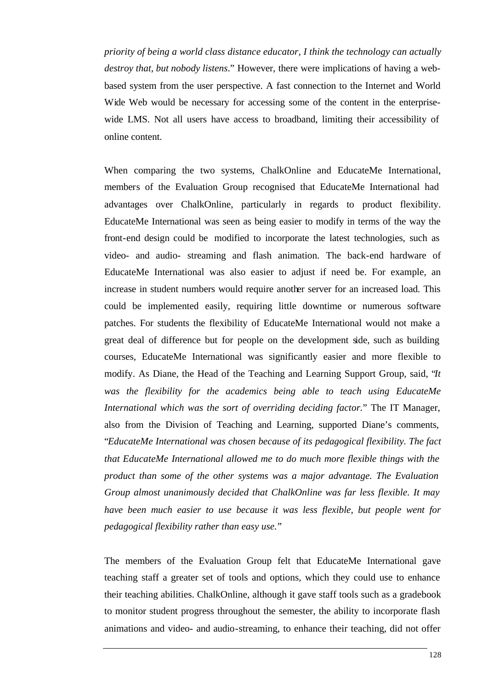*priority of being a world class distance educator, I think the technology can actually destroy that, but nobody listens*." However, there were implications of having a webbased system from the user perspective. A fast connection to the Internet and World Wide Web would be necessary for accessing some of the content in the enterprisewide LMS. Not all users have access to broadband, limiting their accessibility of online content.

When comparing the two systems, ChalkOnline and EducateMe International, members of the Evaluation Group recognised that EducateMe International had advantages over ChalkOnline, particularly in regards to product flexibility. EducateMe International was seen as being easier to modify in terms of the way the front-end design could be modified to incorporate the latest technologies, such as video- and audio- streaming and flash animation. The back-end hardware of EducateMe International was also easier to adjust if need be. For example, an increase in student numbers would require another server for an increased load. This could be implemented easily, requiring little downtime or numerous software patches. For students the flexibility of EducateMe International would not make a great deal of difference but for people on the development side, such as building courses, EducateMe International was significantly easier and more flexible to modify. As Diane, the Head of the Teaching and Learning Support Group, said, "*It was the flexibility for the academics being able to teach using EducateMe International which was the sort of overriding deciding factor.*" The IT Manager, also from the Division of Teaching and Learning, supported Diane's comments, "*EducateMe International was chosen because of its pedagogical flexibility. The fact that EducateMe International allowed me to do much more flexible things with the product than some of the other systems was a major advantage. The Evaluation Group almost unanimously decided that ChalkOnline was far less flexible. It may have been much easier to use because it was less flexible, but people went for pedagogical flexibility rather than easy use.*"

The members of the Evaluation Group felt that EducateMe International gave teaching staff a greater set of tools and options, which they could use to enhance their teaching abilities. ChalkOnline, although it gave staff tools such as a gradebook to monitor student progress throughout the semester, the ability to incorporate flash animations and video- and audio-streaming, to enhance their teaching, did not offer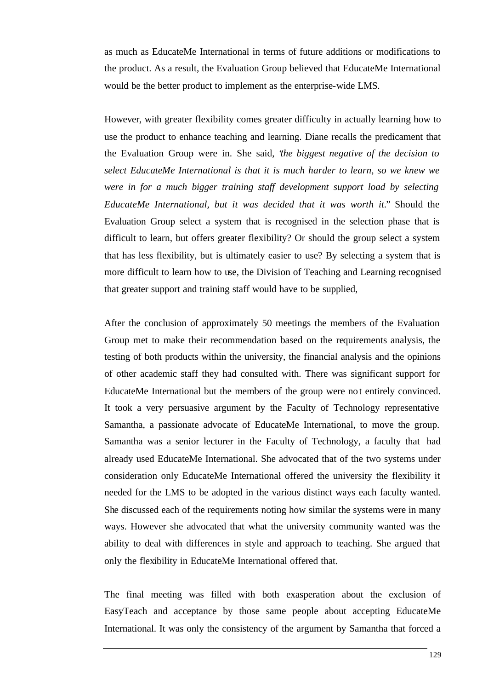as much as EducateMe International in terms of future additions or modifications to the product. As a result, the Evaluation Group believed that EducateMe International would be the better product to implement as the enterprise-wide LMS.

However, with greater flexibility comes greater difficulty in actually learning how to use the product to enhance teaching and learning. Diane recalls the predicament that the Evaluation Group were in. She said, "*the biggest negative of the decision to select EducateMe International is that it is much harder to learn, so we knew we were in for a much bigger training staff development support load by selecting EducateMe International, but it was decided that it was worth it.*" Should the Evaluation Group select a system that is recognised in the selection phase that is difficult to learn, but offers greater flexibility? Or should the group select a system that has less flexibility, but is ultimately easier to use? By selecting a system that is more difficult to learn how to use, the Division of Teaching and Learning recognised that greater support and training staff would have to be supplied,

After the conclusion of approximately 50 meetings the members of the Evaluation Group met to make their recommendation based on the requirements analysis, the testing of both products within the university, the financial analysis and the opinions of other academic staff they had consulted with. There was significant support for EducateMe International but the members of the group were not entirely convinced. It took a very persuasive argument by the Faculty of Technology representative Samantha, a passionate advocate of EducateMe International, to move the group. Samantha was a senior lecturer in the Faculty of Technology, a faculty that had already used EducateMe International. She advocated that of the two systems under consideration only EducateMe International offered the university the flexibility it needed for the LMS to be adopted in the various distinct ways each faculty wanted. She discussed each of the requirements noting how similar the systems were in many ways. However she advocated that what the university community wanted was the ability to deal with differences in style and approach to teaching. She argued that only the flexibility in EducateMe International offered that.

The final meeting was filled with both exasperation about the exclusion of EasyTeach and acceptance by those same people about accepting EducateMe International. It was only the consistency of the argument by Samantha that forced a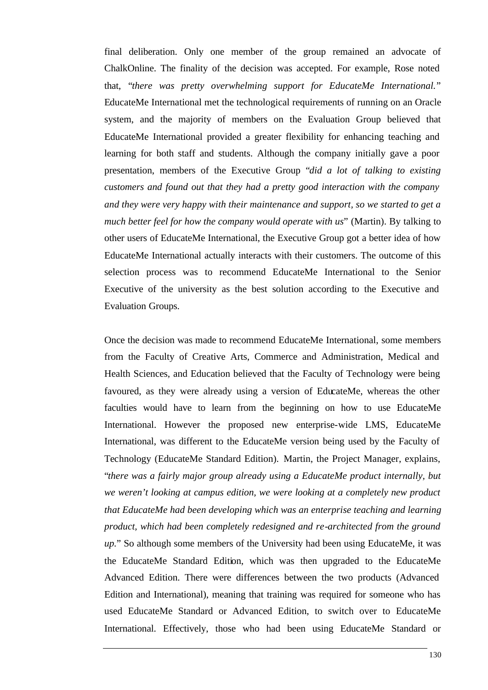final deliberation. Only one member of the group remained an advocate of ChalkOnline. The finality of the decision was accepted. For example, Rose noted that, "*there was pretty overwhelming support for EducateMe International.*" EducateMe International met the technological requirements of running on an Oracle system, and the majority of members on the Evaluation Group believed that EducateMe International provided a greater flexibility for enhancing teaching and learning for both staff and students. Although the company initially gave a poor presentation, members of the Executive Group "*did a lot of talking to existing customers and found out that they had a pretty good interaction with the company and they were very happy with their maintenance and support, so we started to get a much better feel for how the company would operate with us*" (Martin). By talking to other users of EducateMe International, the Executive Group got a better idea of how EducateMe International actually interacts with their customers. The outcome of this selection process was to recommend EducateMe International to the Senior Executive of the university as the best solution according to the Executive and Evaluation Groups.

Once the decision was made to recommend EducateMe International, some members from the Faculty of Creative Arts, Commerce and Administration, Medical and Health Sciences, and Education believed that the Faculty of Technology were being favoured, as they were already using a version of EducateMe, whereas the other faculties would have to learn from the beginning on how to use EducateMe International. However the proposed new enterprise-wide LMS, EducateMe International, was different to the EducateMe version being used by the Faculty of Technology (EducateMe Standard Edition). Martin, the Project Manager, explains, "*there was a fairly major group already using a EducateMe product internally, but we weren't looking at campus edition, we were looking at a completely new product that EducateMe had been developing which was an enterprise teaching and learning product, which had been completely redesigned and re-architected from the ground up.*" So although some members of the University had been using EducateMe, it was the EducateMe Standard Edition, which was then upgraded to the EducateMe Advanced Edition. There were differences between the two products (Advanced Edition and International), meaning that training was required for someone who has used EducateMe Standard or Advanced Edition, to switch over to EducateMe International. Effectively, those who had been using EducateMe Standard or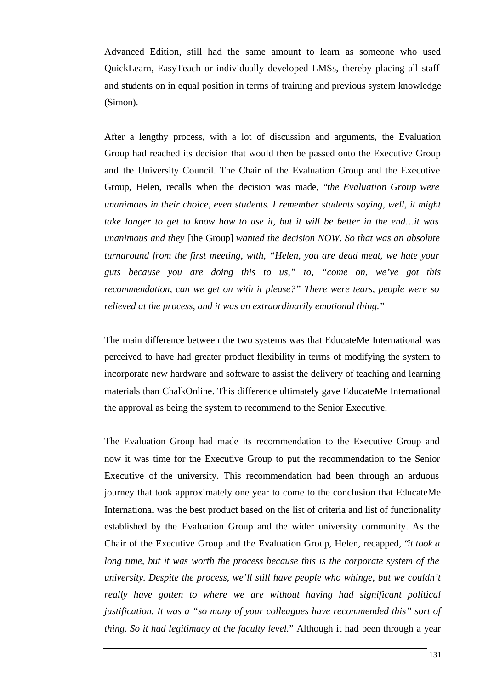Advanced Edition, still had the same amount to learn as someone who used QuickLearn, EasyTeach or individually developed LMSs, thereby placing all staff and students on in equal position in terms of training and previous system knowledge (Simon).

After a lengthy process, with a lot of discussion and arguments, the Evaluation Group had reached its decision that would then be passed onto the Executive Group and the University Council. The Chair of the Evaluation Group and the Executive Group, Helen, recalls when the decision was made, "*the Evaluation Group were unanimous in their choice, even students. I remember students saying, well, it might take longer to get to know how to use it, but it will be better in the end…it was unanimous and they* [the Group] *wanted the decision NOW. So that was an absolute turnaround from the first meeting, with, "Helen, you are dead meat, we hate your guts because you are doing this to us," to, "come on, we've got this recommendation, can we get on with it please?" There were tears, people were so relieved at the process, and it was an extraordinarily emotional thing.*"

The main difference between the two systems was that EducateMe International was perceived to have had greater product flexibility in terms of modifying the system to incorporate new hardware and software to assist the delivery of teaching and learning materials than ChalkOnline. This difference ultimately gave EducateMe International the approval as being the system to recommend to the Senior Executive.

The Evaluation Group had made its recommendation to the Executive Group and now it was time for the Executive Group to put the recommendation to the Senior Executive of the university. This recommendation had been through an arduous journey that took approximately one year to come to the conclusion that EducateMe International was the best product based on the list of criteria and list of functionality established by the Evaluation Group and the wider university community. As the Chair of the Executive Group and the Evaluation Group, Helen, recapped, "*it took a long time, but it was worth the process because this is the corporate system of the university. Despite the process, we'll still have people who whinge, but we couldn't really have gotten to where we are without having had significant political justification. It was a "so many of your colleagues have recommended this" sort of thing. So it had legitimacy at the faculty level.*" Although it had been through a year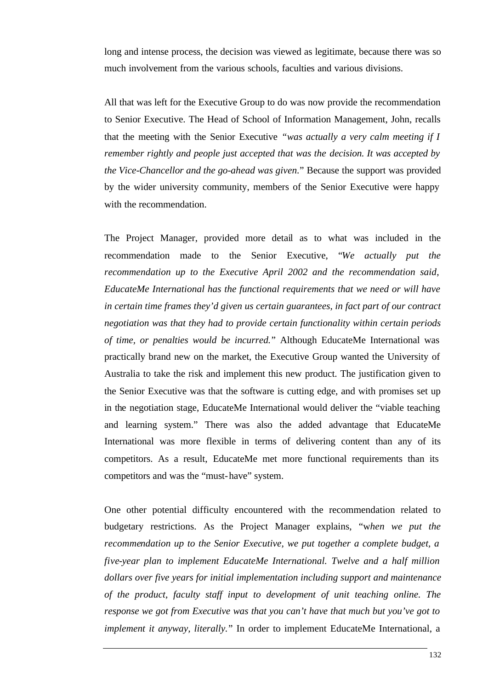long and intense process, the decision was viewed as legitimate, because there was so much involvement from the various schools, faculties and various divisions.

All that was left for the Executive Group to do was now provide the recommendation to Senior Executive. The Head of School of Information Management, John, recalls that the meeting with the Senior Executive *"was actually a very calm meeting if I remember rightly and people just accepted that was the decision. It was accepted by the Vice-Chancellor and the go-ahead was given.*" Because the support was provided by the wider university community, members of the Senior Executive were happy with the recommendation.

The Project Manager, provided more detail as to what was included in the recommendation made to the Senior Executive, "*We actually put the recommendation up to the Executive April 2002 and the recommendation said, EducateMe International has the functional requirements that we need or will have in certain time frames they'd given us certain guarantees, in fact part of our contract negotiation was that they had to provide certain functionality within certain periods of time, or penalties would be incurred.*" Although EducateMe International was practically brand new on the market, the Executive Group wanted the University of Australia to take the risk and implement this new product. The justification given to the Senior Executive was that the software is cutting edge, and with promises set up in the negotiation stage, EducateMe International would deliver the "viable teaching and learning system." There was also the added advantage that EducateMe International was more flexible in terms of delivering content than any of its competitors. As a result, EducateMe met more functional requirements than its competitors and was the "must-have" system.

One other potential difficulty encountered with the recommendation related to budgetary restrictions. As the Project Manager explains, "w*hen we put the recommendation up to the Senior Executive, we put together a complete budget, a five-year plan to implement EducateMe International. Twelve and a half million dollars over five years for initial implementation including support and maintenance of the product, faculty staff input to development of unit teaching online. The response we got from Executive was that you can't have that much but you've got to implement it anyway, literally.*" In order to implement EducateMe International, a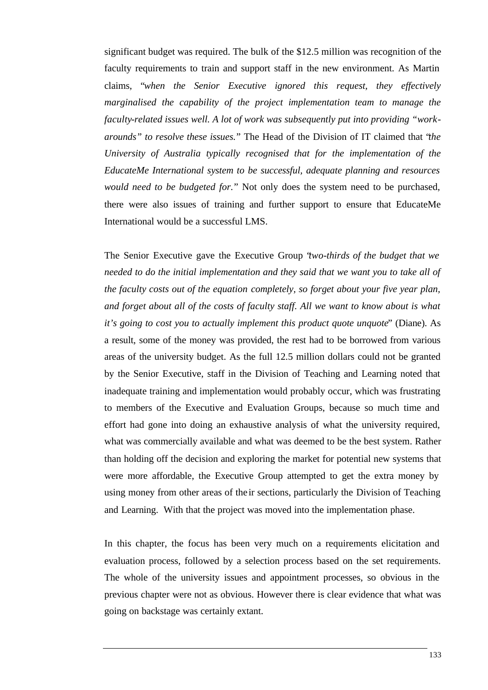significant budget was required. The bulk of the \$12.5 million was recognition of the faculty requirements to train and support staff in the new environment. As Martin claims, "*when the Senior Executive ignored this request, they effectively marginalised the capability of the project implementation team to manage the faculty-related issues well. A lot of work was subsequently put into providing "workarounds" to resolve these issues.*" The Head of the Division of IT claimed that "*the University of Australia typically recognised that for the implementation of the EducateMe International system to be successful, adequate planning and resources would need to be budgeted for.*" Not only does the system need to be purchased, there were also issues of training and further support to ensure that EducateMe International would be a successful LMS.

The Senior Executive gave the Executive Group "*two-thirds of the budget that we needed to do the initial implementation and they said that we want you to take all of the faculty costs out of the equation completely, so forget about your five year plan, and forget about all of the costs of faculty staff. All we want to know about is what it's going to cost you to actually implement this product quote unquote*" (Diane). As a result, some of the money was provided, the rest had to be borrowed from various areas of the university budget. As the full 12.5 million dollars could not be granted by the Senior Executive, staff in the Division of Teaching and Learning noted that inadequate training and implementation would probably occur, which was frustrating to members of the Executive and Evaluation Groups, because so much time and effort had gone into doing an exhaustive analysis of what the university required, what was commercially available and what was deemed to be the best system. Rather than holding off the decision and exploring the market for potential new systems that were more affordable, the Executive Group attempted to get the extra money by using money from other areas of the ir sections, particularly the Division of Teaching and Learning. With that the project was moved into the implementation phase.

In this chapter, the focus has been very much on a requirements elicitation and evaluation process, followed by a selection process based on the set requirements. The whole of the university issues and appointment processes, so obvious in the previous chapter were not as obvious. However there is clear evidence that what was going on backstage was certainly extant.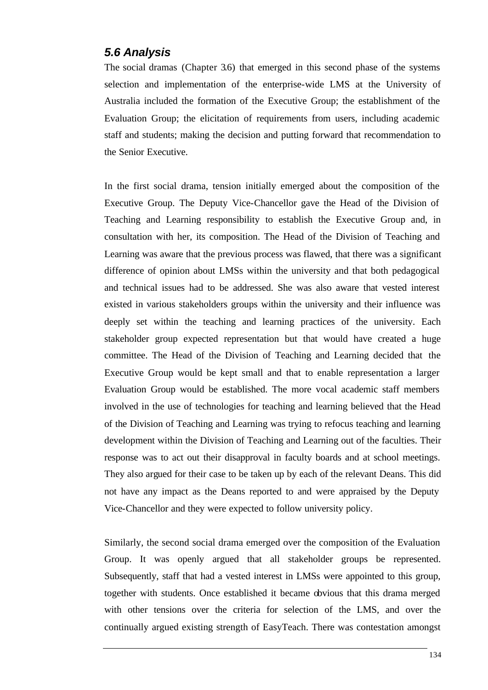#### *5.6 Analysis*

The social dramas (Chapter 3.6) that emerged in this second phase of the systems selection and implementation of the enterprise-wide LMS at the University of Australia included the formation of the Executive Group; the establishment of the Evaluation Group; the elicitation of requirements from users, including academic staff and students; making the decision and putting forward that recommendation to the Senior Executive.

In the first social drama, tension initially emerged about the composition of the Executive Group. The Deputy Vice-Chancellor gave the Head of the Division of Teaching and Learning responsibility to establish the Executive Group and, in consultation with her, its composition. The Head of the Division of Teaching and Learning was aware that the previous process was flawed, that there was a significant difference of opinion about LMSs within the university and that both pedagogical and technical issues had to be addressed. She was also aware that vested interest existed in various stakeholders groups within the university and their influence was deeply set within the teaching and learning practices of the university. Each stakeholder group expected representation but that would have created a huge committee. The Head of the Division of Teaching and Learning decided that the Executive Group would be kept small and that to enable representation a larger Evaluation Group would be established. The more vocal academic staff members involved in the use of technologies for teaching and learning believed that the Head of the Division of Teaching and Learning was trying to refocus teaching and learning development within the Division of Teaching and Learning out of the faculties. Their response was to act out their disapproval in faculty boards and at school meetings. They also argued for their case to be taken up by each of the relevant Deans. This did not have any impact as the Deans reported to and were appraised by the Deputy Vice-Chancellor and they were expected to follow university policy.

Similarly, the second social drama emerged over the composition of the Evaluation Group. It was openly argued that all stakeholder groups be represented. Subsequently, staff that had a vested interest in LMSs were appointed to this group, together with students. Once established it became obvious that this drama merged with other tensions over the criteria for selection of the LMS, and over the continually argued existing strength of EasyTeach. There was contestation amongst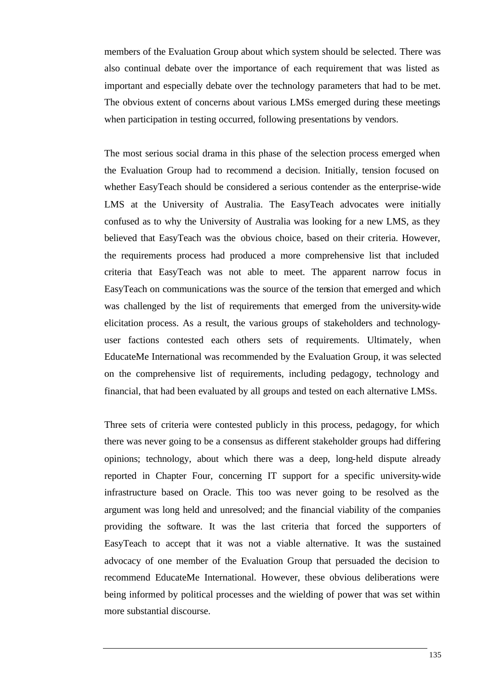members of the Evaluation Group about which system should be selected. There was also continual debate over the importance of each requirement that was listed as important and especially debate over the technology parameters that had to be met. The obvious extent of concerns about various LMSs emerged during these meetings when participation in testing occurred, following presentations by vendors.

The most serious social drama in this phase of the selection process emerged when the Evaluation Group had to recommend a decision. Initially, tension focused on whether EasyTeach should be considered a serious contender as the enterprise-wide LMS at the University of Australia. The EasyTeach advocates were initially confused as to why the University of Australia was looking for a new LMS, as they believed that EasyTeach was the obvious choice, based on their criteria. However, the requirements process had produced a more comprehensive list that included criteria that EasyTeach was not able to meet. The apparent narrow focus in EasyTeach on communications was the source of the tension that emerged and which was challenged by the list of requirements that emerged from the university-wide elicitation process. As a result, the various groups of stakeholders and technologyuser factions contested each others sets of requirements. Ultimately, when EducateMe International was recommended by the Evaluation Group, it was selected on the comprehensive list of requirements, including pedagogy, technology and financial, that had been evaluated by all groups and tested on each alternative LMSs.

Three sets of criteria were contested publicly in this process, pedagogy, for which there was never going to be a consensus as different stakeholder groups had differing opinions; technology, about which there was a deep, long-held dispute already reported in Chapter Four, concerning IT support for a specific university-wide infrastructure based on Oracle. This too was never going to be resolved as the argument was long held and unresolved; and the financial viability of the companies providing the software. It was the last criteria that forced the supporters of EasyTeach to accept that it was not a viable alternative. It was the sustained advocacy of one member of the Evaluation Group that persuaded the decision to recommend EducateMe International. However, these obvious deliberations were being informed by political processes and the wielding of power that was set within more substantial discourse.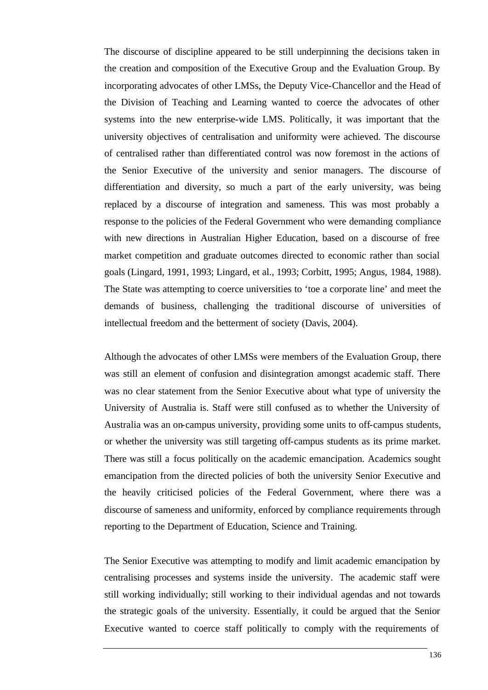The discourse of discipline appeared to be still underpinning the decisions taken in the creation and composition of the Executive Group and the Evaluation Group. By incorporating advocates of other LMSs, the Deputy Vice-Chancellor and the Head of the Division of Teaching and Learning wanted to coerce the advocates of other systems into the new enterprise-wide LMS. Politically, it was important that the university objectives of centralisation and uniformity were achieved. The discourse of centralised rather than differentiated control was now foremost in the actions of the Senior Executive of the university and senior managers. The discourse of differentiation and diversity, so much a part of the early university, was being replaced by a discourse of integration and sameness. This was most probably a response to the policies of the Federal Government who were demanding compliance with new directions in Australian Higher Education, based on a discourse of free market competition and graduate outcomes directed to economic rather than social goals (Lingard, 1991, 1993; Lingard, et al., 1993; Corbitt, 1995; Angus, 1984, 1988). The State was attempting to coerce universities to 'toe a corporate line' and meet the demands of business, challenging the traditional discourse of universities of intellectual freedom and the betterment of society (Davis, 2004).

Although the advocates of other LMSs were members of the Evaluation Group, there was still an element of confusion and disintegration amongst academic staff. There was no clear statement from the Senior Executive about what type of university the University of Australia is. Staff were still confused as to whether the University of Australia was an on-campus university, providing some units to off-campus students, or whether the university was still targeting off-campus students as its prime market. There was still a focus politically on the academic emancipation. Academics sought emancipation from the directed policies of both the university Senior Executive and the heavily criticised policies of the Federal Government, where there was a discourse of sameness and uniformity, enforced by compliance requirements through reporting to the Department of Education, Science and Training.

The Senior Executive was attempting to modify and limit academic emancipation by centralising processes and systems inside the university. The academic staff were still working individually; still working to their individual agendas and not towards the strategic goals of the university. Essentially, it could be argued that the Senior Executive wanted to coerce staff politically to comply with the requirements of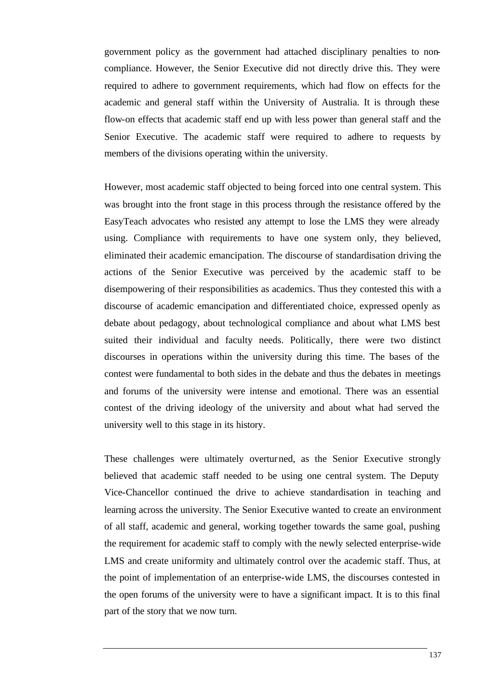government policy as the government had attached disciplinary penalties to noncompliance. However, the Senior Executive did not directly drive this. They were required to adhere to government requirements, which had flow on effects for the academic and general staff within the University of Australia. It is through these flow-on effects that academic staff end up with less power than general staff and the Senior Executive. The academic staff were required to adhere to requests by members of the divisions operating within the university.

However, most academic staff objected to being forced into one central system. This was brought into the front stage in this process through the resistance offered by the EasyTeach advocates who resisted any attempt to lose the LMS they were already using. Compliance with requirements to have one system only, they believed, eliminated their academic emancipation. The discourse of standardisation driving the actions of the Senior Executive was perceived by the academic staff to be disempowering of their responsibilities as academics. Thus they contested this with a discourse of academic emancipation and differentiated choice, expressed openly as debate about pedagogy, about technological compliance and about what LMS best suited their individual and faculty needs. Politically, there were two distinct discourses in operations within the university during this time. The bases of the contest were fundamental to both sides in the debate and thus the debates in meetings and forums of the university were intense and emotional. There was an essential contest of the driving ideology of the university and about what had served the university well to this stage in its history.

These challenges were ultimately overturned, as the Senior Executive strongly believed that academic staff needed to be using one central system. The Deputy Vice-Chancellor continued the drive to achieve standardisation in teaching and learning across the university. The Senior Executive wanted to create an environment of all staff, academic and general, working together towards the same goal, pushing the requirement for academic staff to comply with the newly selected enterprise-wide LMS and create uniformity and ultimately control over the academic staff. Thus, at the point of implementation of an enterprise-wide LMS, the discourses contested in the open forums of the university were to have a significant impact. It is to this final part of the story that we now turn.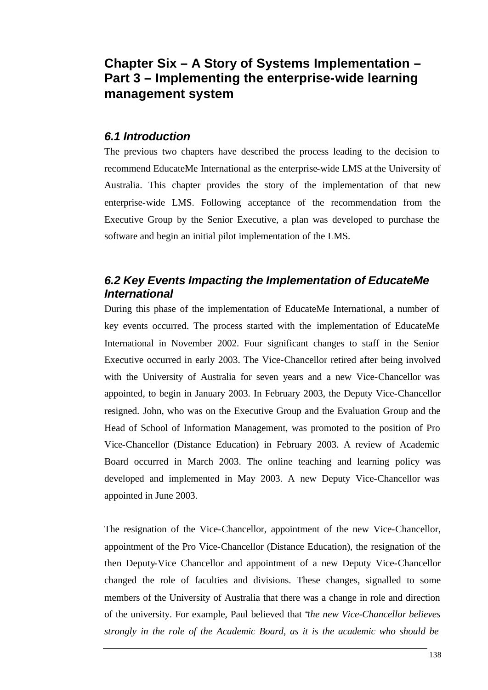# **Chapter Six – A Story of Systems Implementation – Part 3 – Implementing the enterprise-wide learning management system**

### *6.1 Introduction*

The previous two chapters have described the process leading to the decision to recommend EducateMe International as the enterprise-wide LMS at the University of Australia. This chapter provides the story of the implementation of that new enterprise-wide LMS. Following acceptance of the recommendation from the Executive Group by the Senior Executive, a plan was developed to purchase the software and begin an initial pilot implementation of the LMS.

## *6.2 Key Events Impacting the Implementation of EducateMe International*

During this phase of the implementation of EducateMe International, a number of key events occurred. The process started with the implementation of EducateMe International in November 2002. Four significant changes to staff in the Senior Executive occurred in early 2003. The Vice-Chancellor retired after being involved with the University of Australia for seven years and a new Vice-Chancellor was appointed, to begin in January 2003. In February 2003, the Deputy Vice-Chancellor resigned. John, who was on the Executive Group and the Evaluation Group and the Head of School of Information Management, was promoted to the position of Pro Vice-Chancellor (Distance Education) in February 2003. A review of Academic Board occurred in March 2003. The online teaching and learning policy was developed and implemented in May 2003. A new Deputy Vice-Chancellor was appointed in June 2003.

The resignation of the Vice-Chancellor, appointment of the new Vice-Chancellor, appointment of the Pro Vice-Chancellor (Distance Education), the resignation of the then Deputy-Vice Chancellor and appointment of a new Deputy Vice-Chancellor changed the role of faculties and divisions. These changes, signalled to some members of the University of Australia that there was a change in role and direction of the university. For example, Paul believed that "*the new Vice-Chancellor believes strongly in the role of the Academic Board, as it is the academic who should be*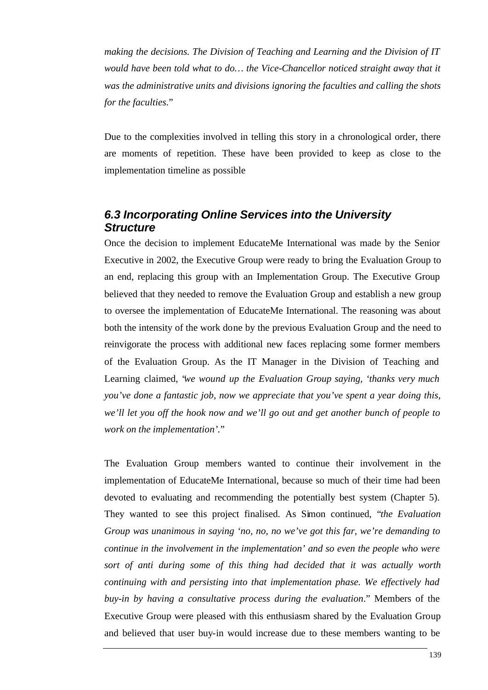*making the decisions. The Division of Teaching and Learning and the Division of IT would have been told what to do... the Vice-Chancellor noticed straight away that it was the administrative units and divisions ignoring the faculties and calling the shots for the faculties.*"

Due to the complexities involved in telling this story in a chronological order, there are moments of repetition. These have been provided to keep as close to the implementation timeline as possible

### *6.3 Incorporating Online Services into the University Structure*

Once the decision to implement EducateMe International was made by the Senior Executive in 2002, the Executive Group were ready to bring the Evaluation Group to an end, replacing this group with an Implementation Group. The Executive Group believed that they needed to remove the Evaluation Group and establish a new group to oversee the implementation of EducateMe International. The reasoning was about both the intensity of the work done by the previous Evaluation Group and the need to reinvigorate the process with additional new faces replacing some former members of the Evaluation Group. As the IT Manager in the Division of Teaching and Learning claimed, "*we wound up the Evaluation Group saying, 'thanks very much you've done a fantastic job, now we appreciate that you've spent a year doing this, we'll let you off the hook now and we'll go out and get another bunch of people to work on the implementation'.*"

The Evaluation Group members wanted to continue their involvement in the implementation of EducateMe International, because so much of their time had been devoted to evaluating and recommending the potentially best system (Chapter 5). They wanted to see this project finalised. As Simon continued, "*the Evaluation Group was unanimous in saying 'no, no, no we've got this far, we're demanding to continue in the involvement in the implementation' and so even the people who were sort of anti during some of this thing had decided that it was actually worth continuing with and persisting into that implementation phase. We effectively had buy-in by having a consultative process during the evaluation*." Members of the Executive Group were pleased with this enthusiasm shared by the Evaluation Group and believed that user buy-in would increase due to these members wanting to be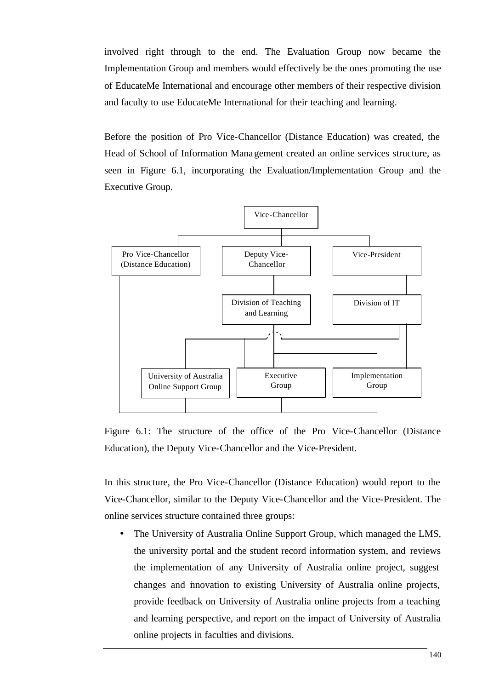involved right through to the end. The Evaluation Group now became the Implementation Group and members would effectively be the ones promoting the use of EducateMe International and encourage other members of their respective division and faculty to use EducateMe International for their teaching and learning.

Before the position of Pro Vice-Chancellor (Distance Education) was created, the Head of School of Information Management created an online services structure, as seen in Figure 6.1, incorporating the Evaluation/Implementation Group and the Executive Group.



Figure 6.1: The structure of the office of the Pro Vice-Chancellor (Distance Education), the Deputy Vice-Chancellor and the Vice-President.

In this structure, the Pro Vice-Chancellor (Distance Education) would report to the Vice-Chancellor, similar to the Deputy Vice-Chancellor and the Vice-President. The online services structure contained three groups:

• The University of Australia Online Support Group, which managed the LMS, the university portal and the student record information system, and reviews the implementation of any University of Australia online project, suggest changes and innovation to existing University of Australia online projects, provide feedback on University of Australia online projects from a teaching and learning perspective, and report on the impact of University of Australia online projects in faculties and divisions.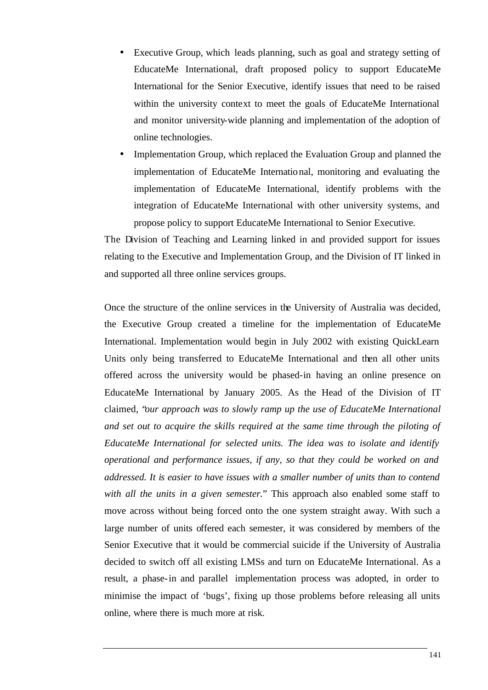- Executive Group, which leads planning, such as goal and strategy setting of EducateMe International, draft proposed policy to support EducateMe International for the Senior Executive, identify issues that need to be raised within the university context to meet the goals of EducateMe International and monitor university-wide planning and implementation of the adoption of online technologies.
- Implementation Group, which replaced the Evaluation Group and planned the implementation of EducateMe International, monitoring and evaluating the implementation of EducateMe International, identify problems with the integration of EducateMe International with other university systems, and propose policy to support EducateMe International to Senior Executive.

The Division of Teaching and Learning linked in and provided support for issues relating to the Executive and Implementation Group, and the Division of IT linked in and supported all three online services groups.

Once the structure of the online services in the University of Australia was decided, the Executive Group created a timeline for the implementation of EducateMe International. Implementation would begin in July 2002 with existing QuickLearn Units only being transferred to EducateMe International and then all other units offered across the university would be phased-in having an online presence on EducateMe International by January 2005. As the Head of the Division of IT claimed, "*our approach was to slowly ramp up the use of EducateMe International and set out to acquire the skills required at the same time through the piloting of EducateMe International for selected units. The idea was to isolate and identify operational and performance issues, if any, so that they could be worked on and addressed. It is easier to have issues with a smaller number of units than to contend with all the units in a given semester.*" This approach also enabled some staff to move across without being forced onto the one system straight away. With such a large number of units offered each semester, it was considered by members of the Senior Executive that it would be commercial suicide if the University of Australia decided to switch off all existing LMSs and turn on EducateMe International. As a result, a phase-in and parallel implementation process was adopted, in order to minimise the impact of 'bugs', fixing up those problems before releasing all units online, where there is much more at risk.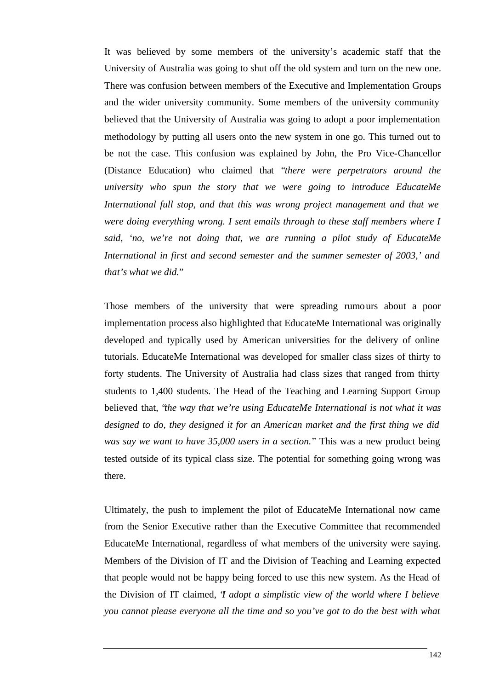It was believed by some members of the university's academic staff that the University of Australia was going to shut off the old system and turn on the new one. There was confusion between members of the Executive and Implementation Groups and the wider university community. Some members of the university community believed that the University of Australia was going to adopt a poor implementation methodology by putting all users onto the new system in one go. This turned out to be not the case. This confusion was explained by John, the Pro Vice-Chancellor (Distance Education) who claimed that "*there were perpetrators around the university who spun the story that we were going to introduce EducateMe International full stop, and that this was wrong project management and that we were doing everything wrong. I sent emails through to these staff members where I said, 'no, we're not doing that, we are running a pilot study of EducateMe International in first and second semester and the summer semester of 2003,' and that's what we did.*"

Those members of the university that were spreading rumours about a poor implementation process also highlighted that EducateMe International was originally developed and typically used by American universities for the delivery of online tutorials. EducateMe International was developed for smaller class sizes of thirty to forty students. The University of Australia had class sizes that ranged from thirty students to 1,400 students. The Head of the Teaching and Learning Support Group believed that, "*the way that we're using EducateMe International is not what it was designed to do, they designed it for an American market and the first thing we did was say we want to have 35,000 users in a section.*" This was a new product being tested outside of its typical class size. The potential for something going wrong was there.

Ultimately, the push to implement the pilot of EducateMe International now came from the Senior Executive rather than the Executive Committee that recommended EducateMe International, regardless of what members of the university were saying. Members of the Division of IT and the Division of Teaching and Learning expected that people would not be happy being forced to use this new system. As the Head of the Division of IT claimed, "*I adopt a simplistic view of the world where I believe you cannot please everyone all the time and so you've got to do the best with what*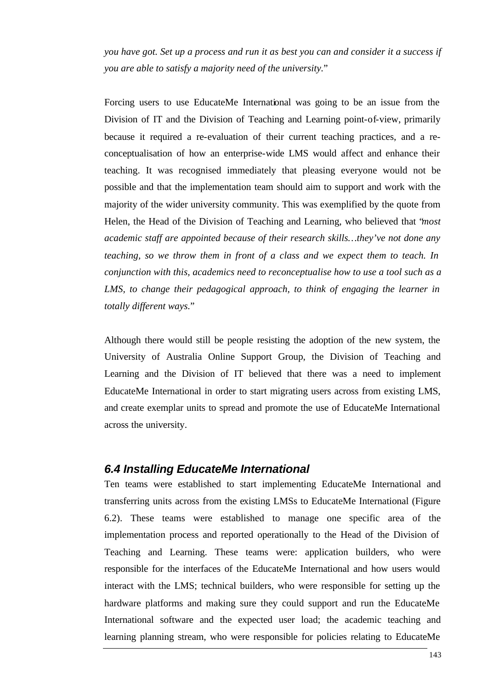*you have got. Set up a process and run it as best you can and consider it a success if you are able to satisfy a majority need of the university.*"

Forcing users to use EducateMe International was going to be an issue from the Division of IT and the Division of Teaching and Learning point-of-view, primarily because it required a re-evaluation of their current teaching practices, and a reconceptualisation of how an enterprise-wide LMS would affect and enhance their teaching. It was recognised immediately that pleasing everyone would not be possible and that the implementation team should aim to support and work with the majority of the wider university community. This was exemplified by the quote from Helen, the Head of the Division of Teaching and Learning, who believed that "*most academic staff are appointed because of their research skills…they've not done any teaching, so we throw them in front of a class and we expect them to teach. In conjunction with this, academics need to reconceptualise how to use a tool such as a LMS, to change their pedagogical approach, to think of engaging the learner in totally different ways.*"

Although there would still be people resisting the adoption of the new system, the University of Australia Online Support Group, the Division of Teaching and Learning and the Division of IT believed that there was a need to implement EducateMe International in order to start migrating users across from existing LMS, and create exemplar units to spread and promote the use of EducateMe International across the university.

#### *6.4 Installing EducateMe International*

Ten teams were established to start implementing EducateMe International and transferring units across from the existing LMSs to EducateMe International (Figure 6.2). These teams were established to manage one specific area of the implementation process and reported operationally to the Head of the Division of Teaching and Learning. These teams were: application builders, who were responsible for the interfaces of the EducateMe International and how users would interact with the LMS; technical builders, who were responsible for setting up the hardware platforms and making sure they could support and run the EducateMe International software and the expected user load; the academic teaching and learning planning stream, who were responsible for policies relating to EducateMe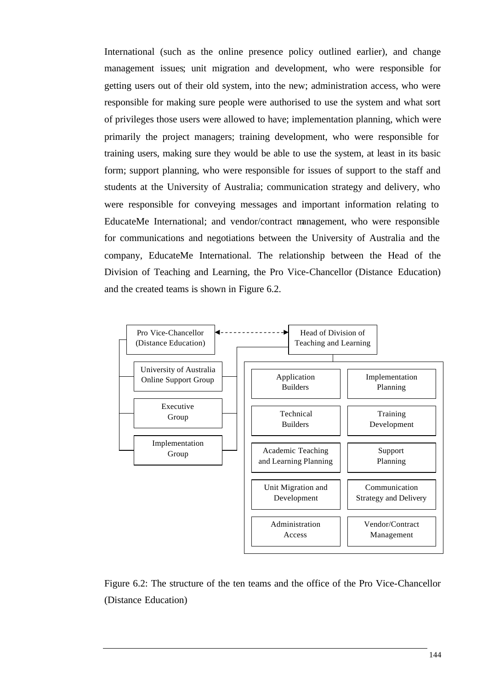International (such as the online presence policy outlined earlier), and change management issues; unit migration and development, who were responsible for getting users out of their old system, into the new; administration access, who were responsible for making sure people were authorised to use the system and what sort of privileges those users were allowed to have; implementation planning, which were primarily the project managers; training development, who were responsible for training users, making sure they would be able to use the system, at least in its basic form; support planning, who were responsible for issues of support to the staff and students at the University of Australia; communication strategy and delivery, who were responsible for conveying messages and important information relating to EducateMe International; and vendor/contract management, who were responsible for communications and negotiations between the University of Australia and the company, EducateMe International. The relationship between the Head of the Division of Teaching and Learning, the Pro Vice-Chancellor (Distance Education) and the created teams is shown in Figure 6.2.



Figure 6.2: The structure of the ten teams and the office of the Pro Vice-Chancellor (Distance Education)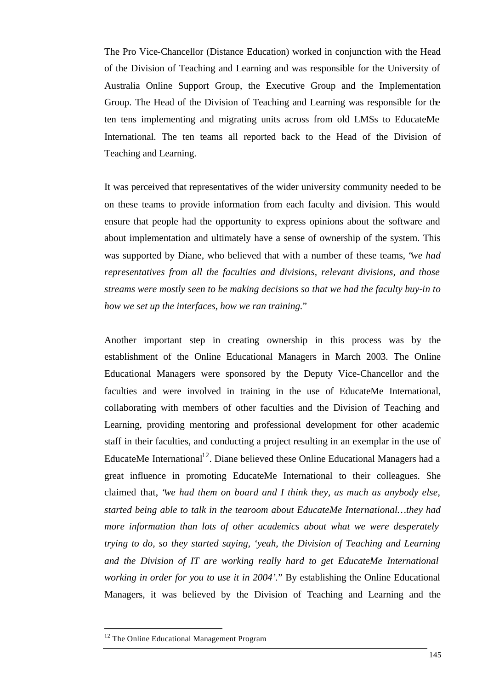The Pro Vice-Chancellor (Distance Education) worked in conjunction with the Head of the Division of Teaching and Learning and was responsible for the University of Australia Online Support Group, the Executive Group and the Implementation Group. The Head of the Division of Teaching and Learning was responsible for the ten tens implementing and migrating units across from old LMSs to EducateMe International. The ten teams all reported back to the Head of the Division of Teaching and Learning.

It was perceived that representatives of the wider university community needed to be on these teams to provide information from each faculty and division. This would ensure that people had the opportunity to express opinions about the software and about implementation and ultimately have a sense of ownership of the system. This was supported by Diane, who believed that with a number of these teams, "*we had representatives from all the faculties and divisions, relevant divisions, and those streams were mostly seen to be making decisions so that we had the faculty buy-in to how we set up the interfaces, how we ran training.*"

Another important step in creating ownership in this process was by the establishment of the Online Educational Managers in March 2003. The Online Educational Managers were sponsored by the Deputy Vice-Chancellor and the faculties and were involved in training in the use of EducateMe International, collaborating with members of other faculties and the Division of Teaching and Learning, providing mentoring and professional development for other academic staff in their faculties, and conducting a project resulting in an exemplar in the use of EducateMe International<sup>12</sup>. Diane believed these Online Educational Managers had a great influence in promoting EducateMe International to their colleagues. She claimed that, "*we had them on board and I think they, as much as anybody else, started being able to talk in the tearoom about EducateMe International…they had more information than lots of other academics about what we were desperately trying to do, so they started saying, 'yeah, the Division of Teaching and Learning and the Division of IT are working really hard to get EducateMe International working in order for you to use it in 2004'.*" By establishing the Online Educational Managers, it was believed by the Division of Teaching and Learning and the

l

<sup>&</sup>lt;sup>12</sup> The Online Educational Management Program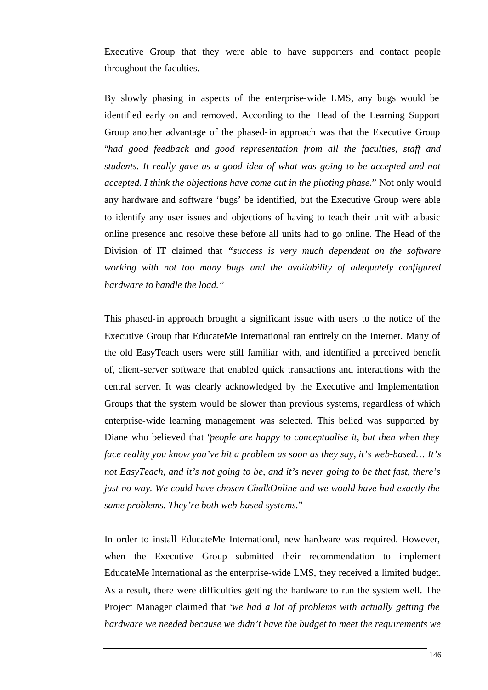Executive Group that they were able to have supporters and contact people throughout the faculties.

By slowly phasing in aspects of the enterprise-wide LMS, any bugs would be identified early on and removed. According to the Head of the Learning Support Group another advantage of the phased-in approach was that the Executive Group "*had good feedback and good representation from all the faculties, staff and students. It really gave us a good idea of what was going to be accepted and not accepted. I think the objections have come out in the piloting phase.*" Not only would any hardware and software 'bugs' be identified, but the Executive Group were able to identify any user issues and objections of having to teach their unit with a basic online presence and resolve these before all units had to go online. The Head of the Division of IT claimed that *"success is very much dependent on the software working with not too many bugs and the availability of adequately configured hardware to handle the load."*

This phased-in approach brought a significant issue with users to the notice of the Executive Group that EducateMe International ran entirely on the Internet. Many of the old EasyTeach users were still familiar with, and identified a perceived benefit of, client-server software that enabled quick transactions and interactions with the central server. It was clearly acknowledged by the Executive and Implementation Groups that the system would be slower than previous systems, regardless of which enterprise-wide learning management was selected. This belied was supported by Diane who believed that "*people are happy to conceptualise it, but then when they face reality you know you've hit a problem as soon as they say, it's web-based… It's not EasyTeach, and it's not going to be, and it's never going to be that fast, there's just no way. We could have chosen ChalkOnline and we would have had exactly the same problems. They're both web-based systems.*"

In order to install EducateMe International, new hardware was required. However, when the Executive Group submitted their recommendation to implement EducateMe International as the enterprise-wide LMS, they received a limited budget. As a result, there were difficulties getting the hardware to run the system well. The Project Manager claimed that "*we had a lot of problems with actually getting the hardware we needed because we didn't have the budget to meet the requirements we*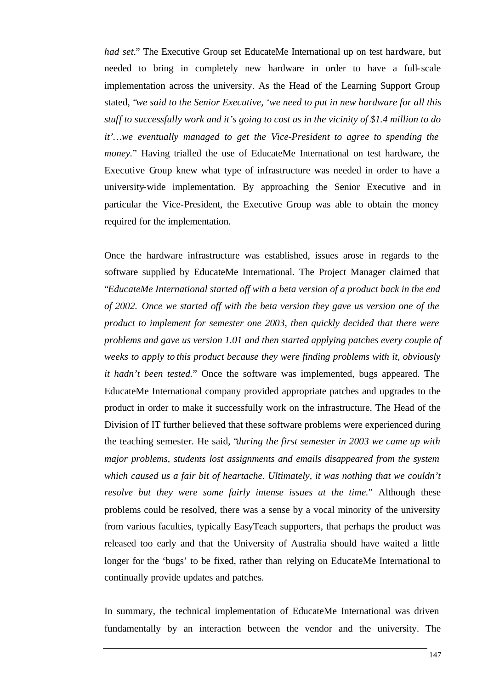*had set.*" The Executive Group set EducateMe International up on test hardware, but needed to bring in completely new hardware in order to have a full-scale implementation across the university. As the Head of the Learning Support Group stated, "*we said to the Senior Executive, 'we need to put in new hardware for all this stuff to successfully work and it's going to cost us in the vicinity of \$1.4 million to do it'…we eventually managed to get the Vice-President to agree to spending the money.*" Having trialled the use of EducateMe International on test hardware, the Executive Group knew what type of infrastructure was needed in order to have a university-wide implementation. By approaching the Senior Executive and in particular the Vice-President, the Executive Group was able to obtain the money required for the implementation.

Once the hardware infrastructure was established, issues arose in regards to the software supplied by EducateMe International. The Project Manager claimed that "*EducateMe International started off with a beta version of a product back in the end of 2002. Once we started off with the beta version they gave us version one of the product to implement for semester one 2003, then quickly decided that there were problems and gave us version 1.01 and then started applying patches every couple of weeks to apply to this product because they were finding problems with it, obviously it hadn't been tested.*" Once the software was implemented, bugs appeared. The EducateMe International company provided appropriate patches and upgrades to the product in order to make it successfully work on the infrastructure. The Head of the Division of IT further believed that these software problems were experienced during the teaching semester. He said, "*during the first semester in 2003 we came up with major problems, students lost assignments and emails disappeared from the system which caused us a fair bit of heartache. Ultimately, it was nothing that we couldn't resolve but they were some fairly intense issues at the time.*" Although these problems could be resolved, there was a sense by a vocal minority of the university from various faculties, typically EasyTeach supporters, that perhaps the product was released too early and that the University of Australia should have waited a little longer for the 'bugs' to be fixed, rather than relying on EducateMe International to continually provide updates and patches.

In summary, the technical implementation of EducateMe International was driven fundamentally by an interaction between the vendor and the university. The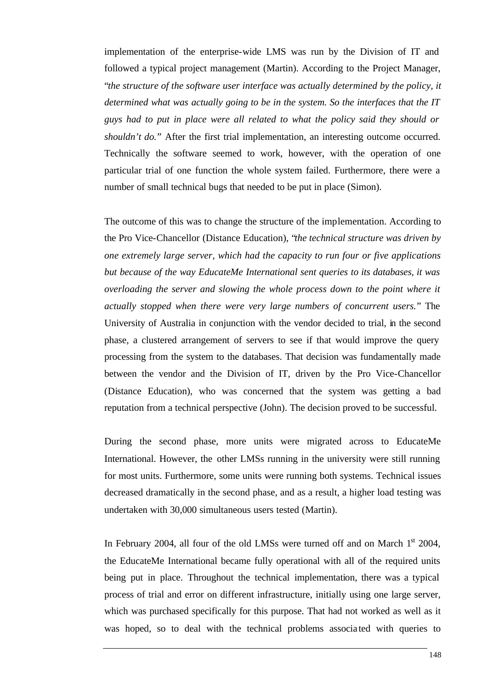implementation of the enterprise-wide LMS was run by the Division of IT and followed a typical project management (Martin). According to the Project Manager, "*the structure of the software user interface was actually determined by the policy, it determined what was actually going to be in the system. So the interfaces that the IT guys had to put in place were all related to what the policy said they should or shouldn't do.*" After the first trial implementation, an interesting outcome occurred. Technically the software seemed to work, however, with the operation of one particular trial of one function the whole system failed. Furthermore, there were a number of small technical bugs that needed to be put in place (Simon).

The outcome of this was to change the structure of the implementation. According to the Pro Vice-Chancellor (Distance Education), "*the technical structure was driven by one extremely large server, which had the capacity to run four or five applications but because of the way EducateMe International sent queries to its databases, it was overloading the server and slowing the whole process down to the point where it actually stopped when there were very large numbers of concurrent users.*" The University of Australia in conjunction with the vendor decided to trial, in the second phase, a clustered arrangement of servers to see if that would improve the query processing from the system to the databases. That decision was fundamentally made between the vendor and the Division of IT, driven by the Pro Vice-Chancellor (Distance Education), who was concerned that the system was getting a bad reputation from a technical perspective (John). The decision proved to be successful.

During the second phase, more units were migrated across to EducateMe International. However, the other LMSs running in the university were still running for most units. Furthermore, some units were running both systems. Technical issues decreased dramatically in the second phase, and as a result, a higher load testing was undertaken with 30,000 simultaneous users tested (Martin).

In February 2004, all four of the old LMSs were turned off and on March  $1<sup>st</sup>$  2004, the EducateMe International became fully operational with all of the required units being put in place. Throughout the technical implementation, there was a typical process of trial and error on different infrastructure, initially using one large server, which was purchased specifically for this purpose. That had not worked as well as it was hoped, so to deal with the technical problems associa ted with queries to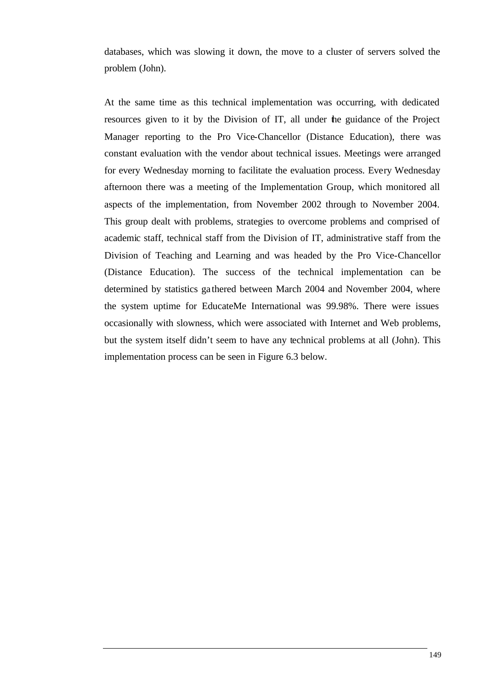databases, which was slowing it down, the move to a cluster of servers solved the problem (John).

At the same time as this technical implementation was occurring, with dedicated resources given to it by the Division of IT, all under the guidance of the Project Manager reporting to the Pro Vice-Chancellor (Distance Education), there was constant evaluation with the vendor about technical issues. Meetings were arranged for every Wednesday morning to facilitate the evaluation process. Every Wednesday afternoon there was a meeting of the Implementation Group, which monitored all aspects of the implementation, from November 2002 through to November 2004. This group dealt with problems, strategies to overcome problems and comprised of academic staff, technical staff from the Division of IT, administrative staff from the Division of Teaching and Learning and was headed by the Pro Vice-Chancellor (Distance Education). The success of the technical implementation can be determined by statistics ga thered between March 2004 and November 2004, where the system uptime for EducateMe International was 99.98%. There were issues occasionally with slowness, which were associated with Internet and Web problems, but the system itself didn't seem to have any technical problems at all (John). This implementation process can be seen in Figure 6.3 below.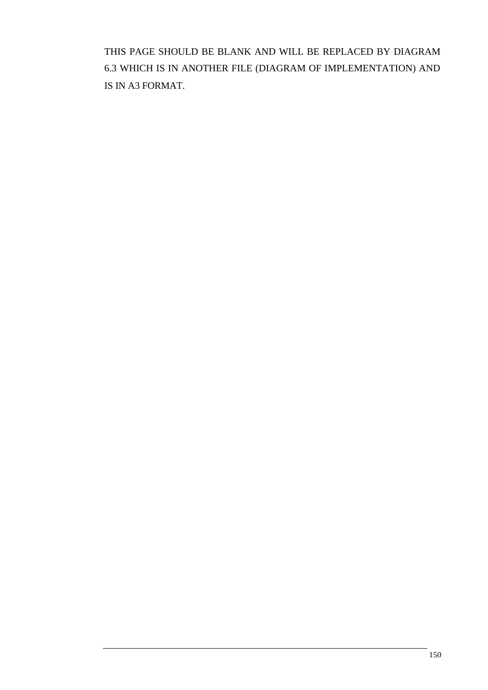THIS PAGE SHOULD BE BLANK AND WILL BE REPLACED BY DIAGRAM 6.3 WHICH IS IN ANOTHER FILE (DIAGRAM OF IMPLEMENTATION) AND IS IN A3 FORMAT.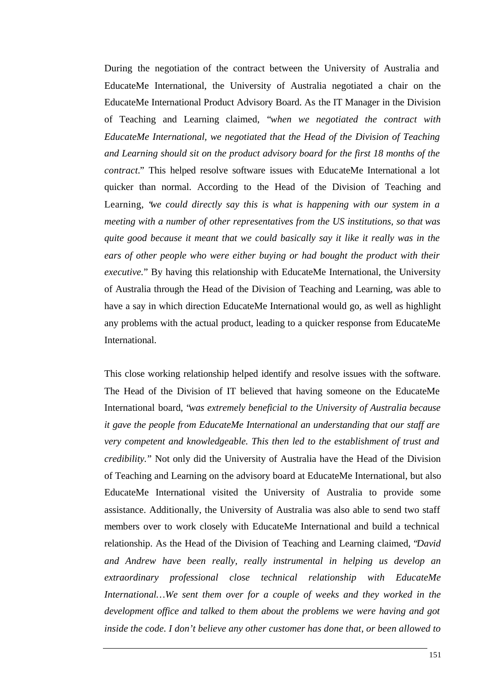During the negotiation of the contract between the University of Australia and EducateMe International, the University of Australia negotiated a chair on the EducateMe International Product Advisory Board. As the IT Manager in the Division of Teaching and Learning claimed, "*when we negotiated the contract with EducateMe International, we negotiated that the Head of the Division of Teaching and Learning should sit on the product advisory board for the first 18 months of the contract.*" This helped resolve software issues with EducateMe International a lot quicker than normal. According to the Head of the Division of Teaching and Learning, "*we could directly say this is what is happening with our system in a meeting with a number of other representatives from the US institutions, so that was quite good because it meant that we could basically say it like it really was in the ears of other people who were either buying or had bought the product with their executive.*" By having this relationship with EducateMe International, the University of Australia through the Head of the Division of Teaching and Learning, was able to have a say in which direction EducateMe International would go, as well as highlight any problems with the actual product, leading to a quicker response from EducateMe International.

This close working relationship helped identify and resolve issues with the software. The Head of the Division of IT believed that having someone on the EducateMe International board, "*was extremely beneficial to the University of Australia because it gave the people from EducateMe International an understanding that our staff are very competent and knowledgeable. This then led to the establishment of trust and credibility.*" Not only did the University of Australia have the Head of the Division of Teaching and Learning on the advisory board at EducateMe International, but also EducateMe International visited the University of Australia to provide some assistance. Additionally, the University of Australia was also able to send two staff members over to work closely with EducateMe International and build a technical relationship. As the Head of the Division of Teaching and Learning claimed, "*David and Andrew have been really, really instrumental in helping us develop an extraordinary professional close technical relationship with EducateMe International…We sent them over for a couple of weeks and they worked in the development office and talked to them about the problems we were having and got inside the code. I don't believe any other customer has done that, or been allowed to*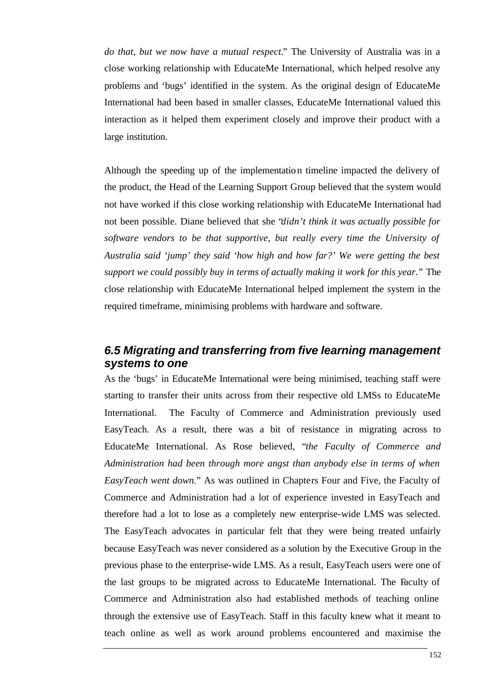*do that, but we now have a mutual respect.*" The University of Australia was in a close working relationship with EducateMe International, which helped resolve any problems and 'bugs' identified in the system. As the original design of EducateMe International had been based in smaller classes, EducateMe International valued this interaction as it helped them experiment closely and improve their product with a large institution.

Although the speeding up of the implementation timeline impacted the delivery of the product, the Head of the Learning Support Group believed that the system would not have worked if this close working relationship with EducateMe International had not been possible. Diane believed that she "*didn't think it was actually possible for software vendors to be that supportive, but really every time the University of Australia said 'jump' they said 'how high and how far?' We were getting the best support we could possibly buy in terms of actually making it work for this year.*" The close relationship with EducateMe International helped implement the system in the required timeframe, minimising problems with hardware and software.

#### *6.5 Migrating and transferring from five learning management systems to one*

As the 'bugs' in EducateMe International were being minimised, teaching staff were starting to transfer their units across from their respective old LMSs to EducateMe International. The Faculty of Commerce and Administration previously used EasyTeach. As a result, there was a bit of resistance in migrating across to EducateMe International. As Rose believed, "*the Faculty of Commerce and Administration had been through more angst than anybody else in terms of when EasyTeach went down.*" As was outlined in Chapters Four and Five, the Faculty of Commerce and Administration had a lot of experience invested in EasyTeach and therefore had a lot to lose as a completely new enterprise-wide LMS was selected. The EasyTeach advocates in particular felt that they were being treated unfairly because EasyTeach was never considered as a solution by the Executive Group in the previous phase to the enterprise-wide LMS. As a result, EasyTeach users were one of the last groups to be migrated across to EducateMe International. The Faculty of Commerce and Administration also had established methods of teaching online through the extensive use of EasyTeach. Staff in this faculty knew what it meant to teach online as well as work around problems encountered and maximise the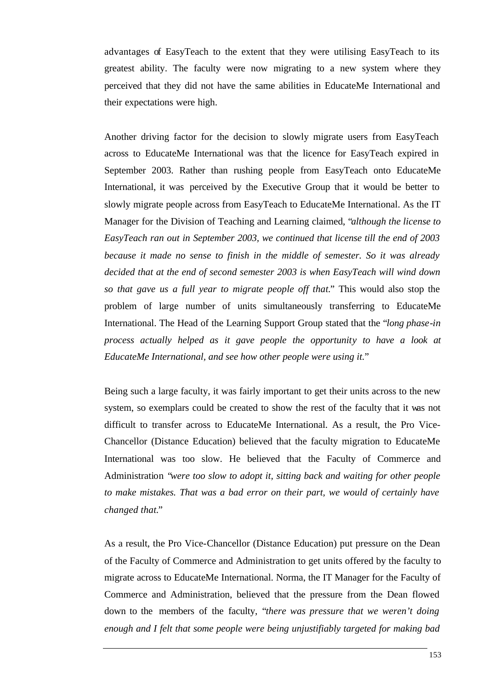advantages of EasyTeach to the extent that they were utilising EasyTeach to its greatest ability. The faculty were now migrating to a new system where they perceived that they did not have the same abilities in EducateMe International and their expectations were high.

Another driving factor for the decision to slowly migrate users from EasyTeach across to EducateMe International was that the licence for EasyTeach expired in September 2003. Rather than rushing people from EasyTeach onto EducateMe International, it was perceived by the Executive Group that it would be better to slowly migrate people across from EasyTeach to EducateMe International. As the IT Manager for the Division of Teaching and Learning claimed, "*although the license to EasyTeach ran out in September 2003, we continued that license till the end of 2003 because it made no sense to finish in the middle of semester. So it was already decided that at the end of second semester 2003 is when EasyTeach will wind down so that gave us a full year to migrate people off that.*" This would also stop the problem of large number of units simultaneously transferring to EducateMe International. The Head of the Learning Support Group stated that the "*long phase-in process actually helped as it gave people the opportunity to have a look at EducateMe International, and see how other people were using it.*"

Being such a large faculty, it was fairly important to get their units across to the new system, so exemplars could be created to show the rest of the faculty that it was not difficult to transfer across to EducateMe International. As a result, the Pro Vice-Chancellor (Distance Education) believed that the faculty migration to EducateMe International was too slow. He believed that the Faculty of Commerce and Administration "*were too slow to adopt it, sitting back and waiting for other people to make mistakes. That was a bad error on their part, we would of certainly have changed that.*"

As a result, the Pro Vice-Chancellor (Distance Education) put pressure on the Dean of the Faculty of Commerce and Administration to get units offered by the faculty to migrate across to EducateMe International. Norma, the IT Manager for the Faculty of Commerce and Administration, believed that the pressure from the Dean flowed down to the members of the faculty, "*there was pressure that we weren't doing enough and I felt that some people were being unjustifiably targeted for making bad*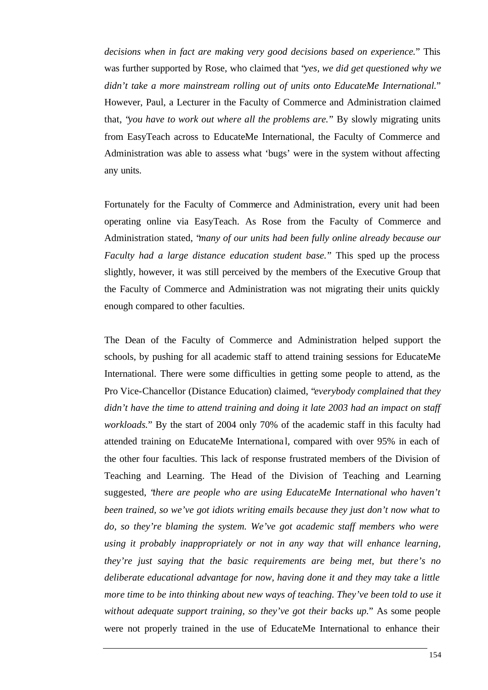*decisions when in fact are making very good decisions based on experience.*" This was further supported by Rose, who claimed that "*yes, we did get questioned why we didn't take a more mainstream rolling out of units onto EducateMe International.*" However, Paul, a Lecturer in the Faculty of Commerce and Administration claimed that, "*you have to work out where all the problems are.*" By slowly migrating units from EasyTeach across to EducateMe International, the Faculty of Commerce and Administration was able to assess what 'bugs' were in the system without affecting any units.

Fortunately for the Faculty of Commerce and Administration, every unit had been operating online via EasyTeach. As Rose from the Faculty of Commerce and Administration stated, "*many of our units had been fully online already because our Faculty had a large distance education student base.*" This sped up the process slightly, however, it was still perceived by the members of the Executive Group that the Faculty of Commerce and Administration was not migrating their units quickly enough compared to other faculties.

The Dean of the Faculty of Commerce and Administration helped support the schools, by pushing for all academic staff to attend training sessions for EducateMe International. There were some difficulties in getting some people to attend, as the Pro Vice-Chancellor (Distance Education) claimed, "*everybody complained that they didn't have the time to attend training and doing it late 2003 had an impact on staff workloads.*" By the start of 2004 only 70% of the academic staff in this faculty had attended training on EducateMe Internationa l, compared with over 95% in each of the other four faculties. This lack of response frustrated members of the Division of Teaching and Learning. The Head of the Division of Teaching and Learning suggested, "*there are people who are using EducateMe International who haven't been trained, so we've got idiots writing emails because they just don't now what to do, so they're blaming the system. We've got academic staff members who were using it probably inappropriately or not in any way that will enhance learning, they're just saying that the basic requirements are being met, but there's no deliberate educational advantage for now, having done it and they may take a little more time to be into thinking about new ways of teaching. They've been told to use it without adequate support training, so they've got their backs up.*" As some people were not properly trained in the use of EducateMe International to enhance their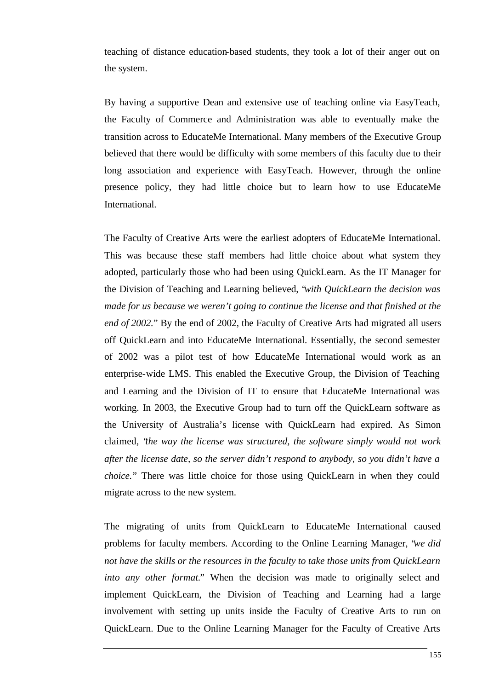teaching of distance education-based students, they took a lot of their anger out on the system.

By having a supportive Dean and extensive use of teaching online via EasyTeach, the Faculty of Commerce and Administration was able to eventually make the transition across to EducateMe International. Many members of the Executive Group believed that there would be difficulty with some members of this faculty due to their long association and experience with EasyTeach. However, through the online presence policy, they had little choice but to learn how to use EducateMe International.

The Faculty of Creative Arts were the earliest adopters of EducateMe International. This was because these staff members had little choice about what system they adopted, particularly those who had been using QuickLearn. As the IT Manager for the Division of Teaching and Learning believed, "*with QuickLearn the decision was made for us because we weren't going to continue the license and that finished at the end of 2002.*" By the end of 2002, the Faculty of Creative Arts had migrated all users off QuickLearn and into EducateMe International. Essentially, the second semester of 2002 was a pilot test of how EducateMe International would work as an enterprise-wide LMS. This enabled the Executive Group, the Division of Teaching and Learning and the Division of IT to ensure that EducateMe International was working. In 2003, the Executive Group had to turn off the QuickLearn software as the University of Australia's license with QuickLearn had expired. As Simon claimed, "*the way the license was structured, the software simply would not work after the license date, so the server didn't respond to anybody, so you didn't have a choice.*" There was little choice for those using QuickLearn in when they could migrate across to the new system.

The migrating of units from QuickLearn to EducateMe International caused problems for faculty members. According to the Online Learning Manager, "*we did not have the skills or the resources in the faculty to take those units from QuickLearn into any other format.*" When the decision was made to originally select and implement QuickLearn, the Division of Teaching and Learning had a large involvement with setting up units inside the Faculty of Creative Arts to run on QuickLearn. Due to the Online Learning Manager for the Faculty of Creative Arts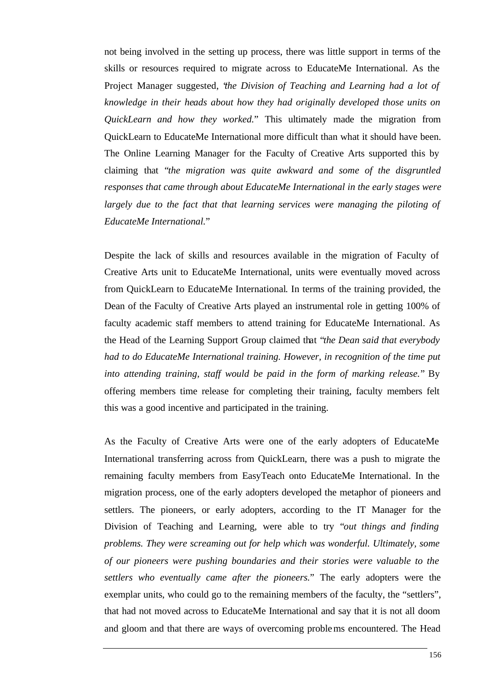not being involved in the setting up process, there was little support in terms of the skills or resources required to migrate across to EducateMe International. As the Project Manager suggested, "*the Division of Teaching and Learning had a lot of knowledge in their heads about how they had originally developed those units on QuickLearn and how they worked.*" This ultimately made the migration from QuickLearn to EducateMe International more difficult than what it should have been. The Online Learning Manager for the Faculty of Creative Arts supported this by claiming that "*the migration was quite awkward and some of the disgruntled responses that came through about EducateMe International in the early stages were largely due to the fact that that learning services were managing the piloting of EducateMe International.*"

Despite the lack of skills and resources available in the migration of Faculty of Creative Arts unit to EducateMe International, units were eventually moved across from QuickLearn to EducateMe International. In terms of the training provided, the Dean of the Faculty of Creative Arts played an instrumental role in getting 100% of faculty academic staff members to attend training for EducateMe International. As the Head of the Learning Support Group claimed that "*the Dean said that everybody had to do EducateMe International training. However, in recognition of the time put into attending training, staff would be paid in the form of marking release.*" By offering members time release for completing their training, faculty members felt this was a good incentive and participated in the training.

As the Faculty of Creative Arts were one of the early adopters of EducateMe International transferring across from QuickLearn, there was a push to migrate the remaining faculty members from EasyTeach onto EducateMe International. In the migration process, one of the early adopters developed the metaphor of pioneers and settlers. The pioneers, or early adopters, according to the IT Manager for the Division of Teaching and Learning, were able to try "*out things and finding problems. They were screaming out for help which was wonderful. Ultimately, some of our pioneers were pushing boundaries and their stories were valuable to the settlers who eventually came after the pioneers.*" The early adopters were the exemplar units, who could go to the remaining members of the faculty, the "settlers", that had not moved across to EducateMe International and say that it is not all doom and gloom and that there are ways of overcoming problems encountered. The Head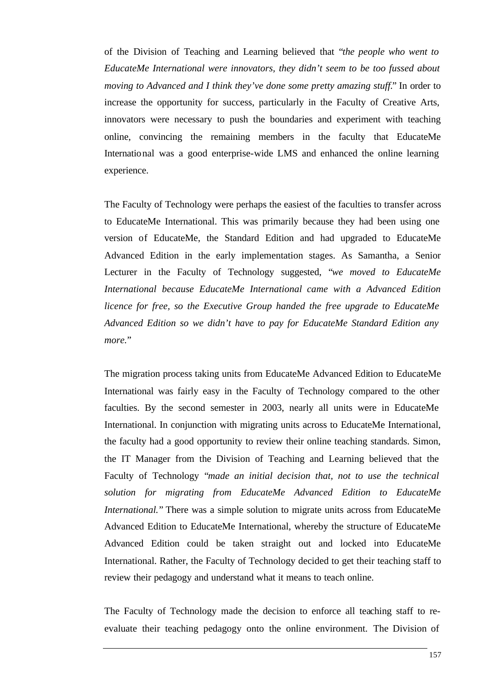of the Division of Teaching and Learning believed that "*the people who went to EducateMe International were innovators, they didn't seem to be too fussed about moving to Advanced and I think they've done some pretty amazing stuff.*" In order to increase the opportunity for success, particularly in the Faculty of Creative Arts, innovators were necessary to push the boundaries and experiment with teaching online, convincing the remaining members in the faculty that EducateMe International was a good enterprise-wide LMS and enhanced the online learning experience.

The Faculty of Technology were perhaps the easiest of the faculties to transfer across to EducateMe International. This was primarily because they had been using one version of EducateMe, the Standard Edition and had upgraded to EducateMe Advanced Edition in the early implementation stages. As Samantha, a Senior Lecturer in the Faculty of Technology suggested, "*we moved to EducateMe International because EducateMe International came with a Advanced Edition licence for free, so the Executive Group handed the free upgrade to EducateMe Advanced Edition so we didn't have to pay for EducateMe Standard Edition any more.*"

The migration process taking units from EducateMe Advanced Edition to EducateMe International was fairly easy in the Faculty of Technology compared to the other faculties. By the second semester in 2003, nearly all units were in EducateMe International. In conjunction with migrating units across to EducateMe International, the faculty had a good opportunity to review their online teaching standards. Simon, the IT Manager from the Division of Teaching and Learning believed that the Faculty of Technology "*made an initial decision that, not to use the technical solution for migrating from EducateMe Advanced Edition to EducateMe International.*" There was a simple solution to migrate units across from EducateMe Advanced Edition to EducateMe International, whereby the structure of EducateMe Advanced Edition could be taken straight out and locked into EducateMe International. Rather, the Faculty of Technology decided to get their teaching staff to review their pedagogy and understand what it means to teach online.

The Faculty of Technology made the decision to enforce all teaching staff to reevaluate their teaching pedagogy onto the online environment. The Division of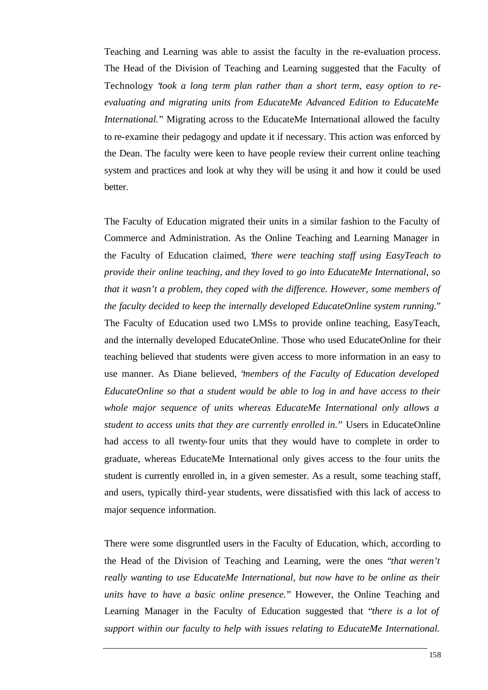Teaching and Learning was able to assist the faculty in the re-evaluation process. The Head of the Division of Teaching and Learning suggested that the Faculty of Technology "*took a long term plan rather than a short term, easy option to reevaluating and migrating units from EducateMe Advanced Edition to EducateMe International.*" Migrating across to the EducateMe International allowed the faculty to re-examine their pedagogy and update it if necessary. This action was enforced by the Dean. The faculty were keen to have people review their current online teaching system and practices and look at why they will be using it and how it could be used better.

The Faculty of Education migrated their units in a similar fashion to the Faculty of Commerce and Administration. As the Online Teaching and Learning Manager in the Faculty of Education claimed, "*there were teaching staff using EasyTeach to provide their online teaching, and they loved to go into EducateMe International, so that it wasn't a problem, they coped with the difference. However, some members of the faculty decided to keep the internally developed EducateOnline system running.*" The Faculty of Education used two LMSs to provide online teaching, EasyTeach, and the internally developed EducateOnline. Those who used EducateOnline for their teaching believed that students were given access to more information in an easy to use manner. As Diane believed, "*members of the Faculty of Education developed EducateOnline so that a student would be able to log in and have access to their whole major sequence of units whereas EducateMe International only allows a student to access units that they are currently enrolled in.*" Users in EducateOnline had access to all twenty-four units that they would have to complete in order to graduate, whereas EducateMe International only gives access to the four units the student is currently enrolled in, in a given semester. As a result, some teaching staff, and users, typically third-year students, were dissatisfied with this lack of access to major sequence information.

There were some disgruntled users in the Faculty of Education, which, according to the Head of the Division of Teaching and Learning, were the ones "*that weren't really wanting to use EducateMe International, but now have to be online as their units have to have a basic online presence.*" However, the Online Teaching and Learning Manager in the Faculty of Education suggested that "*there is a lot of support within our faculty to help with issues relating to EducateMe International.*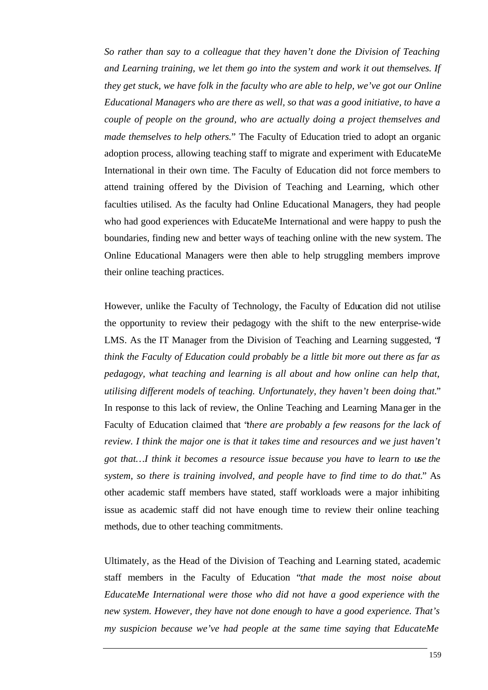*So rather than say to a colleague that they haven't done the Division of Teaching and Learning training, we let them go into the system and work it out themselves. If they get stuck, we have folk in the faculty who are able to help, we've got our Online Educational Managers who are there as well, so that was a good initiative, to have a couple of people on the ground, who are actually doing a project themselves and made themselves to help others.*" The Faculty of Education tried to adopt an organic adoption process, allowing teaching staff to migrate and experiment with EducateMe International in their own time. The Faculty of Education did not force members to attend training offered by the Division of Teaching and Learning, which other faculties utilised. As the faculty had Online Educational Managers, they had people who had good experiences with EducateMe International and were happy to push the boundaries, finding new and better ways of teaching online with the new system. The Online Educational Managers were then able to help struggling members improve their online teaching practices.

However, unlike the Faculty of Technology, the Faculty of Education did not utilise the opportunity to review their pedagogy with the shift to the new enterprise-wide LMS. As the IT Manager from the Division of Teaching and Learning suggested, "*I think the Faculty of Education could probably be a little bit more out there as far as pedagogy, what teaching and learning is all about and how online can help that, utilising different models of teaching. Unfortunately, they haven't been doing that.*" In response to this lack of review, the Online Teaching and Learning Manager in the Faculty of Education claimed that "*there are probably a few reasons for the lack of review. I think the major one is that it takes time and resources and we just haven't got that…I think it becomes a resource issue because you have to learn to use the system, so there is training involved, and people have to find time to do that.*" As other academic staff members have stated, staff workloads were a major inhibiting issue as academic staff did not have enough time to review their online teaching methods, due to other teaching commitments.

Ultimately, as the Head of the Division of Teaching and Learning stated, academic staff members in the Faculty of Education "*that made the most noise about EducateMe International were those who did not have a good experience with the new system. However, they have not done enough to have a good experience. That's my suspicion because we've had people at the same time saying that EducateMe*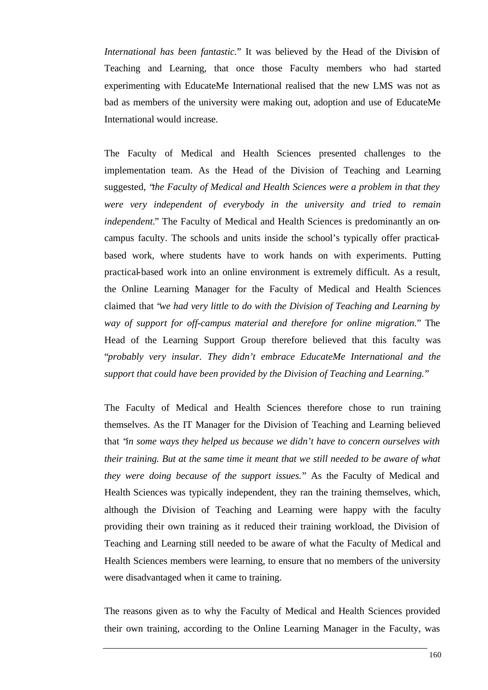*International has been fantastic.*" It was believed by the Head of the Division of Teaching and Learning, that once those Faculty members who had started experimenting with EducateMe International realised that the new LMS was not as bad as members of the university were making out, adoption and use of EducateMe International would increase.

The Faculty of Medical and Health Sciences presented challenges to the implementation team. As the Head of the Division of Teaching and Learning suggested, "*the Faculty of Medical and Health Sciences were a problem in that they were very independent of everybody in the university and tried to remain independent.*" The Faculty of Medical and Health Sciences is predominantly an oncampus faculty. The schools and units inside the school's typically offer practicalbased work, where students have to work hands on with experiments. Putting practical-based work into an online environment is extremely difficult. As a result, the Online Learning Manager for the Faculty of Medical and Health Sciences claimed that "*we had very little to do with the Division of Teaching and Learning by way of support for off-campus material and therefore for online migration.*" The Head of the Learning Support Group therefore believed that this faculty was "*probably very insular. They didn't embrace EducateMe International and the support that could have been provided by the Division of Teaching and Learning.*"

The Faculty of Medical and Health Sciences therefore chose to run training themselves. As the IT Manager for the Division of Teaching and Learning believed that "*in some ways they helped us because we didn't have to concern ourselves with their training. But at the same time it meant that we still needed to be aware of what they were doing because of the support issues.*" As the Faculty of Medical and Health Sciences was typically independent, they ran the training themselves, which, although the Division of Teaching and Learning were happy with the faculty providing their own training as it reduced their training workload, the Division of Teaching and Learning still needed to be aware of what the Faculty of Medical and Health Sciences members were learning, to ensure that no members of the university were disadvantaged when it came to training.

The reasons given as to why the Faculty of Medical and Health Sciences provided their own training, according to the Online Learning Manager in the Faculty, was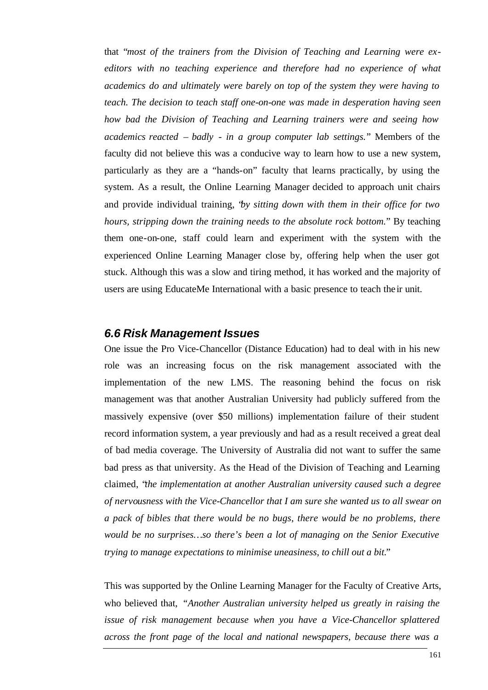that "*most of the trainers from the Division of Teaching and Learning were exeditors with no teaching experience and therefore had no experience of what academics do and ultimately were barely on top of the system they were having to teach. The decision to teach staff one-on-one was made in desperation having seen how bad the Division of Teaching and Learning trainers were and seeing how academics reacted – badly - in a group computer lab settings.*" Members of the faculty did not believe this was a conducive way to learn how to use a new system, particularly as they are a "hands-on" faculty that learns practically, by using the system. As a result, the Online Learning Manager decided to approach unit chairs and provide individual training, "*by sitting down with them in their office for two hours, stripping down the training needs to the absolute rock bottom.*" By teaching them one-on-one, staff could learn and experiment with the system with the experienced Online Learning Manager close by, offering help when the user got stuck. Although this was a slow and tiring method, it has worked and the majority of users are using EducateMe International with a basic presence to teach the ir unit.

#### *6.6 Risk Management Issues*

One issue the Pro Vice-Chancellor (Distance Education) had to deal with in his new role was an increasing focus on the risk management associated with the implementation of the new LMS. The reasoning behind the focus on risk management was that another Australian University had publicly suffered from the massively expensive (over \$50 millions) implementation failure of their student record information system, a year previously and had as a result received a great deal of bad media coverage. The University of Australia did not want to suffer the same bad press as that university. As the Head of the Division of Teaching and Learning claimed, "*the implementation at another Australian university caused such a degree of nervousness with the Vice-Chancellor that I am sure she wanted us to all swear on a pack of bibles that there would be no bugs, there would be no problems, there would be no surprises…so there's been a lot of managing on the Senior Executive trying to manage expectations to minimise uneasiness, to chill out a bit.*"

This was supported by the Online Learning Manager for the Faculty of Creative Arts, who believed that, *"Another Australian university helped us greatly in raising the issue of risk management because when you have a Vice-Chancellor splattered across the front page of the local and national newspapers, because there was a*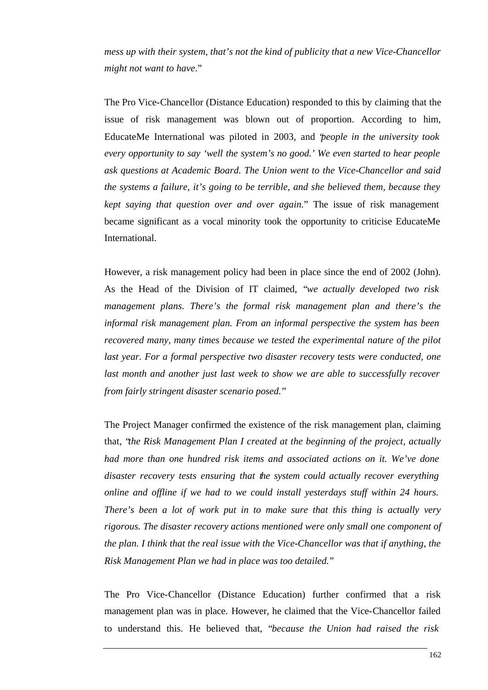*mess up with their system, that's not the kind of publicity that a new Vice-Chancellor might not want to have.*"

The Pro Vice-Chancellor (Distance Education) responded to this by claiming that the issue of risk management was blown out of proportion. According to him, EducateMe International was piloted in 2003, and "*people in the university took every opportunity to say 'well the system's no good.' We even started to hear people ask questions at Academic Board. The Union went to the Vice-Chancellor and said the systems a failure, it's going to be terrible, and she believed them, because they kept saying that question over and over again.*" The issue of risk management became significant as a vocal minority took the opportunity to criticise EducateMe International.

However, a risk management policy had been in place since the end of 2002 (John). As the Head of the Division of IT claimed, "*we actually developed two risk management plans. There's the formal risk management plan and there's the informal risk management plan. From an informal perspective the system has been recovered many, many times because we tested the experimental nature of the pilot last year. For a formal perspective two disaster recovery tests were conducted, one last month and another just last week to show we are able to successfully recover from fairly stringent disaster scenario posed.*"

The Project Manager confirmed the existence of the risk management plan, claiming that, "*the Risk Management Plan I created at the beginning of the project, actually had more than one hundred risk items and associated actions on it. We've done disaster recovery tests ensuring that the system could actually recover everything online and offline if we had to we could install yesterdays stuff within 24 hours. There's been a lot of work put in to make sure that this thing is actually very rigorous. The disaster recovery actions mentioned were only small one component of the plan. I think that the real issue with the Vice-Chancellor was that if anything, the Risk Management Plan we had in place was too detailed.*"

The Pro Vice-Chancellor (Distance Education) further confirmed that a risk management plan was in place. However, he claimed that the Vice-Chancellor failed to understand this. He believed that, "*because the Union had raised the risk*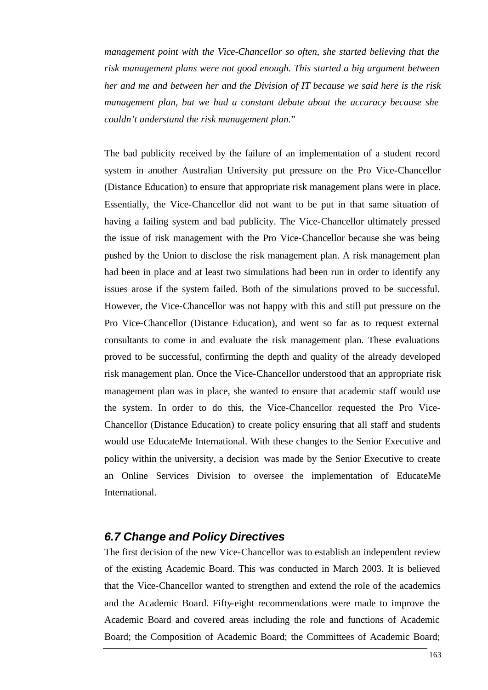*management point with the Vice-Chancellor so often, she started believing that the risk management plans were not good enough. This started a big argument between her and me and between her and the Division of IT because we said here is the risk management plan, but we had a constant debate about the accuracy because she couldn't understand the risk management plan.*"

The bad publicity received by the failure of an implementation of a student record system in another Australian University put pressure on the Pro Vice-Chancellor (Distance Education) to ensure that appropriate risk management plans were in place. Essentially, the Vice-Chancellor did not want to be put in that same situation of having a failing system and bad publicity. The Vice-Chancellor ultimately pressed the issue of risk management with the Pro Vice-Chancellor because she was being pushed by the Union to disclose the risk management plan. A risk management plan had been in place and at least two simulations had been run in order to identify any issues arose if the system failed. Both of the simulations proved to be successful. However, the Vice-Chancellor was not happy with this and still put pressure on the Pro Vice-Chancellor (Distance Education), and went so far as to request external consultants to come in and evaluate the risk management plan. These evaluations proved to be successful, confirming the depth and quality of the already developed risk management plan. Once the Vice-Chancellor understood that an appropriate risk management plan was in place, she wanted to ensure that academic staff would use the system. In order to do this, the Vice-Chancellor requested the Pro Vice-Chancellor (Distance Education) to create policy ensuring that all staff and students would use EducateMe International. With these changes to the Senior Executive and policy within the university, a decision was made by the Senior Executive to create an Online Services Division to oversee the implementation of EducateMe International.

#### *6.7 Change and Policy Directives*

The first decision of the new Vice-Chancellor was to establish an independent review of the existing Academic Board. This was conducted in March 2003. It is believed that the Vice-Chancellor wanted to strengthen and extend the role of the academics and the Academic Board. Fifty-eight recommendations were made to improve the Academic Board and covered areas including the role and functions of Academic Board; the Composition of Academic Board; the Committees of Academic Board;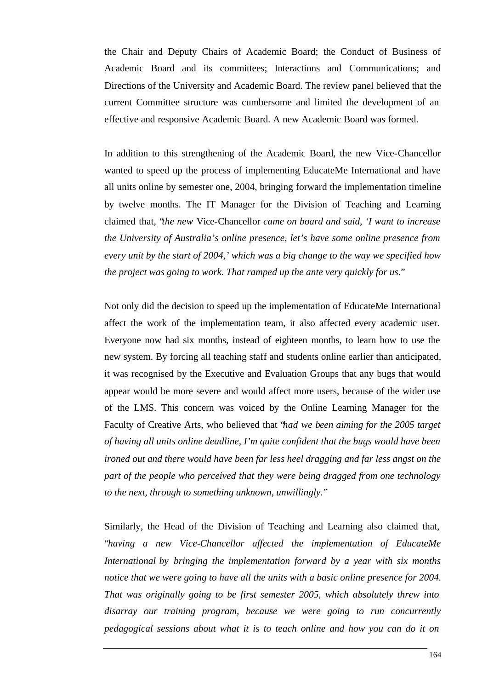the Chair and Deputy Chairs of Academic Board; the Conduct of Business of Academic Board and its committees; Interactions and Communications; and Directions of the University and Academic Board. The review panel believed that the current Committee structure was cumbersome and limited the development of an effective and responsive Academic Board. A new Academic Board was formed.

In addition to this strengthening of the Academic Board, the new Vice-Chancellor wanted to speed up the process of implementing EducateMe International and have all units online by semester one, 2004, bringing forward the implementation timeline by twelve months. The IT Manager for the Division of Teaching and Learning claimed that, "*the new* Vice-Chancellor *came on board and said, 'I want to increase the University of Australia's online presence, let's have some online presence from every unit by the start of 2004,' which was a big change to the way we specified how the project was going to work. That ramped up the ante very quickly for us.*"

Not only did the decision to speed up the implementation of EducateMe International affect the work of the implementation team, it also affected every academic user. Everyone now had six months, instead of eighteen months, to learn how to use the new system. By forcing all teaching staff and students online earlier than anticipated, it was recognised by the Executive and Evaluation Groups that any bugs that would appear would be more severe and would affect more users, because of the wider use of the LMS. This concern was voiced by the Online Learning Manager for the Faculty of Creative Arts, who believed that "*had we been aiming for the 2005 target of having all units online deadline, I'm quite confident that the bugs would have been ironed out and there would have been far less heel dragging and far less angst on the part of the people who perceived that they were being dragged from one technology to the next, through to something unknown, unwillingly.*"

Similarly, the Head of the Division of Teaching and Learning also claimed that, "*having a new Vice-Chancellor affected the implementation of EducateMe International by bringing the implementation forward by a year with six months notice that we were going to have all the units with a basic online presence for 2004. That was originally going to be first semester 2005, which absolutely threw into disarray our training program, because we were going to run concurrently pedagogical sessions about what it is to teach online and how you can do it on*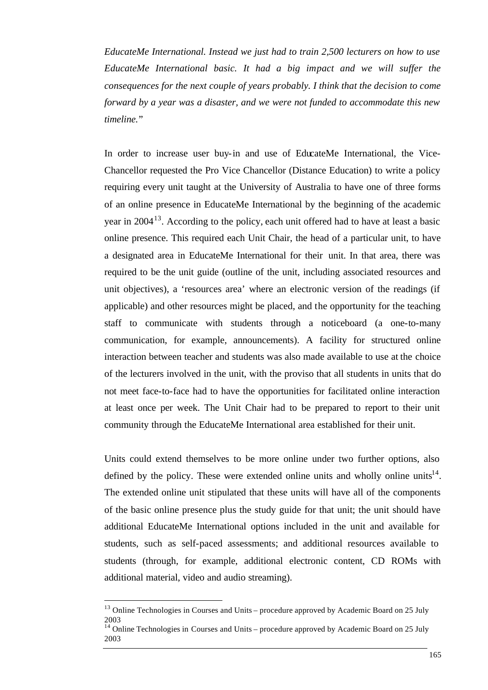*EducateMe International. Instead we just had to train 2,500 lecturers on how to use EducateMe International basic. It had a big impact and we will suffer the consequences for the next couple of years probably. I think that the decision to come forward by a year was a disaster, and we were not funded to accommodate this new timeline.*"

In order to increase user buy-in and use of EducateMe International, the Vice-Chancellor requested the Pro Vice Chancellor (Distance Education) to write a policy requiring every unit taught at the University of Australia to have one of three forms of an online presence in EducateMe International by the beginning of the academic year in  $2004<sup>13</sup>$ . According to the policy, each unit offered had to have at least a basic online presence. This required each Unit Chair, the head of a particular unit, to have a designated area in EducateMe International for their unit. In that area, there was required to be the unit guide (outline of the unit, including associated resources and unit objectives), a 'resources area' where an electronic version of the readings (if applicable) and other resources might be placed, and the opportunity for the teaching staff to communicate with students through a noticeboard (a one-to-many communication, for example, announcements). A facility for structured online interaction between teacher and students was also made available to use at the choice of the lecturers involved in the unit, with the proviso that all students in units that do not meet face-to-face had to have the opportunities for facilitated online interaction at least once per week. The Unit Chair had to be prepared to report to their unit community through the EducateMe International area established for their unit.

Units could extend themselves to be more online under two further options, also defined by the policy. These were extended online units and wholly online units<sup>14</sup>. The extended online unit stipulated that these units will have all of the components of the basic online presence plus the study guide for that unit; the unit should have additional EducateMe International options included in the unit and available for students, such as self-paced assessments; and additional resources available to students (through, for example, additional electronic content, CD ROMs with additional material, video and audio streaming).

l

 $13$  Online Technologies in Courses and Units – procedure approved by Academic Board on 25 July 2003

<sup>&</sup>lt;sup>14</sup> Online Technologies in Courses and Units – procedure approved by Academic Board on 25 July 2003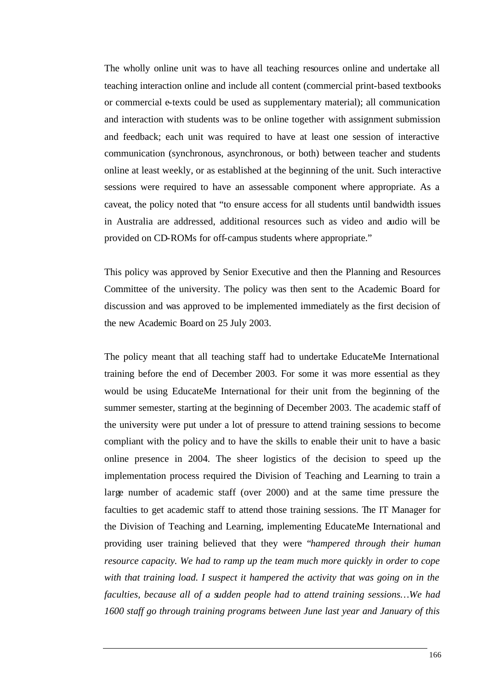The wholly online unit was to have all teaching resources online and undertake all teaching interaction online and include all content (commercial print-based textbooks or commercial e-texts could be used as supplementary material); all communication and interaction with students was to be online together with assignment submission and feedback; each unit was required to have at least one session of interactive communication (synchronous, asynchronous, or both) between teacher and students online at least weekly, or as established at the beginning of the unit. Such interactive sessions were required to have an assessable component where appropriate. As a caveat, the policy noted that "to ensure access for all students until bandwidth issues in Australia are addressed, additional resources such as video and audio will be provided on CD-ROMs for off-campus students where appropriate."

This policy was approved by Senior Executive and then the Planning and Resources Committee of the university. The policy was then sent to the Academic Board for discussion and was approved to be implemented immediately as the first decision of the new Academic Board on 25 July 2003.

The policy meant that all teaching staff had to undertake EducateMe International training before the end of December 2003. For some it was more essential as they would be using EducateMe International for their unit from the beginning of the summer semester, starting at the beginning of December 2003. The academic staff of the university were put under a lot of pressure to attend training sessions to become compliant with the policy and to have the skills to enable their unit to have a basic online presence in 2004. The sheer logistics of the decision to speed up the implementation process required the Division of Teaching and Learning to train a large number of academic staff (over 2000) and at the same time pressure the faculties to get academic staff to attend those training sessions. The IT Manager for the Division of Teaching and Learning, implementing EducateMe International and providing user training believed that they were "*hampered through their human resource capacity. We had to ramp up the team much more quickly in order to cope with that training load. I suspect it hampered the activity that was going on in the faculties, because all of a sudden people had to attend training sessions…We had 1600 staff go through training programs between June last year and January of this*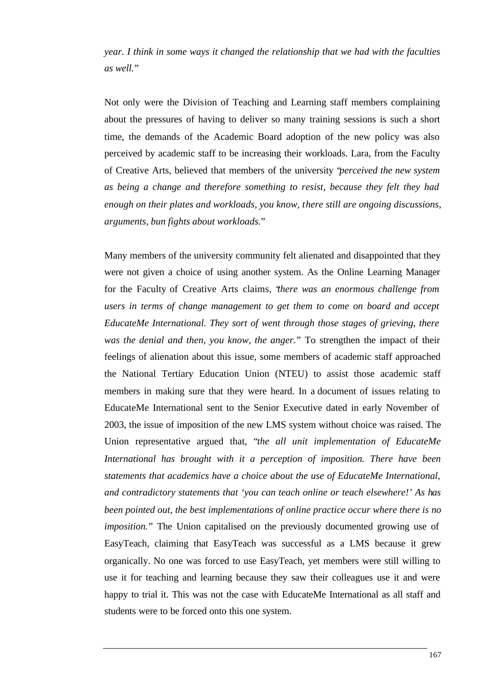*year. I think in some ways it changed the relationship that we had with the faculties as well.*"

Not only were the Division of Teaching and Learning staff members complaining about the pressures of having to deliver so many training sessions is such a short time, the demands of the Academic Board adoption of the new policy was also perceived by academic staff to be increasing their workloads. Lara, from the Faculty of Creative Arts, believed that members of the university "*perceived the new system as being a change and therefore something to resist, because they felt they had enough on their plates and workloads, you know, there still are ongoing discussions, arguments, bun fights about workloads.*"

Many members of the university community felt alienated and disappointed that they were not given a choice of using another system. As the Online Learning Manager for the Faculty of Creative Arts claims, "*there was an enormous challenge from users in terms of change management to get them to come on board and accept EducateMe International. They sort of went through those stages of grieving, there was the denial and then, you know, the anger.*" To strengthen the impact of their feelings of alienation about this issue, some members of academic staff approached the National Tertiary Education Union (NTEU) to assist those academic staff members in making sure that they were heard. In a document of issues relating to EducateMe International sent to the Senior Executive dated in early November of 2003, the issue of imposition of the new LMS system without choice was raised. The Union representative argued that, "*the all unit implementation of EducateMe International has brought with it a perception of imposition. There have been statements that academics have a choice about the use of EducateMe International, and contradictory statements that 'you can teach online or teach elsewhere!' As has been pointed out, the best implementations of online practice occur where there is no imposition.*" The Union capitalised on the previously documented growing use of EasyTeach, claiming that EasyTeach was successful as a LMS because it grew organically. No one was forced to use EasyTeach, yet members were still willing to use it for teaching and learning because they saw their colleagues use it and were happy to trial it. This was not the case with EducateMe International as all staff and students were to be forced onto this one system.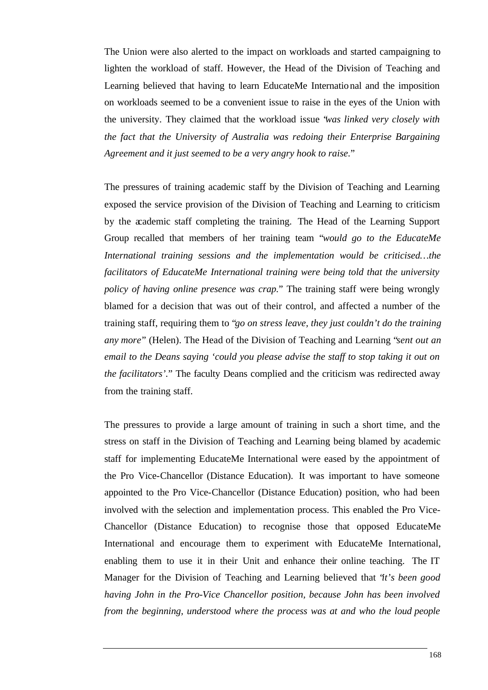The Union were also alerted to the impact on workloads and started campaigning to lighten the workload of staff. However, the Head of the Division of Teaching and Learning believed that having to learn EducateMe International and the imposition on workloads seemed to be a convenient issue to raise in the eyes of the Union with the university. They claimed that the workload issue "*was linked very closely with the fact that the University of Australia was redoing their Enterprise Bargaining Agreement and it just seemed to be a very angry hook to raise.*"

The pressures of training academic staff by the Division of Teaching and Learning exposed the service provision of the Division of Teaching and Learning to criticism by the academic staff completing the training. The Head of the Learning Support Group recalled that members of her training team "*would go to the EducateMe International training sessions and the implementation would be criticised…the facilitators of EducateMe International training were being told that the university policy of having online presence was crap.*" The training staff were being wrongly blamed for a decision that was out of their control, and affected a number of the training staff, requiring them to "*go on stress leave, they just couldn't do the training any more*" (Helen). The Head of the Division of Teaching and Learning "*sent out an email to the Deans saying 'could you please advise the staff to stop taking it out on the facilitators'.*" The faculty Deans complied and the criticism was redirected away from the training staff.

The pressures to provide a large amount of training in such a short time, and the stress on staff in the Division of Teaching and Learning being blamed by academic staff for implementing EducateMe International were eased by the appointment of the Pro Vice-Chancellor (Distance Education). It was important to have someone appointed to the Pro Vice-Chancellor (Distance Education) position, who had been involved with the selection and implementation process. This enabled the Pro Vice-Chancellor (Distance Education) to recognise those that opposed EducateMe International and encourage them to experiment with EducateMe International, enabling them to use it in their Unit and enhance their online teaching. The IT Manager for the Division of Teaching and Learning believed that "*it's been good having John in the Pro-Vice Chancellor position, because John has been involved from the beginning, understood where the process was at and who the loud people*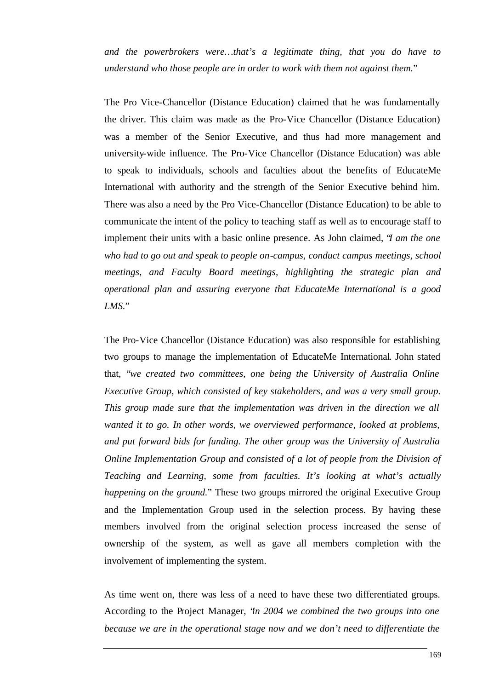*and the powerbrokers were…that's a legitimate thing, that you do have to understand who those people are in order to work with them not against them.*"

The Pro Vice-Chancellor (Distance Education) claimed that he was fundamentally the driver. This claim was made as the Pro-Vice Chancellor (Distance Education) was a member of the Senior Executive, and thus had more management and university-wide influence. The Pro-Vice Chancellor (Distance Education) was able to speak to individuals, schools and faculties about the benefits of EducateMe International with authority and the strength of the Senior Executive behind him. There was also a need by the Pro Vice-Chancellor (Distance Education) to be able to communicate the intent of the policy to teaching staff as well as to encourage staff to implement their units with a basic online presence. As John claimed, "*I am the one who had to go out and speak to people on-campus, conduct campus meetings, school meetings, and Faculty Board meetings, highlighting the strategic plan and operational plan and assuring everyone that EducateMe International is a good LMS.*"

The Pro-Vice Chancellor (Distance Education) was also responsible for establishing two groups to manage the implementation of EducateMe International. John stated that, "*we created two committees, one being the University of Australia Online Executive Group, which consisted of key stakeholders, and was a very small group. This group made sure that the implementation was driven in the direction we all wanted it to go. In other words, we overviewed performance, looked at problems, and put forward bids for funding. The other group was the University of Australia Online Implementation Group and consisted of a lot of people from the Division of Teaching and Learning, some from faculties. It's looking at what's actually happening on the ground.*" These two groups mirrored the original Executive Group and the Implementation Group used in the selection process. By having these members involved from the original selection process increased the sense of ownership of the system, as well as gave all members completion with the involvement of implementing the system.

As time went on, there was less of a need to have these two differentiated groups. According to the Project Manager, "*in 2004 we combined the two groups into one because we are in the operational stage now and we don't need to differentiate the*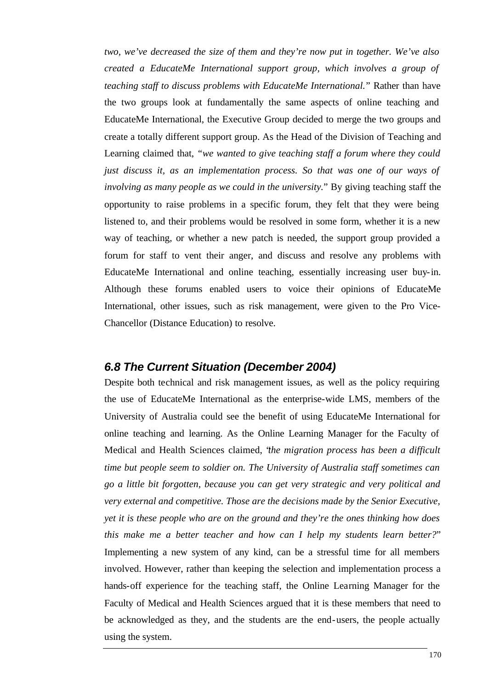*two, we've decreased the size of them and they're now put in together. We've also created a EducateMe International support group, which involves a group of teaching staff to discuss problems with EducateMe International.*" Rather than have the two groups look at fundamentally the same aspects of online teaching and EducateMe International, the Executive Group decided to merge the two groups and create a totally different support group. As the Head of the Division of Teaching and Learning claimed that, *"we wanted to give teaching staff a forum where they could just discuss it, as an implementation process. So that was one of our ways of involving as many people as we could in the university.*" By giving teaching staff the opportunity to raise problems in a specific forum, they felt that they were being listened to, and their problems would be resolved in some form, whether it is a new way of teaching, or whether a new patch is needed, the support group provided a forum for staff to vent their anger, and discuss and resolve any problems with EducateMe International and online teaching, essentially increasing user buy-in. Although these forums enabled users to voice their opinions of EducateMe International, other issues, such as risk management, were given to the Pro Vice-Chancellor (Distance Education) to resolve.

#### *6.8 The Current Situation (December 2004)*

Despite both technical and risk management issues, as well as the policy requiring the use of EducateMe International as the enterprise-wide LMS, members of the University of Australia could see the benefit of using EducateMe International for online teaching and learning. As the Online Learning Manager for the Faculty of Medical and Health Sciences claimed, "*the migration process has been a difficult time but people seem to soldier on. The University of Australia staff sometimes can go a little bit forgotten, because you can get very strategic and very political and very external and competitive. Those are the decisions made by the Senior Executive, yet it is these people who are on the ground and they're the ones thinking how does this make me a better teacher and how can I help my students learn better?*" Implementing a new system of any kind, can be a stressful time for all members involved. However, rather than keeping the selection and implementation process a hands-off experience for the teaching staff, the Online Learning Manager for the Faculty of Medical and Health Sciences argued that it is these members that need to be acknowledged as they, and the students are the end-users, the people actually using the system.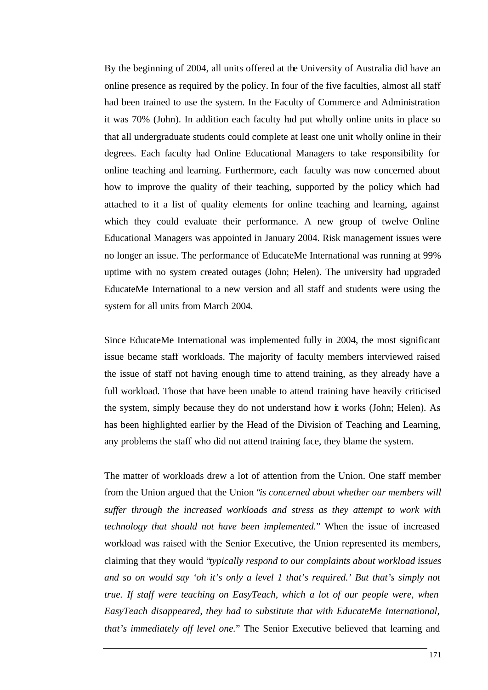By the beginning of 2004, all units offered at the University of Australia did have an online presence as required by the policy. In four of the five faculties, almost all staff had been trained to use the system. In the Faculty of Commerce and Administration it was 70% (John). In addition each faculty had put wholly online units in place so that all undergraduate students could complete at least one unit wholly online in their degrees. Each faculty had Online Educational Managers to take responsibility for online teaching and learning. Furthermore, each faculty was now concerned about how to improve the quality of their teaching, supported by the policy which had attached to it a list of quality elements for online teaching and learning, against which they could evaluate their performance. A new group of twelve Online Educational Managers was appointed in January 2004. Risk management issues were no longer an issue. The performance of EducateMe International was running at 99% uptime with no system created outages (John; Helen). The university had upgraded EducateMe International to a new version and all staff and students were using the system for all units from March 2004.

Since EducateMe International was implemented fully in 2004, the most significant issue became staff workloads. The majority of faculty members interviewed raised the issue of staff not having enough time to attend training, as they already have a full workload. Those that have been unable to attend training have heavily criticised the system, simply because they do not understand how it works (John; Helen). As has been highlighted earlier by the Head of the Division of Teaching and Learning, any problems the staff who did not attend training face, they blame the system.

The matter of workloads drew a lot of attention from the Union. One staff member from the Union argued that the Union "*is concerned about whether our members will suffer through the increased workloads and stress as they attempt to work with technology that should not have been implemented.*" When the issue of increased workload was raised with the Senior Executive, the Union represented its members, claiming that they would "*typically respond to our complaints about workload issues and so on would say 'oh it's only a level 1 that's required.' But that's simply not true. If staff were teaching on EasyTeach, which a lot of our people were, when EasyTeach disappeared, they had to substitute that with EducateMe International, that's immediately off level one.*" The Senior Executive believed that learning and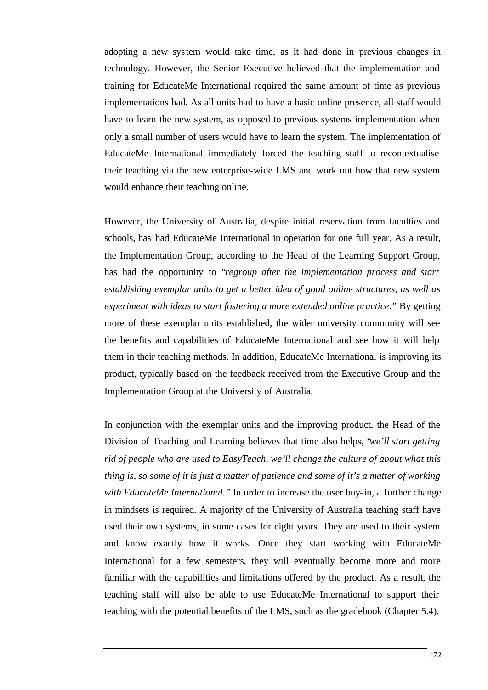adopting a new system would take time, as it had done in previous changes in technology. However, the Senior Executive believed that the implementation and training for EducateMe International required the same amount of time as previous implementations had. As all units had to have a basic online presence, all staff would have to learn the new system, as opposed to previous systems implementation when only a small number of users would have to learn the system. The implementation of EducateMe International immediately forced the teaching staff to recontextualise their teaching via the new enterprise-wide LMS and work out how that new system would enhance their teaching online.

However, the University of Australia, despite initial reservation from faculties and schools, has had EducateMe International in operation for one full year. As a result, the Implementation Group, according to the Head of the Learning Support Group, has had the opportunity to "*regroup after the implementation process and start establishing exemplar units to get a better idea of good online structures, as well as experiment with ideas to start fostering a more extended online practice.*" By getting more of these exemplar units established, the wider university community will see the benefits and capabilities of EducateMe International and see how it will help them in their teaching methods. In addition, EducateMe International is improving its product, typically based on the feedback received from the Executive Group and the Implementation Group at the University of Australia.

In conjunction with the exemplar units and the improving product, the Head of the Division of Teaching and Learning believes that time also helps, "*we'll start getting rid of people who are used to EasyTeach, we'll change the culture of about what this thing is, so some of it is just a matter of patience and some of it's a matter of working with EducateMe International.*" In order to increase the user buy-in, a further change in mindsets is required. A majority of the University of Australia teaching staff have used their own systems, in some cases for eight years. They are used to their system and know exactly how it works. Once they start working with EducateMe International for a few semesters, they will eventually become more and more familiar with the capabilities and limitations offered by the product. As a result, the teaching staff will also be able to use EducateMe International to support their teaching with the potential benefits of the LMS, such as the gradebook (Chapter 5.4).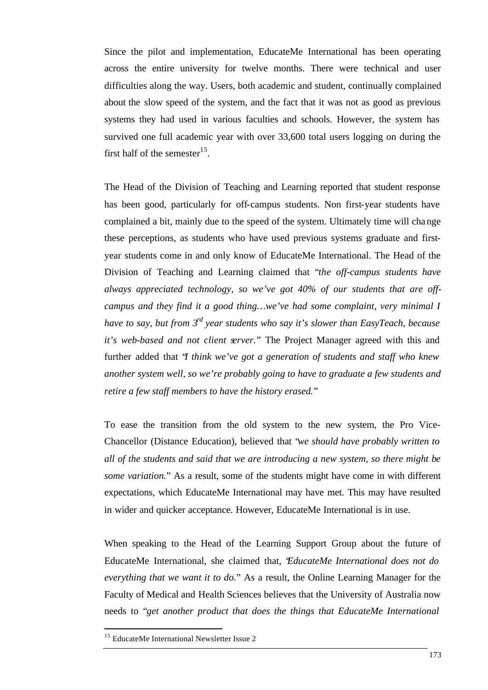Since the pilot and implementation, EducateMe International has been operating across the entire university for twelve months. There were technical and user difficulties along the way. Users, both academic and student, continually complained about the slow speed of the system, and the fact that it was not as good as previous systems they had used in various faculties and schools. However, the system has survived one full academic year with over 33,600 total users logging on during the first half of the semester<sup>15</sup>.

The Head of the Division of Teaching and Learning reported that student response has been good, particularly for off-campus students. Non first-year students have complained a bit, mainly due to the speed of the system. Ultimately time will change these perceptions, as students who have used previous systems graduate and firstyear students come in and only know of EducateMe International. The Head of the Division of Teaching and Learning claimed that "*the off-campus students have always appreciated technology, so we've got 40% of our students that are offcampus and they find it a good thing…we've had some complaint, very minimal I have to say, but from 3rd year students who say it's slower than EasyTeach, because it's web-based and not client server.*" The Project Manager agreed with this and further added that "*I think we've got a generation of students and staff who knew another system well, so we're probably going to have to graduate a few students and retire a few staff members to have the history erased.*"

To ease the transition from the old system to the new system, the Pro Vice-Chancellor (Distance Education), believed that "*we should have probably written to all of the students and said that we are introducing a new system, so there might be some variation.*" As a result, some of the students might have come in with different expectations, which EducateMe International may have met. This may have resulted in wider and quicker acceptance. However, EducateMe International is in use.

When speaking to the Head of the Learning Support Group about the future of EducateMe International, she claimed that, "*EducateMe International does not do everything that we want it to do.*" As a result, the Online Learning Manager for the Faculty of Medical and Health Sciences believes that the University of Australia now needs to "*get another product that does the things that EducateMe International* 

l

<sup>&</sup>lt;sup>15</sup> EducateMe International Newsletter Issue 2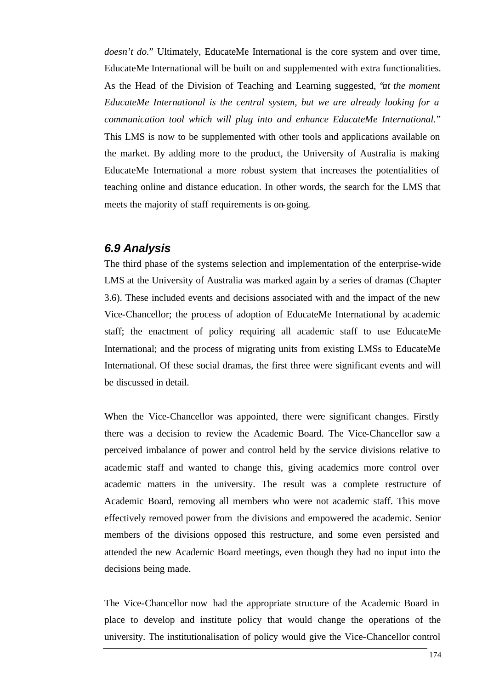*doesn't do.*" Ultimately, EducateMe International is the core system and over time, EducateMe International will be built on and supplemented with extra functionalities. As the Head of the Division of Teaching and Learning suggested, "*at the moment EducateMe International is the central system, but we are already looking for a communication tool which will plug into and enhance EducateMe International.*" This LMS is now to be supplemented with other tools and applications available on the market. By adding more to the product, the University of Australia is making EducateMe International a more robust system that increases the potentialities of teaching online and distance education. In other words, the search for the LMS that meets the majority of staff requirements is on-going.

# *6.9 Analysis*

The third phase of the systems selection and implementation of the enterprise-wide LMS at the University of Australia was marked again by a series of dramas (Chapter 3.6). These included events and decisions associated with and the impact of the new Vice-Chancellor; the process of adoption of EducateMe International by academic staff; the enactment of policy requiring all academic staff to use EducateMe International; and the process of migrating units from existing LMSs to EducateMe International. Of these social dramas, the first three were significant events and will be discussed in detail.

When the Vice-Chancellor was appointed, there were significant changes. Firstly there was a decision to review the Academic Board. The Vice-Chancellor saw a perceived imbalance of power and control held by the service divisions relative to academic staff and wanted to change this, giving academics more control over academic matters in the university. The result was a complete restructure of Academic Board, removing all members who were not academic staff. This move effectively removed power from the divisions and empowered the academic. Senior members of the divisions opposed this restructure, and some even persisted and attended the new Academic Board meetings, even though they had no input into the decisions being made.

The Vice-Chancellor now had the appropriate structure of the Academic Board in place to develop and institute policy that would change the operations of the university. The institutionalisation of policy would give the Vice-Chancellor control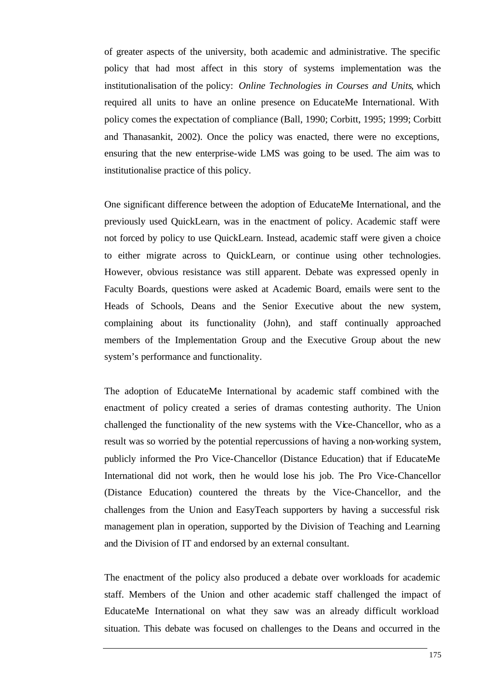of greater aspects of the university, both academic and administrative. The specific policy that had most affect in this story of systems implementation was the institutionalisation of the policy: *Online Technologies in Courses and Units*, which required all units to have an online presence on EducateMe International. With policy comes the expectation of compliance (Ball, 1990; Corbitt, 1995; 1999; Corbitt and Thanasankit, 2002). Once the policy was enacted, there were no exceptions, ensuring that the new enterprise-wide LMS was going to be used. The aim was to institutionalise practice of this policy.

One significant difference between the adoption of EducateMe International, and the previously used QuickLearn, was in the enactment of policy. Academic staff were not forced by policy to use QuickLearn. Instead, academic staff were given a choice to either migrate across to QuickLearn, or continue using other technologies. However, obvious resistance was still apparent. Debate was expressed openly in Faculty Boards, questions were asked at Academic Board, emails were sent to the Heads of Schools, Deans and the Senior Executive about the new system, complaining about its functionality (John), and staff continually approached members of the Implementation Group and the Executive Group about the new system's performance and functionality.

The adoption of EducateMe International by academic staff combined with the enactment of policy created a series of dramas contesting authority. The Union challenged the functionality of the new systems with the Vice-Chancellor, who as a result was so worried by the potential repercussions of having a non-working system, publicly informed the Pro Vice-Chancellor (Distance Education) that if EducateMe International did not work, then he would lose his job. The Pro Vice-Chancellor (Distance Education) countered the threats by the Vice-Chancellor, and the challenges from the Union and EasyTeach supporters by having a successful risk management plan in operation, supported by the Division of Teaching and Learning and the Division of IT and endorsed by an external consultant.

The enactment of the policy also produced a debate over workloads for academic staff. Members of the Union and other academic staff challenged the impact of EducateMe International on what they saw was an already difficult workload situation. This debate was focused on challenges to the Deans and occurred in the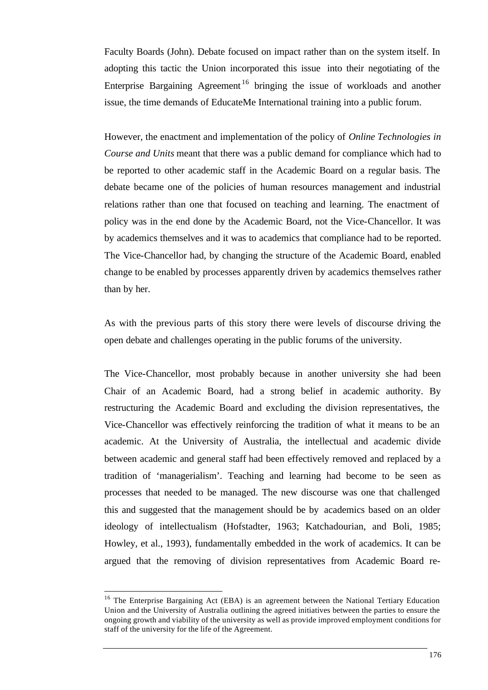Faculty Boards (John). Debate focused on impact rather than on the system itself. In adopting this tactic the Union incorporated this issue into their negotiating of the Enterprise Bargaining Agreement<sup>16</sup> bringing the issue of workloads and another issue, the time demands of EducateMe International training into a public forum.

However, the enactment and implementation of the policy of *Online Technologies in Course and Units* meant that there was a public demand for compliance which had to be reported to other academic staff in the Academic Board on a regular basis. The debate became one of the policies of human resources management and industrial relations rather than one that focused on teaching and learning. The enactment of policy was in the end done by the Academic Board, not the Vice-Chancellor. It was by academics themselves and it was to academics that compliance had to be reported. The Vice-Chancellor had, by changing the structure of the Academic Board, enabled change to be enabled by processes apparently driven by academics themselves rather than by her.

As with the previous parts of this story there were levels of discourse driving the open debate and challenges operating in the public forums of the university.

The Vice-Chancellor, most probably because in another university she had been Chair of an Academic Board, had a strong belief in academic authority. By restructuring the Academic Board and excluding the division representatives, the Vice-Chancellor was effectively reinforcing the tradition of what it means to be an academic. At the University of Australia, the intellectual and academic divide between academic and general staff had been effectively removed and replaced by a tradition of 'managerialism'. Teaching and learning had become to be seen as processes that needed to be managed. The new discourse was one that challenged this and suggested that the management should be by academics based on an older ideology of intellectualism (Hofstadter, 1963; Katchadourian, and Boli, 1985; Howley, et al., 1993), fundamentally embedded in the work of academics. It can be argued that the removing of division representatives from Academic Board re-

l

<sup>&</sup>lt;sup>16</sup> The Enterprise Bargaining Act (EBA) is an agreement between the National Tertiary Education Union and the University of Australia outlining the agreed initiatives between the parties to ensure the ongoing growth and viability of the university as well as provide improved employment conditions for staff of the university for the life of the Agreement.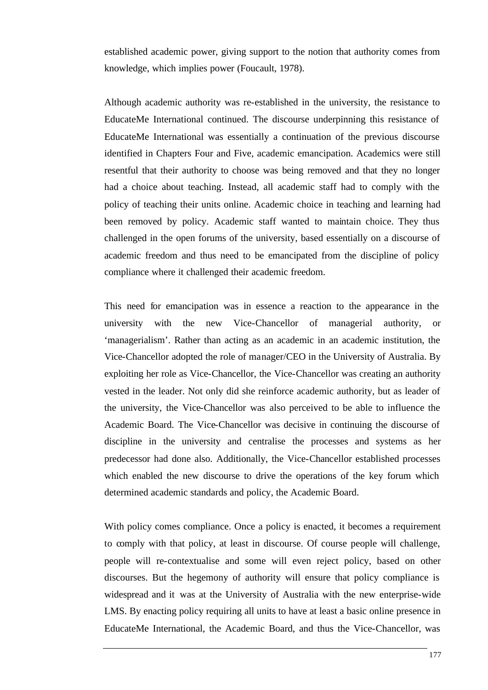established academic power, giving support to the notion that authority comes from knowledge, which implies power (Foucault, 1978).

Although academic authority was re-established in the university, the resistance to EducateMe International continued. The discourse underpinning this resistance of EducateMe International was essentially a continuation of the previous discourse identified in Chapters Four and Five, academic emancipation. Academics were still resentful that their authority to choose was being removed and that they no longer had a choice about teaching. Instead, all academic staff had to comply with the policy of teaching their units online. Academic choice in teaching and learning had been removed by policy. Academic staff wanted to maintain choice. They thus challenged in the open forums of the university, based essentially on a discourse of academic freedom and thus need to be emancipated from the discipline of policy compliance where it challenged their academic freedom.

This need for emancipation was in essence a reaction to the appearance in the university with the new Vice-Chancellor of managerial authority, or 'managerialism'. Rather than acting as an academic in an academic institution, the Vice-Chancellor adopted the role of manager/CEO in the University of Australia. By exploiting her role as Vice-Chancellor, the Vice-Chancellor was creating an authority vested in the leader. Not only did she reinforce academic authority, but as leader of the university, the Vice-Chancellor was also perceived to be able to influence the Academic Board. The Vice-Chancellor was decisive in continuing the discourse of discipline in the university and centralise the processes and systems as her predecessor had done also. Additionally, the Vice-Chancellor established processes which enabled the new discourse to drive the operations of the key forum which determined academic standards and policy, the Academic Board.

With policy comes compliance. Once a policy is enacted, it becomes a requirement to comply with that policy, at least in discourse. Of course people will challenge, people will re-contextualise and some will even reject policy, based on other discourses. But the hegemony of authority will ensure that policy compliance is widespread and it was at the University of Australia with the new enterprise-wide LMS. By enacting policy requiring all units to have at least a basic online presence in EducateMe International, the Academic Board, and thus the Vice-Chancellor, was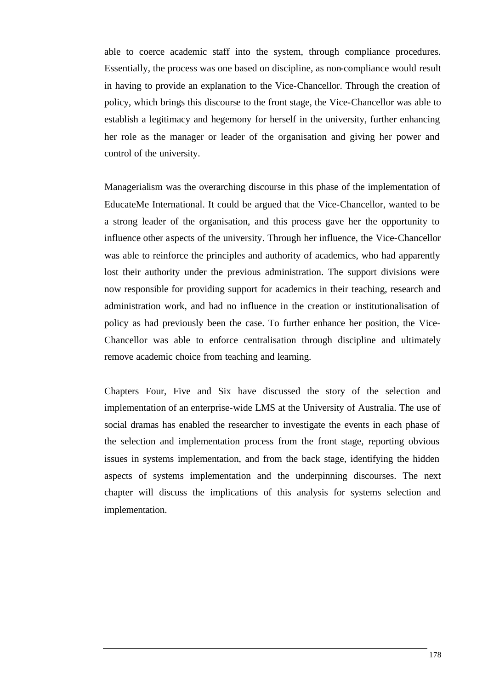able to coerce academic staff into the system, through compliance procedures. Essentially, the process was one based on discipline, as non-compliance would result in having to provide an explanation to the Vice-Chancellor. Through the creation of policy, which brings this discourse to the front stage, the Vice-Chancellor was able to establish a legitimacy and hegemony for herself in the university, further enhancing her role as the manager or leader of the organisation and giving her power and control of the university.

Managerialism was the overarching discourse in this phase of the implementation of EducateMe International. It could be argued that the Vice-Chancellor, wanted to be a strong leader of the organisation, and this process gave her the opportunity to influence other aspects of the university. Through her influence, the Vice-Chancellor was able to reinforce the principles and authority of academics, who had apparently lost their authority under the previous administration. The support divisions were now responsible for providing support for academics in their teaching, research and administration work, and had no influence in the creation or institutionalisation of policy as had previously been the case. To further enhance her position, the Vice-Chancellor was able to enforce centralisation through discipline and ultimately remove academic choice from teaching and learning.

Chapters Four, Five and Six have discussed the story of the selection and implementation of an enterprise-wide LMS at the University of Australia. The use of social dramas has enabled the researcher to investigate the events in each phase of the selection and implementation process from the front stage, reporting obvious issues in systems implementation, and from the back stage, identifying the hidden aspects of systems implementation and the underpinning discourses. The next chapter will discuss the implications of this analysis for systems selection and implementation.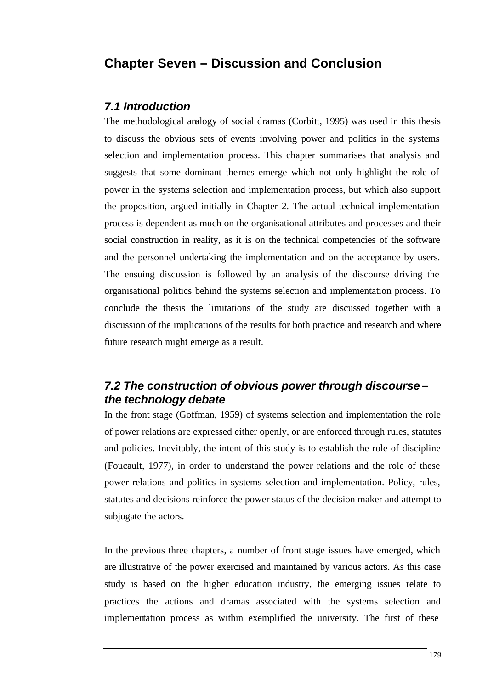# **Chapter Seven – Discussion and Conclusion**

#### *7.1 Introduction*

The methodological analogy of social dramas (Corbitt, 1995) was used in this thesis to discuss the obvious sets of events involving power and politics in the systems selection and implementation process. This chapter summarises that analysis and suggests that some dominant themes emerge which not only highlight the role of power in the systems selection and implementation process, but which also support the proposition, argued initially in Chapter 2. The actual technical implementation process is dependent as much on the organisational attributes and processes and their social construction in reality, as it is on the technical competencies of the software and the personnel undertaking the implementation and on the acceptance by users. The ensuing discussion is followed by an ana lysis of the discourse driving the organisational politics behind the systems selection and implementation process. To conclude the thesis the limitations of the study are discussed together with a discussion of the implications of the results for both practice and research and where future research might emerge as a result.

# *7.2 The construction of obvious power through discourse – the technology debate*

In the front stage (Goffman, 1959) of systems selection and implementation the role of power relations are expressed either openly, or are enforced through rules, statutes and policies. Inevitably, the intent of this study is to establish the role of discipline (Foucault, 1977), in order to understand the power relations and the role of these power relations and politics in systems selection and implementation. Policy, rules, statutes and decisions reinforce the power status of the decision maker and attempt to subjugate the actors.

In the previous three chapters, a number of front stage issues have emerged, which are illustrative of the power exercised and maintained by various actors. As this case study is based on the higher education industry, the emerging issues relate to practices the actions and dramas associated with the systems selection and implementation process as within exemplified the university. The first of these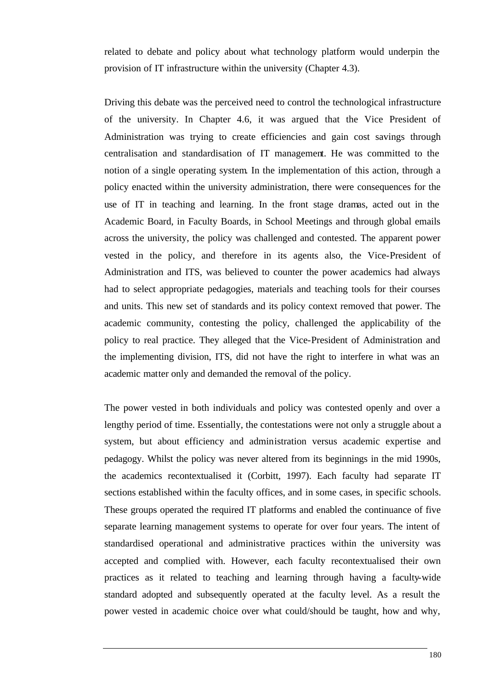related to debate and policy about what technology platform would underpin the provision of IT infrastructure within the university (Chapter 4.3).

Driving this debate was the perceived need to control the technological infrastructure of the university. In Chapter 4.6, it was argued that the Vice President of Administration was trying to create efficiencies and gain cost savings through centralisation and standardisation of IT management. He was committed to the notion of a single operating system. In the implementation of this action, through a policy enacted within the university administration, there were consequences for the use of IT in teaching and learning. In the front stage dramas, acted out in the Academic Board, in Faculty Boards, in School Meetings and through global emails across the university, the policy was challenged and contested. The apparent power vested in the policy, and therefore in its agents also, the Vice-President of Administration and ITS, was believed to counter the power academics had always had to select appropriate pedagogies, materials and teaching tools for their courses and units. This new set of standards and its policy context removed that power. The academic community, contesting the policy, challenged the applicability of the policy to real practice. They alleged that the Vice-President of Administration and the implementing division, ITS, did not have the right to interfere in what was an academic matter only and demanded the removal of the policy.

The power vested in both individuals and policy was contested openly and over a lengthy period of time. Essentially, the contestations were not only a struggle about a system, but about efficiency and administration versus academic expertise and pedagogy. Whilst the policy was never altered from its beginnings in the mid 1990s, the academics recontextualised it (Corbitt, 1997). Each faculty had separate IT sections established within the faculty offices, and in some cases, in specific schools. These groups operated the required IT platforms and enabled the continuance of five separate learning management systems to operate for over four years. The intent of standardised operational and administrative practices within the university was accepted and complied with. However, each faculty recontextualised their own practices as it related to teaching and learning through having a faculty-wide standard adopted and subsequently operated at the faculty level. As a result the power vested in academic choice over what could/should be taught, how and why,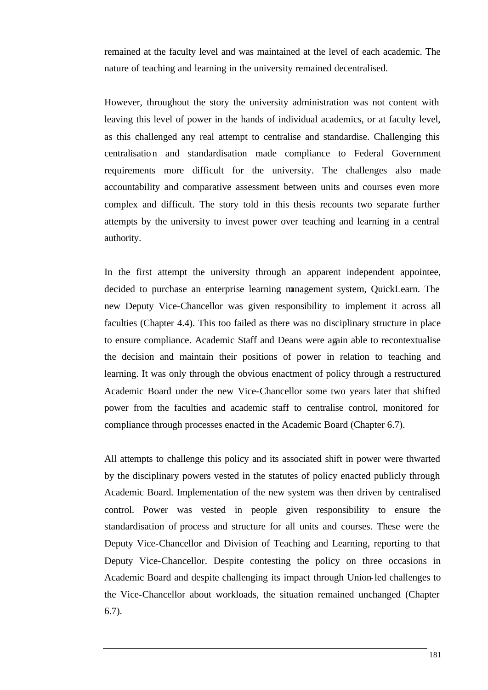remained at the faculty level and was maintained at the level of each academic. The nature of teaching and learning in the university remained decentralised.

However, throughout the story the university administration was not content with leaving this level of power in the hands of individual academics, or at faculty level, as this challenged any real attempt to centralise and standardise. Challenging this centralisation and standardisation made compliance to Federal Government requirements more difficult for the university. The challenges also made accountability and comparative assessment between units and courses even more complex and difficult. The story told in this thesis recounts two separate further attempts by the university to invest power over teaching and learning in a central authority.

In the first attempt the university through an apparent independent appointee, decided to purchase an enterprise learning management system, QuickLearn. The new Deputy Vice-Chancellor was given responsibility to implement it across all faculties (Chapter 4.4). This too failed as there was no disciplinary structure in place to ensure compliance. Academic Staff and Deans were again able to recontextualise the decision and maintain their positions of power in relation to teaching and learning. It was only through the obvious enactment of policy through a restructured Academic Board under the new Vice-Chancellor some two years later that shifted power from the faculties and academic staff to centralise control, monitored for compliance through processes enacted in the Academic Board (Chapter 6.7).

All attempts to challenge this policy and its associated shift in power were thwarted by the disciplinary powers vested in the statutes of policy enacted publicly through Academic Board. Implementation of the new system was then driven by centralised control. Power was vested in people given responsibility to ensure the standardisation of process and structure for all units and courses. These were the Deputy Vice-Chancellor and Division of Teaching and Learning, reporting to that Deputy Vice-Chancellor. Despite contesting the policy on three occasions in Academic Board and despite challenging its impact through Union-led challenges to the Vice-Chancellor about workloads, the situation remained unchanged (Chapter 6.7).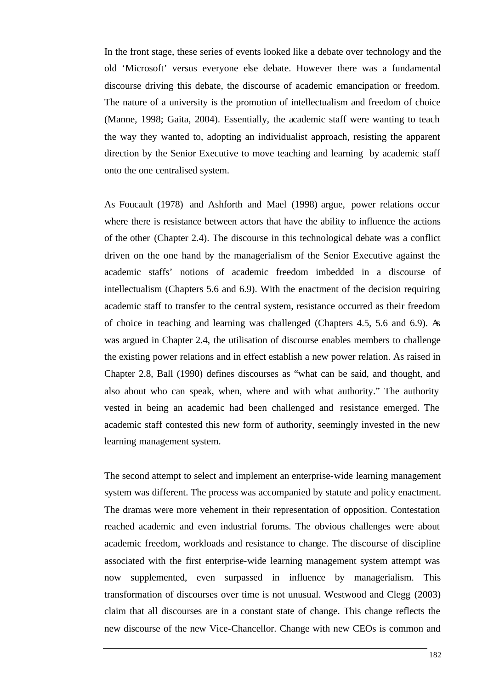In the front stage, these series of events looked like a debate over technology and the old 'Microsoft' versus everyone else debate. However there was a fundamental discourse driving this debate, the discourse of academic emancipation or freedom. The nature of a university is the promotion of intellectualism and freedom of choice (Manne, 1998; Gaita, 2004). Essentially, the academic staff were wanting to teach the way they wanted to, adopting an individualist approach, resisting the apparent direction by the Senior Executive to move teaching and learning by academic staff onto the one centralised system.

As Foucault (1978) and Ashforth and Mael (1998) argue, power relations occur where there is resistance between actors that have the ability to influence the actions of the other (Chapter 2.4). The discourse in this technological debate was a conflict driven on the one hand by the managerialism of the Senior Executive against the academic staffs' notions of academic freedom imbedded in a discourse of intellectualism (Chapters 5.6 and 6.9). With the enactment of the decision requiring academic staff to transfer to the central system, resistance occurred as their freedom of choice in teaching and learning was challenged (Chapters 4.5, 5.6 and 6.9). As was argued in Chapter 2.4, the utilisation of discourse enables members to challenge the existing power relations and in effect establish a new power relation. As raised in Chapter 2.8, Ball (1990) defines discourses as "what can be said, and thought, and also about who can speak, when, where and with what authority." The authority vested in being an academic had been challenged and resistance emerged. The academic staff contested this new form of authority, seemingly invested in the new learning management system.

The second attempt to select and implement an enterprise-wide learning management system was different. The process was accompanied by statute and policy enactment. The dramas were more vehement in their representation of opposition. Contestation reached academic and even industrial forums. The obvious challenges were about academic freedom, workloads and resistance to change. The discourse of discipline associated with the first enterprise-wide learning management system attempt was now supplemented, even surpassed in influence by managerialism. This transformation of discourses over time is not unusual. Westwood and Clegg (2003) claim that all discourses are in a constant state of change. This change reflects the new discourse of the new Vice-Chancellor. Change with new CEOs is common and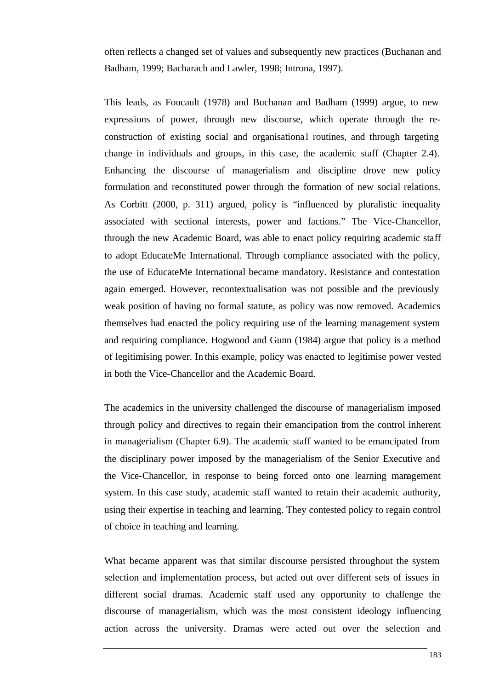often reflects a changed set of values and subsequently new practices (Buchanan and Badham, 1999; Bacharach and Lawler, 1998; Introna, 1997).

This leads, as Foucault (1978) and Buchanan and Badham (1999) argue, to new expressions of power, through new discourse, which operate through the reconstruction of existing social and organisational routines, and through targeting change in individuals and groups, in this case, the academic staff (Chapter 2.4). Enhancing the discourse of managerialism and discipline drove new policy formulation and reconstituted power through the formation of new social relations. As Corbitt (2000, p. 311) argued, policy is "influenced by pluralistic inequality associated with sectional interests, power and factions." The Vice-Chancellor, through the new Academic Board, was able to enact policy requiring academic staff to adopt EducateMe International. Through compliance associated with the policy, the use of EducateMe International became mandatory. Resistance and contestation again emerged. However, recontextualisation was not possible and the previously weak position of having no formal statute, as policy was now removed. Academics themselves had enacted the policy requiring use of the learning management system and requiring compliance. Hogwood and Gunn (1984) argue that policy is a method of legitimising power. In this example, policy was enacted to legitimise power vested in both the Vice-Chancellor and the Academic Board.

The academics in the university challenged the discourse of managerialism imposed through policy and directives to regain their emancipation from the control inherent in managerialism (Chapter 6.9). The academic staff wanted to be emancipated from the disciplinary power imposed by the managerialism of the Senior Executive and the Vice-Chancellor, in response to being forced onto one learning management system. In this case study, academic staff wanted to retain their academic authority, using their expertise in teaching and learning. They contested policy to regain control of choice in teaching and learning.

What became apparent was that similar discourse persisted throughout the system selection and implementation process, but acted out over different sets of issues in different social dramas. Academic staff used any opportunity to challenge the discourse of managerialism, which was the most consistent ideology influencing action across the university. Dramas were acted out over the selection and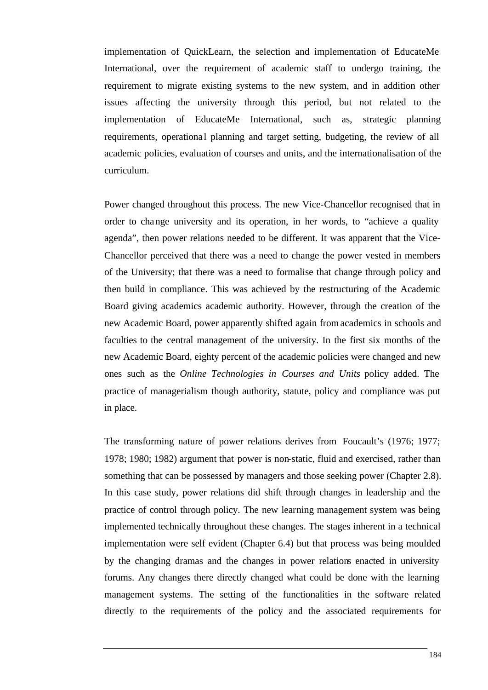implementation of QuickLearn, the selection and implementation of EducateMe International, over the requirement of academic staff to undergo training, the requirement to migrate existing systems to the new system, and in addition other issues affecting the university through this period, but not related to the implementation of EducateMe International, such as, strategic planning requirements, operational planning and target setting, budgeting, the review of all academic policies, evaluation of courses and units, and the internationalisation of the curriculum.

Power changed throughout this process. The new Vice-Chancellor recognised that in order to change university and its operation, in her words, to "achieve a quality agenda", then power relations needed to be different. It was apparent that the Vice-Chancellor perceived that there was a need to change the power vested in members of the University; that there was a need to formalise that change through policy and then build in compliance. This was achieved by the restructuring of the Academic Board giving academics academic authority. However, through the creation of the new Academic Board, power apparently shifted again from academics in schools and faculties to the central management of the university. In the first six months of the new Academic Board, eighty percent of the academic policies were changed and new ones such as the *Online Technologies in Courses and Units* policy added. The practice of managerialism though authority, statute, policy and compliance was put in place.

The transforming nature of power relations derives from Foucault's (1976; 1977; 1978; 1980; 1982) argument that power is non-static, fluid and exercised, rather than something that can be possessed by managers and those seeking power (Chapter 2.8). In this case study, power relations did shift through changes in leadership and the practice of control through policy. The new learning management system was being implemented technically throughout these changes. The stages inherent in a technical implementation were self evident (Chapter 6.4) but that process was being moulded by the changing dramas and the changes in power relations enacted in university forums. Any changes there directly changed what could be done with the learning management systems. The setting of the functionalities in the software related directly to the requirements of the policy and the associated requirements for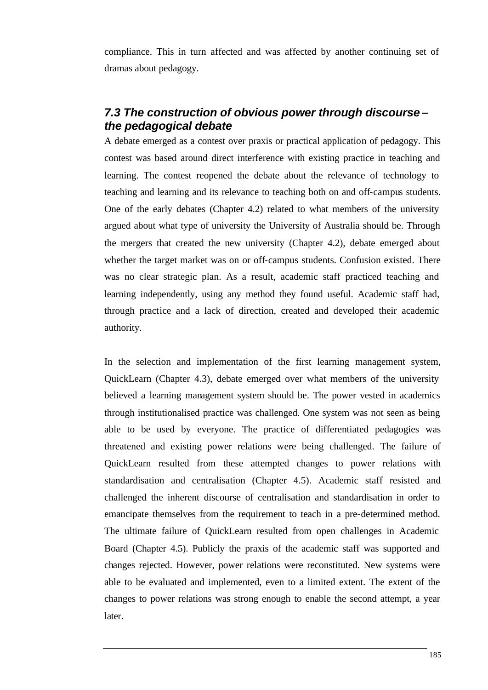compliance. This in turn affected and was affected by another continuing set of dramas about pedagogy.

# *7.3 The construction of obvious power through discourse – the pedagogical debate*

A debate emerged as a contest over praxis or practical application of pedagogy. This contest was based around direct interference with existing practice in teaching and learning. The contest reopened the debate about the relevance of technology to teaching and learning and its relevance to teaching both on and off-campus students. One of the early debates (Chapter 4.2) related to what members of the university argued about what type of university the University of Australia should be. Through the mergers that created the new university (Chapter 4.2), debate emerged about whether the target market was on or off-campus students. Confusion existed. There was no clear strategic plan. As a result, academic staff practiced teaching and learning independently, using any method they found useful. Academic staff had, through practice and a lack of direction, created and developed their academic authority.

In the selection and implementation of the first learning management system, QuickLearn (Chapter 4.3), debate emerged over what members of the university believed a learning management system should be. The power vested in academics through institutionalised practice was challenged. One system was not seen as being able to be used by everyone. The practice of differentiated pedagogies was threatened and existing power relations were being challenged. The failure of QuickLearn resulted from these attempted changes to power relations with standardisation and centralisation (Chapter 4.5). Academic staff resisted and challenged the inherent discourse of centralisation and standardisation in order to emancipate themselves from the requirement to teach in a pre-determined method. The ultimate failure of QuickLearn resulted from open challenges in Academic Board (Chapter 4.5). Publicly the praxis of the academic staff was supported and changes rejected. However, power relations were reconstituted. New systems were able to be evaluated and implemented, even to a limited extent. The extent of the changes to power relations was strong enough to enable the second attempt, a year later.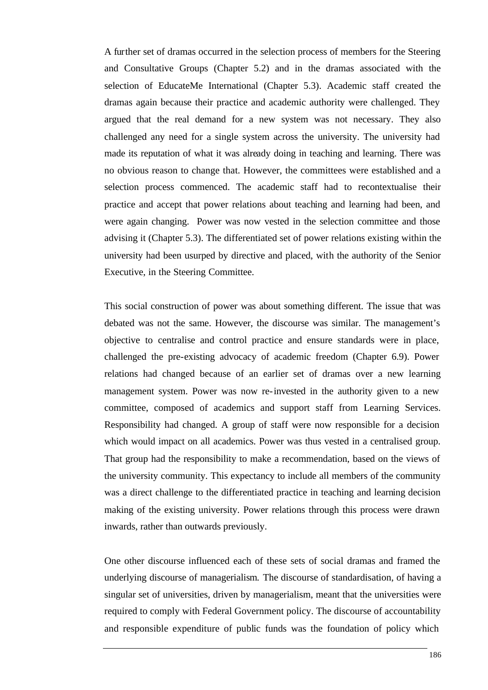A further set of dramas occurred in the selection process of members for the Steering and Consultative Groups (Chapter 5.2) and in the dramas associated with the selection of EducateMe International (Chapter 5.3). Academic staff created the dramas again because their practice and academic authority were challenged. They argued that the real demand for a new system was not necessary. They also challenged any need for a single system across the university. The university had made its reputation of what it was already doing in teaching and learning. There was no obvious reason to change that. However, the committees were established and a selection process commenced. The academic staff had to recontextualise their practice and accept that power relations about teaching and learning had been, and were again changing. Power was now vested in the selection committee and those advising it (Chapter 5.3). The differentiated set of power relations existing within the university had been usurped by directive and placed, with the authority of the Senior Executive, in the Steering Committee.

This social construction of power was about something different. The issue that was debated was not the same. However, the discourse was similar. The management's objective to centralise and control practice and ensure standards were in place, challenged the pre-existing advocacy of academic freedom (Chapter 6.9). Power relations had changed because of an earlier set of dramas over a new learning management system. Power was now re-invested in the authority given to a new committee, composed of academics and support staff from Learning Services. Responsibility had changed. A group of staff were now responsible for a decision which would impact on all academics. Power was thus vested in a centralised group. That group had the responsibility to make a recommendation, based on the views of the university community. This expectancy to include all members of the community was a direct challenge to the differentiated practice in teaching and learning decision making of the existing university. Power relations through this process were drawn inwards, rather than outwards previously.

One other discourse influenced each of these sets of social dramas and framed the underlying discourse of managerialism. The discourse of standardisation, of having a singular set of universities, driven by managerialism, meant that the universities were required to comply with Federal Government policy. The discourse of accountability and responsible expenditure of public funds was the foundation of policy which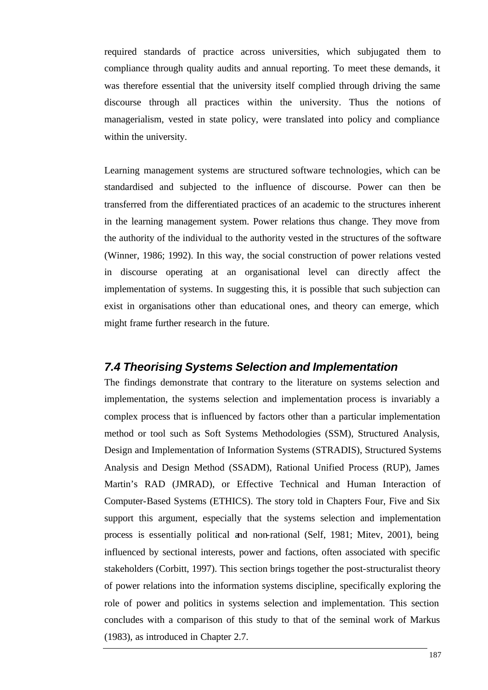required standards of practice across universities, which subjugated them to compliance through quality audits and annual reporting. To meet these demands, it was therefore essential that the university itself complied through driving the same discourse through all practices within the university. Thus the notions of managerialism, vested in state policy, were translated into policy and compliance within the university.

Learning management systems are structured software technologies, which can be standardised and subjected to the influence of discourse. Power can then be transferred from the differentiated practices of an academic to the structures inherent in the learning management system. Power relations thus change. They move from the authority of the individual to the authority vested in the structures of the software (Winner, 1986; 1992). In this way, the social construction of power relations vested in discourse operating at an organisational level can directly affect the implementation of systems. In suggesting this, it is possible that such subjection can exist in organisations other than educational ones, and theory can emerge, which might frame further research in the future.

### *7.4 Theorising Systems Selection and Implementation*

The findings demonstrate that contrary to the literature on systems selection and implementation, the systems selection and implementation process is invariably a complex process that is influenced by factors other than a particular implementation method or tool such as Soft Systems Methodologies (SSM), Structured Analysis, Design and Implementation of Information Systems (STRADIS), Structured Systems Analysis and Design Method (SSADM), Rational Unified Process (RUP), James Martin's RAD (JMRAD), or Effective Technical and Human Interaction of Computer-Based Systems (ETHICS). The story told in Chapters Four, Five and Six support this argument, especially that the systems selection and implementation process is essentially political and non-rational (Self, 1981; Mitev, 2001), being influenced by sectional interests, power and factions, often associated with specific stakeholders (Corbitt, 1997). This section brings together the post-structuralist theory of power relations into the information systems discipline, specifically exploring the role of power and politics in systems selection and implementation. This section concludes with a comparison of this study to that of the seminal work of Markus (1983), as introduced in Chapter 2.7.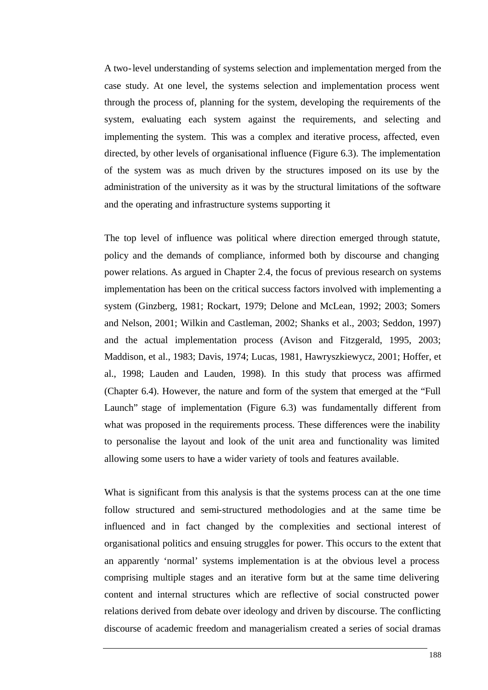A two-level understanding of systems selection and implementation merged from the case study. At one level, the systems selection and implementation process went through the process of, planning for the system, developing the requirements of the system, evaluating each system against the requirements, and selecting and implementing the system. This was a complex and iterative process, affected, even directed, by other levels of organisational influence (Figure 6.3). The implementation of the system was as much driven by the structures imposed on its use by the administration of the university as it was by the structural limitations of the software and the operating and infrastructure systems supporting it

The top level of influence was political where direction emerged through statute, policy and the demands of compliance, informed both by discourse and changing power relations. As argued in Chapter 2.4, the focus of previous research on systems implementation has been on the critical success factors involved with implementing a system (Ginzberg, 1981; Rockart, 1979; Delone and McLean, 1992; 2003; Somers and Nelson, 2001; Wilkin and Castleman, 2002; Shanks et al., 2003; Seddon, 1997) and the actual implementation process (Avison and Fitzgerald, 1995, 2003; Maddison, et al., 1983; Davis, 1974; Lucas, 1981, Hawryszkiewycz, 2001; Hoffer, et al., 1998; Lauden and Lauden, 1998). In this study that process was affirmed (Chapter 6.4). However, the nature and form of the system that emerged at the "Full Launch" stage of implementation (Figure 6.3) was fundamentally different from what was proposed in the requirements process. These differences were the inability to personalise the layout and look of the unit area and functionality was limited allowing some users to have a wider variety of tools and features available.

What is significant from this analysis is that the systems process can at the one time follow structured and semi-structured methodologies and at the same time be influenced and in fact changed by the complexities and sectional interest of organisational politics and ensuing struggles for power. This occurs to the extent that an apparently 'normal' systems implementation is at the obvious level a process comprising multiple stages and an iterative form but at the same time delivering content and internal structures which are reflective of social constructed power relations derived from debate over ideology and driven by discourse. The conflicting discourse of academic freedom and managerialism created a series of social dramas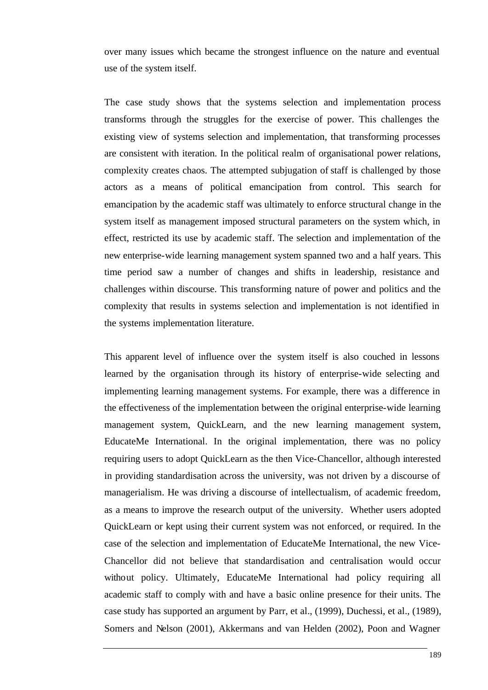over many issues which became the strongest influence on the nature and eventual use of the system itself.

The case study shows that the systems selection and implementation process transforms through the struggles for the exercise of power. This challenges the existing view of systems selection and implementation, that transforming processes are consistent with iteration. In the political realm of organisational power relations, complexity creates chaos. The attempted subjugation of staff is challenged by those actors as a means of political emancipation from control. This search for emancipation by the academic staff was ultimately to enforce structural change in the system itself as management imposed structural parameters on the system which, in effect, restricted its use by academic staff. The selection and implementation of the new enterprise-wide learning management system spanned two and a half years. This time period saw a number of changes and shifts in leadership, resistance and challenges within discourse. This transforming nature of power and politics and the complexity that results in systems selection and implementation is not identified in the systems implementation literature.

This apparent level of influence over the system itself is also couched in lessons learned by the organisation through its history of enterprise-wide selecting and implementing learning management systems. For example, there was a difference in the effectiveness of the implementation between the original enterprise-wide learning management system, QuickLearn, and the new learning management system, EducateMe International. In the original implementation, there was no policy requiring users to adopt QuickLearn as the then Vice-Chancellor, although interested in providing standardisation across the university, was not driven by a discourse of managerialism. He was driving a discourse of intellectualism, of academic freedom, as a means to improve the research output of the university. Whether users adopted QuickLearn or kept using their current system was not enforced, or required. In the case of the selection and implementation of EducateMe International, the new Vice-Chancellor did not believe that standardisation and centralisation would occur without policy. Ultimately, EducateMe International had policy requiring all academic staff to comply with and have a basic online presence for their units. The case study has supported an argument by Parr, et al., (1999), Duchessi, et al., (1989), Somers and Nelson (2001), Akkermans and van Helden (2002), Poon and Wagner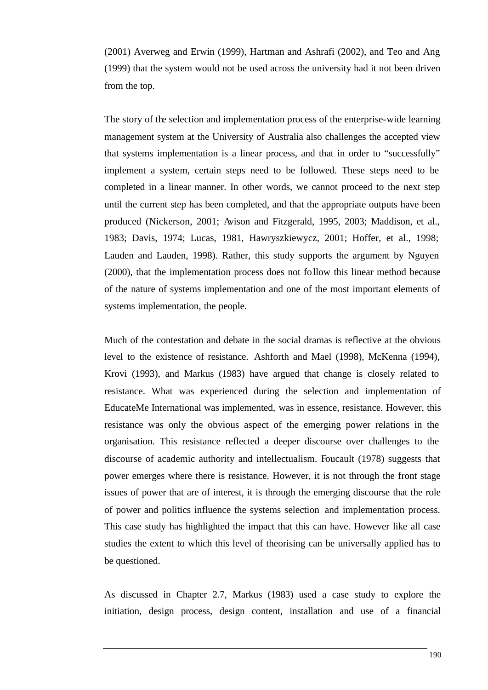(2001) Averweg and Erwin (1999), Hartman and Ashrafi (2002), and Teo and Ang (1999) that the system would not be used across the university had it not been driven from the top.

The story of the selection and implementation process of the enterprise-wide learning management system at the University of Australia also challenges the accepted view that systems implementation is a linear process, and that in order to "successfully" implement a system, certain steps need to be followed. These steps need to be completed in a linear manner. In other words, we cannot proceed to the next step until the current step has been completed, and that the appropriate outputs have been produced (Nickerson, 2001; Avison and Fitzgerald, 1995, 2003; Maddison, et al., 1983; Davis, 1974; Lucas, 1981, Hawryszkiewycz, 2001; Hoffer, et al., 1998; Lauden and Lauden, 1998). Rather, this study supports the argument by Nguyen (2000), that the implementation process does not follow this linear method because of the nature of systems implementation and one of the most important elements of systems implementation, the people.

Much of the contestation and debate in the social dramas is reflective at the obvious level to the existence of resistance. Ashforth and Mael (1998), McKenna (1994), Krovi (1993), and Markus (1983) have argued that change is closely related to resistance. What was experienced during the selection and implementation of EducateMe International was implemented, was in essence, resistance. However, this resistance was only the obvious aspect of the emerging power relations in the organisation. This resistance reflected a deeper discourse over challenges to the discourse of academic authority and intellectualism. Foucault (1978) suggests that power emerges where there is resistance. However, it is not through the front stage issues of power that are of interest, it is through the emerging discourse that the role of power and politics influence the systems selection and implementation process. This case study has highlighted the impact that this can have. However like all case studies the extent to which this level of theorising can be universally applied has to be questioned.

As discussed in Chapter 2.7, Markus (1983) used a case study to explore the initiation, design process, design content, installation and use of a financial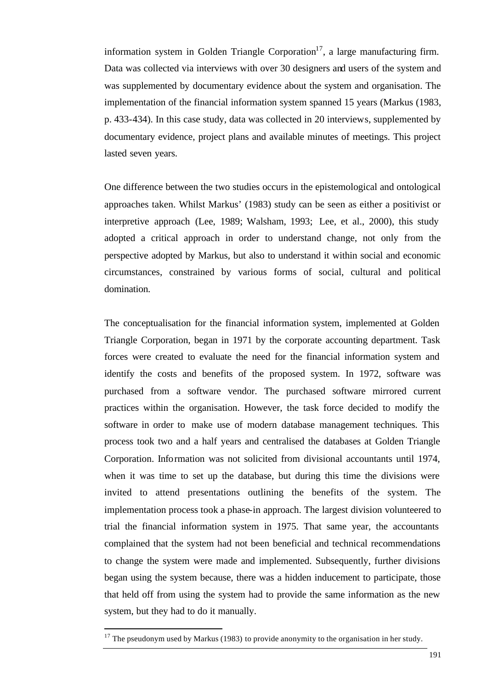information system in Golden Triangle Corporation<sup>17</sup>, a large manufacturing firm. Data was collected via interviews with over 30 designers and users of the system and was supplemented by documentary evidence about the system and organisation. The implementation of the financial information system spanned 15 years (Markus (1983, p. 433-434). In this case study, data was collected in 20 interviews, supplemented by documentary evidence, project plans and available minutes of meetings. This project lasted seven years.

One difference between the two studies occurs in the epistemological and ontological approaches taken. Whilst Markus' (1983) study can be seen as either a positivist or interpretive approach (Lee, 1989; Walsham, 1993; Lee, et al., 2000), this study adopted a critical approach in order to understand change, not only from the perspective adopted by Markus, but also to understand it within social and economic circumstances, constrained by various forms of social, cultural and political domination.

The conceptualisation for the financial information system, implemented at Golden Triangle Corporation, began in 1971 by the corporate accounting department. Task forces were created to evaluate the need for the financial information system and identify the costs and benefits of the proposed system. In 1972, software was purchased from a software vendor. The purchased software mirrored current practices within the organisation. However, the task force decided to modify the software in order to make use of modern database management techniques. This process took two and a half years and centralised the databases at Golden Triangle Corporation. Information was not solicited from divisional accountants until 1974, when it was time to set up the database, but during this time the divisions were invited to attend presentations outlining the benefits of the system. The implementation process took a phase-in approach. The largest division volunteered to trial the financial information system in 1975. That same year, the accountants complained that the system had not been beneficial and technical recommendations to change the system were made and implemented. Subsequently, further divisions began using the system because, there was a hidden inducement to participate, those that held off from using the system had to provide the same information as the new system, but they had to do it manually.

l

 $17$  The pseudonym used by Markus (1983) to provide anonymity to the organisation in her study.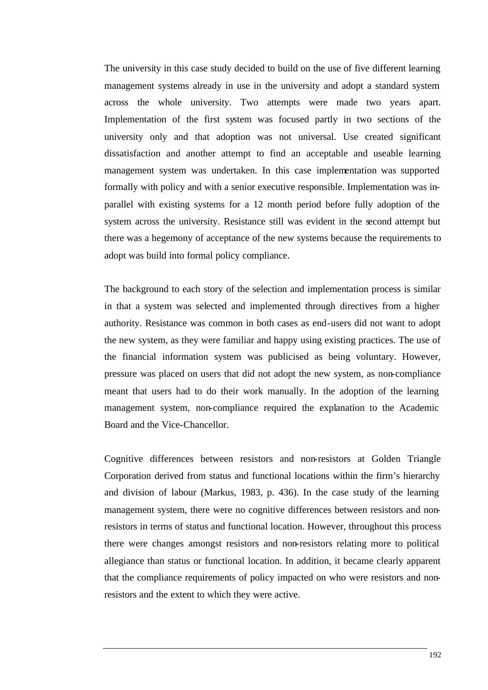The university in this case study decided to build on the use of five different learning management systems already in use in the university and adopt a standard system across the whole university. Two attempts were made two years apart. Implementation of the first system was focused partly in two sections of the university only and that adoption was not universal. Use created significant dissatisfaction and another attempt to find an acceptable and useable learning management system was undertaken. In this case implementation was supported formally with policy and with a senior executive responsible. Implementation was inparallel with existing systems for a 12 month period before fully adoption of the system across the university. Resistance still was evident in the second attempt but there was a hegemony of acceptance of the new systems because the requirements to adopt was build into formal policy compliance.

The background to each story of the selection and implementation process is similar in that a system was selected and implemented through directives from a higher authority. Resistance was common in both cases as end-users did not want to adopt the new system, as they were familiar and happy using existing practices. The use of the financial information system was publicised as being voluntary. However, pressure was placed on users that did not adopt the new system, as non-compliance meant that users had to do their work manually. In the adoption of the learning management system, non-compliance required the explanation to the Academic Board and the Vice-Chancellor.

Cognitive differences between resistors and non-resistors at Golden Triangle Corporation derived from status and functional locations within the firm's hierarchy and division of labour (Markus, 1983, p. 436). In the case study of the learning management system, there were no cognitive differences between resistors and nonresistors in terms of status and functional location. However, throughout this process there were changes amongst resistors and non-resistors relating more to political allegiance than status or functional location. In addition, it became clearly apparent that the compliance requirements of policy impacted on who were resistors and nonresistors and the extent to which they were active.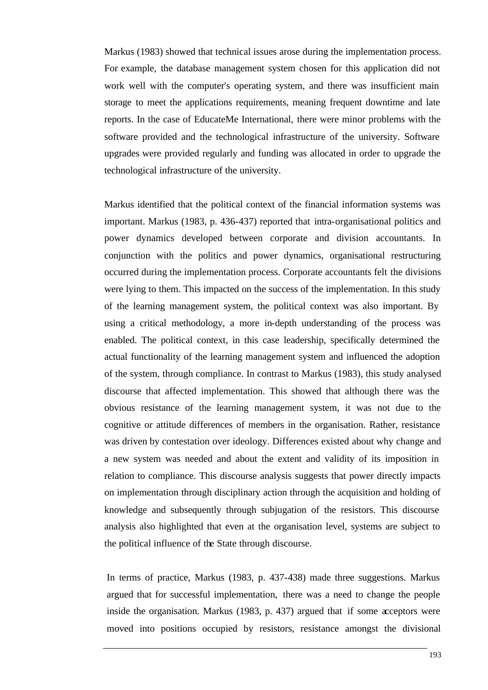Markus (1983) showed that technical issues arose during the implementation process. For example, the database management system chosen for this application did not work well with the computer's operating system, and there was insufficient main storage to meet the applications requirements, meaning frequent downtime and late reports. In the case of EducateMe International, there were minor problems with the software provided and the technological infrastructure of the university. Software upgrades were provided regularly and funding was allocated in order to upgrade the technological infrastructure of the university.

Markus identified that the political context of the financial information systems was important. Markus (1983, p. 436-437) reported that intra-organisational politics and power dynamics developed between corporate and division accountants. In conjunction with the politics and power dynamics, organisational restructuring occurred during the implementation process. Corporate accountants felt the divisions were lying to them. This impacted on the success of the implementation. In this study of the learning management system, the political context was also important. By using a critical methodology, a more in-depth understanding of the process was enabled. The political context, in this case leadership, specifically determined the actual functionality of the learning management system and influenced the adoption of the system, through compliance. In contrast to Markus (1983), this study analysed discourse that affected implementation. This showed that although there was the obvious resistance of the learning management system, it was not due to the cognitive or attitude differences of members in the organisation. Rather, resistance was driven by contestation over ideology. Differences existed about why change and a new system was needed and about the extent and validity of its imposition in relation to compliance. This discourse analysis suggests that power directly impacts on implementation through disciplinary action through the acquisition and holding of knowledge and subsequently through subjugation of the resistors. This discourse analysis also highlighted that even at the organisation level, systems are subject to the political influence of the State through discourse.

In terms of practice, Markus (1983, p. 437-438) made three suggestions. Markus argued that for successful implementation, there was a need to change the people inside the organisation. Markus (1983, p. 437) argued that if some acceptors were moved into positions occupied by resistors, resistance amongst the divisional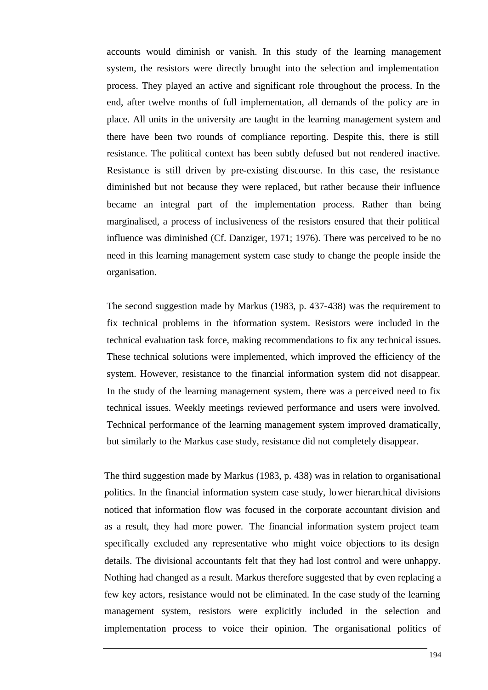accounts would diminish or vanish. In this study of the learning management system, the resistors were directly brought into the selection and implementation process. They played an active and significant role throughout the process. In the end, after twelve months of full implementation, all demands of the policy are in place. All units in the university are taught in the learning management system and there have been two rounds of compliance reporting. Despite this, there is still resistance. The political context has been subtly defused but not rendered inactive. Resistance is still driven by pre-existing discourse. In this case, the resistance diminished but not because they were replaced, but rather because their influence became an integral part of the implementation process. Rather than being marginalised, a process of inclusiveness of the resistors ensured that their political influence was diminished (Cf. Danziger, 1971; 1976). There was perceived to be no need in this learning management system case study to change the people inside the organisation.

The second suggestion made by Markus (1983, p. 437-438) was the requirement to fix technical problems in the information system. Resistors were included in the technical evaluation task force, making recommendations to fix any technical issues. These technical solutions were implemented, which improved the efficiency of the system. However, resistance to the financial information system did not disappear. In the study of the learning management system, there was a perceived need to fix technical issues. Weekly meetings reviewed performance and users were involved. Technical performance of the learning management system improved dramatically, but similarly to the Markus case study, resistance did not completely disappear.

The third suggestion made by Markus (1983, p. 438) was in relation to organisational politics. In the financial information system case study, lower hierarchical divisions noticed that information flow was focused in the corporate accountant division and as a result, they had more power. The financial information system project team specifically excluded any representative who might voice objections to its design details. The divisional accountants felt that they had lost control and were unhappy. Nothing had changed as a result. Markus therefore suggested that by even replacing a few key actors, resistance would not be eliminated. In the case study of the learning management system, resistors were explicitly included in the selection and implementation process to voice their opinion. The organisational politics of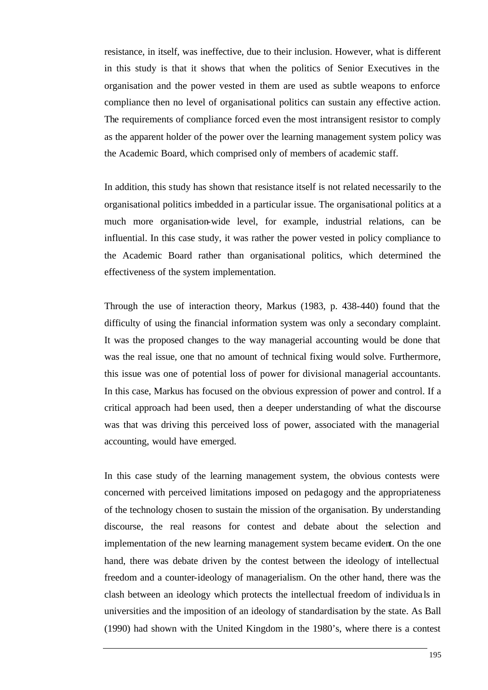resistance, in itself, was ineffective, due to their inclusion. However, what is different in this study is that it shows that when the politics of Senior Executives in the organisation and the power vested in them are used as subtle weapons to enforce compliance then no level of organisational politics can sustain any effective action. The requirements of compliance forced even the most intransigent resistor to comply as the apparent holder of the power over the learning management system policy was the Academic Board, which comprised only of members of academic staff.

In addition, this study has shown that resistance itself is not related necessarily to the organisational politics imbedded in a particular issue. The organisational politics at a much more organisation-wide level, for example, industrial relations, can be influential. In this case study, it was rather the power vested in policy compliance to the Academic Board rather than organisational politics, which determined the effectiveness of the system implementation.

Through the use of interaction theory, Markus (1983, p. 438-440) found that the difficulty of using the financial information system was only a secondary complaint. It was the proposed changes to the way managerial accounting would be done that was the real issue, one that no amount of technical fixing would solve. Furthermore, this issue was one of potential loss of power for divisional managerial accountants. In this case, Markus has focused on the obvious expression of power and control. If a critical approach had been used, then a deeper understanding of what the discourse was that was driving this perceived loss of power, associated with the managerial accounting, would have emerged.

In this case study of the learning management system, the obvious contests were concerned with perceived limitations imposed on pedagogy and the appropriateness of the technology chosen to sustain the mission of the organisation. By understanding discourse, the real reasons for contest and debate about the selection and implementation of the new learning management system became evident. On the one hand, there was debate driven by the contest between the ideology of intellectual freedom and a counter-ideology of managerialism. On the other hand, there was the clash between an ideology which protects the intellectual freedom of individua ls in universities and the imposition of an ideology of standardisation by the state. As Ball (1990) had shown with the United Kingdom in the 1980's, where there is a contest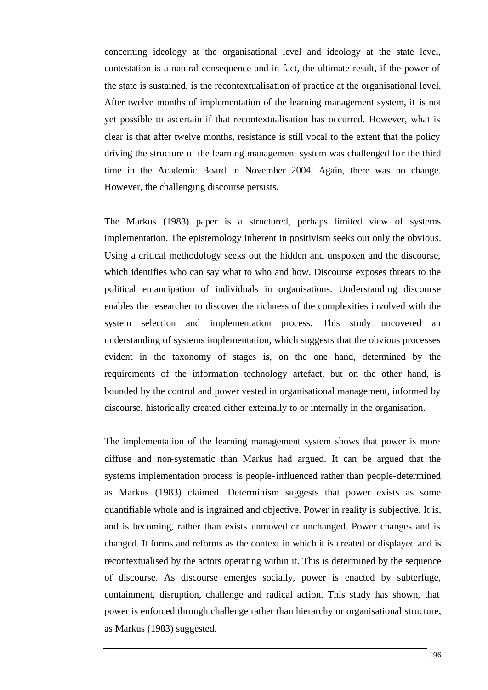concerning ideology at the organisational level and ideology at the state level, contestation is a natural consequence and in fact, the ultimate result, if the power of the state is sustained, is the recontextualisation of practice at the organisational level. After twelve months of implementation of the learning management system, it is not yet possible to ascertain if that recontextualisation has occurred. However, what is clear is that after twelve months, resistance is still vocal to the extent that the policy driving the structure of the learning management system was challenged for the third time in the Academic Board in November 2004. Again, there was no change. However, the challenging discourse persists.

The Markus (1983) paper is a structured, perhaps limited view of systems implementation. The epistemology inherent in positivism seeks out only the obvious. Using a critical methodology seeks out the hidden and unspoken and the discourse, which identifies who can say what to who and how. Discourse exposes threats to the political emancipation of individuals in organisations. Understanding discourse enables the researcher to discover the richness of the complexities involved with the system selection and implementation process. This study uncovered an understanding of systems implementation, which suggests that the obvious processes evident in the taxonomy of stages is, on the one hand, determined by the requirements of the information technology artefact, but on the other hand, is bounded by the control and power vested in organisational management, informed by discourse, historic ally created either externally to or internally in the organisation.

The implementation of the learning management system shows that power is more diffuse and non-systematic than Markus had argued. It can be argued that the systems implementation process is people-influenced rather than people-determined as Markus (1983) claimed. Determinism suggests that power exists as some quantifiable whole and is ingrained and objective. Power in reality is subjective. It is, and is becoming, rather than exists unmoved or unchanged. Power changes and is changed. It forms and reforms as the context in which it is created or displayed and is recontextualised by the actors operating within it. This is determined by the sequence of discourse. As discourse emerges socially, power is enacted by subterfuge, containment, disruption, challenge and radical action. This study has shown, that power is enforced through challenge rather than hierarchy or organisational structure, as Markus (1983) suggested.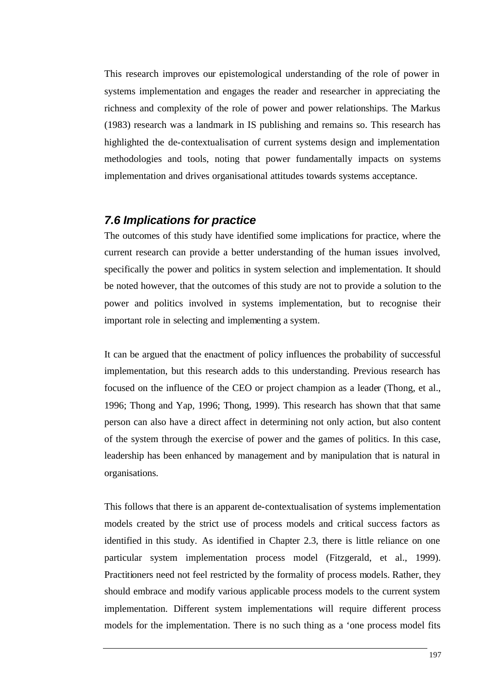This research improves our epistemological understanding of the role of power in systems implementation and engages the reader and researcher in appreciating the richness and complexity of the role of power and power relationships. The Markus (1983) research was a landmark in IS publishing and remains so. This research has highlighted the de-contextualisation of current systems design and implementation methodologies and tools, noting that power fundamentally impacts on systems implementation and drives organisational attitudes towards systems acceptance.

# *7.6 Implications for practice*

The outcomes of this study have identified some implications for practice, where the current research can provide a better understanding of the human issues involved, specifically the power and politics in system selection and implementation. It should be noted however, that the outcomes of this study are not to provide a solution to the power and politics involved in systems implementation, but to recognise their important role in selecting and implementing a system.

It can be argued that the enactment of policy influences the probability of successful implementation, but this research adds to this understanding. Previous research has focused on the influence of the CEO or project champion as a leader (Thong, et al., 1996; Thong and Yap, 1996; Thong, 1999). This research has shown that that same person can also have a direct affect in determining not only action, but also content of the system through the exercise of power and the games of politics. In this case, leadership has been enhanced by management and by manipulation that is natural in organisations.

This follows that there is an apparent de-contextualisation of systems implementation models created by the strict use of process models and critical success factors as identified in this study. As identified in Chapter 2.3, there is little reliance on one particular system implementation process model (Fitzgerald, et al., 1999). Practitioners need not feel restricted by the formality of process models. Rather, they should embrace and modify various applicable process models to the current system implementation. Different system implementations will require different process models for the implementation. There is no such thing as a 'one process model fits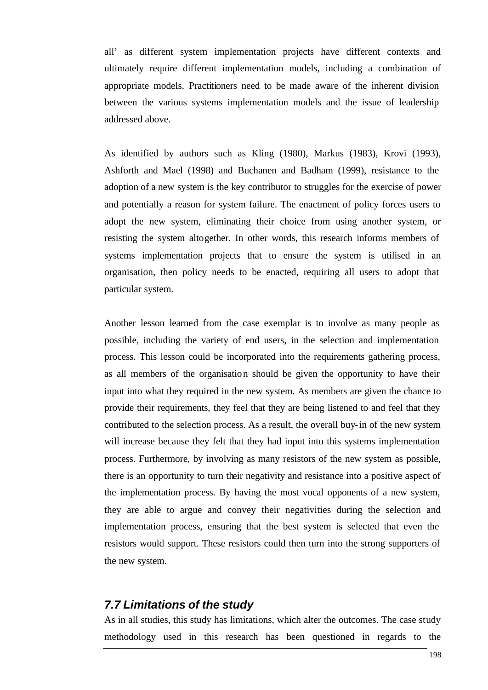all' as different system implementation projects have different contexts and ultimately require different implementation models, including a combination of appropriate models. Practitioners need to be made aware of the inherent division between the various systems implementation models and the issue of leadership addressed above.

As identified by authors such as Kling (1980), Markus (1983), Krovi (1993), Ashforth and Mael (1998) and Buchanen and Badham (1999), resistance to the adoption of a new system is the key contributor to struggles for the exercise of power and potentially a reason for system failure. The enactment of policy forces users to adopt the new system, eliminating their choice from using another system, or resisting the system altogether. In other words, this research informs members of systems implementation projects that to ensure the system is utilised in an organisation, then policy needs to be enacted, requiring all users to adopt that particular system.

Another lesson learned from the case exemplar is to involve as many people as possible, including the variety of end users, in the selection and implementation process. This lesson could be incorporated into the requirements gathering process, as all members of the organisation should be given the opportunity to have their input into what they required in the new system. As members are given the chance to provide their requirements, they feel that they are being listened to and feel that they contributed to the selection process. As a result, the overall buy-in of the new system will increase because they felt that they had input into this systems implementation process. Furthermore, by involving as many resistors of the new system as possible, there is an opportunity to turn their negativity and resistance into a positive aspect of the implementation process. By having the most vocal opponents of a new system, they are able to argue and convey their negativities during the selection and implementation process, ensuring that the best system is selected that even the resistors would support. These resistors could then turn into the strong supporters of the new system.

#### *7.7 Limitations of the study*

As in all studies, this study has limitations, which alter the outcomes. The case study methodology used in this research has been questioned in regards to the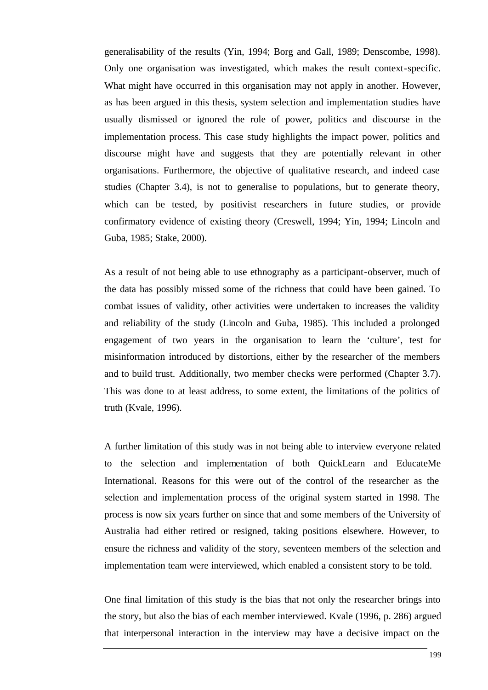generalisability of the results (Yin, 1994; Borg and Gall, 1989; Denscombe, 1998). Only one organisation was investigated, which makes the result context-specific. What might have occurred in this organisation may not apply in another. However, as has been argued in this thesis, system selection and implementation studies have usually dismissed or ignored the role of power, politics and discourse in the implementation process. This case study highlights the impact power, politics and discourse might have and suggests that they are potentially relevant in other organisations. Furthermore, the objective of qualitative research, and indeed case studies (Chapter 3.4), is not to generalise to populations, but to generate theory, which can be tested, by positivist researchers in future studies, or provide confirmatory evidence of existing theory (Creswell, 1994; Yin, 1994; Lincoln and Guba, 1985; Stake, 2000).

As a result of not being able to use ethnography as a participant-observer, much of the data has possibly missed some of the richness that could have been gained. To combat issues of validity, other activities were undertaken to increases the validity and reliability of the study (Lincoln and Guba, 1985). This included a prolonged engagement of two years in the organisation to learn the 'culture', test for misinformation introduced by distortions, either by the researcher of the members and to build trust. Additionally, two member checks were performed (Chapter 3.7). This was done to at least address, to some extent, the limitations of the politics of truth (Kvale, 1996).

A further limitation of this study was in not being able to interview everyone related to the selection and implementation of both QuickLearn and EducateMe International. Reasons for this were out of the control of the researcher as the selection and implementation process of the original system started in 1998. The process is now six years further on since that and some members of the University of Australia had either retired or resigned, taking positions elsewhere. However, to ensure the richness and validity of the story, seventeen members of the selection and implementation team were interviewed, which enabled a consistent story to be told.

One final limitation of this study is the bias that not only the researcher brings into the story, but also the bias of each member interviewed. Kvale (1996, p. 286) argued that interpersonal interaction in the interview may have a decisive impact on the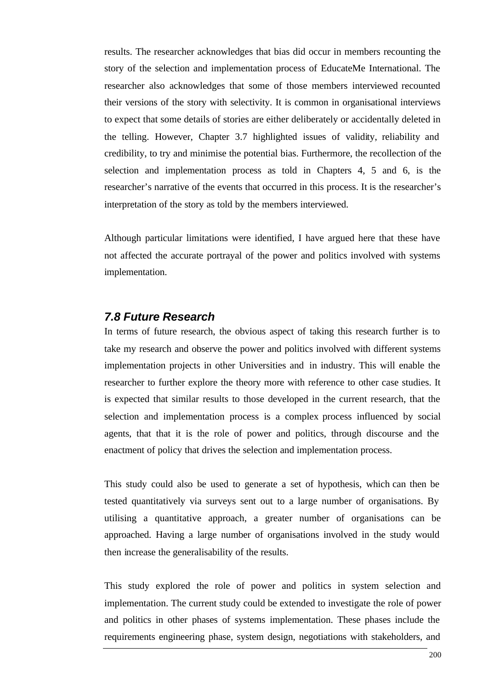results. The researcher acknowledges that bias did occur in members recounting the story of the selection and implementation process of EducateMe International. The researcher also acknowledges that some of those members interviewed recounted their versions of the story with selectivity. It is common in organisational interviews to expect that some details of stories are either deliberately or accidentally deleted in the telling. However, Chapter 3.7 highlighted issues of validity, reliability and credibility, to try and minimise the potential bias. Furthermore, the recollection of the selection and implementation process as told in Chapters 4, 5 and 6, is the researcher's narrative of the events that occurred in this process. It is the researcher's interpretation of the story as told by the members interviewed.

Although particular limitations were identified, I have argued here that these have not affected the accurate portrayal of the power and politics involved with systems implementation.

#### *7.8 Future Research*

In terms of future research, the obvious aspect of taking this research further is to take my research and observe the power and politics involved with different systems implementation projects in other Universities and in industry. This will enable the researcher to further explore the theory more with reference to other case studies. It is expected that similar results to those developed in the current research, that the selection and implementation process is a complex process influenced by social agents, that that it is the role of power and politics, through discourse and the enactment of policy that drives the selection and implementation process.

This study could also be used to generate a set of hypothesis, which can then be tested quantitatively via surveys sent out to a large number of organisations. By utilising a quantitative approach, a greater number of organisations can be approached. Having a large number of organisations involved in the study would then increase the generalisability of the results.

This study explored the role of power and politics in system selection and implementation. The current study could be extended to investigate the role of power and politics in other phases of systems implementation. These phases include the requirements engineering phase, system design, negotiations with stakeholders, and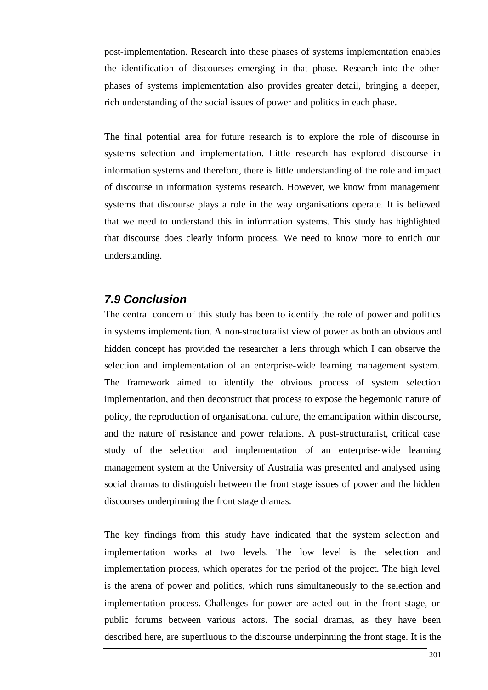post-implementation. Research into these phases of systems implementation enables the identification of discourses emerging in that phase. Research into the other phases of systems implementation also provides greater detail, bringing a deeper, rich understanding of the social issues of power and politics in each phase.

The final potential area for future research is to explore the role of discourse in systems selection and implementation. Little research has explored discourse in information systems and therefore, there is little understanding of the role and impact of discourse in information systems research. However, we know from management systems that discourse plays a role in the way organisations operate. It is believed that we need to understand this in information systems. This study has highlighted that discourse does clearly inform process. We need to know more to enrich our understanding.

### *7.9 Conclusion*

The central concern of this study has been to identify the role of power and politics in systems implementation. A non-structuralist view of power as both an obvious and hidden concept has provided the researcher a lens through which I can observe the selection and implementation of an enterprise-wide learning management system. The framework aimed to identify the obvious process of system selection implementation, and then deconstruct that process to expose the hegemonic nature of policy, the reproduction of organisational culture, the emancipation within discourse, and the nature of resistance and power relations. A post-structuralist, critical case study of the selection and implementation of an enterprise-wide learning management system at the University of Australia was presented and analysed using social dramas to distinguish between the front stage issues of power and the hidden discourses underpinning the front stage dramas.

The key findings from this study have indicated that the system selection and implementation works at two levels. The low level is the selection and implementation process, which operates for the period of the project. The high level is the arena of power and politics, which runs simultaneously to the selection and implementation process. Challenges for power are acted out in the front stage, or public forums between various actors. The social dramas, as they have been described here, are superfluous to the discourse underpinning the front stage. It is the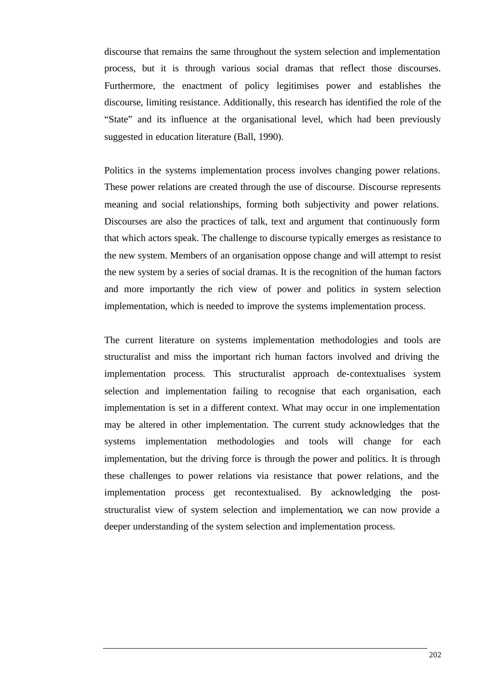discourse that remains the same throughout the system selection and implementation process, but it is through various social dramas that reflect those discourses. Furthermore, the enactment of policy legitimises power and establishes the discourse, limiting resistance. Additionally, this research has identified the role of the "State" and its influence at the organisational level, which had been previously suggested in education literature (Ball, 1990).

Politics in the systems implementation process involves changing power relations. These power relations are created through the use of discourse. Discourse represents meaning and social relationships, forming both subjectivity and power relations. Discourses are also the practices of talk, text and argument that continuously form that which actors speak. The challenge to discourse typically emerges as resistance to the new system. Members of an organisation oppose change and will attempt to resist the new system by a series of social dramas. It is the recognition of the human factors and more importantly the rich view of power and politics in system selection implementation, which is needed to improve the systems implementation process.

The current literature on systems implementation methodologies and tools are structuralist and miss the important rich human factors involved and driving the implementation process. This structuralist approach de-contextualises system selection and implementation failing to recognise that each organisation, each implementation is set in a different context. What may occur in one implementation may be altered in other implementation. The current study acknowledges that the systems implementation methodologies and tools will change for each implementation, but the driving force is through the power and politics. It is through these challenges to power relations via resistance that power relations, and the implementation process get recontextualised. By acknowledging the poststructuralist view of system selection and implementation, we can now provide a deeper understanding of the system selection and implementation process.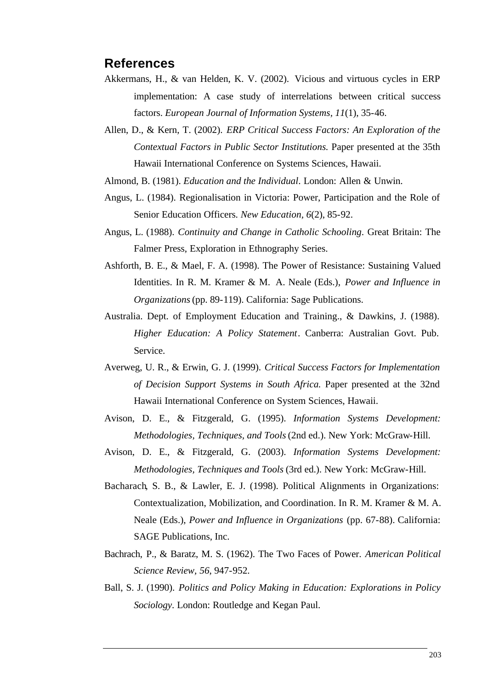### **References**

- Akkermans, H., & van Helden, K. V. (2002). Vicious and virtuous cycles in ERP implementation: A case study of interrelations between critical success factors. *European Journal of Information Systems, 11*(1), 35-46.
- Allen, D., & Kern, T. (2002). *ERP Critical Success Factors: An Exploration of the Contextual Factors in Public Sector Institutions.* Paper presented at the 35th Hawaii International Conference on Systems Sciences, Hawaii.
- Almond, B. (1981). *Education and the Individual*. London: Allen & Unwin.
- Angus, L. (1984). Regionalisation in Victoria: Power, Participation and the Role of Senior Education Officers. *New Education, 6*(2), 85-92.
- Angus, L. (1988). *Continuity and Change in Catholic Schooling*. Great Britain: The Falmer Press, Exploration in Ethnography Series.
- Ashforth, B. E., & Mael, F. A. (1998). The Power of Resistance: Sustaining Valued Identities. In R. M. Kramer & M. A. Neale (Eds.), *Power and Influence in Organizations* (pp. 89-119). California: Sage Publications.
- Australia. Dept. of Employment Education and Training., & Dawkins, J. (1988). *Higher Education: A Policy Statement*. Canberra: Australian Govt. Pub. Service.
- Averweg, U. R., & Erwin, G. J. (1999). *Critical Success Factors for Implementation of Decision Support Systems in South Africa.* Paper presented at the 32nd Hawaii International Conference on System Sciences, Hawaii.
- Avison, D. E., & Fitzgerald, G. (1995). *Information Systems Development: Methodologies, Techniques, and Tools* (2nd ed.). New York: McGraw-Hill.
- Avison, D. E., & Fitzgerald, G. (2003). *Information Systems Development: Methodologies, Techniques and Tools* (3rd ed.). New York: McGraw-Hill.
- Bacharach, S. B., & Lawler, E. J. (1998). Political Alignments in Organizations: Contextualization, Mobilization, and Coordination. In R. M. Kramer & M. A. Neale (Eds.), *Power and Influence in Organizations* (pp. 67-88). California: SAGE Publications, Inc.
- Bachrach, P., & Baratz, M. S. (1962). The Two Faces of Power. *American Political Science Review, 56*, 947-952.
- Ball, S. J. (1990). *Politics and Policy Making in Education: Explorations in Policy Sociology*. London: Routledge and Kegan Paul.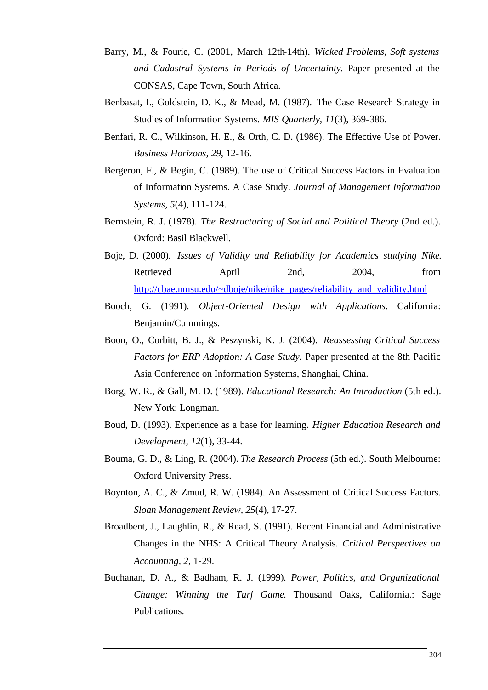- Barry, M., & Fourie, C. (2001, March 12th-14th). *Wicked Problems, Soft systems and Cadastral Systems in Periods of Uncertainty.* Paper presented at the CONSAS, Cape Town, South Africa.
- Benbasat, I., Goldstein, D. K., & Mead, M. (1987). The Case Research Strategy in Studies of Information Systems. *MIS Quarterly, 11*(3), 369-386.
- Benfari, R. C., Wilkinson, H. E., & Orth, C. D. (1986). The Effective Use of Power. *Business Horizons, 29*, 12-16.
- Bergeron, F., & Begin, C. (1989). The use of Critical Success Factors in Evaluation of Information Systems. A Case Study. *Journal of Management Information Systems, 5*(4), 111-124.
- Bernstein, R. J. (1978). *The Restructuring of Social and Political Theory* (2nd ed.). Oxford: Basil Blackwell.
- Boje, D. (2000). *Issues of Validity and Reliability for Academics studying Nike*. Retrieved April 2nd, 2004, from http://cbae.nmsu.edu/~dboje/nike/nike\_pages/reliability\_and\_validity.html
- Booch, G. (1991). *Object-Oriented Design with Applications*. California: Benjamin/Cummings.
- Boon, O., Corbitt, B. J., & Peszynski, K. J. (2004). *Reassessing Critical Success Factors for ERP Adoption: A Case Study.* Paper presented at the 8th Pacific Asia Conference on Information Systems, Shanghai, China.
- Borg, W. R., & Gall, M. D. (1989). *Educational Research: An Introduction* (5th ed.). New York: Longman.
- Boud, D. (1993). Experience as a base for learning. *Higher Education Research and Development, 12*(1), 33-44.
- Bouma, G. D., & Ling, R. (2004). *The Research Process* (5th ed.). South Melbourne: Oxford University Press.
- Boynton, A. C., & Zmud, R. W. (1984). An Assessment of Critical Success Factors. *Sloan Management Review, 25*(4), 17-27.
- Broadbent, J., Laughlin, R., & Read, S. (1991). Recent Financial and Administrative Changes in the NHS: A Critical Theory Analysis. *Critical Perspectives on Accounting, 2*, 1-29.
- Buchanan, D. A., & Badham, R. J. (1999). *Power, Politics, and Organizational Change: Winning the Turf Game*. Thousand Oaks, California.: Sage Publications.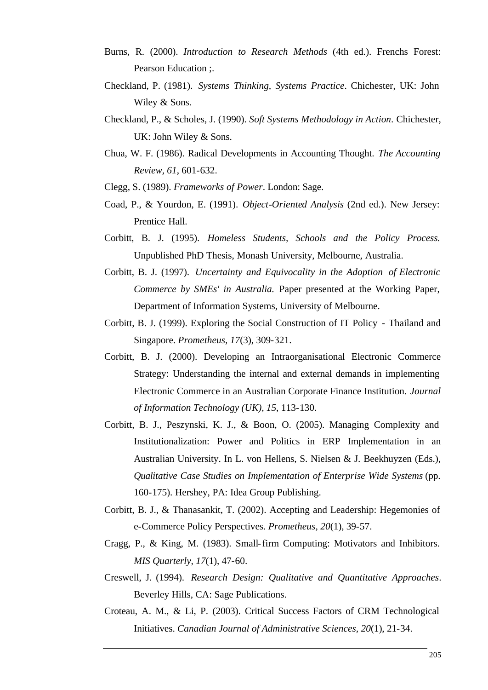- Burns, R. (2000). *Introduction to Research Methods* (4th ed.). Frenchs Forest: Pearson Education ;.
- Checkland, P. (1981). *Systems Thinking, Systems Practice*. Chichester, UK: John Wiley & Sons.
- Checkland, P., & Scholes, J. (1990). *Soft Systems Methodology in Action*. Chichester, UK: John Wiley & Sons.
- Chua, W. F. (1986). Radical Developments in Accounting Thought. *The Accounting Review, 61*, 601-632.
- Clegg, S. (1989). *Frameworks of Power*. London: Sage.
- Coad, P., & Yourdon, E. (1991). *Object-Oriented Analysis* (2nd ed.). New Jersey: Prentice Hall.
- Corbitt, B. J. (1995). *Homeless Students, Schools and the Policy Process.* Unpublished PhD Thesis, Monash University, Melbourne, Australia.
- Corbitt, B. J. (1997). *Uncertainty and Equivocality in the Adoption of Electronic Commerce by SMEs' in Australia.* Paper presented at the Working Paper, Department of Information Systems, University of Melbourne.
- Corbitt, B. J. (1999). Exploring the Social Construction of IT Policy Thailand and Singapore. *Prometheus, 17*(3), 309-321.
- Corbitt, B. J. (2000). Developing an Intraorganisational Electronic Commerce Strategy: Understanding the internal and external demands in implementing Electronic Commerce in an Australian Corporate Finance Institution. *Journal of Information Technology (UK), 15*, 113-130.
- Corbitt, B. J., Peszynski, K. J., & Boon, O. (2005). Managing Complexity and Institutionalization: Power and Politics in ERP Implementation in an Australian University. In L. von Hellens, S. Nielsen & J. Beekhuyzen (Eds.), *Qualitative Case Studies on Implementation of Enterprise Wide Systems* (pp. 160-175). Hershey, PA: Idea Group Publishing.
- Corbitt, B. J., & Thanasankit, T. (2002). Accepting and Leadership: Hegemonies of e-Commerce Policy Perspectives. *Prometheus, 20*(1), 39-57.
- Cragg, P., & King, M. (1983). Small-firm Computing: Motivators and Inhibitors. *MIS Quarterly, 17*(1), 47-60.
- Creswell, J. (1994). *Research Design: Qualitative and Quantitative Approaches*. Beverley Hills, CA: Sage Publications.
- Croteau, A. M., & Li, P. (2003). Critical Success Factors of CRM Technological Initiatives. *Canadian Journal of Administrative Sciences, 20*(1), 21-34.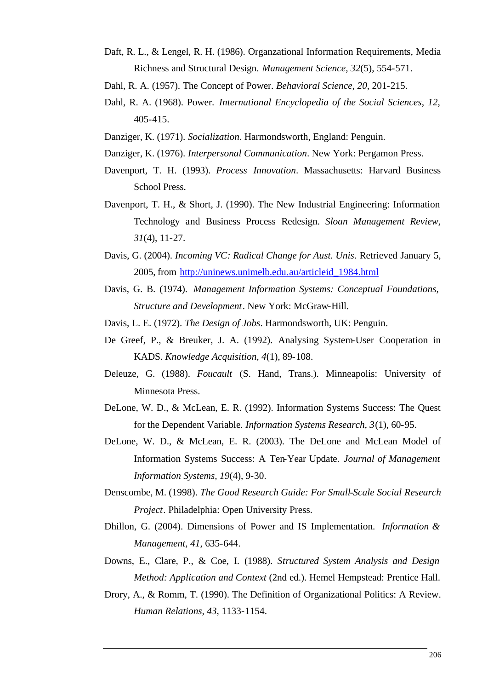- Daft, R. L., & Lengel, R. H. (1986). Organzational Information Requirements, Media Richness and Structural Design. *Management Science, 32*(5), 554-571.
- Dahl, R. A. (1957). The Concept of Power. *Behavioral Science, 20*, 201-215.
- Dahl, R. A. (1968). Power. *International Encyclopedia of the Social Sciences, 12*, 405-415.
- Danziger, K. (1971). *Socialization*. Harmondsworth, England: Penguin.
- Danziger, K. (1976). *Interpersonal Communication*. New York: Pergamon Press.
- Davenport, T. H. (1993). *Process Innovation*. Massachusetts: Harvard Business School Press.
- Davenport, T. H., & Short, J. (1990). The New Industrial Engineering: Information Technology and Business Process Redesign. *Sloan Management Review, 31*(4), 11-27.
- Davis, G. (2004). *Incoming VC: Radical Change for Aust. Unis*. Retrieved January 5, 2005, from http://uninews.unimelb.edu.au/articleid\_1984.html
- Davis, G. B. (1974). *Management Information Systems: Conceptual Foundations, Structure and Development*. New York: McGraw-Hill.
- Davis, L. E. (1972). *The Design of Jobs*. Harmondsworth, UK: Penguin.
- De Greef, P., & Breuker, J. A. (1992). Analysing System-User Cooperation in KADS. *Knowledge Acquisition, 4*(1), 89-108.
- Deleuze, G. (1988). *Foucault* (S. Hand, Trans.). Minneapolis: University of Minnesota Press.
- DeLone, W. D., & McLean, E. R. (1992). Information Systems Success: The Quest for the Dependent Variable. *Information Systems Research, 3*(1), 60-95.
- DeLone, W. D., & McLean, E. R. (2003). The DeLone and McLean Model of Information Systems Success: A Ten-Year Update. *Journal of Management Information Systems, 19*(4), 9-30.
- Denscombe, M. (1998). *The Good Research Guide: For Small-Scale Social Research Project*. Philadelphia: Open University Press.
- Dhillon, G. (2004). Dimensions of Power and IS Implementation. *Information & Management, 41*, 635-644.
- Downs, E., Clare, P., & Coe, I. (1988). *Structured System Analysis and Design Method: Application and Context* (2nd ed.). Hemel Hempstead: Prentice Hall.
- Drory, A., & Romm, T. (1990). The Definition of Organizational Politics: A Review. *Human Relations, 43*, 1133-1154.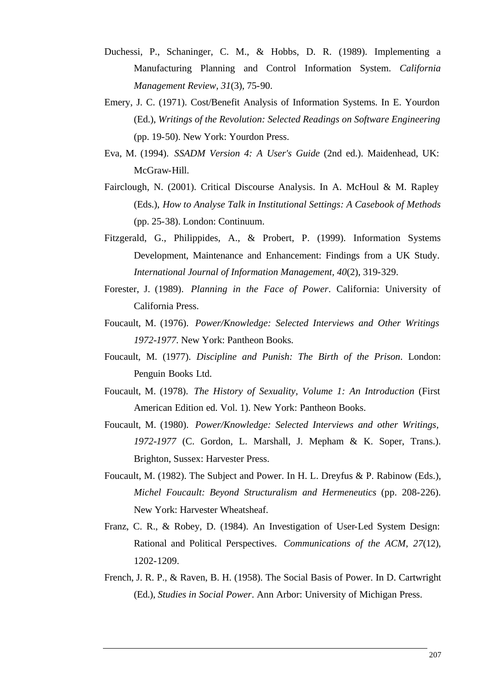- Duchessi, P., Schaninger, C. M., & Hobbs, D. R. (1989). Implementing a Manufacturing Planning and Control Information System. *California Management Review, 31*(3), 75-90.
- Emery, J. C. (1971). Cost/Benefit Analysis of Information Systems. In E. Yourdon (Ed.), *Writings of the Revolution: Selected Readings on Software Engineering* (pp. 19-50). New York: Yourdon Press.
- Eva, M. (1994). *SSADM Version 4: A User's Guide* (2nd ed.). Maidenhead, UK: McGraw-Hill.
- Fairclough, N. (2001). Critical Discourse Analysis. In A. McHoul & M. Rapley (Eds.), *How to Analyse Talk in Institutional Settings: A Casebook of Methods* (pp. 25-38). London: Continuum.
- Fitzgerald, G., Philippides, A., & Probert, P. (1999). Information Systems Development, Maintenance and Enhancement: Findings from a UK Study. *International Journal of Information Management, 40*(2), 319-329.
- Forester, J. (1989). *Planning in the Face of Power*. California: University of California Press.
- Foucault, M. (1976). *Power/Knowledge: Selected Interviews and Other Writings 1972-1977*. New York: Pantheon Books.
- Foucault, M. (1977). *Discipline and Punish: The Birth of the Prison*. London: Penguin Books Ltd.
- Foucault, M. (1978). *The History of Sexuality, Volume 1: An Introduction* (First American Edition ed. Vol. 1). New York: Pantheon Books.
- Foucault, M. (1980). *Power/Knowledge: Selected Interviews and other Writings, 1972-1977* (C. Gordon, L. Marshall, J. Mepham & K. Soper, Trans.). Brighton, Sussex: Harvester Press.
- Foucault, M. (1982). The Subject and Power. In H. L. Dreyfus & P. Rabinow (Eds.), *Michel Foucault: Beyond Structuralism and Hermeneutics* (pp. 208-226). New York: Harvester Wheatsheaf.
- Franz, C. R., & Robey, D. (1984). An Investigation of User-Led System Design: Rational and Political Perspectives. *Communications of the ACM, 27*(12), 1202-1209.
- French, J. R. P., & Raven, B. H. (1958). The Social Basis of Power. In D. Cartwright (Ed.), *Studies in Social Power*. Ann Arbor: University of Michigan Press.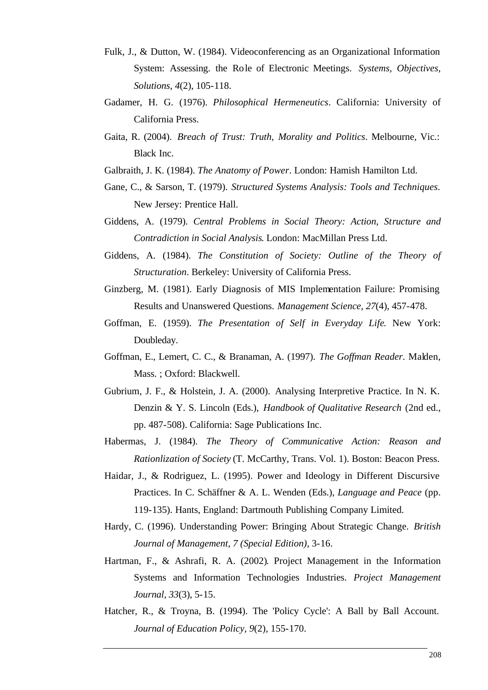- Fulk, J., & Dutton, W. (1984). Videoconferencing as an Organizational Information System: Assessing. the Role of Electronic Meetings. *Systems, Objectives, Solutions, 4*(2), 105-118.
- Gadamer, H. G. (1976). *Philosophical Hermeneutics*. California: University of California Press.
- Gaita, R. (2004). *Breach of Trust: Truth, Morality and Politics*. Melbourne, Vic.: Black Inc.
- Galbraith, J. K. (1984). *The Anatomy of Power*. London: Hamish Hamilton Ltd.
- Gane, C., & Sarson, T. (1979). *Structured Systems Analysis: Tools and Techniques*. New Jersey: Prentice Hall.
- Giddens, A. (1979). *Central Problems in Social Theory: Action, Structure and Contradiction in Social Analysis*. London: MacMillan Press Ltd.
- Giddens, A. (1984). *The Constitution of Society: Outline of the Theory of Structuration*. Berkeley: University of California Press.
- Ginzberg, M. (1981). Early Diagnosis of MIS Implementation Failure: Promising Results and Unanswered Questions. *Management Science, 27*(4), 457-478.
- Goffman, E. (1959). *The Presentation of Self in Everyday Life*. New York: Doubleday.
- Goffman, E., Lemert, C. C., & Branaman, A. (1997). *The Goffman Reader*. Malden, Mass. ; Oxford: Blackwell.
- Gubrium, J. F., & Holstein, J. A. (2000). Analysing Interpretive Practice. In N. K. Denzin & Y. S. Lincoln (Eds.), *Handbook of Qualitative Research* (2nd ed., pp. 487-508). California: Sage Publications Inc.
- Habermas, J. (1984). *The Theory of Communicative Action: Reason and Rationlization of Society* (T. McCarthy, Trans. Vol. 1). Boston: Beacon Press.
- Haidar, J., & Rodriguez, L. (1995). Power and Ideology in Different Discursive Practices. In C. Schäffner & A. L. Wenden (Eds.), *Language and Peace* (pp. 119-135). Hants, England: Dartmouth Publishing Company Limited.
- Hardy, C. (1996). Understanding Power: Bringing About Strategic Change. *British Journal of Management, 7 (Special Edition)*, 3-16.
- Hartman, F., & Ashrafi, R. A. (2002). Project Management in the Information Systems and Information Technologies Industries. *Project Management Journal, 33*(3), 5-15.
- Hatcher, R., & Troyna, B. (1994). The 'Policy Cycle': A Ball by Ball Account. *Journal of Education Policy, 9*(2), 155-170.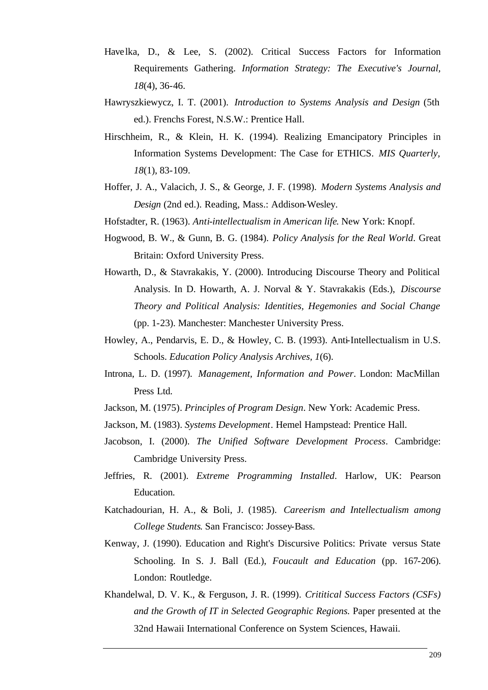- Havelka, D., & Lee, S. (2002). Critical Success Factors for Information Requirements Gathering. *Information Strategy: The Executive's Journal, 18*(4), 36-46.
- Hawryszkiewycz, I. T. (2001). *Introduction to Systems Analysis and Design* (5th ed.). Frenchs Forest, N.S.W.: Prentice Hall.
- Hirschheim, R., & Klein, H. K. (1994). Realizing Emancipatory Principles in Information Systems Development: The Case for ETHICS. *MIS Quarterly, 18*(1), 83-109.
- Hoffer, J. A., Valacich, J. S., & George, J. F. (1998). *Modern Systems Analysis and Design* (2nd ed.). Reading, Mass.: Addison-Wesley.
- Hofstadter, R. (1963). *Anti-intellectualism in American life*. New York: Knopf.
- Hogwood, B. W., & Gunn, B. G. (1984). *Policy Analysis for the Real World*. Great Britain: Oxford University Press.
- Howarth, D., & Stavrakakis, Y. (2000). Introducing Discourse Theory and Political Analysis. In D. Howarth, A. J. Norval & Y. Stavrakakis (Eds.), *Discourse Theory and Political Analysis: Identities, Hegemonies and Social Change* (pp. 1-23). Manchester: Manchester University Press.
- Howley, A., Pendarvis, E. D., & Howley, C. B. (1993). Anti-Intellectualism in U.S. Schools. *Education Policy Analysis Archives, 1*(6).
- Introna, L. D. (1997). *Management, Information and Power*. London: MacMillan Press Ltd.
- Jackson, M. (1975). *Principles of Program Design*. New York: Academic Press.
- Jackson, M. (1983). *Systems Development*. Hemel Hampstead: Prentice Hall.
- Jacobson, I. (2000). *The Unified Software Development Process*. Cambridge: Cambridge University Press.
- Jeffries, R. (2001). *Extreme Programming Installed*. Harlow, UK: Pearson Education.
- Katchadourian, H. A., & Boli, J. (1985). *Careerism and Intellectualism among College Students*. San Francisco: Jossey-Bass.
- Kenway, J. (1990). Education and Right's Discursive Politics: Private versus State Schooling. In S. J. Ball (Ed.), *Foucault and Education* (pp. 167-206). London: Routledge.
- Khandelwal, D. V. K., & Ferguson, J. R. (1999). *Crititical Success Factors (CSFs) and the Growth of IT in Selected Geographic Regions.* Paper presented at the 32nd Hawaii International Conference on System Sciences, Hawaii.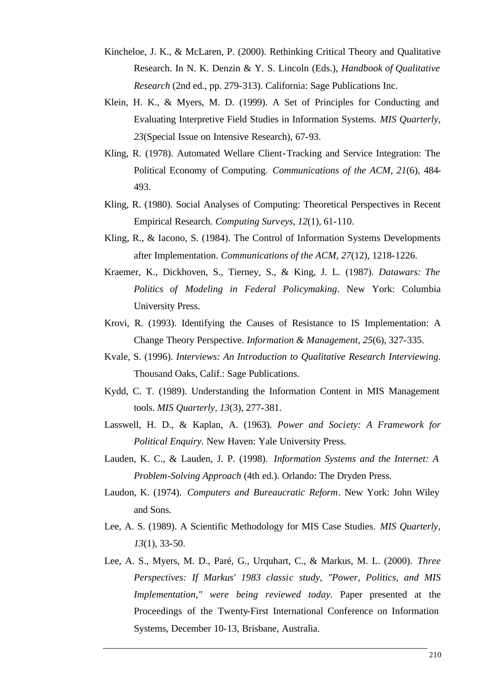- Kincheloe, J. K., & McLaren, P. (2000). Rethinking Critical Theory and Qualitative Research. In N. K. Denzin & Y. S. Lincoln (Eds.), *Handbook of Qualitative Research* (2nd ed., pp. 279-313). California: Sage Publications Inc.
- Klein, H. K., & Myers, M. D. (1999). A Set of Principles for Conducting and Evaluating Interpretive Field Studies in Information Systems. *MIS Quarterly, 23*(Special Issue on Intensive Research), 67-93.
- Kling, R. (1978). Automated Wellare Client-Tracking and Service Integration: The Political Economy of Computing. *Communications of the ACM, 21*(6), 484- 493.
- Kling, R. (1980). Social Analyses of Computing: Theoretical Perspectives in Recent Empirical Research. *Computing Surveys, 12*(1), 61-110.
- Kling, R., & Iacono, S. (1984). The Control of Information Systems Developments after Implementation. *Communications of the ACM, 27*(12), 1218-1226.
- Kraemer, K., Dickhoven, S., Tierney, S., & King, J. L. (1987). *Datawars: The Politics of Modeling in Federal Policymaking*. New York: Columbia University Press.
- Krovi, R. (1993). Identifying the Causes of Resistance to IS Implementation: A Change Theory Perspective. *Information & Management, 25*(6), 327-335.
- Kvale, S. (1996). *Interviews: An Introduction to Qualitative Research Interviewing*. Thousand Oaks, Calif.: Sage Publications.
- Kydd, C. T. (1989). Understanding the Information Content in MIS Management tools. *MIS Quarterly, 13*(3), 277-381.
- Lasswell, H. D., & Kaplan, A. (1963). *Power and Society: A Framework for Political Enquiry*. New Haven: Yale University Press.
- Lauden, K. C., & Lauden, J. P. (1998). *Information Systems and the Internet: A Problem-Solving Approach* (4th ed.). Orlando: The Dryden Press.
- Laudon, K. (1974). *Computers and Bureaucratic Reform*. New York: John Wiley and Sons.
- Lee, A. S. (1989). A Scientific Methodology for MIS Case Studies. *MIS Quarterly, 13*(1), 33-50.
- Lee, A. S., Myers, M. D., Paré, G., Urquhart, C., & Markus, M. L. (2000). *Three Perspectives: If Markus' 1983 classic study, "Power, Politics, and MIS Implementation," were being reviewed today.* Paper presented at the Proceedings of the Twenty-First International Conference on Information Systems, December 10-13, Brisbane, Australia.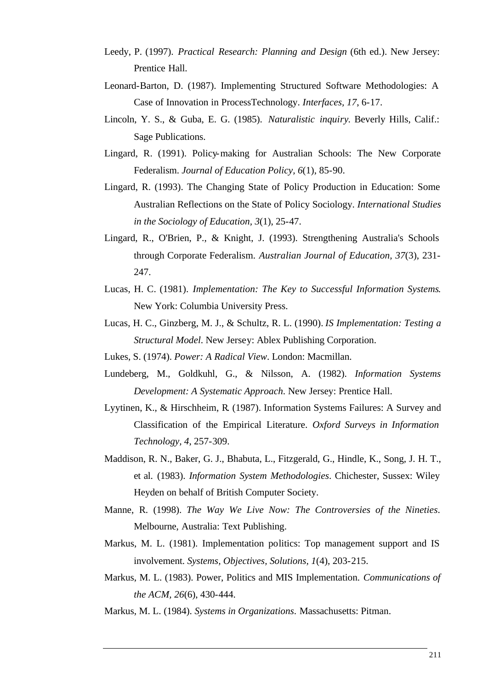- Leedy, P. (1997). *Practical Research: Planning and Design* (6th ed.). New Jersey: Prentice Hall.
- Leonard-Barton, D. (1987). Implementing Structured Software Methodologies: A Case of Innovation in ProcessTechnology. *Interfaces, 17*, 6-17.
- Lincoln, Y. S., & Guba, E. G. (1985). *Naturalistic inquiry*. Beverly Hills, Calif.: Sage Publications.
- Lingard, R. (1991). Policy-making for Australian Schools: The New Corporate Federalism. *Journal of Education Policy, 6*(1), 85-90.
- Lingard, R. (1993). The Changing State of Policy Production in Education: Some Australian Reflections on the State of Policy Sociology. *International Studies in the Sociology of Education, 3*(1), 25-47.
- Lingard, R., O'Brien, P., & Knight, J. (1993). Strengthening Australia's Schools through Corporate Federalism. *Australian Journal of Education, 37*(3), 231- 247.
- Lucas, H. C. (1981). *Implementation: The Key to Successful Information Systems*. New York: Columbia University Press.
- Lucas, H. C., Ginzberg, M. J., & Schultz, R. L. (1990). *IS Implementation: Testing a Structural Model*. New Jersey: Ablex Publishing Corporation.
- Lukes, S. (1974). *Power: A Radical View*. London: Macmillan.
- Lundeberg, M., Goldkuhl, G., & Nilsson, A. (1982). *Information Systems Development: A Systematic Approach*. New Jersey: Prentice Hall.
- Lyytinen, K., & Hirschheim, R. (1987). Information Systems Failures: A Survey and Classification of the Empirical Literature. *Oxford Surveys in Information Technology, 4*, 257-309.
- Maddison, R. N., Baker, G. J., Bhabuta, L., Fitzgerald, G., Hindle, K., Song, J. H. T., et al. (1983). *Information System Methodologies*. Chichester, Sussex: Wiley Heyden on behalf of British Computer Society.
- Manne, R. (1998). *The Way We Live Now: The Controversies of the Nineties*. Melbourne, Australia: Text Publishing.
- Markus, M. L. (1981). Implementation politics: Top management support and IS involvement. *Systems, Objectives, Solutions, 1*(4), 203-215.
- Markus, M. L. (1983). Power, Politics and MIS Implementation. *Communications of the ACM, 26*(6), 430-444.
- Markus, M. L. (1984). *Systems in Organizations*. Massachusetts: Pitman.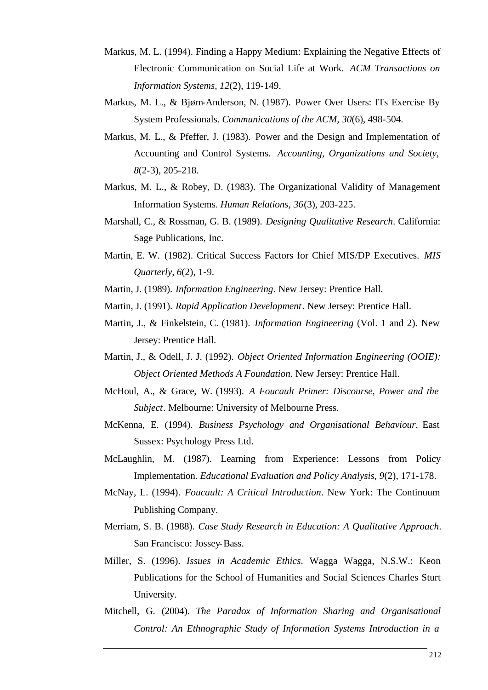- Markus, M. L. (1994). Finding a Happy Medium: Explaining the Negative Effects of Electronic Communication on Social Life at Work. *ACM Transactions on Information Systems, 12*(2), 119-149.
- Markus, M. L., & Bjørn-Anderson, N. (1987). Power Over Users: ITs Exercise By System Professionals. *Communications of the ACM, 30*(6), 498-504.
- Markus, M. L., & Pfeffer, J. (1983). Power and the Design and Implementation of Accounting and Control Systems. *Accounting, Organizations and Society, 8*(2-3), 205-218.
- Markus, M. L., & Robey, D. (1983). The Organizational Validity of Management Information Systems. *Human Relations, 36*(3), 203-225.
- Marshall, C., & Rossman, G. B. (1989). *Designing Qualitative Research*. California: Sage Publications, Inc.
- Martin, E. W. (1982). Critical Success Factors for Chief MIS/DP Executives. *MIS Quarterly, 6*(2), 1-9.
- Martin, J. (1989). *Information Engineering*. New Jersey: Prentice Hall.
- Martin, J. (1991). *Rapid Application Development*. New Jersey: Prentice Hall.
- Martin, J., & Finkelstein, C. (1981). *Information Engineering* (Vol. 1 and 2). New Jersey: Prentice Hall.
- Martin, J., & Odell, J. J. (1992). *Object Oriented Information Engineering (OOIE): Object Oriented Methods A Foundation*. New Jersey: Prentice Hall.
- McHoul, A., & Grace, W. (1993). *A Foucault Primer: Discourse, Power and the Subject*. Melbourne: University of Melbourne Press.
- McKenna, E. (1994). *Business Psychology and Organisational Behaviour*. East Sussex: Psychology Press Ltd.
- McLaughlin, M. (1987). Learning from Experience: Lessons from Policy Implementation. *Educational Evaluation and Policy Analysis, 9*(2), 171-178.
- McNay, L. (1994). *Foucault: A Critical Introduction*. New York: The Continuum Publishing Company.
- Merriam, S. B. (1988). *Case Study Research in Education: A Qualitative Approach*. San Francisco: Jossey-Bass.
- Miller, S. (1996). *Issues in Academic Ethics*. Wagga Wagga, N.S.W.: Keon Publications for the School of Humanities and Social Sciences Charles Sturt University.
- Mitchell, G. (2004). *The Paradox of Information Sharing and Organisational Control: An Ethnographic Study of Information Systems Introduction in a*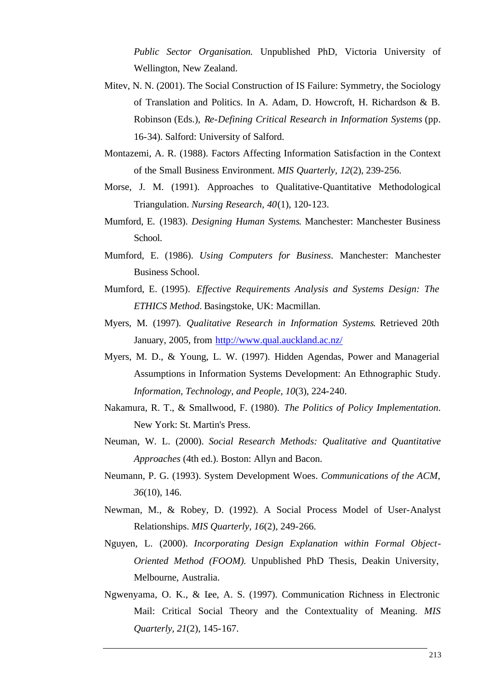*Public Sector Organisation.* Unpublished PhD, Victoria University of Wellington, New Zealand.

- Mitev, N. N. (2001). The Social Construction of IS Failure: Symmetry, the Sociology of Translation and Politics. In A. Adam, D. Howcroft, H. Richardson & B. Robinson (Eds.), *Re-Defining Critical Research in Information Systems* (pp. 16-34). Salford: University of Salford.
- Montazemi, A. R. (1988). Factors Affecting Information Satisfaction in the Context of the Small Business Environment. *MIS Quarterly, 12*(2), 239-256.
- Morse, J. M. (1991). Approaches to Qualitative-Quantitative Methodological Triangulation. *Nursing Research, 40*(1), 120-123.
- Mumford, E. (1983). *Designing Human Systems*. Manchester: Manchester Business School.
- Mumford, E. (1986). *Using Computers for Business*. Manchester: Manchester Business School.
- Mumford, E. (1995). *Effective Requirements Analysis and Systems Design: The ETHICS Method*. Basingstoke, UK: Macmillan.
- Myers, M. (1997). *Qualitative Research in Information Systems*. Retrieved 20th January, 2005, from http://www.qual.auckland.ac.nz/
- Myers, M. D., & Young, L. W. (1997). Hidden Agendas, Power and Managerial Assumptions in Information Systems Development: An Ethnographic Study. *Information, Technology, and People, 10*(3), 224-240.
- Nakamura, R. T., & Smallwood, F. (1980). *The Politics of Policy Implementation*. New York: St. Martin's Press.
- Neuman, W. L. (2000). *Social Research Methods: Qualitative and Quantitative Approaches* (4th ed.). Boston: Allyn and Bacon.
- Neumann, P. G. (1993). System Development Woes. *Communications of the ACM, 36*(10), 146.
- Newman, M., & Robey, D. (1992). A Social Process Model of User-Analyst Relationships. *MIS Quarterly, 16*(2), 249-266.
- Nguyen, L. (2000). *Incorporating Design Explanation within Formal Object-Oriented Method (FOOM).* Unpublished PhD Thesis, Deakin University, Melbourne, Australia.
- Ngwenyama, O. K., & Lee, A. S. (1997). Communication Richness in Electronic Mail: Critical Social Theory and the Contextuality of Meaning. *MIS Quarterly, 21*(2), 145-167.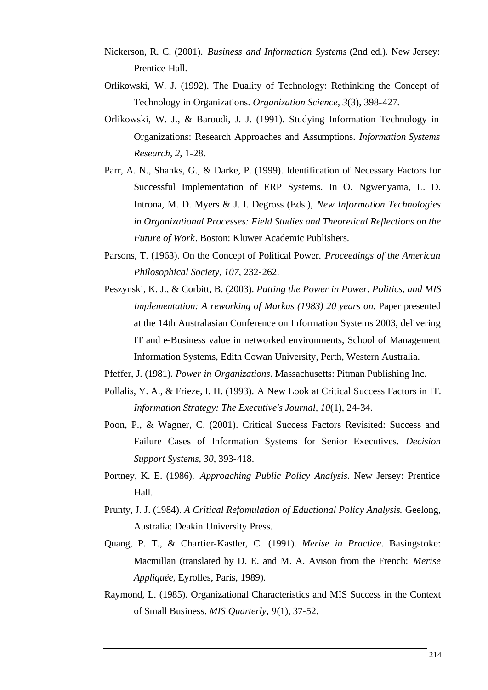- Nickerson, R. C. (2001). *Business and Information Systems* (2nd ed.). New Jersey: Prentice Hall.
- Orlikowski, W. J. (1992). The Duality of Technology: Rethinking the Concept of Technology in Organizations. *Organization Science, 3*(3), 398-427.
- Orlikowski, W. J., & Baroudi, J. J. (1991). Studying Information Technology in Organizations: Research Approaches and Assumptions. *Information Systems Research, 2*, 1-28.
- Parr, A. N., Shanks, G., & Darke, P. (1999). Identification of Necessary Factors for Successful Implementation of ERP Systems. In O. Ngwenyama, L. D. Introna, M. D. Myers & J. I. Degross (Eds.), *New Information Technologies in Organizational Processes: Field Studies and Theoretical Reflections on the Future of Work*. Boston: Kluwer Academic Publishers.
- Parsons, T. (1963). On the Concept of Political Power. *Proceedings of the American Philosophical Society, 107*, 232-262.
- Peszynski, K. J., & Corbitt, B. (2003). *Putting the Power in Power, Politics, and MIS Implementation: A reworking of Markus (1983) 20 years on.* Paper presented at the 14th Australasian Conference on Information Systems 2003, delivering IT and e-Business value in networked environments, School of Management Information Systems, Edith Cowan University, Perth, Western Australia.
- Pfeffer, J. (1981). *Power in Organizations*. Massachusetts: Pitman Publishing Inc.
- Pollalis, Y. A., & Frieze, I. H. (1993). A New Look at Critical Success Factors in IT. *Information Strategy: The Executive's Journal, 10*(1), 24-34.
- Poon, P., & Wagner, C. (2001). Critical Success Factors Revisited: Success and Failure Cases of Information Systems for Senior Executives. *Decision Support Systems, 30*, 393-418.
- Portney, K. E. (1986). *Approaching Public Policy Analysis*. New Jersey: Prentice Hall.
- Prunty, J. J. (1984). *A Critical Refomulation of Eductional Policy Analysis*. Geelong, Australia: Deakin University Press.
- Quang, P. T., & Chartier-Kastler, C. (1991). *Merise in Practice*. Basingstoke: Macmillan (translated by D. E. and M. A. Avison from the French: *Merise Appliquée*, Eyrolles, Paris, 1989).
- Raymond, L. (1985). Organizational Characteristics and MIS Success in the Context of Small Business. *MIS Quarterly, 9*(1), 37-52.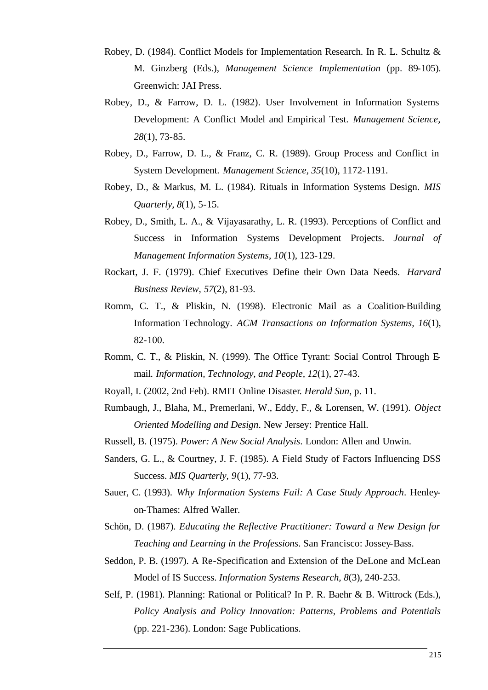- Robey, D. (1984). Conflict Models for Implementation Research. In R. L. Schultz & M. Ginzberg (Eds.), *Management Science Implementation* (pp. 89-105). Greenwich: JAI Press.
- Robey, D., & Farrow, D. L. (1982). User Involvement in Information Systems Development: A Conflict Model and Empirical Test. *Management Science, 28*(1), 73-85.
- Robey, D., Farrow, D. L., & Franz, C. R. (1989). Group Process and Conflict in System Development. *Management Science, 35*(10), 1172-1191.
- Robey, D., & Markus, M. L. (1984). Rituals in Information Systems Design. *MIS Quarterly, 8*(1), 5-15.
- Robey, D., Smith, L. A., & Vijayasarathy, L. R. (1993). Perceptions of Conflict and Success in Information Systems Development Projects. *Journal of Management Information Systems, 10*(1), 123-129.
- Rockart, J. F. (1979). Chief Executives Define their Own Data Needs. *Harvard Business Review, 57*(2), 81-93.
- Romm, C. T., & Pliskin, N. (1998). Electronic Mail as a Coalition-Building Information Technology. *ACM Transactions on Information Systems, 16*(1), 82-100.
- Romm, C. T., & Pliskin, N. (1999). The Office Tyrant: Social Control Through Email. *Information, Technology, and People, 12*(1), 27-43.
- Royall, I. (2002, 2nd Feb). RMIT Online Disaster*. Herald Sun,* p. 11.
- Rumbaugh, J., Blaha, M., Premerlani, W., Eddy, F., & Lorensen, W. (1991). *Object Oriented Modelling and Design*. New Jersey: Prentice Hall.
- Russell, B. (1975). *Power: A New Social Analysis*. London: Allen and Unwin.
- Sanders, G. L., & Courtney, J. F. (1985). A Field Study of Factors Influencing DSS Success. *MIS Quarterly, 9*(1), 77-93.
- Sauer, C. (1993). *Why Information Systems Fail: A Case Study Approach*. Henleyon-Thames: Alfred Waller.
- Schön, D. (1987). *Educating the Reflective Practitioner: Toward a New Design for Teaching and Learning in the Professions*. San Francisco: Jossey-Bass.
- Seddon, P. B. (1997). A Re-Specification and Extension of the DeLone and McLean Model of IS Success. *Information Systems Research, 8*(3), 240-253.
- Self, P. (1981). Planning: Rational or Political? In P. R. Baehr & B. Wittrock (Eds.), *Policy Analysis and Policy Innovation: Patterns, Problems and Potentials* (pp. 221-236). London: Sage Publications.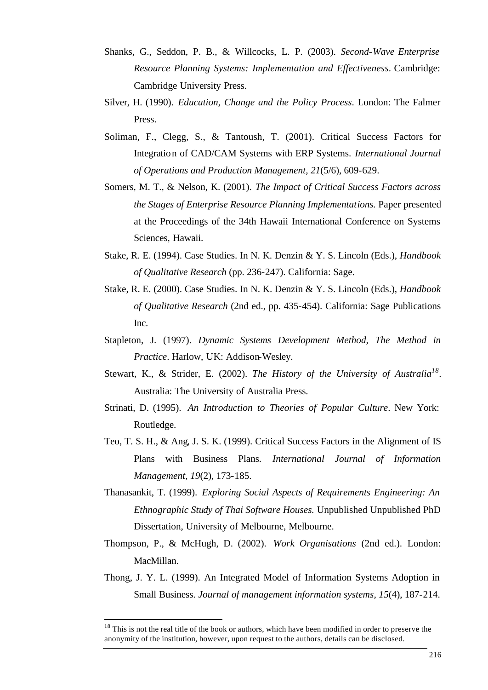- Shanks, G., Seddon, P. B., & Willcocks, L. P. (2003). *Second-Wave Enterprise Resource Planning Systems: Implementation and Effectiveness*. Cambridge: Cambridge University Press.
- Silver, H. (1990). *Education, Change and the Policy Process*. London: The Falmer Press.
- Soliman, F., Clegg, S., & Tantoush, T. (2001). Critical Success Factors for Integration of CAD/CAM Systems with ERP Systems. *International Journal of Operations and Production Management, 21*(5/6), 609-629.
- Somers, M. T., & Nelson, K. (2001). *The Impact of Critical Success Factors across the Stages of Enterprise Resource Planning Implementations.* Paper presented at the Proceedings of the 34th Hawaii International Conference on Systems Sciences, Hawaii.
- Stake, R. E. (1994). Case Studies. In N. K. Denzin & Y. S. Lincoln (Eds.), *Handbook of Qualitative Research* (pp. 236-247). California: Sage.
- Stake, R. E. (2000). Case Studies. In N. K. Denzin & Y. S. Lincoln (Eds.), *Handbook of Qualitative Research* (2nd ed., pp. 435-454). California: Sage Publications Inc.
- Stapleton, J. (1997). *Dynamic Systems Development Method, The Method in Practice*. Harlow, UK: Addison-Wesley.
- Stewart, K., & Strider, E. (2002). *The History of the University of Australia<sup>18</sup>* . Australia: The University of Australia Press.
- Strinati, D. (1995). *An Introduction to Theories of Popular Culture*. New York: Routledge.
- Teo, T. S. H., & Ang, J. S. K. (1999). Critical Success Factors in the Alignment of IS Plans with Business Plans. *International Journal of Information Management, 19*(2), 173-185.
- Thanasankit, T. (1999). *Exploring Social Aspects of Requirements Engineering: An Ethnographic Study of Thai Software Houses.* Unpublished Unpublished PhD Dissertation, University of Melbourne, Melbourne.
- Thompson, P., & McHugh, D. (2002). *Work Organisations* (2nd ed.). London: MacMillan.
- Thong, J. Y. L. (1999). An Integrated Model of Information Systems Adoption in Small Business. *Journal of management information systems, 15*(4), 187-214.

l

<sup>&</sup>lt;sup>18</sup> This is not the real title of the book or authors, which have been modified in order to preserve the anonymity of the institution, however, upon request to the authors, details can be disclosed.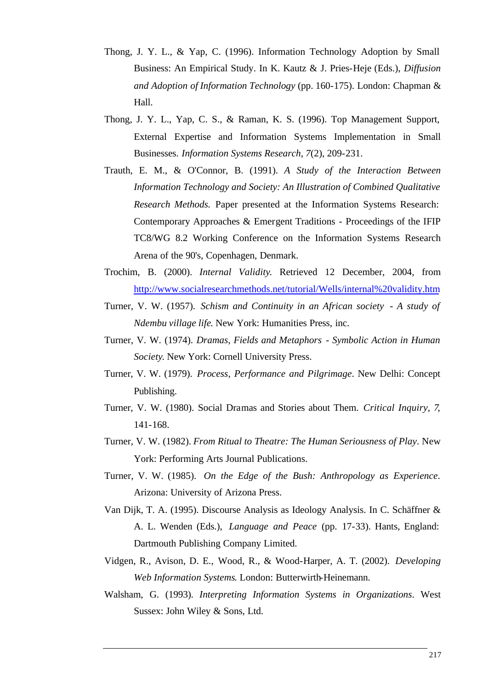- Thong, J. Y. L., & Yap, C. (1996). Information Technology Adoption by Small Business: An Empirical Study. In K. Kautz & J. Pries-Heje (Eds.), *Diffusion and Adoption of Information Technology* (pp. 160-175). London: Chapman & Hall.
- Thong, J. Y. L., Yap, C. S., & Raman, K. S. (1996). Top Management Support, External Expertise and Information Systems Implementation in Small Businesses. *Information Systems Research, 7*(2), 209-231.
- Trauth, E. M., & O'Connor, B. (1991). *A Study of the Interaction Between Information Technology and Society: An Illustration of Combined Qualitative Research Methods.* Paper presented at the Information Systems Research: Contemporary Approaches & Emergent Traditions - Proceedings of the IFIP TC8/WG 8.2 Working Conference on the Information Systems Research Arena of the 90's, Copenhagen, Denmark.
- Trochim, B. (2000). *Internal Validity*. Retrieved 12 December, 2004, from http://www.socialresearchmethods.net/tutorial/Wells/internal%20validity.htm
- Turner, V. W. (1957). *Schism and Continuity in an African society A study of Ndembu village life*. New York: Humanities Press, inc.
- Turner, V. W. (1974). *Dramas, Fields and Metaphors Symbolic Action in Human Society*. New York: Cornell University Press.
- Turner, V. W. (1979). *Process, Performance and Pilgrimage*. New Delhi: Concept Publishing.
- Turner, V. W. (1980). Social Dramas and Stories about Them. *Critical Inquiry, 7*, 141-168.
- Turner, V. W. (1982). *From Ritual to Theatre: The Human Seriousness of Play*. New York: Performing Arts Journal Publications.
- Turner, V. W. (1985). *On the Edge of the Bush: Anthropology as Experience*. Arizona: University of Arizona Press.
- Van Dijk, T. A. (1995). Discourse Analysis as Ideology Analysis. In C. Schäffner & A. L. Wenden (Eds.), *Language and Peace* (pp. 17-33). Hants, England: Dartmouth Publishing Company Limited.
- Vidgen, R., Avison, D. E., Wood, R., & Wood-Harper, A. T. (2002). *Developing Web Information Systems*. London: Butterwirth-Heinemann.
- Walsham, G. (1993). *Interpreting Information Systems in Organizations*. West Sussex: John Wiley & Sons, Ltd.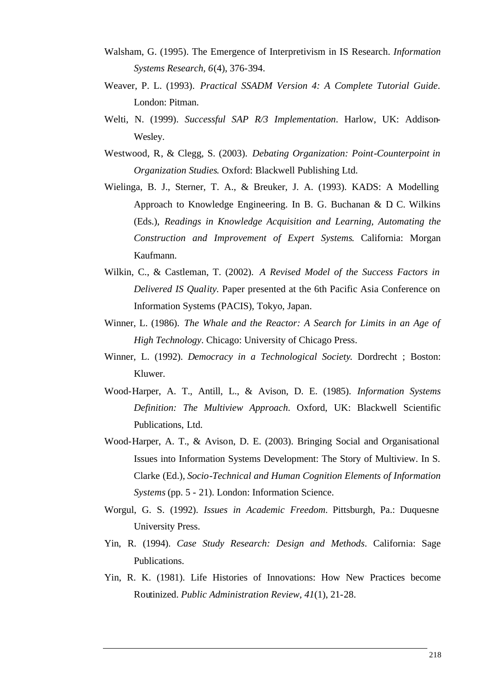- Walsham, G. (1995). The Emergence of Interpretivism in IS Research. *Information Systems Research, 6*(4), 376-394.
- Weaver, P. L. (1993). *Practical SSADM Version 4: A Complete Tutorial Guide*. London: Pitman.
- Welti, N. (1999). *Successful SAP R/3 Implementation*. Harlow, UK: Addison-Wesley.
- Westwood, R., & Clegg, S. (2003). *Debating Organization: Point-Counterpoint in Organization Studies*. Oxford: Blackwell Publishing Ltd.
- Wielinga, B. J., Sterner, T. A., & Breuker, J. A. (1993). KADS: A Modelling Approach to Knowledge Engineering. In B. G. Buchanan  $\&$  D.C. Wilkins (Eds.), *Readings in Knowledge Acquisition and Learning, Automating the Construction and Improvement of Expert Systems*. California: Morgan Kaufmann.
- Wilkin, C., & Castleman, T. (2002). *A Revised Model of the Success Factors in Delivered IS Quality.* Paper presented at the 6th Pacific Asia Conference on Information Systems (PACIS), Tokyo, Japan.
- Winner, L. (1986). *The Whale and the Reactor: A Search for Limits in an Age of High Technology*. Chicago: University of Chicago Press.
- Winner, L. (1992). *Democracy in a Technological Society*. Dordrecht ; Boston: Kluwer.
- Wood-Harper, A. T., Antill, L., & Avison, D. E. (1985). *Information Systems Definition: The Multiview Approach*. Oxford, UK: Blackwell Scientific Publications, Ltd.
- Wood-Harper, A. T., & Avison, D. E. (2003). Bringing Social and Organisational Issues into Information Systems Development: The Story of Multiview. In S. Clarke (Ed.), *Socio-Technical and Human Cognition Elements of Information Systems* (pp. 5 - 21). London: Information Science.
- Worgul, G. S. (1992). *Issues in Academic Freedom*. Pittsburgh, Pa.: Duquesne University Press.
- Yin, R. (1994). *Case Study Research: Design and Methods*. California: Sage Publications.
- Yin, R. K. (1981). Life Histories of Innovations: How New Practices become Routinized. *Public Administration Review, 41*(1), 21-28.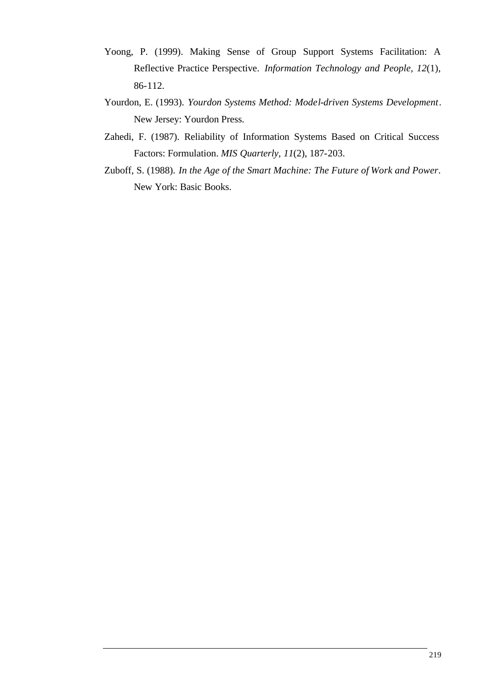- Yoong, P. (1999). Making Sense of Group Support Systems Facilitation: A Reflective Practice Perspective. *Information Technology and People, 12*(1), 86-112.
- Yourdon, E. (1993). *Yourdon Systems Method: Model-driven Systems Development*. New Jersey: Yourdon Press.
- Zahedi, F. (1987). Reliability of Information Systems Based on Critical Success Factors: Formulation. *MIS Quarterly, 11*(2), 187-203.
- Zuboff, S. (1988). *In the Age of the Smart Machine: The Future of Work and Power*. New York: Basic Books.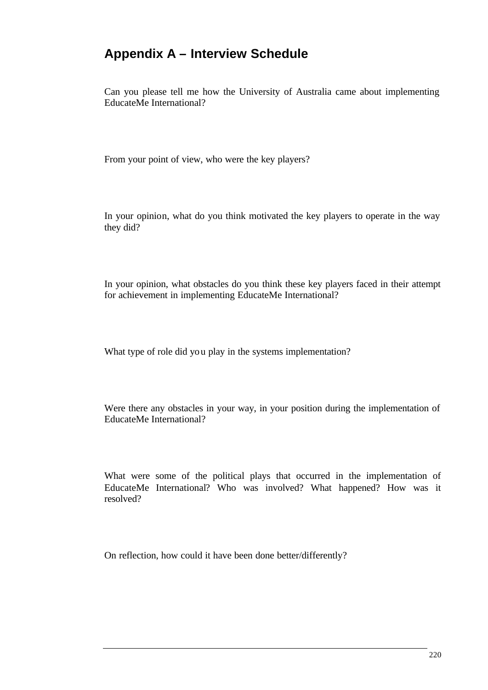## **Appendix A – Interview Schedule**

Can you please tell me how the University of Australia came about implementing EducateMe International?

From your point of view, who were the key players?

In your opinion, what do you think motivated the key players to operate in the way they did?

In your opinion, what obstacles do you think these key players faced in their attempt for achievement in implementing EducateMe International?

What type of role did you play in the systems implementation?

Were there any obstacles in your way, in your position during the implementation of EducateMe International?

What were some of the political plays that occurred in the implementation of EducateMe International? Who was involved? What happened? How was it resolved?

On reflection, how could it have been done better/differently?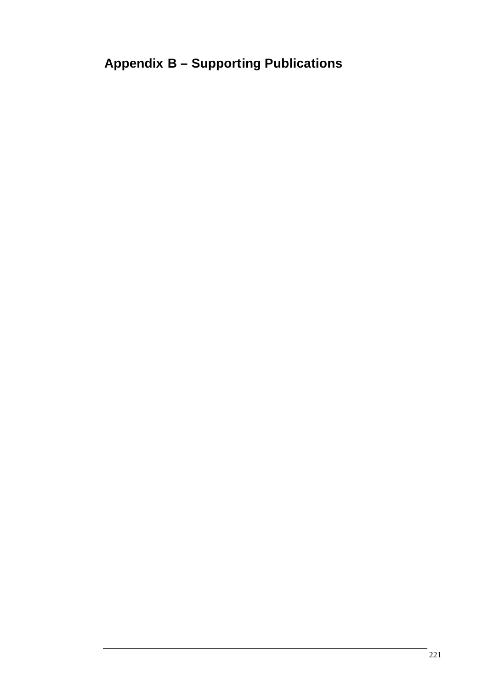## **Appendix B – Supporting Publications**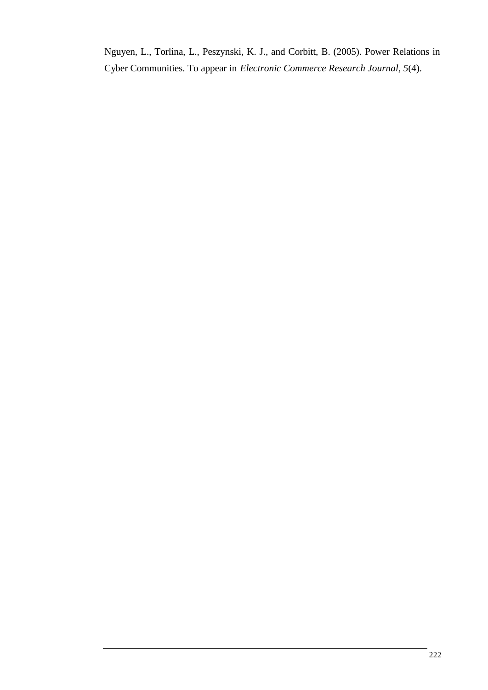Nguyen, L., Torlina, L., Peszynski, K. J., and Corbitt, B. (2005). Power Relations in Cyber Communities. To appear in *Electronic Commerce Research Journal, 5*(4).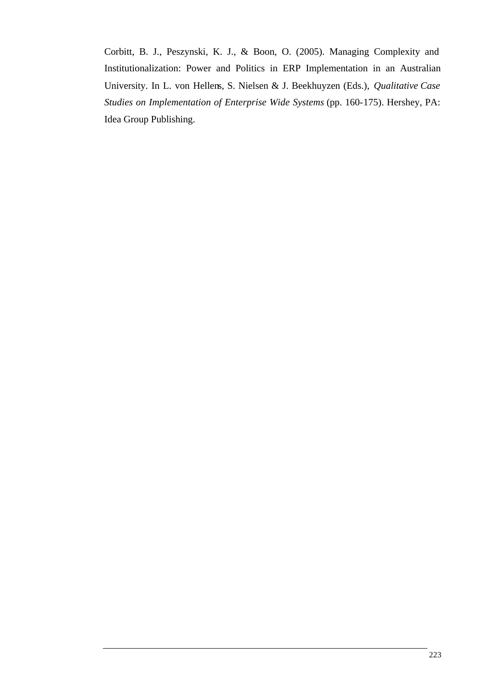Corbitt, B. J., Peszynski, K. J., & Boon, O. (2005). Managing Complexity and Institutionalization: Power and Politics in ERP Implementation in an Australian University. In L. von Hellens, S. Nielsen & J. Beekhuyzen (Eds.), *Qualitative Case Studies on Implementation of Enterprise Wide Systems* (pp. 160-175). Hershey, PA: Idea Group Publishing.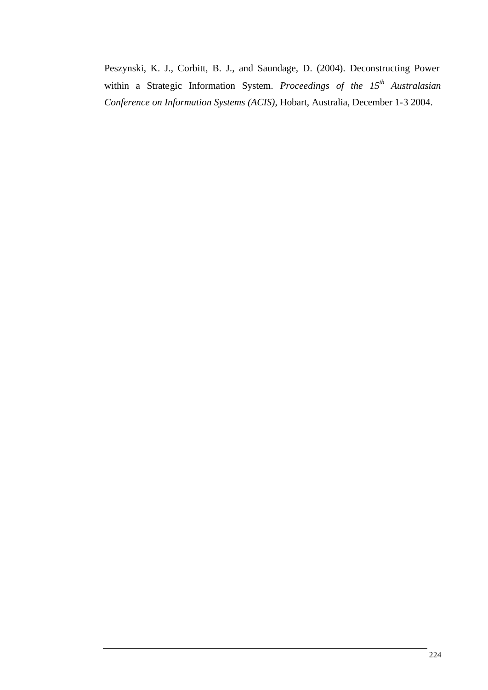Peszynski, K. J., Corbitt, B. J., and Saundage, D. (2004). Deconstructing Power within a Strategic Information System. *Proceedings of the 15th Australasian Conference on Information Systems (ACIS)*, Hobart, Australia, December 1-3 2004.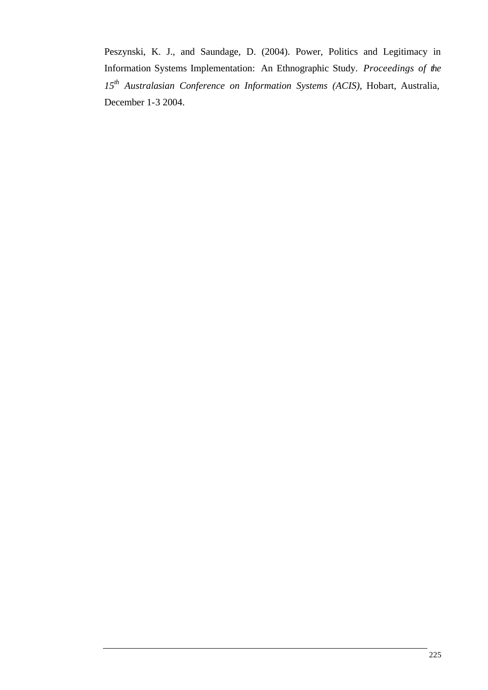Peszynski, K. J., and Saundage, D. (2004). Power, Politics and Legitimacy in Information Systems Implementation: An Ethnographic Study. *Proceedings of the 15th Australasian Conference on Information Systems (ACIS)*, Hobart, Australia, December 1-3 2004.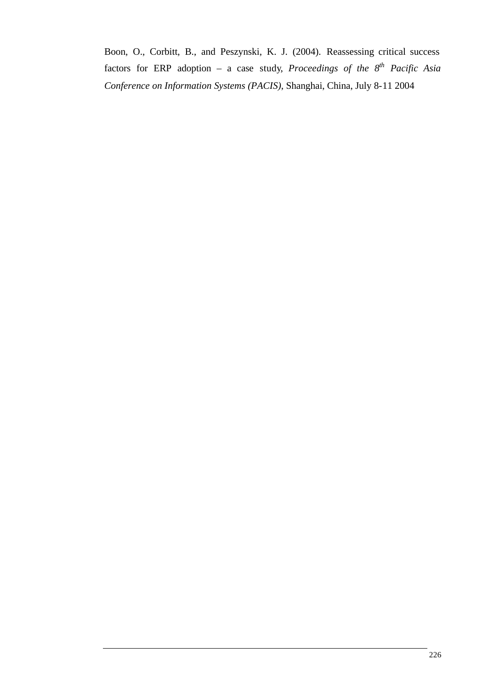Boon, O., Corbitt, B., and Peszynski, K. J. (2004). Reassessing critical success factors for ERP adoption – a case study, *Proceedings of the 8 th Pacific Asia Conference on Information Systems (PACIS)*, Shanghai, China, July 8-11 2004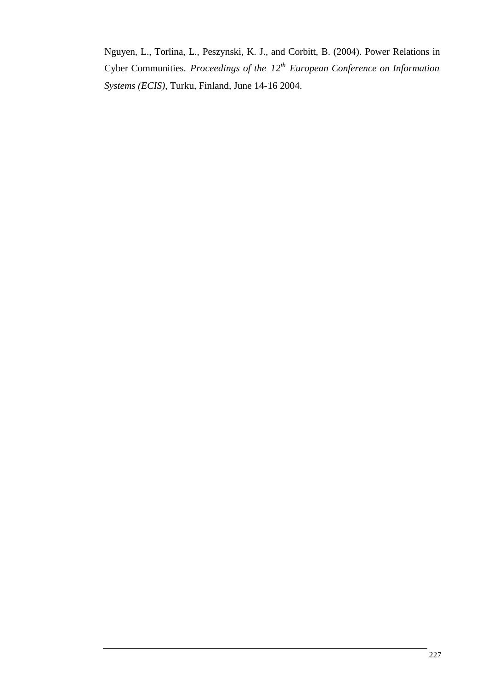Nguyen, L., Torlina, L., Peszynski, K. J., and Corbitt, B. (2004). Power Relations in Cyber Communities. *Proceedings of the 12th European Conference on Information Systems (ECIS)*, Turku, Finland, June 14-16 2004.